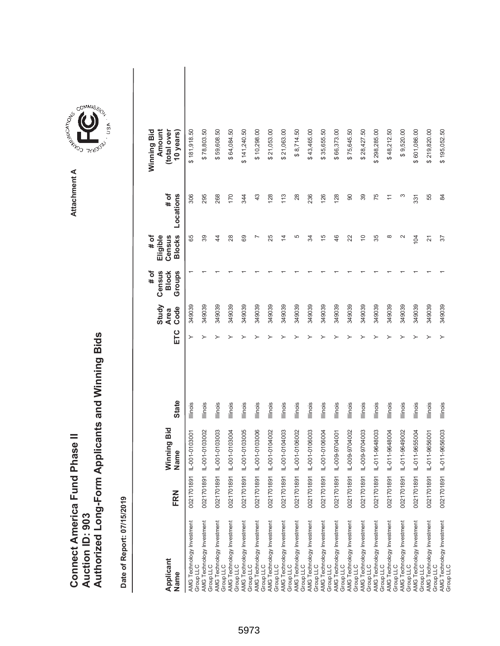|                                      |                        | Authorized Long-Form Applicants and Winning Bids |
|--------------------------------------|------------------------|--------------------------------------------------|
|                                      |                        |                                                  |
|                                      |                        |                                                  |
| <b>Connect America Fund Phase II</b> |                        |                                                  |
|                                      |                        |                                                  |
|                                      | <b>Auction ID: 903</b> |                                                  |
|                                      |                        |                                                  |

| Applicant<br>Name                      | FRN        | Winning Bid<br>Name | <b>State</b>    | ETC | Study<br>Code<br><b>Area</b> | Census<br>Groups<br><b>Block</b><br># of | <b>Blocks</b><br>Eligible<br># of<br>Census | $#$ of<br>Locations | Winning Bid<br>Amount<br>(total over<br>10 years) |
|----------------------------------------|------------|---------------------|-----------------|-----|------------------------------|------------------------------------------|---------------------------------------------|---------------------|---------------------------------------------------|
| AMG Technology Investment<br>Group LLC | 0021701891 | IL-001-0103001      | <b>Illinois</b> | ≻   | 349039                       |                                          | 89                                          | 306                 | \$181,918.50                                      |
| AMG Technology Investment<br>Group LLC | 0021701891 | IL-001-0103002      | Illinois        |     | 349039                       |                                          | 39                                          | 295                 | \$78,803.50                                       |
| AMG Technology Investment<br>Group LLC | 0021701891 | L-001-0103003       | <b>Illinois</b> |     | 349039                       |                                          | \$                                          | 268                 | \$59,608.50                                       |
| AMG Technology Investment<br>Group LLC | 0021701891 | IL-001-0103004      | Illinois        |     | 349039                       |                                          | 28                                          | 170                 | \$64,084.50                                       |
| AMG Technology Investment<br>Group LLC | 0021701891 | IL-001-0103005      | lllinois        |     | 349039                       |                                          | 69                                          | 344                 | \$141,240.50                                      |
| AMG Technology Investment<br>Group LLC | 0021701891 | IL-001-0103006      | lllinois        |     | 349039                       |                                          |                                             | 43                  | \$10,298.00                                       |
| AMG Technology Investment<br>Group LLC | 0021701891 | IL-001-0104002      | Illinois        |     | 349039                       |                                          | 25                                          | 128                 | \$21,053.00                                       |
| AMG Technology Investment<br>Group LLC | 0021701891 | IL-001-0104003      | Illinois        |     | 349039                       |                                          | 4                                           | 113                 | \$21,063.00                                       |
| AMG Technology Investment<br>Group LLC | 0021701891 | IL-001-0106002      | Illinois        |     | 349039                       |                                          | 5                                           | 28                  | \$8,714.50                                        |
| AMG Technology Investment<br>Group LLC | 0021701891 | IL-001-0106003      | Illinois        |     | 349039                       |                                          | ₩                                           | 236                 | \$43,465.00                                       |
| AMG Technology Investment<br>Group LLC | 0021701891 | IL-001-0106004      | Illinois        |     | 349039                       |                                          | 15                                          | 126                 | \$35,655.50                                       |
| AMG Technology Investment<br>Group LLC | 0021701891 | IL-009-9704001      | Illinois        |     | 349039                       |                                          | 46                                          | 128                 | \$66,373.00                                       |
| AMG Technology Investment<br>Group LLC | 0021701891 | IL-009-9704002      | Illinois        |     | 349039                       |                                          | 22                                          | 90                  | \$75,645.50                                       |
| AMG Technology Investment<br>Group LLC | 0021701891 | IL-009-9704003      | Illinois        |     | 349039                       |                                          | $\widetilde{C}$                             | 39                  | \$28,427.50                                       |
| AMG Technology Investment<br>Group LLC | 0021701891 | IL-011-9648003      | Illinois        |     | 349039                       |                                          | 35                                          | 75                  | \$298,285.00                                      |
| AMG Technology Investment<br>Group LLC | 0021701891 | IL-011-9648004      | Illinois        |     | 349039                       |                                          | $\infty$                                    | $\overline{1}$      | \$48,212.50                                       |
| AMG Technology Investment<br>Group LLC | 0021701891 | IL-011-9649002      | Illinois        |     | 349039                       |                                          | $\sim$                                      | ო                   | \$9,520.00                                        |
| AMG Technology Investment<br>Group LLC | 0021701891 | IL-011-9655004      | Illinois        |     | 349039                       |                                          | 104                                         | 331                 | \$601,086.00                                      |
| AMG Technology Investment<br>Group LLC | 0021701891 | IL-011-9656001      | lllinois        |     | 349039                       |                                          | 21                                          | 55                  | \$219,820.00                                      |
| AMG Technology Investment<br>Group LLC | 0021701891 | IL-011-9656003      | <b>Illinois</b> |     | 349039                       |                                          | 57                                          | 84                  | \$195,052.50                                      |

**COMMISSION** Attachment A **Attachment A**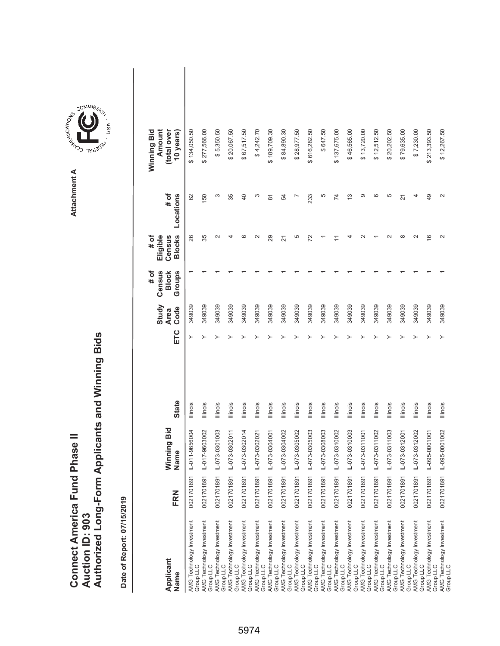|                                      |                        | Authorized Long-Form Applicants and Winning Bids |
|--------------------------------------|------------------------|--------------------------------------------------|
|                                      |                        |                                                  |
|                                      |                        |                                                  |
| <b>Connect America Fund Phase II</b> |                        |                                                  |
|                                      |                        |                                                  |
|                                      | <b>Auction ID: 903</b> |                                                  |
|                                      |                        |                                                  |

| Applicant<br>Name                      | FRN        | Winning Bid<br>Name | <b>State</b>    | ETC | Study<br>Code<br><b>Area</b> | # of<br>Census<br>Groups<br><b>Block</b> | # of<br><b>Blocks</b><br>Census<br>Eligible | # of<br>Locations | Winning Bid<br>(total over<br>Amount<br>10 years |  |
|----------------------------------------|------------|---------------------|-----------------|-----|------------------------------|------------------------------------------|---------------------------------------------|-------------------|--------------------------------------------------|--|
| AMG Technology Investment<br>Group LLC | 0021701891 | IL-011-9656004      | <b>Illinois</b> |     | 349039                       |                                          | 26                                          | 62                | \$134,050.50                                     |  |
| AMG Technology Investment<br>Group LLC | 0021701891 | IL-017-9603002      | Illinois        |     | 349039                       |                                          | 35                                          | 150               | \$277,566.00                                     |  |
| AMG Technology Investment<br>Group LLC | 0021701891 | IL-073-0301003      | Illinois        |     | 349039                       |                                          |                                             | ω                 | \$5,350.50                                       |  |
| AMG Technology Investment<br>Group LLC | 0021701891 | IL-073-0302011      | Illinois        |     | 349039                       |                                          |                                             | 35                | \$20,067.50                                      |  |
| AMG Technology Investment<br>Group LLC | 0021701891 | IL-073-0302014      | Illinois        |     | 349039                       |                                          |                                             | $\overline{a}$    | \$67,517.50                                      |  |
| AMG Technology Investment<br>Group LLC | 0021701891 | IL-073-0302021      | Illinois        |     | 349039                       |                                          |                                             | S                 | \$4,242.70                                       |  |
| AMG Technology Investment<br>Group LLC | 0021701891 | IL-073-0304001      | Illinois        |     | 349039                       |                                          | 29                                          | $\overline{8}$    | \$189,709.30                                     |  |
| AMG Technology Investment<br>Group LLC | 0021701891 | IL-073-0304002      | Illinois        |     | 349039                       |                                          | 21                                          | 54                | \$84,890.30                                      |  |
| AMG Technology Investment<br>Group LLC | 0021701891 | IL-073-0305002      | Illinois        |     | 349039                       |                                          | 5                                           |                   | \$28,977.50                                      |  |
| AMG Technology Investment<br>Group LLC | 0021701891 | IL-073-0305003      | Illinois        |     | 349039                       |                                          | 22                                          | 233               | \$616,282.50                                     |  |
| AMG Technology Investment<br>Group LLC | 0021701891 | IL-073-0308003      | Illinois        |     | 349039                       |                                          |                                             | 5                 | \$647.50                                         |  |
| AMG Technology Investment<br>Group LLC | 0021701891 | IL-073-0310002      | Illinois        |     | 349039                       |                                          |                                             | $\overline{7}$    | \$137,675.00                                     |  |
| AMG Technology Investment<br>Group LLC | 0021701891 | IL-073-0310003      | Illinois        |     | 349039                       |                                          |                                             | $\frac{3}{2}$     | \$46,565.00                                      |  |
| AMG Technology Investment<br>Group LLC | 0021701891 | IL-073-0311001      | lllinois        |     | 349039                       |                                          |                                             | တ                 | \$13,720.00                                      |  |
| AMG Technology Investment<br>Group LLC | 0021701891 | IL-073-0311002      | Illinois        |     | 349039                       |                                          |                                             | $\circ$           | \$12,512.50                                      |  |
| AMG Technology Investment<br>Group LLC | 0021701891 | IL-073-0311003      | Illinois        |     | 349039                       |                                          |                                             | 5                 | \$20,202.50                                      |  |
| AMG Technology Investment<br>Group LLC | 0021701891 | IL-073-0312001      | Illinois        |     | 349039                       |                                          |                                             | 21                | \$79,635.00                                      |  |
| AMG Technology Investment<br>Group LLC | 0021701891 | IL-073-0312002      | Illinois        |     | 349039                       |                                          |                                             |                   | \$7,230.00                                       |  |
| AMG Technology Investment<br>Group LLC | 0021701891 | IL-095-0001001      | Illinois        |     | 349039                       |                                          | $\frac{6}{2}$                               | 49                | \$213,393.50                                     |  |
| AMG Technology Investment<br>Group LLC | 0021701891 | IL-095-0001002      | <b>Illinois</b> |     | 349039                       |                                          |                                             | $\mathbf{\Omega}$ | \$12,267.50                                      |  |

Attachment A **Attachment A**

**COMMISSION**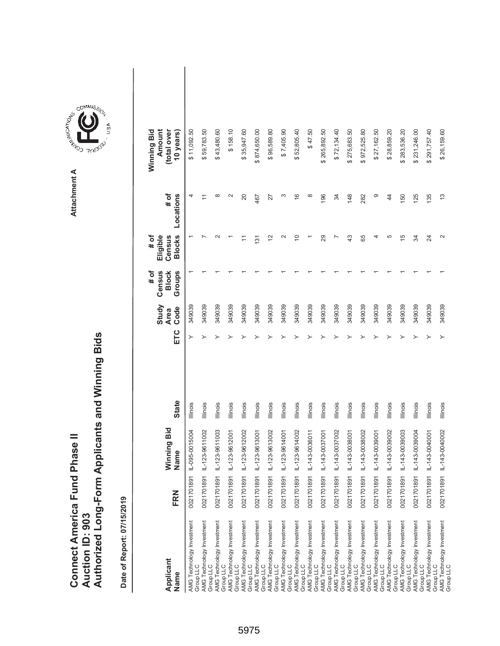|                               |                        | Authorized Long-Form Applicants and Winning Bids |
|-------------------------------|------------------------|--------------------------------------------------|
|                               |                        |                                                  |
| Connect America Fund Phase II | <b>Auction ID: 903</b> |                                                  |

Attachment A **Attachment A**

COMMIS<sub>SION</sub>

USA

| Applicant<br>Name                      | FRN           | Ninning Bid<br>Vame       | <b>State</b>    | ETC | Study<br>Code<br><b>Area</b> | # of<br>Census<br>Groups<br><b>Block</b> | <b>Blocks</b><br># of<br>Eligible<br>Census | # of<br>Locations | Winning Bid<br>Amount<br>(total over<br>10 years |  |
|----------------------------------------|---------------|---------------------------|-----------------|-----|------------------------------|------------------------------------------|---------------------------------------------|-------------------|--------------------------------------------------|--|
| AMG Technology Investment<br>Group LLC |               | 0021701891 IL-095-0015004 | Illinois        | ≻   | 349039                       |                                          |                                             | 4                 | \$11,092.50                                      |  |
| AMG Technology Investment<br>Group LLC |               | 0021701891 IL-123-9611002 | <b>Illinois</b> |     | 349039                       |                                          |                                             |                   | \$59,783.50                                      |  |
| AMG Technology Investment<br>Group LLC |               | 0021701891 L-123-9611003  | Illinois        |     | 349039                       |                                          |                                             | $\infty$          | \$43,480.60                                      |  |
| AMG Technology Investment<br>Group LLC |               | 0021701891 IL-123-9612001 | Illinois        |     | 349039                       |                                          |                                             | $\sim$            | \$158.10                                         |  |
| AMG Technology Investment<br>Group LLC |               | 0021701891 IL-123-9612002 | Illinois        |     | 349039                       |                                          |                                             | 20                | \$35,947.60                                      |  |
| AMG Technology Investment<br>Group LLC |               | 0021701891 IL-123-9613001 | Illinois        |     | 349039                       |                                          | 131                                         | 467               | \$874,650.00                                     |  |
| AMG Technology Investment<br>Group LLC |               | 0021701891 IL-123-9613002 | Illinois        |     | 349039                       |                                          | $\overline{2}$                              | 27                | \$96,589.80                                      |  |
| AMG Technology Investment<br>Group LLC |               | 0021701891 IL-123-9614001 | Illinois        |     | 349039                       |                                          | $\sim$                                      | S                 | \$7,405.90                                       |  |
| AMG Technology Investment<br>Group LLC |               | 0021701891 L-123-9614002  | Illinois        |     | 349039                       |                                          | 5                                           | $\frac{6}{5}$     | \$52,805.40                                      |  |
| AMG Technology Investment<br>Group LLC |               |                           | Illinois        |     | 349039                       |                                          |                                             | $\infty$          | \$47.50                                          |  |
| AMG Technology Investment<br>Group LLC | 0021701891    | IL-143-0037001            | Illinois        |     | 349039                       |                                          | 29                                          | 196               | \$265,892.50                                     |  |
| AMG Technology Investment<br>Group LLC | 0021701891    | IL-143-0037002            | Illinois        |     | 349039                       |                                          |                                             | 34                | \$72,134.40                                      |  |
| AMG Technology Investment<br>Group LLC |               | 0021701891 IL-143-0038001 | Illinois        |     | 349039                       |                                          | $\frac{3}{4}$                               | 148               | \$275,683.50                                     |  |
| AMG Technology Investment<br>Group LLC | 0021701891 IL | $-143 - 0038002$          | lllinois        |     | 349039                       |                                          | 65                                          | 282               | \$972,525.80                                     |  |
| AMG Technology Investment<br>Group LLC | 0021701891    | IL-143-0039001            | Illinois        |     | 349039                       |                                          | 4                                           | တ                 | \$27,162.50                                      |  |
| AMG Technology Investment<br>Group LLC | 0021701891    | IL-143-0039002            | Illinois        |     | 349039                       |                                          | 5                                           | $\overline{4}$    | \$28,859.20                                      |  |
| AMG Technology Investment<br>Group LLC |               | 0021701891 L-143-0039003  | lllinois        |     | 349039                       |                                          | 15                                          | 150               | \$283,536.20                                     |  |
| AMG Technology Investment<br>Group LLC |               | 0021701891 L-143-0039004  | Illinois        |     | 349039                       |                                          | ₩                                           | 125               | \$231,246.00                                     |  |
| AMG Technology Investment<br>Group LLC |               | 0021701891 L-143-0040001  | Illinois        |     | 349039                       |                                          | 24                                          | 135               | \$291,757.40                                     |  |
| AMG Technology Investment<br>Group LLC |               | 0021701891 IL-143-0040002 | Illinois        |     | 349039                       |                                          | $\sim$                                      | $\frac{3}{2}$     | \$26,159.60                                      |  |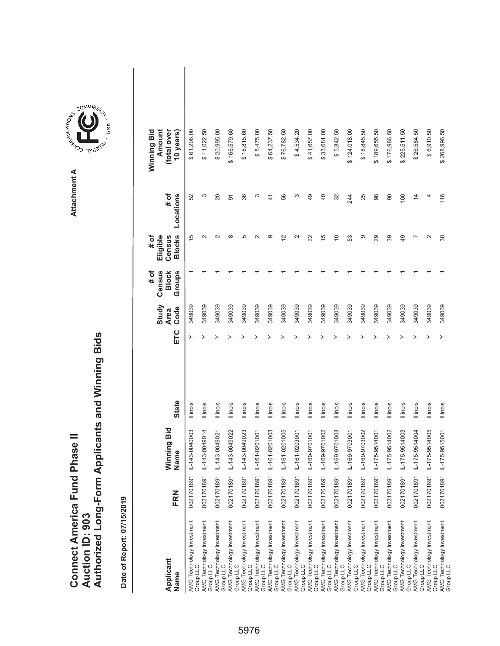|                               |                 | Authorized Long-Form Applicants and Winning Bids |
|-------------------------------|-----------------|--------------------------------------------------|
|                               |                 |                                                  |
|                               |                 |                                                  |
| Connect America Fund Phase II |                 |                                                  |
|                               | Auction ID: 903 |                                                  |
|                               |                 |                                                  |
|                               |                 |                                                  |

| Applicant<br>Name                                                                | FRN        | Winning Bid<br>Name | <b>State</b>    | ETC | Study<br>Code<br><b>Area</b> | Census<br><b>Block</b><br>Groups<br># of | <b>Blocks</b><br>Eligible<br>Census<br># of | Locations<br># of | Winning Bid<br>Amount<br>(total over<br>10 years) |  |
|----------------------------------------------------------------------------------|------------|---------------------|-----------------|-----|------------------------------|------------------------------------------|---------------------------------------------|-------------------|---------------------------------------------------|--|
| AMG Technology Investment<br>Group LLC                                           | 0021701891 | IL-143-0040003      | Illinois        | ≻   | 349039                       |                                          | $\overline{5}$                              | 52                | \$61,206.00                                       |  |
| AMG Technology Investment<br>Group LLC                                           | 0021701891 | IL-143-0049014      | Illinois        |     | 349039                       |                                          | $\sim$                                      | S                 | \$11,022.50                                       |  |
| AMG Technology Investment<br>Group LLC                                           | 0021701891 | IL-143-0049021      | Illinois        |     | 349039                       |                                          | $\scriptstyle\sim$                          | 20                | \$20,995.00                                       |  |
| AMG Technology Investment<br>Group LLC                                           | 0021701891 | IL-143-0049022      | Illinois        |     | 349039                       |                                          | $\infty$                                    | 5                 | \$166,579.60                                      |  |
| AMG Technology Investment<br>Group LLC<br>AMG Technology Investment              | 0021701891 | IL-143-0049023      | Illinois        |     | 349039                       |                                          | 5                                           | 36                | \$18,815.60                                       |  |
| Group LLC                                                                        | 0021701891 | IL-161-0201001      | Illinois        |     | 349039                       |                                          | $\sim$                                      | S                 | \$5,475.00                                        |  |
| AMG Technology Investment<br>Group LLC                                           | 0021701891 | IL-161-0201003      | Illinois        |     | 349039                       |                                          | တ                                           | 41                | \$64,237.50                                       |  |
| AMG Technology Investment<br>Group LLC                                           | 0021701891 | IL-161-0201005      | Illinois        |     | 349039                       |                                          | $\overline{2}$                              | 56                | \$76,782.50                                       |  |
| AMG Technology Investment<br>Group LLC                                           | 0021701891 | IL-161-0203001      | Illinois        |     | 349039                       |                                          | $\sim$                                      | ω                 | \$4,534.20                                        |  |
| AMG Technology Investment<br>Group LLC                                           | 0021701891 | IL-169-9701001      | Illinois        |     | 349039                       |                                          | 22                                          | 49                | \$41,657.00                                       |  |
| AMG Technology Investment<br>Group LLC                                           | 0021701891 | IL-169-9701002      | Illinois        |     | 349039                       |                                          | 15                                          | 40                | \$33,681.00                                       |  |
| AMG Technology Investment<br>Group LLC                                           | 0021701891 | IL-169-9701003      | Illinois        |     | 349039                       |                                          | $\Rightarrow$                               | 32                | \$5,842.50                                        |  |
| AMG Technology Investment<br>Group LLC<br>AMG Technology Investment<br>Group LLC | 0021701891 | IL-169-9703001      | Illinois        |     | 349039                       |                                          | S3                                          | 244               | \$124,018.00                                      |  |
|                                                                                  | 0021701891 | IL-169-9703002      | Illinois        |     | 349039                       |                                          | တ                                           | 25                | \$18,845.50                                       |  |
| AMG Technology Investment<br>Group LLC                                           | 0021701891 | IL-175-9514001      | <b>Illinois</b> |     | 349039                       |                                          | 29                                          | 88                | \$189,655.50                                      |  |
| AMG Technology Investment<br>Group LLC                                           | 0021701891 | IL-175-9514002      | Illinois        |     | 349039                       |                                          | 89                                          | 90                | \$176,986.50                                      |  |
| AMG Technology Investment<br>Group LLC                                           | 0021701891 | IL-175-9514003      | Illinois        |     | 349039                       |                                          | $\overline{49}$                             | 100               | \$225,511.50                                      |  |
| AMG Technology Investment<br>Group LLC                                           | 0021701891 | IL-175-9514004      | Illinois        |     | 349039                       |                                          |                                             | $\overline{4}$    | \$26,584.50                                       |  |
| AMG Technology Investment<br>Group LLC                                           | 0021701891 | IL-175-9514005      | <b>Illinois</b> |     | 349039                       |                                          | $\sim$                                      | 4                 | \$6,910.50                                        |  |
| AMG Technology Investment<br>Group LLC                                           | 002170189  | IL-175-9515001      | <b>Illinois</b> |     | 349039                       |                                          | 38                                          | 116               | \$268,996.50                                      |  |

**COMMISSION** Attachment A **Attachment A**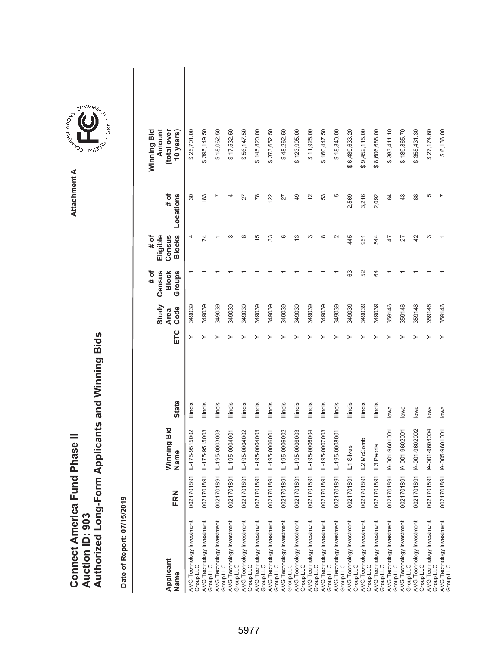|                               |                 | Authorized Long-Form Applicants and Winning Bids |
|-------------------------------|-----------------|--------------------------------------------------|
| Connect America Fund Phase II | Auction ID: 903 |                                                  |

 $\overline{\phantom{a}}$ 

| Applicant<br>Name                      | FRN        | Winning Bid<br>Name | <b>State</b>    | ETC | Study<br>Code<br><b>Area</b> | Census<br>Groups<br># of<br><b>Block</b> | <b>Blocks</b><br>Eligible<br>Census<br># of | # of<br>Locations | Amount<br>(total over<br>Winning Bid<br>10 years) |  |
|----------------------------------------|------------|---------------------|-----------------|-----|------------------------------|------------------------------------------|---------------------------------------------|-------------------|---------------------------------------------------|--|
| AMG Technology Investment<br>Group LLC | 0021701891 | IL-175-9515002      | lllinois        |     | 349039                       |                                          | 4                                           | $\overline{30}$   | \$25,701.00                                       |  |
| AMG Technology Investment<br>Group LLC | 0021701891 | IL-175-9515003      | Illinois        |     | 349039                       |                                          | 74                                          | 183               | \$395,149.50                                      |  |
| AMG Technology Investment<br>Group LLC | 0021701891 | IL-195-0003003      | Illinois        |     | 349039                       |                                          |                                             |                   | \$18,062.50                                       |  |
| AMG Technology Investment<br>Group LLC | 0021701891 | IL-195-0004001      | Illinois        |     | 349039                       |                                          | ∞                                           | 4                 | \$17,532.50                                       |  |
| AMG Technology Investment<br>Group LLC | 0021701891 | IL-195-0004002      | <b>Illinois</b> |     | 349039                       |                                          | $\infty$                                    | 27                | \$56,147.50                                       |  |
| AMG Technology Investment<br>Group LLC | 0021701891 | IL-195-0004003      | Illinois        |     | 349039                       |                                          | 15                                          | 78                | \$145,820.00                                      |  |
| AMG Technology Investment<br>Group LLC | 0021701891 | IL-195-0006001      | <b>Illinois</b> |     | 349039                       |                                          | 33                                          | 122               | \$373,652.50                                      |  |
| AMG Technology Investment<br>Group LLC | 0021701891 | IL-195-0006002      | <b>Illinois</b> |     | 349039                       |                                          | ဖ                                           | 27                | \$48,262.50                                       |  |
| AMG Technology Investment<br>Group LLC | 0021701891 | IL-195-0006003      | <b>Illinois</b> |     | 349039                       |                                          | $\frac{3}{2}$                               | 49                | \$123,905.00                                      |  |
| AMG Technology Investment<br>Group LLC | 0021701891 | IL-195-0006004      | <b>Illinois</b> |     | 349039                       |                                          | ∞                                           | $\frac{2}{3}$     | \$11,925.00                                       |  |
| AMG Technology Investment<br>Group LLC | 0021701891 | IL-195-0007003      | <b>Illinois</b> |     | 349039                       |                                          | ∞                                           | 53                | \$160,447.50                                      |  |
| AMG Technology Investment<br>Group LLC | 0021701891 | IL-195-0008001      | <b>Illinois</b> |     | 349039                       |                                          | $\sim$                                      | 5                 | \$18,840.00                                       |  |
| AMG Technology Investment<br>Group LLC | 0021701891 | IL1 Silvas          | <b>Illinois</b> |     | 349039                       | 63                                       | 445                                         | 2,569             | \$6,489,633.20                                    |  |
| AMG Technology Investment<br>Group LLC | 0021701891 | IL2 McComb          | lllinois        |     | 349039                       | 52                                       | 951                                         | 3,216             | \$9,452,115.00                                    |  |
| AMG Technology Investment<br>Group LLC | 0021701891 | IL3 Peoria          | Illinois        |     | 349039                       | 64                                       | 544                                         | 2,092             | \$8,606,688.00                                    |  |
| AMG Technology Investment<br>Group LLC | 0021701891 | IA-001-9601001      | lowa            |     | 359146                       |                                          | 47                                          | $\overline{a}$    | \$383,411.10                                      |  |
| AMG Technology Investment<br>Group LLC | 0021701891 | IA-001-9602001      | lowa            |     | 359146                       |                                          | 27                                          | 43                | \$189,865.70                                      |  |
| AMG Technology Investment<br>Group LLC | 0021701891 | IA-001-9602002      | lowa            |     | 359146                       |                                          | 42                                          | 88                | \$358,431.30                                      |  |
| AMG Technology Investment<br>Group LLC | 0021701891 | IA-001-9603004      | lowa            |     | 359146                       |                                          | S                                           | 5                 | \$27,174.60                                       |  |
| AMG Technology Investment<br>Group LLC | 0021701891 | IA-005-9601001      | lowa            |     | 359146                       |                                          |                                             |                   | \$6,136.00                                        |  |

**COMMISSION** Attachment A **Attachment A**

GOMMIS<sub>SION</sub>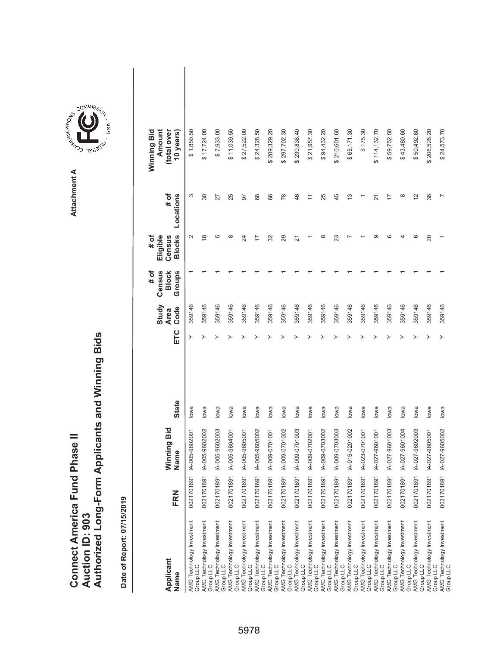| Connect America Fund Phase II |                 | Authorized Long-Form Applicants and Winning Bids |
|-------------------------------|-----------------|--------------------------------------------------|
|                               | Auction ID: 903 |                                                  |

| Applicant<br>Name                                   | FRN             | Winning Bid<br>Name       | <b>State</b> | ETC | Study<br>Code<br><b>Area</b> | Census<br># of<br><b>Block</b><br>Groups | <b>Blocks</b><br># of<br>Eligible<br>Census | # of<br>Locations | Amount<br>(total over<br>Winning Bid<br>10 years) |
|-----------------------------------------------------|-----------------|---------------------------|--------------|-----|------------------------------|------------------------------------------|---------------------------------------------|-------------------|---------------------------------------------------|
| AMG Technology Investment<br>Group LLC              | 891<br>0021701  | IA-005-9602001            | lowa         | ≻   | 359146                       |                                          | $\mathbf{\Omega}$                           | S                 | \$1,850.50                                        |
| AMG Technology Investment<br>Group LLC              | 891<br>0021701  | IA-005-9602002            | lowa         |     | 359146                       |                                          | ∞                                           | 30                | \$17,724.00                                       |
| AMG Technology Investment<br>Group LLC              | 1891<br>0021701 | IA-005-9602003            | lowa         |     | 359146                       |                                          | 5                                           | 27                | \$7,933.00                                        |
| AMG Technology Investment<br>Group LLC              | 1891<br>0021701 | IA-005-9604001            | lowa         |     | 359146                       |                                          | 8                                           | 25                | \$11,039.50                                       |
| AMG Technology Investment                           | 1891<br>0021701 | IA-005-9605001            | lowa         |     | 359146                       |                                          | 24                                          | 57                | \$27,522.00                                       |
| Group LLC<br>AMG Technology Investment<br>Group LLC | 1891<br>0021701 | IA-005-9605002            | lowa         |     | 359146                       |                                          | 17                                          | 68                | \$24,328.50                                       |
| AMG Technology Investment<br>Group LLC              | 1891<br>0021701 | IA-009-0701001            | lowa         |     | 359146                       |                                          | 32                                          | 66                | \$289,329.20                                      |
| AMG Technology Investment<br>Group LLC              | 1891<br>0021701 | IA-009-0701002            | lowa         |     | 359146                       |                                          | 29                                          | 78                | \$297,702.30                                      |
| AMG Technology Investment<br>Group LLC              | 1891<br>0021701 | IA-009-0701003            | lowa         |     | 359146                       |                                          | 21                                          | 46                | \$230,838.40                                      |
| AMG Technology Investment<br>Group LLC              | 891<br>0021701  | IA-009-0702001            | lowa         |     | 359146                       |                                          |                                             |                   | \$21,957.30                                       |
| AMG Technology Investment<br>Group LLC              | 1891<br>0021701 | IA-009-0703002            | lowa         |     | 359146                       |                                          | $\infty$                                    | 25                | \$94,432.20                                       |
| AMG Technology Investment<br>Group LLC              | 1891<br>0021701 | IA-009-0703003            | lowa         |     | 359146                       |                                          | 23                                          | 45                | \$210,601.60                                      |
| AMG Technology Investment<br>Group LLC              | 1891<br>0021701 | IA-015-0201002            | lowa         |     | 359146                       |                                          |                                             | مبر<br>ب          | \$65,171.30                                       |
| AMG Technology Investment<br>Group LLC              | 891<br>0021701  | IA-023-0701001            | lowa         |     | 359146                       |                                          |                                             |                   | \$175.30                                          |
| AMG Technology Investment                           | 1891<br>0021701 | IA-027-9601001            | lowa         |     | 359146                       |                                          | ග                                           | 21                | \$114,132.70                                      |
| Group LLC<br>AMG Technology Investment<br>Group LLC | 1891<br>0021701 | IA-027-9601003            | lowa         |     | 359146                       |                                          | ဖ                                           | 17                | \$59,752.50                                       |
| AMG Technology Investment<br>Group LLC              | 1891<br>0021701 | IA-027-9601004            | lowa         |     | 359146                       |                                          |                                             | ∞                 | \$43,480.60                                       |
| AMG Technology Investment<br>Group LLC              | 1891<br>0021701 | IA-027-9602003            | lowa         |     | 359146                       |                                          | ဖ                                           | $\frac{2}{3}$     | \$50,492.80                                       |
| AMG Technology Investment<br>Group LLC              | 891<br>0021701  | IA-027-9605001            | lowa         |     | 359146                       |                                          | 20                                          | 38                | \$206,528.20                                      |
| AMG Technology Investment<br>Group LLC              |                 | 0021701891 IA-027-9605002 | lowa         |     | 359146                       |                                          |                                             |                   | \$24,573.70                                       |



5978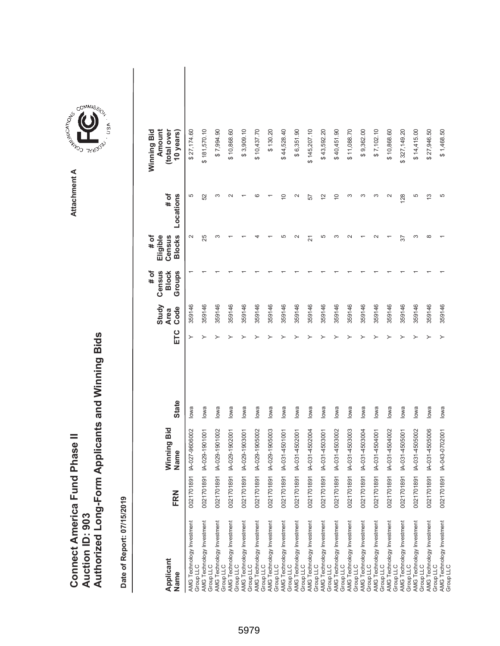|                               |                 | Authorized Long-Form Applicants and Winning Bids |
|-------------------------------|-----------------|--------------------------------------------------|
| Connect America Fund Phase II | Auction ID: 903 |                                                  |

| Applicant<br>Name                             | FRN        | Winning Bid<br>Name | <b>State</b> | ETC | Study<br>Code<br><b>Area</b> | Census<br>Groups<br># of<br><b>Block</b> | <b>Blocks</b><br># of<br>Eligible<br>Census | # of<br>Locations | Amount<br>(total over<br>Winning Bid<br>10 years) |
|-----------------------------------------------|------------|---------------------|--------------|-----|------------------------------|------------------------------------------|---------------------------------------------|-------------------|---------------------------------------------------|
| AMG Technology Investment<br>Group LLC        | 0021701891 | IA-027-9606002      | lowa         |     | 359146                       |                                          | $\sim$                                      | 5                 | \$27,174.60                                       |
| AMG Technology Investment<br>Group LLC        | 0021701891 | IA-029-1901001      | lowa         |     | 359146                       |                                          | 25                                          | 52                | \$181,570.10                                      |
| AMG Technology Investment<br>Group LLC        | 0021701891 | A-029-1901002       | lowa         |     | 359146                       |                                          |                                             | S                 | \$7,994.90                                        |
| AMG Technology Investment<br>Group LLC        | 0021701891 | A-029-1902001       | lowa         |     | 359146                       |                                          |                                             | $\sim$            | \$10,868.60                                       |
| AMG Technology Investment<br>Group LLC        | 0021701891 | IA-029-1903001      | lowa         |     | 359146                       |                                          |                                             |                   | \$3,909.10                                        |
| AMG Technology Investment<br>Group LLC        | 0021701891 | IA-029-1905002      | lowa         |     | 359146                       |                                          |                                             | ဖ                 | \$10,437.70                                       |
| AMG Technology Investment<br>Group LLC        | 0021701891 | IA-029-1905003      | lowa         |     | 359146                       |                                          |                                             |                   | \$130.20                                          |
| AMG Technology Investment<br>Group LLC        | 0021701891 | IA-031-4501001      | lowa         |     | 359146                       |                                          |                                             | $\overline{C}$    | \$44,528.40                                       |
| AMG Technology Investment<br>Group LLC        | 0021701891 | A-031-4502001       | lowa         |     | 359146                       |                                          | $\scriptstyle\sim$                          | $\mathbf{\Omega}$ | \$6,351.90                                        |
| <b>AMG Technology Investment</b><br>Group LLC | 0021701891 | IA-031-4502004      | lowa         |     | 359146                       |                                          | 21                                          | 57                | \$145,207.10                                      |
| AMG Technology Investment<br>Group LLC        | 0021701891 | IA-031-4503001      | lowa         |     | 359146                       |                                          | 5                                           | $\tilde{c}$       | \$43,592.20                                       |
| AMG Technology Investment<br>Group LLC        | 0021701891 | IA-031-4503002      | lowa         |     | 359146                       |                                          |                                             | $\overline{C}$    | \$40,451.90                                       |
| AMG Technology Investment<br>Group LLC        | 0021701891 | IA-031-4503003      | lowa         |     | 359146                       |                                          |                                             | S                 | \$11,088.70                                       |
| AMG Technology Investment<br>Group LLC        | 0021701891 | A-031-4503004       | lowa         |     | 359146                       |                                          |                                             | S                 | \$9,362.00                                        |
| AMG Technology Investment<br>Group LLC        | 0021701891 | IA-031-4504001      | lowa         |     | 359146                       |                                          |                                             | S                 | \$7,102.10                                        |
| AMG Technology Investment<br>Group LLC        | 0021701891 | A-031-4504002       | lowa         |     | 359146                       |                                          |                                             | $\sim$            | \$10,868.60                                       |
| AMG Technology Investment<br>Group LLC        | 0021701891 | IA-031-4505001      | lowa         |     | 359146                       |                                          | 57                                          | 128               | \$327,149.20                                      |
| AMG Technology Investment<br>Group LLC        | 0021701891 | A-031-4505002       | lowa         |     | 359146                       |                                          | ∞                                           | 5                 | \$14,415.00                                       |
| AMG Technology Investment<br>Group LLC        | 0021701891 | IA-031-4505006      | lowa         |     | 359146                       |                                          | œ                                           | $\frac{3}{2}$     | \$27,946.50                                       |
| AMG Technology Investment<br>Group LLC        | 0021701891 | IA-043-0702001      | lowa         |     | 359146                       |                                          |                                             | 5                 | \$1,468.50                                        |

**COMMISSION** Attachment A **Attachment A**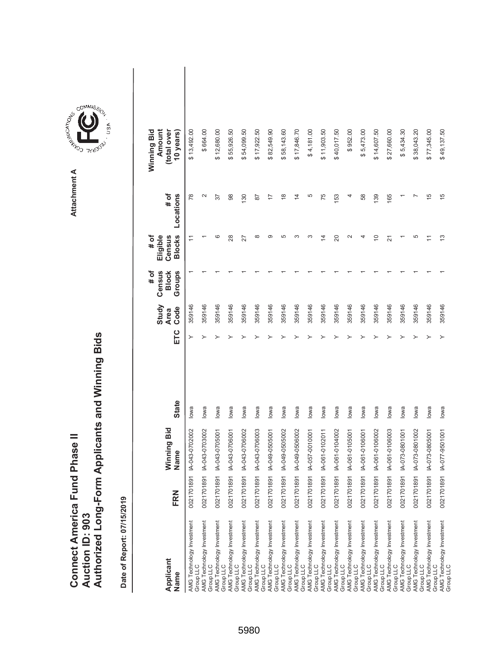|                                      |                        | Authorized Long-Form Applicants and Winning Bids |
|--------------------------------------|------------------------|--------------------------------------------------|
|                                      |                        |                                                  |
| <b>Connect America Fund Phase II</b> | <b>Auction ID: 903</b> |                                                  |

| Applicant<br>Name                      | FRN        | Winning Bid<br>Name | <b>State</b> | ETC | Study<br>Code<br><b>Area</b> | Census<br>Groups<br><b>Block</b><br># of | <b>Blocks</b><br>Eligible<br># of<br>Census | # of<br>Locations | Winning Bid<br>Amount<br>(total over<br>10 years) |
|----------------------------------------|------------|---------------------|--------------|-----|------------------------------|------------------------------------------|---------------------------------------------|-------------------|---------------------------------------------------|
| AMG Technology Investment<br>Group LLC | 0021701891 | IA-043-0702002      | lowa         | ≻   | 359146                       |                                          | Ξ                                           | 78                | \$13,492.00                                       |
| AMG Technology Investment<br>Group LLC | 0021701891 | A-043-0703002       | lowa         |     | 359146                       |                                          |                                             | 2                 | \$664.00                                          |
| AMG Technology Investment<br>Group LLC | 0021701891 | IA-043-0705001      | lowa         |     | 359146                       |                                          | ဖ                                           | 57                | \$12,680.00                                       |
| AMG Technology Investment<br>Group LLC | 0021701891 | IA-043-0706001      | lowa         |     | 359146                       |                                          | 28                                          | 98                | \$55,926.50                                       |
| AMG Technology Investment<br>Group LLC | 0021701891 | IA-043-0706002      | lowa         |     | 359146                       |                                          | 27                                          | 130               | \$54,099.50                                       |
| AMG Technology Investment<br>Group LLC | 0021701891 | IA-043-0706003      | lowa         |     | 359146                       |                                          | $\infty$                                    | $\overline{8}$    | \$17,922.50                                       |
| AMG Technology Investment<br>Group LLC | 0021701891 | IA-049-0505001      | lowa         |     | 359146                       |                                          | ග                                           | $\overline{1}$    | \$82,549.90                                       |
| AMG Technology Investment<br>Group LLC | 0021701891 | IA-049-0505002      | lowa         |     | 359146                       |                                          | Ю                                           | $\frac{8}{1}$     | \$58,143.60                                       |
| AMG Technology Investment<br>Group LLC | 0021701891 | IA-049-0506002      | lowa         |     | 359146                       |                                          | S                                           | $\overline{4}$    | \$17,846.70                                       |
| AMG Technology Investment<br>Group LLC | 0021701891 | IA-057-0010001      | lowa         |     | 359146                       |                                          | ∞                                           | 5                 | \$4,181.00                                        |
| AMG Technology Investment<br>Group LLC | 0021701891 | IA-061-0102011      | lowa         |     | 359146                       |                                          | 4                                           | 75                | \$11,903.50                                       |
| AMG Technology Investment<br>Group LLC | 0021701891 | IA-061-0104002      | lowa         |     | 359146                       |                                          | $\Omega$                                    | 153               | \$40,017.50                                       |
| AMG Technology Investment<br>Group LLC | 0021701891 | IA-061-0105001      | lowa         |     | 359146                       |                                          | $\mathbf{\sim}$                             | 4                 | \$952.00                                          |
| AMG Technology Investment<br>Group LLC | 0021701891 | IA-061-0106001      | lowa         |     | 359146                       |                                          | ᅿ                                           | 58                | \$5,473.00                                        |
| AMG Technology Investment<br>Group LLC | 0021701891 | A-061-0106002       | lowa         |     | 359146                       |                                          | $\Rightarrow$                               | 139               | \$14,607.50                                       |
| AMG Technology Investment<br>Group LLC | 0021701891 | IA-061-0106003      | lowa         |     | 359146                       |                                          | 21                                          | 165               | \$27,660.00                                       |
| AMG Technology Investment<br>Group LLC | 0021701891 | IA-073-0801001      | lowa         |     | 359146                       |                                          |                                             |                   | \$5,434.30                                        |
| AMG Technology Investment<br>Group LLC | 0021701891 | A-073-0801002       | lowa         |     | 359146                       |                                          | 5                                           |                   | \$38,043.20                                       |
| AMG Technology Investment<br>Group LLC | 0021701891 | IA-073-0805001      | lowa         |     | 359146                       |                                          |                                             | 15                | \$77,345.00                                       |
| AMG Technology Investment<br>Group LLC | 0021701891 | IA-077-9501001      | lowa         | ≻   | 359146                       |                                          | $\frac{3}{2}$                               | 15                | \$49,137.50                                       |

**COMMISSION** Attachment A **Attachment A**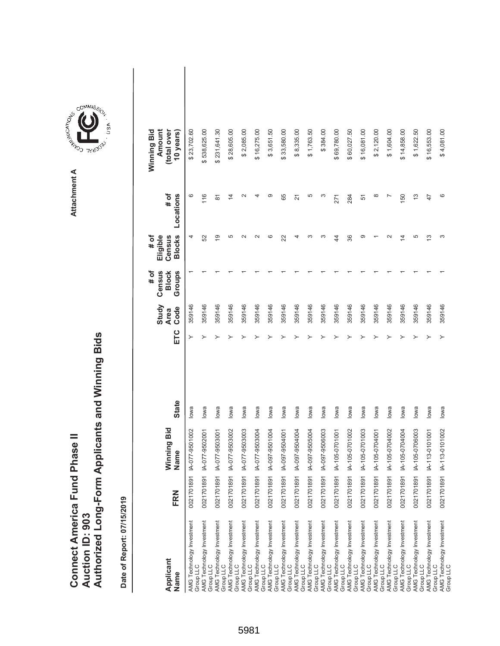|                               |                 | Authorized Long-Form Applicants and Winning Bids |
|-------------------------------|-----------------|--------------------------------------------------|
| Connect America Fund Phase II |                 |                                                  |
|                               | Auction ID: 903 |                                                  |



GOMMIS<sub>SION</sub>

USA

| Applicant<br>Name                      | FRN        | Winning Bid<br>Name | <b>State</b> | ETC | Study<br>Code<br><b>Area</b> | Census<br># of<br>Groups<br><b>Block</b> | <b>Blocks</b><br>Eligible<br>Census<br># of | # of<br>Locations  | Amount<br>(total over<br>Winning Bid<br>10 years) |  |
|----------------------------------------|------------|---------------------|--------------|-----|------------------------------|------------------------------------------|---------------------------------------------|--------------------|---------------------------------------------------|--|
| AMG Technology Investment              | 0021701891 | IA-077-9501002      | lowa         | ≻   | 359146                       |                                          | 4                                           | ဖ                  | \$23,702.60                                       |  |
| Group LLC                              |            |                     |              |     |                              |                                          |                                             |                    |                                                   |  |
| AMG Technology Investment<br>Group LLC | 0021701891 | IA-077-9502001      | lowa         |     | 359146                       |                                          | 52                                          | 116                | \$538,625.00                                      |  |
| AMG Technology Investment<br>Group LLC | 0021701891 | IA-077-9503001      | lowa         |     | 359146                       |                                          | $\overline{9}$                              | $\overline{\circ}$ | \$231,641.30                                      |  |
| AMG Technology Investment<br>Group LLC | 0021701891 | IA-077-9503002      | lowa         |     | 359146                       |                                          | 5                                           | $\overline{4}$     | \$28,605.00                                       |  |
| AMG Technology Investment<br>Group LLC | 0021701891 | IA-077-9503003      | lowa         |     | 359146                       |                                          | $\sim$                                      | $\sim$             | \$2,085.00                                        |  |
| AMG Technology Investment<br>Group LLC | 0021701891 | IA-077-9503004      | lowa         |     | 359146                       |                                          |                                             |                    | \$16,275.00                                       |  |
| AMG Technology Investment<br>Group LLC | 0021701891 | IA-097-9501004      | lowa         |     | 359146                       |                                          | ဖ                                           | တ                  | \$3,651.50                                        |  |
| AMG Technology Investment<br>Group LLC | 0021701891 | IA-097-9504001      | lowa         |     | 359146                       |                                          | 22                                          | 65                 | \$33,580.00                                       |  |
| AMG Technology Investment<br>Group LLC | 0021701891 | A-097-9504004       | lowa         |     | 359146                       |                                          |                                             | $\overline{2}$     | \$8,335.00                                        |  |
| AMG Technology Investment<br>Group LLC | 0021701891 | A-097-9505004       | lowa         |     | 359146                       |                                          | ∞                                           | 5                  | \$1,763.50                                        |  |
| AMG Technology Investment<br>Group LLC | 0021701891 | IA-097-9506003      | lowa         |     | 359146                       |                                          | ო                                           | ω                  | \$384.00                                          |  |
| AMG Technology Investment<br>Group LLC | 0021701891 | IA-105-0701001      | lowa         |     | 359146                       |                                          | 4                                           | 271                | \$69,780.00                                       |  |
| AMG Technology Investment<br>Group LLC | 0021701891 | IA-105-0701002      | lowa         |     | 359146                       |                                          | 36                                          | 284                | \$60,027.50                                       |  |
| AMG Technology Investment<br>Group LLC | 0021701891 | IA-105-0701003      | lowa         |     | 359146                       |                                          | တ                                           | 51                 | \$16,081.00                                       |  |
| AMG Technology Investment<br>Group LLC | 0021701891 | A-105-0704001       | lowa         |     | 359146                       |                                          |                                             | $\infty$           | \$2,120.00                                        |  |
| AMG Technology Investment<br>Group LLC | 0021701891 | IA-105-0704002      | lowa         |     | 359146                       |                                          |                                             |                    | \$1,604.00                                        |  |
| AMG Technology Investment<br>Group LLC | 0021701891 | IA-105-0704004      | lowa         |     | 359146                       |                                          | $\bar{4}$                                   | 150                | \$14,858.00                                       |  |
| AMG Technology Investment<br>Group LLC | 0021701891 | IA-105-0706003      | lowa         |     | 359146                       |                                          | 5                                           | $\frac{3}{2}$      | \$1,622.50                                        |  |
| AMG Technology Investment<br>Group LLC | 0021701891 | IA-113-0101001      | lowa         |     | 359146                       |                                          | S                                           | 47                 | \$16,553.00                                       |  |
| AMG Technology Investment<br>Group LLC | 0021701891 | IA-113-0101002      | lowa         |     | 359146                       |                                          | S                                           | ဖ                  | \$4,081.00                                        |  |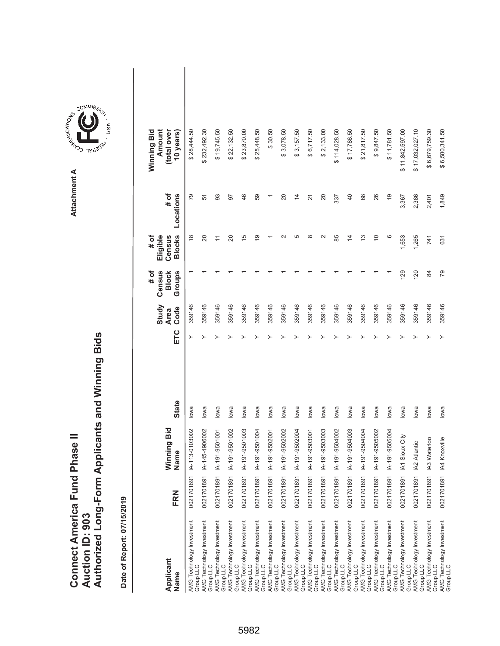|                                      |                        | Authorized Long-Form Applicants and Winning Bids |
|--------------------------------------|------------------------|--------------------------------------------------|
|                                      |                        |                                                  |
| <b>Connect America Fund Phase II</b> | <b>Auction ID: 903</b> |                                                  |

| Applicant<br>Name                      | FRN                         | Winning Bid<br>Name | <b>State</b> | ETC | Study<br>Code<br><b>Area</b> | Census<br>Groups<br># of<br><b>Block</b> | <b>Blocks</b><br># of<br>Eligible<br>Census | # of<br>Locations | Winning Bid<br>Amount<br>(total over<br>10 years) |
|----------------------------------------|-----------------------------|---------------------|--------------|-----|------------------------------|------------------------------------------|---------------------------------------------|-------------------|---------------------------------------------------|
| AMG Technology Investment<br>Group LLC | $\overline{9}$<br>00217018  | IA-113-0103002      | lowa         | ≻   | 359146                       |                                          | $\frac{8}{1}$                               | 79                | \$28,444.50                                       |
| AMG Technology Investment<br>Group LLC | 00217018                    | 91 IA-145-4906002   | lowa         |     | 359146                       |                                          | 20                                          | 51                | \$232,492.30                                      |
| AMG Technology Investment<br>Group LLC | $\frac{5}{2}$<br>00217018   | IA-191-9501001      | lowa         |     | 359146                       |                                          | Ξ                                           | 93                | \$19,745.50                                       |
| AMG Technology Investment<br>Group LLC | 5<br>00217018               | IA-191-9501002      | lowa         |     | 359146                       |                                          | 20                                          | 50                | \$22,132.50                                       |
| AMG Technology Investment<br>Group LLC | $\overline{9}$<br>00217018  | IA-191-9501003      | lowa         |     | 359146                       |                                          | $\overline{5}$                              | 46                | \$23,870.00                                       |
| AMG Technology Investment<br>Group LLC | $\overline{5}$<br>00217018  | IA-191-9501004      | lowa         |     | 359146                       |                                          | စ္                                          | 59                | \$25,448.50                                       |
| AMG Technology Investment<br>Group LLC | $\overline{5}$<br>00217018  | IA-191-9502001      | lowa         |     | 359146                       |                                          |                                             |                   | \$30.50                                           |
| AMG Technology Investment<br>Group LLC | 0021701891                  | IA-191-9502002      | lowa         |     | 359146                       |                                          |                                             | 20                | \$3,078.50                                        |
| AMG Technology Investment<br>Group LLC | $\overline{9}$<br>00217018  | IA-191-9502004      | lowa         |     | 359146                       |                                          | LO                                          | $\frac{4}{3}$     | \$3,157.50                                        |
| AMG Technology Investment<br>Group LLC | $\frac{5}{2}$<br>00217018   | IA-191-9503001      | lowa         |     | 359146                       |                                          | $\infty$                                    | $\overline{2}$    | \$6,717.50                                        |
| AMG Technology Investment<br>Group LLC | $\frac{5}{2}$<br>00217018   | IA-191-9503003      | lowa         |     | 359146                       |                                          | $\sim$                                      | 20                | \$2,133.00                                        |
| AMG Technology Investment<br>Group LLC | $\frac{5}{2}$<br>00217018   | IA-191-9504002      | lowa         |     | 359146                       |                                          | 85                                          | 337               | \$114,028.50                                      |
| AMG Technology Investment<br>Group LLC | $\overline{91}$<br>00217018 | IA-191-9504003      | lowa         |     | 359146                       |                                          | 4                                           | $\overline{4}$    | \$17,786.50                                       |
| AMG Technology Investment<br>Group LLC | $\overline{91}$<br>00217018 | IA-191-9504004      | lowa         |     | 359146                       |                                          | 3                                           | 68                | \$21,817.50                                       |
| AMG Technology Investment<br>Group LLC | $\frac{5}{2}$<br>00217018   | IA-191-9505002      | lowa         |     | 359146                       |                                          | $\Rightarrow$                               | 26                | \$9,847.50                                        |
| AMG Technology Investment<br>Group LLC | $\frac{5}{2}$<br>00217018   | IA-191-9505004      | lowa         |     | 359146                       |                                          | ဖ                                           | $\overline{9}$    | \$11,781.50                                       |
| AMG Technology Investment<br>Group LLC | $\overline{9}$<br>00217018  | IA1 Sioux City      | lowa         |     | 359146                       | 129                                      | 1,653                                       | 3,367             | \$11,842,597.00                                   |
| AMG Technology Investment<br>Group LLC | $\overline{5}$<br>00217018  | IA2 Atlantic        | lowa         |     | 359146                       | 120                                      | 1,265                                       | 2,386             | \$17,032,027.10                                   |
| AMG Technology Investment<br>Group LLC | $\frac{5}{2}$<br>00217018   | IA3 Waterloo        | lowa         |     | 359146                       | 84                                       | 741                                         | 2,401             | \$6,679,759.30                                    |
| AMG Technology Investment<br>Group LLC | 00217018                    | 91 IA4 Knoxville    | lowa         |     | 359146                       | 79                                       | 631                                         | 1,849             | \$6,580,341.50                                    |

**COMMISSION** Attachment A **Attachment A**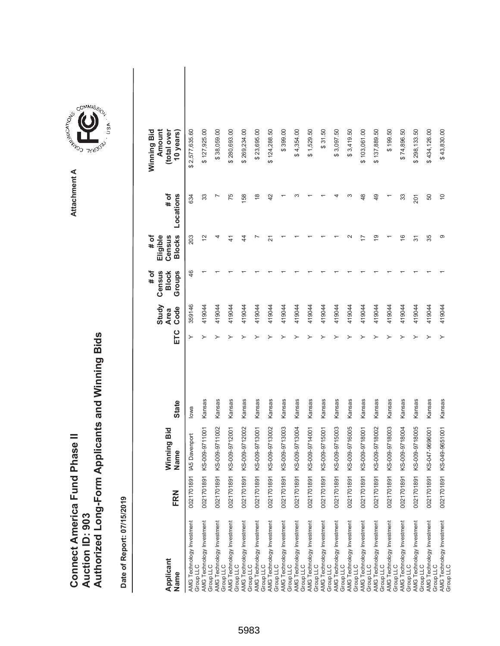|                               |                 | Authorized Long-Form Applicants and Winning Bids |
|-------------------------------|-----------------|--------------------------------------------------|
| Connect America Fund Phase II |                 |                                                  |
|                               |                 |                                                  |
|                               |                 |                                                  |
|                               | Auction ID: 903 |                                                  |
|                               |                 |                                                  |

**COMMISSIC**<br>SIRING THESE Attachment A **Attachment A**

GOMMIS<sub>SION</sub>

USA

| Applicant<br>Name                      | FRN          | Ninning Bid<br>Name       | <b>State</b> | ETC | Study<br>Code<br><b>Area</b> | # of<br>Census<br>Groups<br><b>Block</b> | Eligible<br><b>Blocks</b><br># of<br>Census | # of<br>Locations | Winning Bid<br>Amount<br>(total over<br>10 years) |  |
|----------------------------------------|--------------|---------------------------|--------------|-----|------------------------------|------------------------------------------|---------------------------------------------|-------------------|---------------------------------------------------|--|
| AMG Technology Investment<br>Group LLC |              | 0021701891 IA5 Davenport  | lowa         | ≻   | 359146                       | 46                                       | 203                                         | 634               | \$2,577,635.60                                    |  |
| AMG Technology Investment<br>Group LLC | 0021701891 K | S-009-9711001             | Kansas       |     | 419044                       |                                          | 2                                           | 33                | \$127,925.00                                      |  |
| AMG Technology Investment<br>Group LLC |              | 0021701891 KS-009-9711002 | Kansas       |     | 419044                       |                                          | 4                                           |                   | \$38,059.00                                       |  |
| AMG Technology Investment<br>Group LLC |              | 0021701891 KS-009-9712001 | Kansas       |     | 419044                       |                                          | $\frac{4}{3}$                               | 75                | \$280,693.00                                      |  |
| AMG Technology Investment<br>Group LLC |              | 0021701891 KS-009-9712002 | Kansas       |     | 419044                       |                                          | 4                                           | 158               | \$269,234.00                                      |  |
| AMG Technology Investment<br>Group LLC | 0021701891 K | S-009-9713001             | Kansas       |     | 419044                       |                                          |                                             | $\frac{8}{1}$     | \$23,695.00                                       |  |
| AMG Technology Investment<br>Group LLC |              | 0021701891 KS-009-9713002 | Kansas       |     | 419044                       |                                          | ಸ                                           | 42                | \$124,288.50                                      |  |
| AMG Technology Investment<br>Group LLC |              | 0021701891 KS-009-9713003 | Kansas       |     | 419044                       |                                          |                                             |                   | \$399.00                                          |  |
| AMG Technology Investment<br>Group LLC | 0021701891 K | S-009-9713004             | Kansas       |     | 419044                       |                                          |                                             | ∞                 | \$4,354.00                                        |  |
| AMG Technology Investment<br>Group LLC |              | 0021701891 KS-009-9714001 | Kansas       |     | 419044                       |                                          |                                             |                   | \$1,529.50                                        |  |
| AMG Technology Investment<br>Group LLC | 0021701891 K | S-009-9715001             | Kansas       |     | 419044                       |                                          |                                             |                   | \$31.50                                           |  |
| AMG Technology Investment<br>Group LLC |              | 0021701891 KS-009-9715003 | Kansas       |     | 419044                       |                                          |                                             |                   | \$3,097.50                                        |  |
| AMG Technology Investment<br>Group LLC |              | 0021701891 KS-009-9716005 | Kansas       |     | 419044                       |                                          |                                             | ო                 | \$3,419.50                                        |  |
| AMG Technology Investment<br>Group LLC | 0021701891 K | S-009-9718001             | Kansas       |     | 419044                       |                                          |                                             | 48                | \$103,061.00                                      |  |
| AMG Technology Investment<br>Group LLC | 0021701891 K | S-009-9718002             | Kansas       |     | 419044                       |                                          | $\overline{9}$                              | 49                | \$137,889.50                                      |  |
| AMG Technology Investment<br>Group LLC |              | 0021701891 KS-009-9718003 | Kansas       |     | 419044                       |                                          |                                             |                   | \$199.50                                          |  |
| AMG Technology Investment<br>Group LLC | 0021701891 K | S-009-9718004             | Kansas       |     | 419044                       |                                          | $\frac{6}{5}$                               | 33                | \$74,896.50                                       |  |
| AMG Technology Investment<br>Group LLC |              | 0021701891 KS-009-9718005 | Kansas       |     | 419044                       |                                          | 51                                          | 201               | \$298,133.50                                      |  |
| AMG Technology Investment<br>Group LLC | 0021701891 K | S-047-9696001             | Kansas       |     | 419044                       |                                          | 35                                          | 50                | \$434,126.00                                      |  |
| AMG Technology Investment<br>Group LLC | 0021701891 K | S-049-9651001             | Kansas       |     | 419044                       |                                          | တ                                           | $\overline{0}$    | \$43,830.00                                       |  |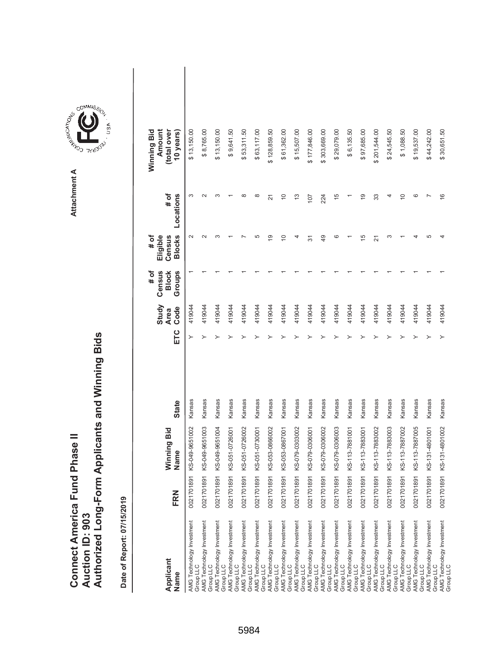| Connect America Fund Phase II |                 | Authorized Long-Form Applicants and Winning Bids |
|-------------------------------|-----------------|--------------------------------------------------|
|                               | Auction ID: 903 |                                                  |

| Applicant<br>Name                      | FRN        | Winning Bid<br>Name | <b>State</b> | ETC | Study<br>Code<br><b>Area</b> | Census<br>Groups<br># of<br><b>Block</b> | <b>Blocks</b><br># of<br>Eligible<br>Census | # of<br>Locations     | Amount<br>(total over<br>Winning Bid<br>10 years) |
|----------------------------------------|------------|---------------------|--------------|-----|------------------------------|------------------------------------------|---------------------------------------------|-----------------------|---------------------------------------------------|
| AMG Technology Investment<br>Group LLC | 0021701891 | KS-049-9651002      | Kansas       | ≻   | 419044                       |                                          | $\sim$                                      | S                     | \$13,150.00                                       |
| AMG Technology Investment<br>Group LLC | 0021701891 | KS-049-9651003      | Kansas       | ≻   | 419044                       |                                          | $\scriptstyle\sim$                          | $\mathbf{\mathsf{N}}$ | \$8,765.00                                        |
| AMG Technology Investment<br>Group LLC | 0021701891 | KS-049-9651004      | Kansas       | ≻   | 419044                       |                                          | ∞                                           | S                     | \$13,150.00                                       |
| AMG Technology Investment<br>Group LLC | 0021701891 | KS-051-0726001      | Kansas       |     | 419044                       |                                          |                                             |                       | \$9,641.50                                        |
| AMG Technology Investment<br>Group LLC | 0021701891 | KS-051-0726002      | Kansas       |     | 419044                       |                                          |                                             | $\infty$              | \$53,311.50                                       |
| AMG Technology Investment<br>Group LLC | 0021701891 | KS-051-0730001      | Kansas       |     | 419044                       |                                          | 5                                           | $\infty$              | \$63,117.00                                       |
| AMG Technology Investment<br>Group LLC | 0021701891 | KS-053-0866002      | Kansas       |     | 419044                       |                                          | $\overline{9}$                              | $\overline{2}$        | \$128,859.50                                      |
| AMG Technology Investment<br>Group LLC | 0021701891 | KS-053-0867001      | Kansas       |     | 419044                       |                                          | $\widetilde{C}$                             | $\overline{C}$        | \$61,362.00                                       |
| AMG Technology Investment<br>Group LLC | 0021701891 | KS-079-0303002      | Kansas       |     | 419044                       |                                          | 4                                           | $\frac{3}{2}$         | \$15,507.00                                       |
| AMG Technology Investment<br>Group LLC | 0021701891 | KS-079-0306001      | Kansas       |     | 419044                       |                                          | 5                                           | 107                   | \$177,846.00                                      |
| AMG Technology Investment<br>Group LLC | 0021701891 | KS-079-0306002      | Kansas       |     | 419044                       |                                          | $\overline{49}$                             | 224                   | \$303,669.00                                      |
| AMG Technology Investment<br>Group LLC | 0021701891 | KS-079-0306003      | Kansas       |     | 419044                       |                                          | ဖ                                           | $\frac{5}{5}$         | \$29,079.00                                       |
| AMG Technology Investment<br>Group LLC | 0021701891 | KS-113-7881001      | Kansas       |     | 419044                       |                                          |                                             |                       | \$6,135.50                                        |
| AMG Technology Investment<br>Group LLC | 0021701891 | KS-113-7883001      | Kansas       |     | 419044                       |                                          | 15                                          | $\frac{0}{1}$         | \$97,685.00                                       |
| AMG Technology Investment<br>Group LLC | 0021701891 | KS-113-7883002      | Kansas       |     | 419044                       |                                          | 21                                          | 33                    | \$201,544.00                                      |
| AMG Technology Investment<br>Group LLC | 0021701891 | KS-113-7883003      | Kansas       |     | 419044                       |                                          | ო                                           | 4                     | \$24,545.50                                       |
| AMG Technology Investment<br>Group LLC | 0021701891 | KS-113-7887002      | Kansas       |     | 419044                       |                                          |                                             | $\overline{C}$        | \$1,088.50                                        |
| AMG Technology Investment<br>Group LLC | 0021701891 | KS-113-7887005      | Kansas       |     | 419044                       |                                          |                                             | ဖ                     | \$19,537.00                                       |
| AMG Technology Investment<br>Group LLC | 0021701891 | KS-131-4801001      | Kansas       | ≻   | 419044                       |                                          | 5                                           |                       | \$44,242.00                                       |
| AMG Technology Investment<br>Group LLC | 0021701891 | KS-131-4801002      | Kansas       | ≻   | 419044                       |                                          |                                             | $\frac{6}{5}$         | \$30,651.50                                       |

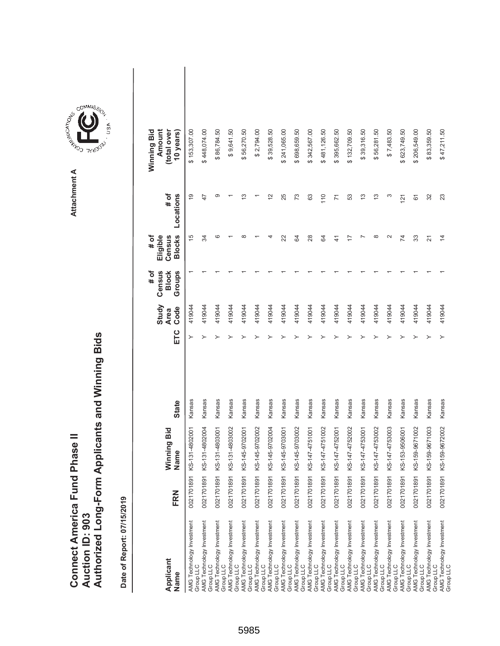|                                      |                        | Authorized Long-Form Applicants and Winning Bids |
|--------------------------------------|------------------------|--------------------------------------------------|
|                                      |                        |                                                  |
| <b>Connect America Fund Phase II</b> | <b>Auction ID: 903</b> |                                                  |

| Applicant<br>Name                      | FRN        | Winning Bid<br>Name | <b>State</b> | ETC | Study<br>Code<br><b>Area</b> | Census<br>Groups<br># of<br><b>Block</b> | <b>Blocks</b><br>Eligible<br># of<br>Census | # of<br>Locations | Winning Bid<br>Amount<br>(total over<br>10 years) |
|----------------------------------------|------------|---------------------|--------------|-----|------------------------------|------------------------------------------|---------------------------------------------|-------------------|---------------------------------------------------|
| AMG Technology Investment<br>Group LLC | 0021701891 | KS-131-4802001      | Kansas       |     | 419044                       |                                          | 15                                          | $\overline{9}$    | \$153,307.00                                      |
| AMG Technology Investment<br>Group LLC | 0021701891 | KS-131-4802004      | Kansas       |     | 419044                       |                                          | S4                                          | 47                | \$448,074.00                                      |
| AMG Technology Investment<br>Group LLC | 0021701891 | KS-131-4803001      | Kansas       |     | 419044                       |                                          | ဖ                                           | ග                 | \$86,784.50                                       |
| AMG Technology Investment<br>Group LLC | 0021701891 | KS-131-4803002      | Kansas       |     | 419044                       |                                          |                                             |                   | \$9,641.50                                        |
| AMG Technology Investment<br>Group LLC | 0021701891 | KS-145-9702001      | Kansas       |     | 419044                       |                                          | $\infty$                                    | مبر<br>ب          | \$56,270.50                                       |
| AMG Technology Investment<br>Group LLC | 0021701891 | KS-145-9702002      | Kansas       |     | 419044                       |                                          |                                             |                   | \$2,794.00                                        |
| AMG Technology Investment<br>Group LLC | 0021701891 | KS-145-9702004      | Kansas       |     | 419044                       |                                          | 4                                           | $\frac{2}{3}$     | \$39,528.50                                       |
| AMG Technology Investment<br>Group LLC | 0021701891 | KS-145-9703001      | Kansas       |     | 419044                       |                                          | 22                                          | 25                | \$241,065.00                                      |
| AMG Technology Investment<br>Group LLC | 0021701891 | KS-145-9703002      | Kansas       |     | 419044                       |                                          | S,                                          | 73                | 698,659.50                                        |
| AMG Technology Investment<br>Group LLC | 0021701891 | KS-147-4751001      | Kansas       |     | 419044                       |                                          | 28                                          | 63                | 342,567.00<br>ക                                   |
| AMG Technology Investment<br>Group LLC | 0021701891 | KS-147-4751002      | Kansas       |     | 419044                       |                                          | S,                                          | 110               | \$481,126.50                                      |
| AMG Technology Investment<br>Group LLC | 0021701891 | KS-147-4752001      | Kansas       |     | 419044                       |                                          | $\frac{4}{3}$                               | $\overline{1}$    | 395,662.50<br>ക                                   |
| AMG Technology Investment<br>Group LLC | 0021701891 | KS-147-4752002      | Kansas       |     | 419044                       |                                          | 7                                           | 53                | \$132,709.50                                      |
| AMG Technology Investment<br>Group LLC | 0021701891 | KS-147-4753001      | Kansas       |     | 419044                       |                                          |                                             | 13                | \$39,316.50                                       |
| AMG Technology Investment<br>Group LLC | 0021701891 | KS-147-4753002      | Kansas       |     | 419044                       |                                          | $\infty$                                    | $\frac{3}{2}$     | \$56,281.50                                       |
| AMG Technology Investment<br>Group LLC | 0021701891 | KS-147-4753003      | Kansas       |     | 419044                       |                                          | $\sim$                                      | ო                 | \$7,483.50                                        |
| AMG Technology Investment<br>Group LLC | 0021701891 | KS-153-9506001      | Kansas       |     | 419044                       |                                          | 74                                          | 121               | \$623,749.50                                      |
| AMG Technology Investment<br>Group LLC | 0021701891 | KS-159-9671002      | Kansas       |     | 419044                       |                                          | 33                                          | 61                | \$206,549.00                                      |
| AMG Technology Investment<br>Group LLC | 0021701891 | KS-159-9671003      | Kansas       |     | 419044                       |                                          | 21                                          | 32                | \$83,359.50                                       |
| AMG Technology Investment<br>Group LLC | 0021701891 | KS-159-9672002      | Kansas       |     | 419044                       |                                          | $\overline{4}$                              | 23                | \$47,211.50                                       |

Attachment A **Attachment A**

**COMMISSION**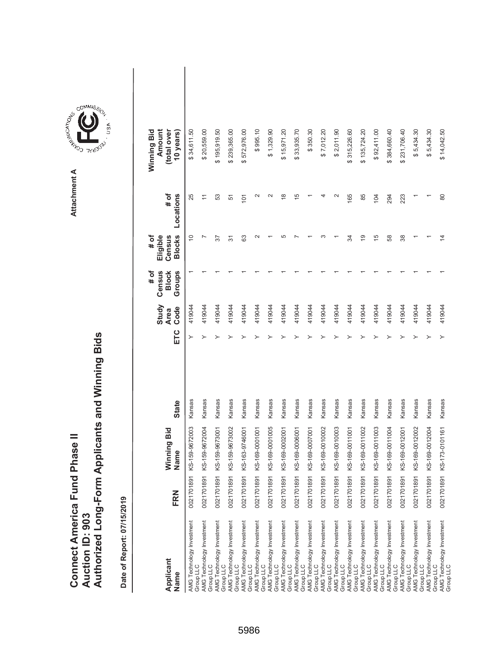|                               |                 | Authorized Long-Form Applicants and Winning Bids |
|-------------------------------|-----------------|--------------------------------------------------|
| Connect America Fund Phase II | Auction ID: 903 |                                                  |

| Applicant<br>Name                      | FRN        | Winning Bid<br>Name | <b>State</b> | ETC | Study<br>Code<br><b>Area</b> | Census<br>Groups<br><b>Block</b><br># of | <b>Blocks</b><br>Eligible<br># of<br>Census | # of<br>Locations | Winning Bid<br>Amount<br>(total over<br>10 years) |  |
|----------------------------------------|------------|---------------------|--------------|-----|------------------------------|------------------------------------------|---------------------------------------------|-------------------|---------------------------------------------------|--|
| AMG Technology Investment<br>Group LLC | 0021701891 | KS-159-9672003      | Kansas       | ≻   | 419044                       |                                          | $\widetilde{C}$                             | 25                | \$34,611.50                                       |  |
| AMG Technology Investment<br>Group LLC | 0021701891 | KS-159-9672004      | Kansas       |     | 419044                       |                                          |                                             | $\overline{ }$    | \$20,559.00                                       |  |
| AMG Technology Investment<br>Group LLC | 0021701891 | KS-159-9673001      | Kansas       |     | 419044                       |                                          | 57                                          | 53                | \$195,919.50                                      |  |
| AMG Technology Investment<br>Group LLC | 0021701891 | KS-159-9673002      | Kansas       |     | 419044                       |                                          | 5                                           | 51                | \$239,365.00                                      |  |
| AMG Technology Investment<br>Group LLC | 0021701891 | KS-163-9746001      | Kansas       |     | 419044                       |                                          | 63                                          | 101               | \$572,976.00                                      |  |
| AMG Technology Investment<br>Group LLC | 0021701891 | KS-169-0001001      | Kansas       |     | 419044                       |                                          | $\scriptstyle\sim$                          | $\mathbf{\Omega}$ | \$995.10                                          |  |
| AMG Technology Investment<br>Group LLC | 0021701891 | KS-169-0001005      | Kansas       |     | 419044                       |                                          |                                             | $\mathbf{\Omega}$ | \$1,329.90                                        |  |
| AMG Technology Investment<br>Group LLC | 0021701891 | KS-169-0002001      | Kansas       |     | 419044                       |                                          | ഥ                                           | $\frac{8}{1}$     | \$15,971.20                                       |  |
| AMG Technology Investment<br>Group LLC | 0021701891 | KS-169-0006001      | Kansas       |     | 419044                       |                                          |                                             | $\frac{5}{3}$     | \$33,935.70                                       |  |
| AMG Technology Investment<br>Group LLC | 0021701891 | KS-169-0007001      | Kansas       |     | 419044                       |                                          |                                             |                   | \$350.30                                          |  |
| AMG Technology Investment<br>Group LLC | 0021701891 | KS-169-0010002      | Kansas       |     | 419044                       |                                          |                                             | 4                 | \$7,012.20                                        |  |
| AMG Technology Investment<br>Group LLC | 0021701891 | KS-169-0010003      | Kansas       |     | 419044                       |                                          |                                             | $\sim$            | \$2,011.90                                        |  |
| AMG Technology Investment<br>Group LLC | 0021701891 | KS-169-0011001      | Kansas       |     | 419044                       |                                          | R                                           | 165               | \$315,226.60                                      |  |
| AMG Technology Investment<br>Group LLC | 0021701891 | KS-169-0011002      | Kansas       |     | 419044                       |                                          | $\overline{9}$                              | 85                | \$135,724.20                                      |  |
| AMG Technology Investment<br>Group LLC | 0021701891 | KS-169-0011003      | Kansas       |     | 419044                       |                                          | 15                                          | 104               | \$92,411.00                                       |  |
| AMG Technology Investment<br>Group LLC | 0021701891 | KS-169-0011004      | Kansas       |     | 419044                       |                                          | 58                                          | 294               | \$384,660.40                                      |  |
| AMG Technology Investment<br>Group LLC | 0021701891 | KS-169-0012001      | Kansas       |     | 419044                       |                                          | 38                                          | 223               | \$231,706.40                                      |  |
| AMG Technology Investment<br>Group LLC | 0021701891 | KS-169-0012002      | Kansas       |     | 419044                       |                                          |                                             |                   | \$5,434.30                                        |  |
| AMG Technology Investment<br>Group LLC | 0021701891 | KS-169-0012004      | Kansas       |     | 419044                       |                                          |                                             |                   | \$5,434.30                                        |  |
| AMG Technology Investment<br>Group LLC | 0021701891 | KS-173-0101161      | Kansas       | ≻   | 419044                       |                                          | $\overline{4}$                              | 80                | \$14,042.50                                       |  |

**COMMISSION** Attachment A **Attachment A**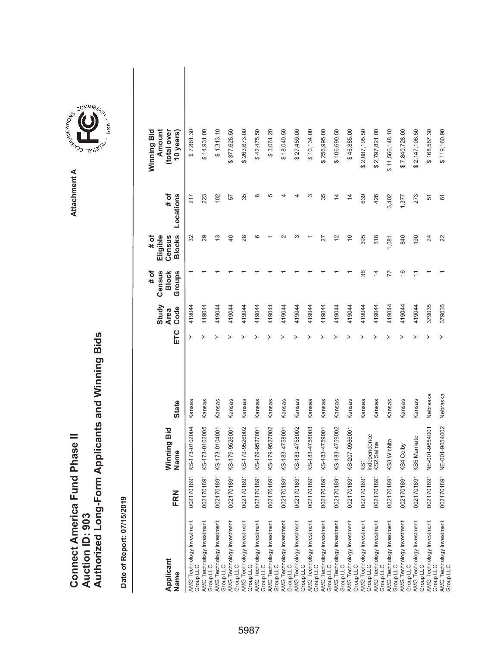|                               |                 | Authorized Long-Form Applicants and Winning Bids |
|-------------------------------|-----------------|--------------------------------------------------|
| Connect America Fund Phase II | Auction ID: 903 |                                                  |

| Applicant<br>Name                      | FRN            | Winning Bid<br>Name        | <b>State</b> | ETC | Study<br>Code<br><b>Area</b> | Census<br>Groups<br># of<br><b>Block</b> | <b>Blocks</b><br># of<br>Eligible<br>Census | # of<br>Locations | Winning Bid<br>Amount<br>(total over<br>10 years) |
|----------------------------------------|----------------|----------------------------|--------------|-----|------------------------------|------------------------------------------|---------------------------------------------|-------------------|---------------------------------------------------|
| AMG Technology Investment<br>Group LLC | 5<br>002170189 | KS-173-0102004             | Kansas       | ≻   | 419044                       |                                          | 32                                          | 217               | \$7,861.30                                        |
| AMG Technology Investment<br>Group LLC | 0021701891     | KS-173-0102005             | Kansas       |     | 419044                       |                                          | 29                                          | 223               | \$14,931.00                                       |
| AMG Technology Investment<br>Group LLC | 0021701891     | KS-173-0104001             | Kansas       |     | 419044                       |                                          | $\frac{3}{2}$                               | 102               | \$1,313.10                                        |
| AMG Technology Investment<br>Group LLC | 0021701891     | KS-179-9526001             | Kansas       |     | 419044                       |                                          | $\overline{a}$                              | 57                | \$377,626.50                                      |
| AMG Technology Investment<br>Group LLC | 0021701891     | KS-179-9526002             | Kansas       |     | 419044                       |                                          | 28                                          | 35                | \$263,673.00                                      |
| AMG Technology Investment<br>Group LLC | 0021701891     | KS-179-9527001             | Kansas       |     | 419044                       |                                          | ဖ                                           | $\infty$          | \$42,475.50                                       |
| AMG Technology Investment<br>Group LLC | 0021701891     | KS-179-9527002             | Kansas       |     | 419044                       |                                          |                                             | 5                 | \$3,061.20                                        |
| AMG Technology Investment<br>Group LLC | 0021701891     | KS-183-4758001             | Kansas       |     | 419044                       |                                          |                                             |                   | \$18,040.50                                       |
| AMG Technology Investment<br>Group LLC | 0021701891     | KS-183-4758002             | Kansas       |     | 419044                       |                                          | ო                                           |                   | \$27,459.00                                       |
| AMG Technology Investment<br>Group LLC | 0021701891     | KS-183-4758003             | Kansas       |     | 419044                       |                                          |                                             | ∞                 | \$10,134.00                                       |
| AMG Technology Investment<br>Group LLC | 0021701891     | KS-183-4759001             | Kansas       |     | 419044                       |                                          | 27                                          | 35                | \$256,995.00                                      |
| AMG Technology Investment<br>Group LLC | 0021701891     | KS-183-4759002             | Kansas       |     | 419044                       |                                          | $\tilde{c}$                                 | $\overline{4}$    | \$106,690.50                                      |
| AMG Technology Investment<br>Group LLC | 0021701891     | KS-207-0966001             | Kansas       |     | 419044                       |                                          | $\Rightarrow$                               | $\overline{4}$    | \$46,885.00                                       |
| AMG Technology Investment<br>Group LLC | 0021701891     | KS1                        | Kansas       |     | 419044                       | 36                                       | 395                                         | 639               | \$2,087,195.50                                    |
| AMG Technology Investment<br>Group LLC | 0021701891     | Independence<br>KS2 Salina | Kansas       |     | 419044                       | $\overline{4}$                           | 318                                         | 426               | \$2,797,821.00                                    |
| AMG Technology Investment<br>Group LLC | 0021701891     | KS3 Wichita                | Kansas       |     | 419044                       | 77                                       | 1,081                                       | 3,402             | \$11,566,148.10                                   |
| AMG Technology Investment<br>Group LLC | 0021701891     | KS4 Colby                  | Kansas       |     | 419044                       | $\frac{6}{1}$                            | 840                                         | 1,377             | \$7,840,728.00                                    |
| AMG Technology Investment<br>Group LLC | 0021701891     | KS5 Mankato                | Kansas       |     | 419044                       | $\overline{\phantom{0}}$                 | 190                                         | 273               | \$2,147,106.50                                    |
| AMG Technology Investment<br>Group LLC | 0021701891     | NE-001-9654001             | Nebraska     |     | 379035                       |                                          | 24                                          | 51                | \$168,587.30                                      |
| AMG Technology Investment<br>Group LLC | 0021701891     | NE-001-9654002             | Nebraska     |     | 379035                       |                                          | 22                                          | 61                | \$119,160.90                                      |

**COMMISSION** Attachment A **Attachment A**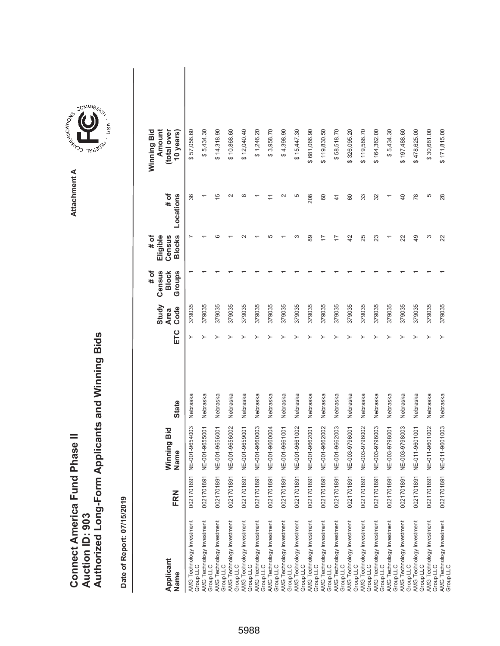|                               |                 | Authorized Long-Form Applicants and Winning Bids |
|-------------------------------|-----------------|--------------------------------------------------|
|                               |                 |                                                  |
| Connect America Fund Phase II |                 |                                                  |
|                               | Auction ID: 903 |                                                  |



**COMMISSION** Attachment A **Attachment A**

COMMIS<sub>SION</sub>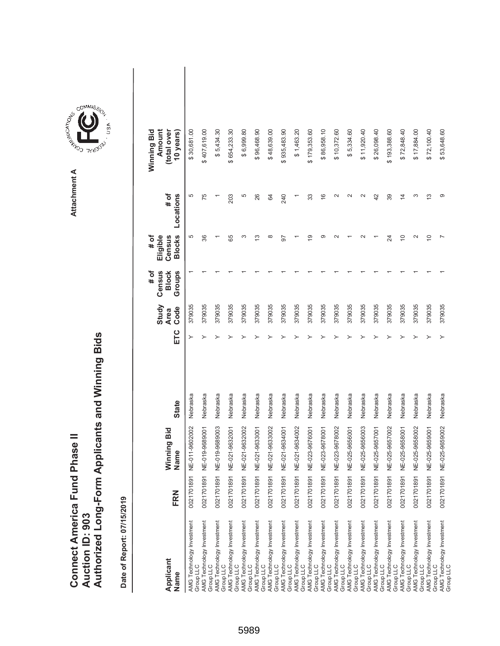|                                      |                        | Authorized Long-Form Applicants and Winning Bids |
|--------------------------------------|------------------------|--------------------------------------------------|
|                                      |                        |                                                  |
| <b>Connect America Fund Phase II</b> | <b>Auction ID: 903</b> |                                                  |

| Applicant<br>Name                      | FRN        | Winning Bid<br>Name | <b>State</b> | ETC | Study<br>Code<br><b>Area</b> | Census<br>Groups<br># of<br><b>Block</b> | <b>Blocks</b><br># of<br>Eligible<br>Census | # of<br>Locations | Amount<br>Winning Bid<br>(total over<br>10 years) |  |
|----------------------------------------|------------|---------------------|--------------|-----|------------------------------|------------------------------------------|---------------------------------------------|-------------------|---------------------------------------------------|--|
| AMG Technology Investment<br>Group LLC | 0021701891 | NE-011-9602002      | Nebraska     | ≻   | 379035                       |                                          | 5                                           | 5                 | \$30,681.00                                       |  |
| AMG Technology Investment<br>Group LLC | 0021701891 | NE-019-9689001      | Nebraska     | ≻   | 379035                       |                                          | 36                                          | 75                | \$407,619.00                                      |  |
| AMG Technology Investment<br>Group LLC | 0021701891 | NE-019-9689003      | Nebraska     | ≻   | 379035                       |                                          |                                             |                   | \$5,434.30                                        |  |
| AMG Technology Investment<br>Group LLC | 0021701891 | NE-021-9632001      | Nebraska     |     | 379035                       |                                          | 89                                          | 203               | \$654,233.30                                      |  |
| AMG Technology Investment<br>Group LLC | 0021701891 | NE-021-9632002      | Nebraska     |     | 379035                       |                                          | ო                                           | 5                 | \$6,999.80                                        |  |
| AMG Technology Investment<br>Group LLC | 0021701891 | NE-021-9633001      | Nebraska     |     | 379035                       |                                          | S                                           | 26                | \$96,468.90                                       |  |
| AMG Technology Investment<br>Group LLC | 0021701891 | NE-021-9633002      | Nebraska     |     | 379035                       |                                          | $\infty$                                    | 84                | \$48,639.00                                       |  |
| AMG Technology Investment<br>Group LLC | 0021701891 | NE-021-9634001      | Nebraska     |     | 379035                       |                                          | 5                                           | 240               | \$935,483.90                                      |  |
| AMG Technology Investment<br>Group LLC | 0021701891 | NE-021-9634002      | Nebraska     |     | 379035                       |                                          |                                             |                   | \$1,463.20                                        |  |
| AMG Technology Investment<br>Group LLC | 0021701891 | NE-023-9676001      | Nebraska     |     | 379035                       |                                          | ഉ                                           | 33                | \$179,353.60                                      |  |
| AMG Technology Investment<br>Group LLC | 0021701891 | NE-023-9678001      | Nebraska     |     | 379035                       |                                          | ာ                                           | $\frac{6}{5}$     | \$86,958.10                                       |  |
| AMG Technology Investment<br>Group LLC | 0021701891 | NE-023-9678002      | Nebraska     |     | 379035                       |                                          |                                             | $\sim$            | \$10,372.60                                       |  |
| AMG Technology Investment<br>Group LLC | 0021701891 | NE-025-9656001      | Nebraska     |     | 379035                       |                                          |                                             | $\sim$            | \$5,334.60                                        |  |
| AMG Technology Investment<br>Group LLC | 0021701891 | NE-025-9656003      | Nebraska     |     | 379035                       |                                          |                                             | $\sim$            | \$11,920.40                                       |  |
| AMG Technology Investment<br>Group LLC | 0021701891 | NE-025-9657001      | Nebraska     |     | 379035                       |                                          |                                             | 42                | \$26,098.40                                       |  |
| AMG Technology Investment<br>Group LLC | 0021701891 | NE-025-9657002      | Nebraska     |     | 379035                       |                                          | 24                                          | 39                | \$193,388.60                                      |  |
| AMG Technology Investment<br>Group LLC | 0021701891 | NE-025-9658001      | Nebraska     |     | 379035                       |                                          | $\widetilde{\phantom{a}}$                   | $\overline{4}$    | \$72,848.40                                       |  |
| AMG Technology Investment<br>Group LLC | 0021701891 | NE-025-9658002      | Nebraska     |     | 379035                       |                                          | $\sim$                                      | ω                 | \$17,884.00                                       |  |
| AMG Technology Investment<br>Group LLC | 0021701891 | NE-025-9659001      | Nebraska     |     | 379035                       |                                          | S                                           | S                 | \$72,100.40                                       |  |
| AMG Technology Investment<br>Group LLC | 0021701891 | NE-025-9659002      | Nebraska     | ≻   | 379035                       |                                          |                                             | တ                 | \$53,648.60                                       |  |

**COMMISSION** Attachment A **Attachment A**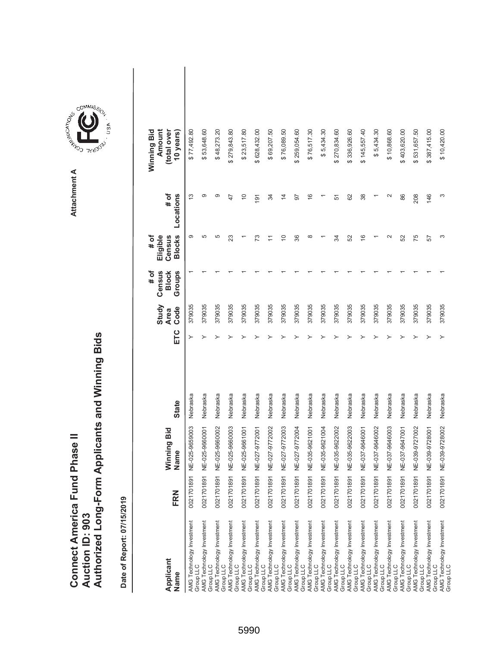|                               |                 | Authorized Long-Form Applicants and Winning Bids |
|-------------------------------|-----------------|--------------------------------------------------|
| Connect America Fund Phase II |                 |                                                  |
|                               | Auction ID: 903 |                                                  |
|                               |                 |                                                  |

| Applicant<br>Name                                                                                                             | FRN        | Winning Bid<br>Name | <b>State</b> | ETC | Study<br>Code<br><b>Area</b> | Census<br>Groups<br># of<br><b>Block</b> | <b>Blocks</b><br>Eligible<br>Census<br># of | # of<br>Locations | Amount<br>(total over<br>Winning Bid<br>10 years) |  |
|-------------------------------------------------------------------------------------------------------------------------------|------------|---------------------|--------------|-----|------------------------------|------------------------------------------|---------------------------------------------|-------------------|---------------------------------------------------|--|
| AMG Technology Investment<br>Group LLC                                                                                        | 002170189  | NE-025-9659003      | Nebraska     | ≻   | 379035                       |                                          | တ                                           | $\frac{3}{2}$     | \$77,492.80                                       |  |
| AMG Technology Investment<br>Group LLC                                                                                        | 002170189  | NE-025-9660001      | Nebraska     |     | 379035                       |                                          | 5                                           | တ                 | \$53,648.60                                       |  |
| AMG Technology Investment<br>Group LLC                                                                                        | 0021701891 | NE-025-9660002      | Nebraska     |     | 379035                       |                                          | 5                                           | တ                 | \$48,273.20                                       |  |
| AMG Technology Investment<br>Group LLC                                                                                        | 0021701891 | NE-025-9660003      | Nebraska     |     | 379035                       |                                          | 23                                          | $\overline{4}$    | \$279,843.80                                      |  |
| AMG Technology Investment<br>Group LLC                                                                                        | 0021701891 | NE-025-9661001      | Nebraska     |     | 379035                       |                                          |                                             | $\frac{0}{1}$     | \$23,517.80                                       |  |
| AMG Technology Investment<br>Group LLC                                                                                        | 0021701891 | NE-027-9772001      | Nebraska     |     | 379035                       |                                          | ೧                                           | 191               | \$628,432.00                                      |  |
| AMG Technology Investment<br>Group LLC<br>AMG Technology Investment                                                           | 0021701891 | NE-027-9772002      | Nebraska     |     | 379035                       |                                          |                                             | 34                | \$69,207.50                                       |  |
| Group LLC                                                                                                                     | 0021701891 | NE-027-9772003      | Nebraska     |     | 379035                       |                                          | $\overline{C}$                              | $\overline{4}$    | \$76,089.50                                       |  |
| AMG Technology Investment<br>Group LLC                                                                                        | 002170189  | NE-027-9772004      | Nebraska     |     | 379035                       |                                          | 36                                          | 50                | \$259,054.60                                      |  |
| AMG Technology Investment<br>Group LLC                                                                                        | 002170189  | NE-035-9621001      | Nebraska     |     | 379035                       |                                          | $\infty$                                    | $\frac{6}{5}$     | \$76,517.30                                       |  |
| AMG Technology Investment<br>Group LLC                                                                                        | 002170189  | NE-035-9621004      | Nebraska     |     | 379035                       |                                          |                                             |                   | \$5,434.30                                        |  |
|                                                                                                                               | 0021701891 | NE-035-9622002      | Nebraska     |     | 379035                       |                                          | R                                           | 51                | \$270,834.60                                      |  |
|                                                                                                                               | 002170189  | NE-035-9622003      | Nebraska     |     | 379035                       |                                          | S <sub>2</sub>                              | 62                | \$336,926.60                                      |  |
| AMG Technology Investment<br>Group LLC<br>AMG Technology Investment<br>AMG Technology Investment<br>AMG Technology Investment | 0021701891 | NE-037-9646001      | Nebraska     |     | 379035                       |                                          | $\frac{6}{5}$                               | 38                | \$145,557.40                                      |  |
| AMG Technology Investment<br>Group LLC                                                                                        | 002170189  | NE-037-9646002      | Nebraska     |     | 379035                       |                                          |                                             |                   | \$5,434.30                                        |  |
| AMG Technology Investment<br>Group LLC                                                                                        | 0021701891 | NE-037-9646003      | Nebraska     |     | 379035                       |                                          | $\mathbf{\Omega}$                           | $\sim$            | \$10,868.60                                       |  |
| AMG Technology Investment<br>Group LLC                                                                                        | 002170189  | NE-037-9647001      | Nebraska     |     | 379035                       |                                          | 52                                          | 86                | \$403,620.00                                      |  |
| AMG Technology Investment<br>Group LLC                                                                                        | 002170189  | NE-039-9727002      | Nebraska     |     | 379035                       |                                          | 75                                          | 208               | \$531,657.50                                      |  |
| AMG Technology Investment<br>Group LLC                                                                                        | 0021701891 | NE-039-9728001      | Nebraska     |     | 379035                       |                                          | 57                                          | 146               | \$387,415.00                                      |  |
| AMG Technology Investment<br>Group LLC                                                                                        | 0021701891 | NE-039-9728002      | Nebraska     |     | 379035                       |                                          | ω                                           | S                 | \$10,420.00                                       |  |

**COMMISSION** Attachment A **Attachment A**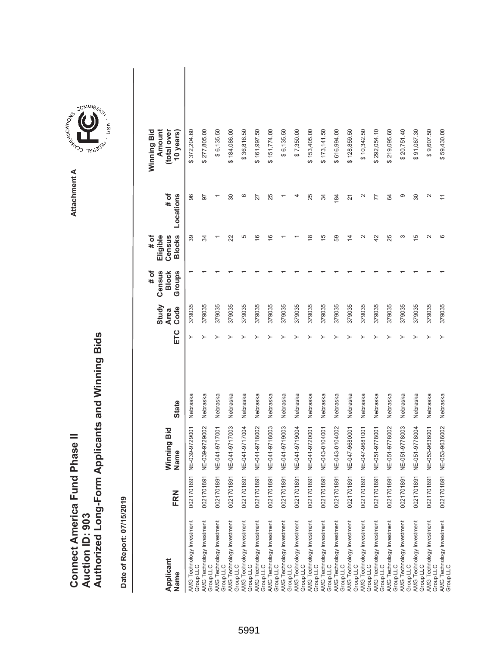|                                      |                        | Authorized Long-Form Applicants and Winning Bids |
|--------------------------------------|------------------------|--------------------------------------------------|
|                                      |                        |                                                  |
|                                      |                        |                                                  |
| <b>Connect America Fund Phase II</b> |                        |                                                  |
|                                      |                        |                                                  |
|                                      | <b>Auction ID: 903</b> |                                                  |
|                                      |                        |                                                  |

| Applicant<br>Name                             | FRN        | Winning Bid<br>Name | <b>State</b> | ETC | Study<br>Code<br><b>Area</b> | Census<br>Groups<br># of<br><b>Block</b> | <b>Blocks</b><br>Eligible<br># of<br>Census | # of<br>Locations | Amount<br>(total over<br>Winning Bid<br>10 years) |  |
|-----------------------------------------------|------------|---------------------|--------------|-----|------------------------------|------------------------------------------|---------------------------------------------|-------------------|---------------------------------------------------|--|
| AMG Technology Investment<br>Group LLC        | 0021701891 | NE-039-9729001      | Nebraska     | ≻   | 379035                       |                                          | 39                                          | 96                | 372,204.60                                        |  |
| AMG Technology Investment<br>Group LLC        | 0021701891 | NE-039-9729002      | Nebraska     |     | 379035                       |                                          | R                                           | 50                | \$277,805.00                                      |  |
| <b>AMG Technology Investment</b><br>Group LLC | 0021701891 | NE-041-9717001      | Nebraska     |     | 379035                       |                                          |                                             |                   | \$6,135.50                                        |  |
| AMG Technology Investment<br>Group LLC        | 0021701891 | NE-041-9717003      | Nebraska     |     | 379035                       |                                          | 22                                          | 30                | \$184,086.00                                      |  |
| AMG Technology Investment<br>Group LLC        | 0021701891 | NE-041-9717004      | Nebraska     |     | 379035                       |                                          | 5                                           | ဖ                 | \$36,816.50                                       |  |
| AMG Technology Investment<br>Group LLC        | 0021701891 | NE-041-9718002      | Nebraska     |     | 379035                       |                                          | $\frac{6}{5}$                               | 27                | \$161,997.50                                      |  |
| AMG Technology Investment<br>Group LLC        | 0021701891 | NE-041-9718003      | Nebraska     |     | 379035                       |                                          | $\frac{6}{5}$                               | 25                | \$151,774.00                                      |  |
| AMG Technology Investment<br>Group LLC        | 0021701891 | NE-041-9719003      | Nebraska     |     | 379035                       |                                          |                                             |                   | \$6,135.50                                        |  |
| AMG Technology Investment<br>Group LLC        | 0021701891 | NE-041-9719004      | Nebraska     |     | 379035                       |                                          |                                             |                   | \$7,350.00                                        |  |
| AMG Technology Investment<br>Group LLC        | 0021701891 | NE-041-9720001      | Nebraska     |     | 379035                       |                                          | $\frac{8}{1}$                               | 25                | \$153,405.00                                      |  |
| AMG Technology Investment<br>Group LLC        | 0021701891 | NE-043-0104001      | Nebraska     |     | 379035                       |                                          | 15                                          | 34                | \$173,141.50                                      |  |
| AMG Technology Investment<br>Group LLC        | 0021701891 | NE-043-0104002      | Nebraska     |     | 379035                       |                                          | 59                                          | 184               | \$616,994.00                                      |  |
| AMG Technology Investment<br>Group LLC        | 0021701891 | NE-047-9680001      | Nebraska     |     | 379035                       |                                          | 4                                           | 21                | \$128,859.50                                      |  |
| AMG Technology Investment<br>Group LLC        | 0021701891 | NE-047-9681001      | Nebraska     |     | 379035                       |                                          | $\mathbf{\Omega}$                           | $\mathbf{\Omega}$ | \$10,342.50                                       |  |
| AMG Technology Investment<br>Group LLC        | 0021701891 | NE-051-9778001      | Nebraska     |     | 379035                       |                                          | 42                                          | 77                | \$292,054.10                                      |  |
| AMG Technology Investment<br>Group LLC        | 0021701891 | NE-051-9778002      | Nebraska     |     | 379035                       |                                          | 25                                          | 84                | \$219,095.60                                      |  |
| AMG Technology Investment<br>Group LLC        | 0021701891 | NE-051-9778003      | Nebraska     |     | 379035                       |                                          | S                                           | တ                 | \$20,751.40                                       |  |
| AMG Technology Investment<br>Group LLC        | 0021701891 | NE-051-9778004      | Nebraska     |     | 379035                       |                                          | 15                                          | 30                | \$91,087.30                                       |  |
| AMG Technology Investment<br>Group LLC        | 0021701891 | NE-053-9636001      | Nebraska     |     | 379035                       |                                          | $\sim$                                      | $\mathbf{\Omega}$ | \$9,607.50                                        |  |
| AMG Technology Investment<br>Group LLC        | 0021701891 | NE-053-9636002      | Nebraska     | ≻   | 379035                       |                                          | ဖ                                           |                   | \$59,430.00                                       |  |

**COMMISSION** Attachment A **Attachment A**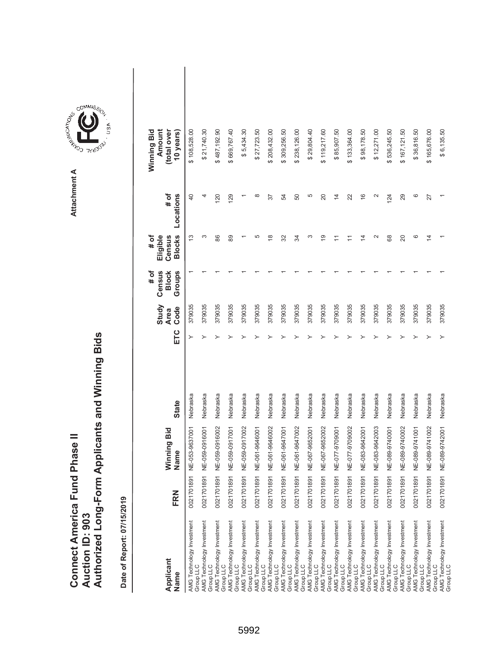|                               |                 | Authorized Long-Form Applicants and Winning Bids |
|-------------------------------|-----------------|--------------------------------------------------|
| Connect America Fund Phase II | Auction ID: 903 |                                                  |

| Applicant<br>Name                      | FRN        | Winning Bid<br>Name | <b>State</b> | ETC | Study<br>Code<br><b>Area</b> | Census<br>Groups<br># of<br><b>Block</b> | <b>Blocks</b><br># of<br>Eligible<br>Census | # of<br>Locations | Winning Bid<br>Amount<br>(total over<br>10 years) |  |
|----------------------------------------|------------|---------------------|--------------|-----|------------------------------|------------------------------------------|---------------------------------------------|-------------------|---------------------------------------------------|--|
| AMG Technology Investment<br>Group LLC | 0021701891 | NE-053-9637001      | Nebraska     | ≻   | 379035                       |                                          | 13                                          | $\overline{a}$    | \$108,528.00                                      |  |
| AMG Technology Investment<br>Group LLC | 0021701891 | NE-059-0916001      | Nebraska     |     | 379035                       |                                          | ω                                           | 4                 | \$21,740.30                                       |  |
| AMG Technology Investment<br>Group LLC | 0021701891 | NE-059-0916002      | Nebraska     |     | 379035                       |                                          | 86                                          | 120               | \$487,192.90                                      |  |
| AMG Technology Investment<br>Group LLC | 0021701891 | NE-059-0917001      | Nebraska     |     | 379035                       |                                          | 89                                          | 129               | \$669,767.40                                      |  |
| AMG Technology Investment<br>Group LLC | 0021701891 | NE-059-0917002      | Nebraska     |     | 379035                       |                                          |                                             |                   | \$5,434.30                                        |  |
| AMG Technology Investment<br>Group LLC | 0021701891 | NE-061-9646001      | Nebraska     |     | 379035                       |                                          | 5                                           | $\infty$          | \$27,723.50                                       |  |
| AMG Technology Investment<br>Group LLC | 0021701891 | NE-061-9646002      | Nebraska     |     | 379035                       |                                          | $\frac{8}{1}$                               | 57                | \$208,432.00                                      |  |
| AMG Technology Investment<br>Group LLC | 0021701891 | NE-061-9647001      | Nebraska     |     | 379035                       |                                          | 32                                          | 54                | \$309,256.50                                      |  |
| AMG Technology Investment<br>Group LLC | 0021701891 | NE-061-9647002      | Nebraska     |     | 379035                       |                                          | R                                           | 50                | \$238,126.00                                      |  |
| AMG Technology Investment<br>Group LLC | 0021701891 | NE-067-9652001      | Nebraska     |     | 379035                       |                                          | ო                                           | Ю                 | \$29,804.40                                       |  |
| AMG Technology Investment<br>Group LLC | 0021701891 | NE-067-9652002      | Nebraska     |     | 379035                       |                                          | စ္                                          | $\overline{20}$   | \$119,217.60                                      |  |
| AMG Technology Investment<br>Group LLC | 0021701891 | NE-077-9709001      | Nebraska     |     | 379035                       |                                          |                                             | $\overline{4}$    | \$85,907.50                                       |  |
| AMG Technology Investment<br>Group LLC | 0021701891 | NE-077-9709002      | Nebraska     |     | 379035                       |                                          |                                             | 22                | \$133,364.00                                      |  |
| AMG Technology Investment<br>Group LLC | 0021701891 | NE-083-9642001      | Nebraska     |     | 379035                       |                                          | 4                                           | $\frac{6}{1}$     | \$98,178.50                                       |  |
| AMG Technology Investment<br>Group LLC | 0021701891 | NE-083-9642003      | Nebraska     |     | 379035                       |                                          | $\sim$                                      | $\sim$            | \$12,271.00                                       |  |
| AMG Technology Investment<br>Group LLC | 0021701891 | NE-089-9740001      | Nebraska     |     | 379035                       |                                          | 89                                          | 124               | \$536,245.50                                      |  |
| AMG Technology Investment<br>Group LLC | 0021701891 | NE-089-9740002      | Nebraska     |     | 379035                       |                                          | 20                                          | 29                | \$167,121.50                                      |  |
| AMG Technology Investment<br>Group LLC | 0021701891 | NE-089-9741001      | Nebraska     |     | 379035                       |                                          | ဖ                                           | ဖ                 | \$36,816.50                                       |  |
| AMG Technology Investment<br>Group LLC | 0021701891 | NE-089-9741002      | Nebraska     |     | 379035                       |                                          | 4                                           | 27                | \$165,676.00                                      |  |
| AMG Technology Investment<br>Group LLC | 0021701891 | NE-089-9742001      | Nebraska     |     | 379035                       |                                          |                                             |                   | \$6,135.50                                        |  |

**COMMISSION** Attachment A **Attachment A**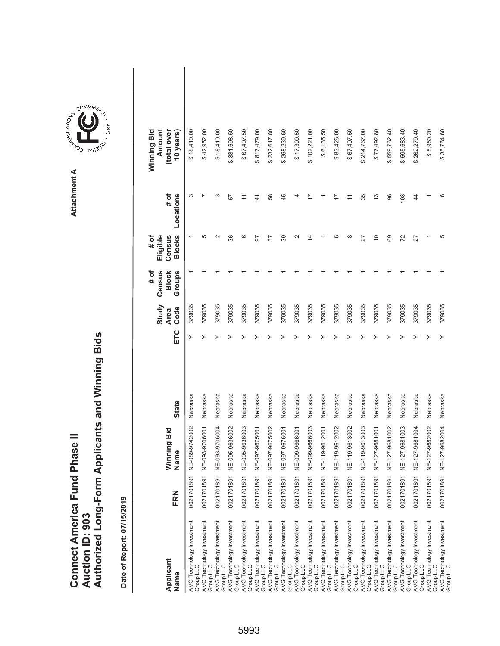|                               |                 | Authorized Long-Form Applicants and Winning Bids |
|-------------------------------|-----------------|--------------------------------------------------|
| Connect America Fund Phase II | Auction ID: 903 |                                                  |

| Applicant<br>Name                      | FRN        | Winning Bid<br>Name | <b>State</b> | ETC | Study<br>Code<br><b>Area</b> | Census<br>Groups<br># of<br><b>Block</b> | <b>Blocks</b><br>Eligible<br># of<br>Census | # of<br>Locations                                                   | Amount<br>(total over<br>Winning Bid<br>10 years) |  |
|----------------------------------------|------------|---------------------|--------------|-----|------------------------------|------------------------------------------|---------------------------------------------|---------------------------------------------------------------------|---------------------------------------------------|--|
| AMG Technology Investment<br>Group LLC | 0021701891 | NE-089-9742002      | Nebraska     | ≻   | 379035                       |                                          |                                             | S                                                                   | \$18,410.00                                       |  |
| AMG Technology Investment<br>Group LLC | 0021701891 | NE-093-9706001      | Nebraska     |     | 379035                       |                                          | 5                                           |                                                                     | \$42,952.00                                       |  |
| AMG Technology Investment<br>Group LLC | 0021701891 | NE-093-9706004      | Nebraska     |     | 379035                       |                                          | $\scriptstyle\sim$                          | S                                                                   | \$18,410.00                                       |  |
| AMG Technology Investment<br>Group LLC | 0021701891 | NE-095-9636002      | Nebraska     |     | 379035                       |                                          | 36                                          | 57                                                                  | \$331,698.50                                      |  |
| AMG Technology Investment<br>Group LLC | 0021701891 | NE-095-9636003      | Nebraska     |     | 379035                       |                                          | ဖ                                           | Ξ                                                                   | \$67,497.50                                       |  |
| AMG Technology Investment<br>Group LLC | 0021701891 | NE-097-9675001      | Nebraska     |     | 379035                       |                                          | 57                                          | 141                                                                 | \$817,479.00                                      |  |
| AMG Technology Investment<br>Group LLC | 0021701891 | NE-097-9675002      | Nebraska     |     | 379035                       |                                          | 57                                          | 58                                                                  | \$232,617.80                                      |  |
| AMG Technology Investment<br>Group LLC | 0021701891 | NE-097-9676001      | Nebraska     |     | 379035                       |                                          | 39                                          | 45                                                                  | \$268,239.60                                      |  |
| AMG Technology Investment<br>Group LLC | 0021701891 | NE-099-9666001      | Nebraska     |     | 379035                       |                                          | $\mathbf{\Omega}$                           | 4                                                                   | \$17,300.50                                       |  |
| AMG Technology Investment<br>Group LLC | 0021701891 | NE-099-9666003      | Nebraska     |     | 379035                       |                                          | 4                                           |                                                                     | \$102,221.00                                      |  |
| AMG Technology Investment<br>Group LLC | 0021701891 | NE-119-9612001      | Nebraska     |     | 379035                       |                                          |                                             |                                                                     | \$6,135.50                                        |  |
| AMG Technology Investment<br>Group LLC | 0021701891 | NE-119-9612002      | Nebraska     |     | 379035                       |                                          | ဖ                                           |                                                                     | \$83,426.00                                       |  |
| AMG Technology Investment<br>Group LLC | 0021701891 | NE-119-9613002      | Nebraska     |     | 379035                       |                                          | $\infty$                                    | $\stackrel{\textstyle\scriptstyle\smile}{\scriptstyle\cdot\!\!\!=}$ | \$67,497.50                                       |  |
| AMG Technology Investment<br>Group LLC | 0021701891 | NE-119-9613003      | Nebraska     |     | 379035                       |                                          | 27                                          | 35                                                                  | \$214,767.00                                      |  |
| AMG Technology Investment<br>Group LLC | 0021701891 | NE-127-9681001      | Nebraska     |     | 379035                       |                                          | $\tilde{0}$                                 | 13                                                                  | \$77,492.80                                       |  |
| AMG Technology Investment<br>Group LLC | 0021701891 | NE-127-9681002      | Nebraska     |     | 379035                       |                                          | 89                                          | 96                                                                  | \$559,762.40                                      |  |
| AMG Technology Investment<br>Group LLC | 0021701891 | NE-127-9681003      | Nebraska     |     | 379035                       |                                          | 72                                          | 103                                                                 | 595,683.40<br>↮                                   |  |
| AMG Technology Investment<br>Group LLC | 0021701891 | NE-127-9681004      | Nebraska     |     | 379035                       |                                          | 27                                          | $\overline{4}$                                                      | \$262,279.40                                      |  |
| AMG Technology Investment<br>Group LLC | 0021701891 | NE-127-9682002      | Nebraska     |     | 379035                       |                                          |                                             |                                                                     | \$5,960.20                                        |  |
| AMG Technology Investment<br>Group LLC | 0021701891 | NE-127-9682004      | Nebraska     |     | 379035                       |                                          | 5                                           | ဖ                                                                   | \$35,764.60                                       |  |

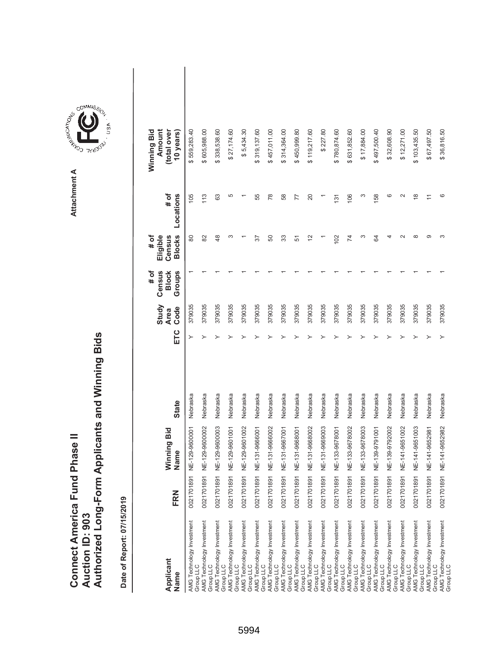|                                      |                 | Authorized Long-Form Applicants and Winning Bids |
|--------------------------------------|-----------------|--------------------------------------------------|
|                                      |                 |                                                  |
| <b>Connect America Fund Phase II</b> | Auction ID: 903 |                                                  |

| Applicant<br>Name                      | FRN        | Winning Bid<br>Name | <b>State</b> | ETC | Study<br>Code<br><b>Area</b> | Census<br>Groups<br># of<br><b>Block</b> | <b>Blocks</b><br>Eligible<br># of<br>Census | # of<br>Locations | Amount<br>(total over<br>Winning Bid<br>10 years) |  |
|----------------------------------------|------------|---------------------|--------------|-----|------------------------------|------------------------------------------|---------------------------------------------|-------------------|---------------------------------------------------|--|
| AMG Technology Investment<br>Group LLC | 0021701891 | NE-129-9600001      | Nebraska     | ≻   | 379035                       |                                          | 80                                          | 105               | \$559,283.40                                      |  |
| AMG Technology Investment<br>Group LLC | 0021701891 | NE-129-9600002      | Nebraska     |     | 379035                       |                                          | 82                                          | 113               | \$605,988.00                                      |  |
| AMG Technology Investment<br>Group LLC | 0021701891 | NE-129-9600003      | Nebraska     |     | 379035                       |                                          | $\frac{8}{3}$                               | 63                | \$338,538.60                                      |  |
| AMG Technology Investment<br>Group LLC | 0021701891 | NE-129-9601001      | Nebraska     |     | 379035                       |                                          | ω                                           | 5                 | \$27,174.60                                       |  |
| AMG Technology Investment<br>Group LLC | 0021701891 | NE-129-9601002      | Nebraska     |     | 379035                       |                                          |                                             |                   | \$5,434.30                                        |  |
| AMG Technology Investment<br>Group LLC | 0021701891 | NE-131-9666001      | Nebraska     |     | 379035                       |                                          | 57                                          | 55                | \$319,137.60                                      |  |
| AMG Technology Investment<br>Group LLC | 0021701891 | NE-131-9666002      | Nebraska     |     | 379035                       |                                          | 50                                          | 78                | \$457,011.00                                      |  |
| AMG Technology Investment<br>Group LLC | 0021701891 | NE-131-9667001      | Nebraska     |     | 379035                       |                                          | 33                                          | 58                | \$314,364.00                                      |  |
| AMG Technology Investment<br>Group LLC | 0021701891 | NE-131-9668001      | Nebraska     |     | 379035                       |                                          | 57                                          | 77                | \$450,999.80                                      |  |
| AMG Technology Investment<br>Group LLC | 0021701891 | NE-131-9668002      | Nebraska     |     | 379035                       |                                          | $\tilde{c}$                                 | 20                | \$119,217.60                                      |  |
| AMG Technology Investment<br>Group LLC | 0021701891 | NE-131-9669003      | Nebraska     |     | 379035                       |                                          |                                             |                   | \$227.80                                          |  |
| AMG Technology Investment<br>Group LLC | 0021701891 | NE-133-9678001      | Nebraska     |     | 379035                       |                                          | 102                                         | $\overline{31}$   | \$780,874.60                                      |  |
| AMG Technology Investment<br>Group LLC | 0021701891 | NE-133-9678002      | Nebraska     |     | 379035                       |                                          | 74                                          | 106               | \$631,852.60                                      |  |
| AMG Technology Investment<br>Group LLC | 0021701891 | NE-133-9678003      | Nebraska     |     | 379035                       |                                          | S                                           | S                 | \$17,884.00                                       |  |
| AMG Technology Investment<br>Group LLC | 0021701891 | NE-139-9791001      | Nebraska     |     | 379035                       |                                          | S,                                          | 158               | \$497,500.40                                      |  |
| AMG Technology Investment<br>Group LLC | 0021701891 | NE-139-9792002      | Nebraska     |     | 379035                       |                                          | 4                                           | ဖ                 | \$32,608.90                                       |  |
| AMG Technology Investment<br>Group LLC | 0021701891 | NE-141-9651002      | Nebraska     |     | 379035                       |                                          | $\sim$                                      | $\sim$            | \$12,271.00                                       |  |
| AMG Technology Investment<br>Group LLC | 0021701891 | NE-141-9651003      | Nebraska     |     | 379035                       |                                          | ∞                                           | $\frac{8}{1}$     | \$103,435.50                                      |  |
| AMG Technology Investment<br>Group LLC | 0021701891 | NE-141-9652981      | Nebraska     |     | 379035                       |                                          | ာ                                           |                   | \$67,497.50                                       |  |
| AMG Technology Investment<br>Group LLC | 0021701891 | NE-141-9652982      | Nebraska     |     | 379035                       |                                          | ω                                           | ဖ                 | \$36,816.50                                       |  |



**Attachment A**

Attachment A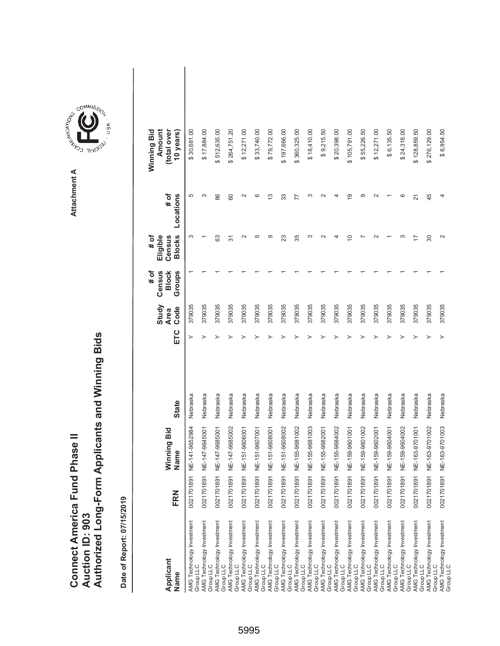| <b>Connect America Fund Phase II</b> |                 | Authorized Long-Form Applicants and Winning Bids |
|--------------------------------------|-----------------|--------------------------------------------------|
|                                      | Auction ID: 903 |                                                  |



GOMMIS<sub>SION</sub>

USA

| Applicant<br>Name                      | FRN        | Winning Bid<br>Name | <b>State</b> | ETC | Study<br>Code<br><b>Area</b> | # of<br>Census<br><b>Block</b><br>Groups | <b>Blocks</b><br># of<br>Eligible<br>Census | # of<br>Locations    | Winning Bid<br>Amount<br>(total over<br>10 years |  |
|----------------------------------------|------------|---------------------|--------------|-----|------------------------------|------------------------------------------|---------------------------------------------|----------------------|--------------------------------------------------|--|
| AMG Technology Investment<br>Group LLC | 0021701891 | NE-141-9652984      | Nebraska     | ≻   | 379035                       |                                          | 3                                           | 5                    | \$30,681.00                                      |  |
| AMG Technology Investment<br>Group LLC | 0021701891 | NE-147-9645001      | Nebraska     |     | 379035                       |                                          |                                             | ო                    | \$17,884.00                                      |  |
| AMG Technology Investment<br>Group LLC | 0021701891 | NE-147-9685001      | Nebraska     |     | 379035                       |                                          | යි                                          | 86                   | \$512,635.00                                     |  |
| AMG Technology Investment<br>Group LLC | 0021701891 | NE-147-9685002      | Nebraska     |     | 379035                       |                                          | 57                                          | 80                   | \$264,751.20                                     |  |
| AMG Technology Investment<br>Group LLC | 0021701891 | NE-151-9606001      | Nebraska     |     | 379035                       |                                          | $\sim$                                      |                      | \$12,271.00                                      |  |
| AMG Technology Investment<br>Group LLC | 0021701891 | NE-151-9607001      | Nebraska     |     | 379035                       |                                          | 5                                           | ဖ                    | \$33,740.00                                      |  |
| AMG Technology Investment<br>Group LLC | 0021701891 | NE-151-9608001      | Nebraska     |     | 379035                       |                                          | တ                                           | $\mathbf{\tilde{c}}$ | \$79,772.00                                      |  |
| AMG Technology Investment<br>Group LLC | 0021701891 | NE-151-9608002      | Nebraska     |     | 379035                       |                                          | 23                                          | 33                   | \$197,666.00                                     |  |
| AMG Technology Investment<br>Group LLC | 0021701891 | NE-155-9681002      | Nebraska     |     | 379035                       |                                          | 35                                          | 77                   | \$360,325.00                                     |  |
| AMG Technology Investment<br>Group LLC | 0021701891 | VE-155-9681003      | Nebraska     |     | 379035                       |                                          | ∞                                           |                      | \$18,410.00                                      |  |
| AMG Technology Investment<br>Group LLC | 0021701891 | IC-155-9682001      | Nebraska     |     | 379035                       |                                          |                                             |                      | \$9,215.50                                       |  |
| AMG Technology Investment<br>Group LLC | 0021701891 | NE-155-9684002      | Nebraska     |     | 379035                       |                                          |                                             |                      | \$20,398.00                                      |  |
| AMG Technology Investment<br>Group LLC | 0021701891 | NE-159-9601001      | Nebraska     |     | 379035                       |                                          | 0                                           | ග                    | \$105,791.00                                     |  |
| AMG Technology Investment<br>Group LLC | 0021701891 | NE-159-9601002      | Nebraska     |     | 379035                       |                                          |                                             | တ                    | \$55,226.50                                      |  |
| AMG Technology Investment<br>Group LLC | 0021701891 | NE-159-9602001      | Nebraska     |     | 379035                       |                                          |                                             |                      | \$12,271.00                                      |  |
| AMG Technology Investment<br>Group LLC | 0021701891 | NE-159-9604001      | Nebraska     |     | 379035                       |                                          |                                             |                      | \$6,135.50                                       |  |
| AMG Technology Investment<br>Group LLC | 0021701891 | NE-159-9604002      | Nebraska     |     | 379035                       |                                          |                                             | ဖ                    | \$24,318.00                                      |  |
| AMG Technology Investment<br>Group LLC | 0021701891 | NE-163-9701001      | Nebraska     |     | 379035                       |                                          | 7                                           | 21                   | \$128,859.50                                     |  |
| AMG Technology Investment<br>Group LLC | 0021701891 | NE-163-9701002      | Nebraska     |     | 379035                       |                                          | 80                                          | 45                   | \$276,129.00                                     |  |
| AMG Technology Investment<br>Group LLC | 0021701891 | NE-163-9701003      | Nebraska     |     | 379035                       |                                          | $\mathbf{\sim}$                             |                      | \$6,954.50                                       |  |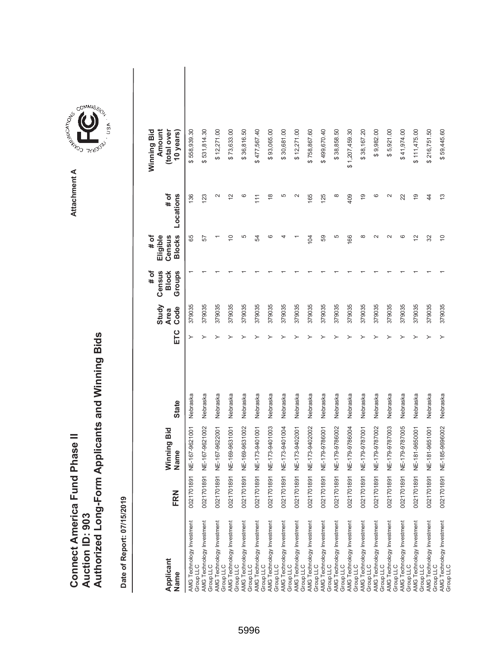|                                      |                        | Authorized Long-Form Applicants and Winning Bids |
|--------------------------------------|------------------------|--------------------------------------------------|
|                                      |                        |                                                  |
|                                      |                        |                                                  |
| <b>Connect America Fund Phase II</b> |                        |                                                  |
|                                      |                        |                                                  |
|                                      | <b>Auction ID: 903</b> |                                                  |
|                                      |                        |                                                  |

Attachment A **Attachment A**

GOMMIS<sub>SION</sub>

USA

| Applicant<br>Name                      | FRN        | Winning Bid<br>Name | <b>State</b> | ETC | Study<br>Code<br><b>Area</b> | # of<br>Census<br>Groups<br><b>Block</b> | <b>Blocks</b><br># of<br>Eligible<br>Census | # of<br>Locations | Winning Bid<br>Amount<br>(total over<br>10 years |  |
|----------------------------------------|------------|---------------------|--------------|-----|------------------------------|------------------------------------------|---------------------------------------------|-------------------|--------------------------------------------------|--|
| AMG Technology Investment<br>Group LLC | 0021701891 | NE-167-9621001      | Nebraska     | ≻   | 379035                       |                                          | 65                                          | 136               | \$558,939.30                                     |  |
| AMG Technology Investment<br>Group LLC | 0021701891 | IE-167-9621002      | Nebraska     |     | 379035                       |                                          | 57                                          | 123               | \$531,814.30                                     |  |
| AMG Technology Investment<br>Group LLC | 0021701891 | IE-167-9622001      | Nebraska     |     | 379035                       |                                          |                                             | $\mathbf{\sim}$   | \$12,271.00                                      |  |
| AMG Technology Investment<br>Group LLC | 0021701891 | NE-169-9631001      | Nebraska     |     | 379035                       |                                          | ā                                           | $\frac{2}{3}$     | \$73,633.00                                      |  |
| AMG Technology Investment<br>Group LLC | 0021701891 | NE-169-9631002      | Nebraska     |     | 379035                       |                                          | 5                                           | ဖ                 | \$36,816.50                                      |  |
| AMG Technology Investment<br>Group LLC | 0021701891 | NE-173-9401001      | Nebraska     |     | 379035                       |                                          | R                                           | $\frac{1}{1}$     | \$477,567.40                                     |  |
| AMG Technology Investment<br>Group LLC | 0021701891 | NE-173-9401003      | Nebraska     |     | 379035                       |                                          | ဖ                                           | $\frac{8}{1}$     | \$93,065.00                                      |  |
| AMG Technology Investment<br>Group LLC | 0021701891 | IE-173-9401004      | Nebraska     |     | 379035                       |                                          | 4                                           | 5                 | \$30,681.00                                      |  |
| AMG Technology Investment<br>Group LLC | 0021701891 | NE-173-9402001      | Nebraska     |     | 379035                       |                                          |                                             | $\mathbf{\Omega}$ | \$12,271.00                                      |  |
| AMG Technology Investment<br>Group LLC | 0021701891 | NE-173-9402002      | Nebraska     |     | 379035                       |                                          | 104                                         | 165               | \$758,867.60                                     |  |
| AMG Technology Investment<br>Group LLC | 0021701891 | IE-179-9786001      | Nebraska     |     | 379035                       |                                          | 59                                          | 125               | \$499,670.40                                     |  |
| AMG Technology Investment<br>Group LLC | 0021701891 | IE-179-9786002      | Nebraska     |     | 379035                       |                                          | 5                                           | ∞                 | \$38,858.50                                      |  |
| AMG Technology Investment<br>Group LLC | 0021701891 | NE-179-9786004      | Nebraska     |     | 379035                       |                                          | 166                                         | 409               | \$1,207,459.30                                   |  |
| AMG Technology Investment<br>Group LLC | 0021701891 | NE-179-9787001      | Nebraska     |     | 379035                       |                                          | ∞                                           | $\frac{6}{5}$     | \$38,167.20                                      |  |
| AMG Technology Investment<br>Group LLC | 0021701891 | NE-179-9787002      | Nebraska     |     | 379035                       |                                          | $\sim$                                      | ဖ                 | \$9,982.00                                       |  |
| AMG Technology Investment<br>Group LLC | 0021701891 | IE-179-9787003      | Nebraska     |     | 379035                       |                                          | $\sim$                                      | $\mathbf{\sim}$   | \$5,921.00                                       |  |
| AMG Technology Investment<br>Group LLC | 0021701891 | NE-179-9787005      | Nebraska     |     | 379035                       |                                          | ဖ                                           | 22                | \$41,974.00                                      |  |
| AMG Technology Investment<br>Group LLC | 0021701891 | NE-181-9650001      | Nebraska     |     | 379035                       |                                          | $\overline{c}$                              | $\overline{9}$    | \$111,475.00                                     |  |
| AMG Technology Investment<br>Group LLC | 0021701891 | IE-181-9651001      | Nebraska     |     | 379035                       |                                          | 32                                          | 4                 | \$216,751.50                                     |  |
| AMG Technology Investment<br>Group LLC | 0021701891 | IE-185-9696002      | Nebraska     |     | 379035                       |                                          | $\overline{C}$                              | $\frac{3}{2}$     | \$59,445.60                                      |  |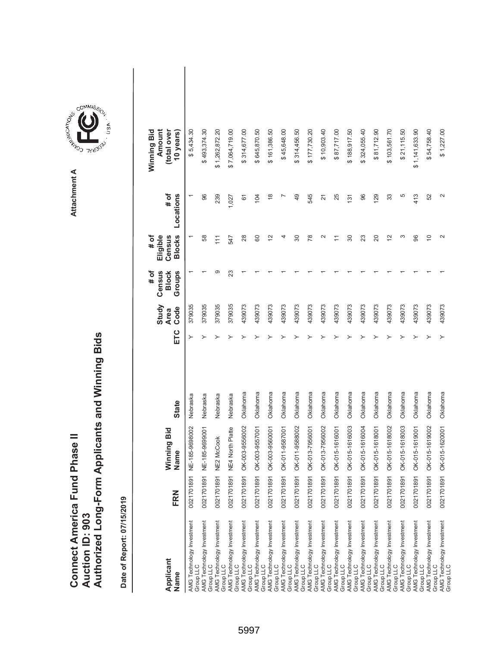|                                      |                        | Authorized Long-Form Applicants and Winning Bids |
|--------------------------------------|------------------------|--------------------------------------------------|
|                                      |                        |                                                  |
| <b>Connect America Fund Phase II</b> | <b>Auction ID: 903</b> |                                                  |

| Applicant<br>Name                                                                | FRN        | Winning Bid<br>Name | <b>State</b> | ETC | Study<br>Code<br><b>Area</b> | Census<br># of<br>Groups<br><b>Block</b> | <b>Blocks</b><br>Eligible<br>Census<br># of                   | # of<br>Locations | Amount<br>Winning Bid<br>(total over<br>10 years) |  |
|----------------------------------------------------------------------------------|------------|---------------------|--------------|-----|------------------------------|------------------------------------------|---------------------------------------------------------------|-------------------|---------------------------------------------------|--|
| AMG Technology Investment<br>Group LLC                                           | 0021701891 | NE-185-9698002      | Nebraska     | ≻   | 379035                       |                                          |                                                               |                   | \$5,434.30                                        |  |
| AMG Technology Investment<br>Group LLC                                           | 0021701891 | NE-185-9699001      | Nebraska     |     | 379035                       |                                          | 58                                                            | 96                | \$493,374.30                                      |  |
| AMG Technology Investment<br>Group LLC                                           | 0021701891 | <b>NE2 McCook</b>   | Nebraska     |     | 379035                       | တ                                        | 111                                                           | 239               | \$1,262,872.20                                    |  |
| AMG Technology Investment<br>Group LLC                                           | 0021701891 | NE4 North Platte    | Nebraska     |     | 379035                       | 23                                       | 547                                                           | 1,027             | \$7,064,719.00                                    |  |
| AMG Technology Investment<br>Group LLC                                           | 0021701891 | OK-003-9556002      | Oklahoma     |     | 439073                       |                                          | 28                                                            | 61                | \$314,677.00                                      |  |
| AMG Technology Investment<br>Group LLC                                           | 0021701891 | OK-003-9557001      | Oklahoma     |     | 439073                       |                                          | 8                                                             | 104               | \$645,870.50                                      |  |
| AMG Technology Investment<br>Group LLC                                           | 0021701891 | OK-003-9560001      | Oklahoma     |     | 439073                       |                                          | 2                                                             | $\frac{8}{3}$     | \$161,386.50                                      |  |
| AMG Technology Investment<br>Group LLC                                           | 0021701891 | OK-011-9587001      | Oklahoma     |     | 439073                       |                                          | 4                                                             |                   | \$45,648.00                                       |  |
| AMG Technology Investment<br>Group LLC                                           | 0021701891 | OK-011-9588002      | Oklahoma     |     | 439073                       |                                          | 30                                                            | 49                | \$314,456.50                                      |  |
| AMG Technology Investment<br>Group LLC                                           | 0021701891 | OK-013-7956001      | Oklahoma     |     | 439073                       |                                          | 78                                                            | 545               | \$177,730.20                                      |  |
| AMG Technology Investment<br>Group LLC                                           | 0021701891 | OK-013-7956002      | Oklahoma     |     | 439073                       |                                          | $\sim$                                                        | 21                | \$10,903.40                                       |  |
| AMG Technology Investment<br>Group LLC                                           | 0021701891 | OK-015-1616001      | Oklahoma     |     | 439073                       |                                          | $\stackrel{\textstyle\scriptstyle\smile}{\scriptstyle\!\sim}$ | 25                | \$87,717.00                                       |  |
| AMG Technology Investment<br>Group LLC<br>AMG Technology Investment<br>Group LLC | 0021701891 | OK-015-1616003      | Oklahoma     |     | 439073                       |                                          | 30                                                            | 131               | \$188,917.50                                      |  |
|                                                                                  | 0021701891 | OK-015-1616004      | Oklahoma     |     | 439073                       |                                          | 23                                                            | 96                | \$324,055.40                                      |  |
| AMG Technology Investment<br>Group LLC                                           | 0021701891 | OK-015-1618001      | Oklahoma     |     | 439073                       |                                          | 20                                                            | 129               | \$81,712.90                                       |  |
| AMG Technology Investment<br>Group LLC                                           | 0021701891 | OK-015-1618002      | Oklahoma     |     | 439073                       |                                          | $\tilde{c}$                                                   | 33                | \$103,561.70                                      |  |
| AMG Technology Investment<br>Group LLC                                           | 0021701891 | OK-015-1618003      | Oklahoma     |     | 439073                       |                                          | က                                                             | 5                 | \$21,115.50                                       |  |
| AMG Technology Investment<br>Group LLC                                           | 0021701891 | OK-015-1619001      | Oklahoma     |     | 439073                       |                                          | 96                                                            | 413               | \$1,141,633.90                                    |  |
| AMG Technology Investment<br>Group LLC                                           | 0021701891 | OK-015-1619002      | Oklahoma     |     | 439073                       |                                          | $\overline{C}$                                                | 52                | \$54,758.40                                       |  |
| AMG Technology Investment<br>Group LLC                                           | 0021701891 | OK-015-1620001      | Oklahoma     |     | 439073                       |                                          | $\mathbf{\Omega}$                                             | 2                 | \$1,227.00                                        |  |

**COMMISSION** Attachment A **Attachment A**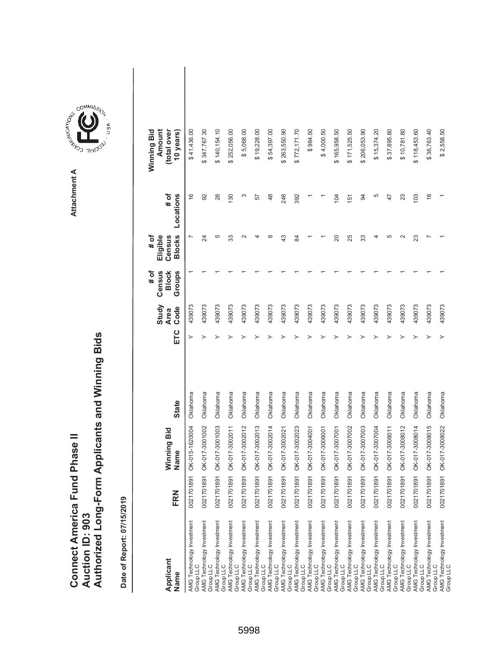|                               |                 | Authorized Long-Form Applicants and Winning Bids |
|-------------------------------|-----------------|--------------------------------------------------|
| Connect America Fund Phase II | Auction ID: 903 |                                                  |

| Applicant<br>Name                                                   | FRN        | Winning Bid<br>Name | <b>State</b> | ETC | Study<br>Code<br><b>Area</b> | Census<br># of<br>Groups<br><b>Block</b> | <b>Blocks</b><br>Eligible<br>Census<br># of | # of<br>Locations | Amount<br>Winning Bid<br>(total over<br>10 years) |  |
|---------------------------------------------------------------------|------------|---------------------|--------------|-----|------------------------------|------------------------------------------|---------------------------------------------|-------------------|---------------------------------------------------|--|
| AMG Technology Investment<br>Group LLC                              | 0021701891 | OK-015-1620004      | Oklahoma     | ≻   | 439073                       |                                          | $\overline{ }$                              | $\frac{6}{5}$     | \$41,436.00                                       |  |
| AMG Technology Investment<br>Group LLC                              | 0021701891 | OK-017-3001002      | Oklahoma     |     | 439073                       |                                          | 24                                          | 92                | \$347,767.30                                      |  |
| AMG Technology Investment<br>Group LLC                              | 0021701891 | OK-017-3001003      | Oklahoma     |     | 439073                       |                                          | 5                                           | 28                | \$140,154.10                                      |  |
| AMG Technology Investment<br>Group LLC                              | 0021701891 | OK-017-3002011      | Oklahoma     |     | 439073                       |                                          | 33                                          | 130               | \$252,056.00                                      |  |
| AMG Technology Investment<br>Group LLC                              | 0021701891 | OK-017-3002012      | Oklahoma     |     | 439073                       |                                          | $\scriptstyle\sim$                          | ω                 | \$5,068.00                                        |  |
| AMG Technology Investment<br>Group LLC                              | 0021701891 | OK-017-3002013      | Oklahoma     |     | 439073                       |                                          |                                             | 57                | \$19,228.00                                       |  |
| AMG Technology Investment<br>Group LLC                              | 0021701891 | OK-017-3002014      | Oklahoma     |     | 439073                       |                                          | ∞                                           | 48                | \$54,397.00                                       |  |
| AMG Technology Investment<br>Group LLC                              | 0021701891 | OK-017-3002021      | Oklahoma     |     | 439073                       |                                          | 43                                          | 248               | \$263,550.90                                      |  |
| AMG Technology Investment<br>Group LLC                              | 0021701891 | OK-017-3002023      | Oklahoma     |     | 439073                       |                                          | 22                                          | 392               | \$772,171.70                                      |  |
| AMG Technology Investment<br>Group LLC                              | 0021701891 | OK-017-3004001      | Oklahoma     |     | 439073                       |                                          |                                             |                   | \$984.50                                          |  |
| AMG Technology Investment<br>Group LLC                              | 0021701891 | OK-017-3006001      | Oklahoma     |     | 439073                       |                                          |                                             |                   | \$4,000.50                                        |  |
| AMG Technology Investment<br>Group LLC                              | 0021701891 | OK-017-3007001      | Oklahoma     |     | 439073                       |                                          | $\Omega$                                    | 104               | \$165,958.50                                      |  |
| AMG Technology Investment<br>Group LLC<br>AMG Technology Investment | 0021701891 | OK-017-3007002      | Oklahoma     |     | 439073                       |                                          | 25                                          | 151               | \$171,525.50                                      |  |
| Group LLC                                                           | 0021701891 | OK-017-3007003      | Oklahoma     |     | 439073                       |                                          | 33                                          | 34                | \$206,053.90                                      |  |
| AMG Technology Investment<br>Group LLC                              | 0021701891 | OK-017-3007004      | Oklahoma     |     | 439073                       |                                          |                                             | 5                 | \$15,374.20                                       |  |
| AMG Technology Investment<br>Group LLC                              | 0021701891 | OK-017-3008011      | Oklahoma     |     | 439073                       |                                          | 5                                           | 47                | \$37,895.80                                       |  |
| AMG Technology Investment<br>Group LLC                              | 0021701891 | OK-017-3008012      | Oklahoma     |     | 439073                       |                                          | $\sim$                                      | 23                | \$10,781.80                                       |  |
| AMG Technology Investment<br>Group LLC                              | 0021701891 | OK-017-3008014      | Oklahoma     |     | 439073                       |                                          | 23                                          | 103               | \$118,453.60                                      |  |
| AMG Technology Investment<br>Group LLC                              | 0021701891 | OK-017-3008015      | Oklahoma     |     | 439073                       |                                          |                                             | $\frac{8}{3}$     | \$36,763.40                                       |  |
| AMG Technology Investment<br>Group LLC                              | 0021701891 | OK-017-3008022      | Oklahoma     |     | 439073                       |                                          |                                             |                   | \$2,558.50                                        |  |

**COMMISSION** Attachment A **Attachment A**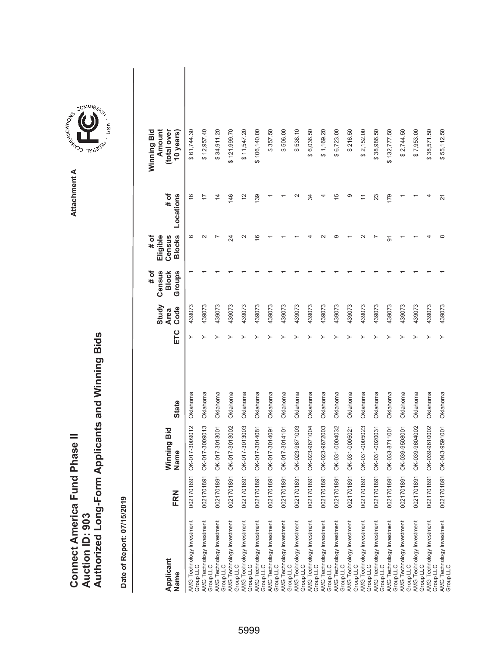|                               |                 | Authorized Long-Form Applicants and Winning Bids |
|-------------------------------|-----------------|--------------------------------------------------|
| Connect America Fund Phase II |                 |                                                  |
|                               | Auction ID: 903 |                                                  |

| Applicant<br>Name                                                                | FRN        | Winning Bid<br>Name | <b>State</b> | ETC | Study<br>Code<br><b>Area</b> | # of<br>Census<br>Groups<br><b>Block</b> | <b>Blocks</b><br>Eligible<br>Census<br># of | Locations<br># of | Amount<br>Winning Bid<br>(total over<br>10 years) |  |
|----------------------------------------------------------------------------------|------------|---------------------|--------------|-----|------------------------------|------------------------------------------|---------------------------------------------|-------------------|---------------------------------------------------|--|
| AMG Technology Investment<br>Group LLC                                           | 0021701891 | OK-017-3009012      | Oklahoma     | ≻   | 439073                       |                                          | စ                                           | $\frac{6}{1}$     | \$61,744.30                                       |  |
| AMG Technology Investment<br>Group LLC                                           | 0021701891 | OK-017-3009013      | Oklahoma     |     | 439073                       |                                          | $\sim$                                      | 17                | \$12,957.40                                       |  |
| AMG Technology Investment<br>Group LLC                                           | 0021701891 | OK-017-3013001      | Oklahoma     |     | 439073                       |                                          |                                             | $\overline{4}$    | \$34,911.20                                       |  |
| AMG Technology Investment<br>Group LLC                                           | 0021701891 | OK-017-3013002      | Oklahoma     |     | 439073                       |                                          | 24                                          | 146               | \$121,999.70                                      |  |
| AMG Technology Investment<br>Group LLC                                           | 0021701891 | OK-017-3013003      | Oklahoma     |     | 439073                       |                                          | $\scriptstyle\sim$                          | $\frac{2}{3}$     | \$11,547.20                                       |  |
| AMG Technology Investment<br>Group LLC                                           | 0021701891 | OK-017-3014081      | Oklahoma     |     | 439073                       |                                          | $\frac{6}{5}$                               | 139               | \$106,140.00                                      |  |
| AMG Technology Investment<br>Group LLC                                           | 0021701891 | OK-017-3014091      | Oklahoma     |     | 439073                       |                                          |                                             |                   | \$357.50                                          |  |
| AMG Technology Investment<br>Group LLC                                           | 0021701891 | OK-017-3014101      | Oklahoma     |     | 439073                       |                                          |                                             |                   | \$506.00                                          |  |
| AMG Technology Investment<br>Group LLC                                           | 0021701891 | OK-023-9671003      | Oklahoma     |     | 439073                       |                                          |                                             | $\sim$            | \$538.10                                          |  |
| AMG Technology Investment<br>Group LLC                                           | 0021701891 | OK-023-9671004      | Oklahoma     |     | 439073                       |                                          |                                             | 34                | \$6,036.50                                        |  |
| AMG Technology Investment<br>Group LLC                                           | 0021701891 | OK-023-9672003      | Oklahoma     |     | 439073                       |                                          |                                             |                   | \$1,169.20                                        |  |
| AMG Technology Investment<br>Group LLC                                           | 0021701891 | OK-031-0004032      | Oklahoma     |     | 439073                       |                                          | ာ                                           | Ю                 | \$6,723.00                                        |  |
| AMG Technology Investment<br>Group LLC<br>AMG Technology Investment<br>Group LLC | 0021701891 | OK-031-0005021      | Oklahoma     |     | 439073                       |                                          |                                             | ග                 | \$216.50                                          |  |
|                                                                                  | 0021701891 | OK-031-0005023      | Oklahoma     |     | 439073                       |                                          | $\scriptstyle\sim$                          |                   | \$2,152.00                                        |  |
| AMG Technology Investment<br>Group LLC                                           | 0021701891 | OK-031-0020031      | Oklahoma     |     | 439073                       |                                          |                                             | 23                | \$38,986.50                                       |  |
| AMG Technology Investment<br>Group LLC                                           | 0021701891 | OK-033-8711001      | Oklahoma     |     | 439073                       |                                          | ଚ                                           | 179               | \$132,777.50                                      |  |
| AMG Technology Investment<br>Group LLC                                           | 0021701891 | OK-039-9508001      | Oklahoma     |     | 439073                       |                                          |                                             |                   | \$2,744.50                                        |  |
| AMG Technology Investment<br>Group LLC                                           | 0021701891 | OK-039-9604002      | Oklahoma     |     | 439073                       |                                          |                                             |                   | \$7,953.00                                        |  |
| AMG Technology Investment<br>Group LLC                                           | 0021701891 | OK-039-9610002      | Oklahoma     |     | 439073                       |                                          |                                             | 4                 | \$38,571.50                                       |  |
| AMG Technology Investment<br>Group LLC                                           | 0021701891 | OK-043-9591001      | Oklahoma     |     | 439073                       |                                          | $\infty$                                    | 21                | \$55,112.50                                       |  |

**COMMISSION** Attachment A **Attachment A**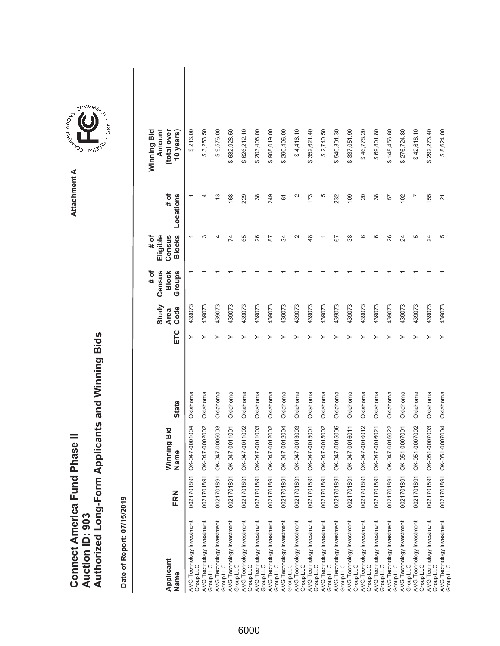|                               |                 | Authorized Long-Form Applicants and Winning Bids |
|-------------------------------|-----------------|--------------------------------------------------|
| Connect America Fund Phase II | Auction ID: 903 |                                                  |

| Applicant<br>Name                                                                                                          | FRN        | Winning Bid<br>Name | <b>State</b> | ETC | Study<br>Code<br><b>Area</b> | Census<br>Groups<br># of<br><b>Block</b> | <b>Blocks</b><br># of<br>Eligible<br>Census | # of<br>Locations        | Amount<br>Winning Bid<br>(total over<br>10 years) |  |
|----------------------------------------------------------------------------------------------------------------------------|------------|---------------------|--------------|-----|------------------------------|------------------------------------------|---------------------------------------------|--------------------------|---------------------------------------------------|--|
| AMG Technology Investment<br>Group LLC                                                                                     | 0021701891 | OK-047-0001004      | Oklahoma     |     | 439073                       |                                          |                                             |                          | \$216.00                                          |  |
| AMG Technology Investment<br>Group LLC                                                                                     | 0021701891 | OK-047-0002002      | Oklahoma     |     | 439073                       |                                          | ო                                           | 4                        | \$3,253.50                                        |  |
| AMG Technology Investment<br>Group LLC                                                                                     | 0021701891 | OK-047-0006003      | Oklahoma     |     | 439073                       |                                          |                                             | $\frac{3}{2}$            | \$9,576.00                                        |  |
| AMG Technology Investment<br>Group LLC                                                                                     | 0021701891 | OK-047-0011001      | Oklahoma     |     | 439073                       |                                          | 74                                          | 168                      | \$632,928.50                                      |  |
| AMG Technology Investment<br>Group LLC                                                                                     | 0021701891 | OK-047-0011002      | Oklahoma     |     | 439073                       |                                          | 89                                          | 229                      | \$626,212.10                                      |  |
| AMG Technology Investment<br>Group LLC                                                                                     | 0021701891 | OK-047-0011003      | Oklahoma     |     | 439073                       |                                          | 26                                          | 38                       | \$203,406.00                                      |  |
|                                                                                                                            | 002170189  | OK-047-0012002      | Oklahoma     |     | 439073                       |                                          | 52                                          | 249                      | \$908,019.00                                      |  |
|                                                                                                                            | 002170189  | OK-047-0012004      | Oklahoma     |     | 439073                       |                                          | ≵                                           | 61                       | \$290,406.00                                      |  |
| AMG`Technology Investment<br>Group LLC<br>AMG Technology Investment<br>Group LLC<br>AMG Technology Investment<br>Group LLC | 0021701891 | OK-047-0013003      | Oklahoma     |     | 439073                       |                                          | $\mathbf{\Omega}$                           | $\scriptstyle\mathtt{N}$ | \$4,416.10                                        |  |
| AMG Technology Investment<br>Group LLC                                                                                     | 0021701891 | OK-047-0015001      | Oklahoma     |     | 439073                       |                                          | 48                                          | 173                      | \$352,621.40                                      |  |
| AMG Technology Investment<br>Group LLC                                                                                     | 0021701891 | OK-047-0015002      | Oklahoma     |     | 439073                       |                                          |                                             | 5                        | \$2,740.50                                        |  |
| AMG Technology Investment<br>Group LLC                                                                                     | 002170189  | OK-047-0015006      | Oklahoma     |     | 439073                       |                                          | 67                                          | 232                      | \$540,301.30                                      |  |
| AMG Technology Investment<br>Group LLC<br>AMG Technology Investment<br>Group LLC                                           | 0021701891 | OK-047-0016011      | Oklahoma     |     | 439073                       |                                          | 38                                          | 109                      | \$337,051.90                                      |  |
|                                                                                                                            | 0021701891 | OK-047-0016012      | Oklahoma     |     | 439073                       |                                          | ဖ                                           | 20                       | \$46,778.20                                       |  |
| AMG Technology Investment<br>Group LLC                                                                                     | 0021701891 | OK-047-0016021      | Oklahoma     |     | 439073                       |                                          | စ                                           | 38                       | \$69,801.80                                       |  |
| AMG Technology Investment<br>Group LLC                                                                                     | 0021701891 | OK-047-0016022      | Oklahoma     |     | 439073                       |                                          | 26                                          | 57                       | \$148,456.80                                      |  |
| AMG Technology Investment<br>Group LLC                                                                                     | 002170189  | OK-051-0007001      | Oklahoma     |     | 439073                       |                                          | 24                                          | 102                      | \$276,724.80                                      |  |
| AMG Technology Investment<br>Group LLC                                                                                     | 002170189  | OK-051-0007002      | Oklahoma     |     | 439073                       |                                          | 5                                           |                          | \$42,618.10                                       |  |
| AMG Technology Investment<br>Group LLC                                                                                     | 0021701891 | OK-051-0007003      | Oklahoma     |     | 439073                       |                                          | 24                                          | 155                      | \$292,273.40                                      |  |
| AMG Technology Investment<br>Group LLC                                                                                     | 0021701891 | OK-051-0007004      | Oklahoma     |     | 439073                       |                                          | 5                                           | $\overline{2}$           | \$8,624.00                                        |  |

**COMMISSION** Attachment A **Attachment A**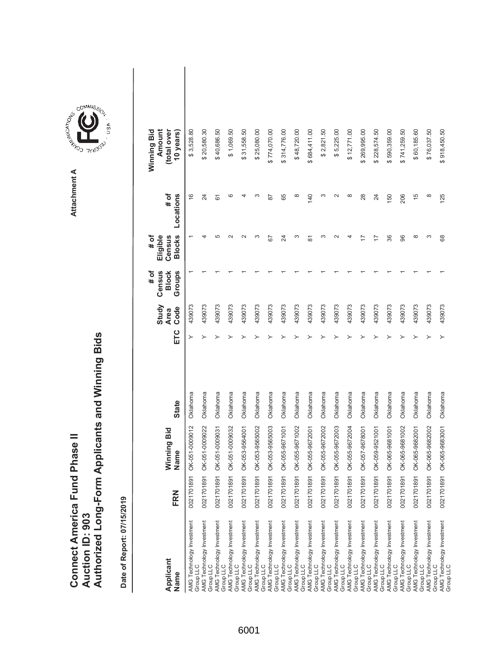|                               |                 | Authorized Long-Form Applicants and Winning Bids |
|-------------------------------|-----------------|--------------------------------------------------|
| Connect America Fund Phase II |                 |                                                  |
|                               |                 |                                                  |
|                               |                 |                                                  |
|                               | Auction ID: 903 |                                                  |
|                               |                 |                                                  |

**COMMISSIC**<br>SIRING THESE Attachment A **Attachment A**

COMMIS<sub>SION</sub>

USA

| Applicant<br>Name                      | FRN        | Winning Bid<br>Name       | <b>State</b> | ETC | Study<br>Code<br><b>Area</b> | # of<br>Census<br>Groups<br><b>Block</b> | <b>Blocks</b><br># of<br>Eligible<br>Census | # of<br>Locations | Winning Bid<br>Amount<br>(total over<br>10 years |  |
|----------------------------------------|------------|---------------------------|--------------|-----|------------------------------|------------------------------------------|---------------------------------------------|-------------------|--------------------------------------------------|--|
| AMG Technology Investment<br>Group LLC | 0021701891 | OK-051-0009012            | Oklahoma     | ≻   | 439073                       |                                          |                                             | $\frac{6}{1}$     | \$3,528.80                                       |  |
| AMG Technology Investment<br>Group LLC | 0021701891 | OK-051-0009022            | Oklahoma     |     | 439073                       |                                          | 4                                           | 24                | \$20,580.30                                      |  |
| AMG Technology Investment<br>Group LLC | 0021701891 | OK-051-0009031            | Oklahoma     |     | 439073                       |                                          | ما                                          | 61                | \$40,686.50                                      |  |
| AMG Technology Investment<br>Group LLC | 0021701891 | OK-051-0009032            | Oklahoma     |     | 439073                       |                                          | $\scriptstyle\sim$                          | ဖ                 | \$1,069.50                                       |  |
| AMG Technology Investment<br>Group LLC | 0021701891 | OK-053-9564001            | Oklahoma     |     | 439073                       |                                          |                                             |                   | \$31,558.50                                      |  |
| AMG Technology Investment<br>Group LLC | 0021701891 | OK-053-9565002            | Oklahoma     |     | 439073                       |                                          | ო                                           | ∞                 | \$25,080.00                                      |  |
| AMG Technology Investment<br>Group LLC | 0021701891 | OK-053-9565003            | Oklahoma     |     | 439073                       |                                          | 59                                          | 87                | \$774,070.00                                     |  |
| AMG Technology Investment<br>Group LLC | 0021701891 | OK-055-9671001            | Oklahoma     |     | 439073                       |                                          | 24                                          | 65                | \$314,776.00                                     |  |
| AMG Technology Investment<br>Group LLC | 0021701891 | OK-055-9671002            | Oklahoma     |     | 439073                       |                                          | ω                                           | $\infty$          | \$48,720.00                                      |  |
| AMG Technology Investment<br>Group LLC | 0021701891 | OK-055-9672001            | Oklahoma     |     | 439073                       |                                          | 5                                           | 140               | \$684,411.00                                     |  |
| AMG Technology Investment<br>Group LLC | 0021701891 | OK-055-9672002            | Oklahoma     |     | 439073                       |                                          | ∞                                           | ო                 | \$2,821.50                                       |  |
| AMG Technology Investment<br>Group LLC | 0021701891 | OK-055-9672003            | Oklahoma     |     | 439073                       |                                          |                                             | $\sim$            | \$5,225.00                                       |  |
| AMG Technology Investment<br>Group LLC | 0021701891 | OK-055-9672004            | Oklahoma     |     | 439073                       |                                          |                                             | $\infty$          | \$12,771.00                                      |  |
| AMG Technology Investment<br>Group LLC | 0021701891 | OK-057-9678001            | Oklahoma     |     | 439073                       |                                          |                                             | 28                | \$269,995.00                                     |  |
| AMG Technology Investment<br>Group LLC | 0021701891 | OK-059-9521001            | Oklahoma     |     | 439073                       |                                          | 17                                          | 24                | \$228,574.50                                     |  |
| AMG Technology Investment<br>Group LLC | 0021701891 | OK-065-9681001            | Oklahoma     |     | 439073                       |                                          | 36                                          | 150               | \$590,359.00                                     |  |
| AMG Technology Investment<br>Group LLC | 0021701891 | OK-065-9681002            | Oklahoma     |     | 439073                       |                                          | 96                                          | 206               | \$741,259.50                                     |  |
| AMG Technology Investment<br>Group LLC | 0021701891 | OK-065-9682001            | Oklahoma     |     | 439073                       |                                          | ∞                                           | 15                | \$60,185.60                                      |  |
| AMG Technology Investment<br>Group LLC | 0021701891 | OK-065-9682002            | Oklahoma     |     | 439073                       |                                          | S                                           | $\infty$          | \$76,037.50                                      |  |
| AMG Technology Investment<br>Group LLC |            | 0021701891 OK-065-9683001 | Oklahoma     |     | 439073                       |                                          | 68                                          | 125               | \$918,450.50                                     |  |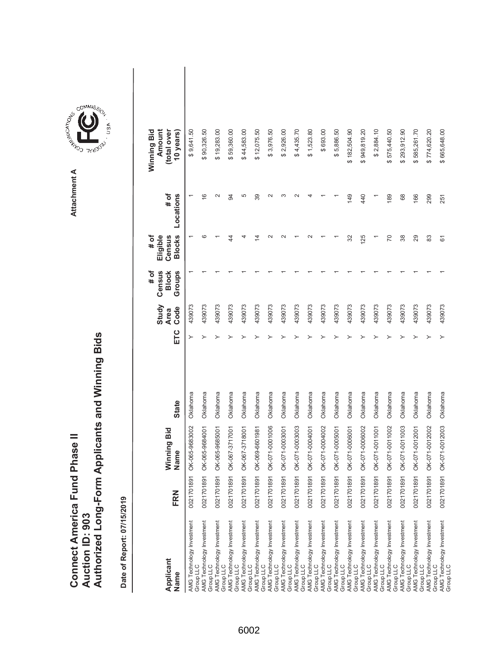|                                      |                 | Authorized Long-Form Applicants and Winning Bids |
|--------------------------------------|-----------------|--------------------------------------------------|
|                                      |                 |                                                  |
| <b>Connect America Fund Phase II</b> | Auction ID: 903 |                                                  |

| Applicant<br>Name                      | FRN        | Winning Bid<br>Name | <b>State</b> | ETC | Study<br>Code<br><b>Area</b> | Census<br><b>Block</b><br>Groups<br># of | <b>Blocks</b><br>Eligible<br># of<br>Census | # of<br>Locations  | Winning Bid<br>Amount<br>(total over<br>10 years) |  |
|----------------------------------------|------------|---------------------|--------------|-----|------------------------------|------------------------------------------|---------------------------------------------|--------------------|---------------------------------------------------|--|
| AMG Technology Investment<br>Group LLC | 0021701891 | OK-065-9683002      | Oklahoma     |     | 439073                       |                                          |                                             |                    | 9,641.50<br>↔                                     |  |
| AMG Technology Investment<br>Group LLC | 0021701891 | OK-065-9684001      | Oklahoma     |     | 439073                       |                                          | ശ                                           | ဖ                  | \$90,326.50                                       |  |
| AMG Technology Investment<br>Group LLC | 0021701891 | OK-065-9685001      | Oklahoma     |     | 439073                       |                                          |                                             | $\sim$             | \$19,283.00                                       |  |
| AMG Technology Investment<br>Group LLC | 0021701891 | OK-067-3717001      | Oklahoma     |     | 439073                       |                                          | 4                                           | 94                 | \$59,360.00                                       |  |
| AMG Technology Investment<br>Group LLC | 0021701891 | OK-067-3718001      | Oklahoma     |     | 439073                       |                                          |                                             | 5                  | \$44,583.00                                       |  |
| AMG Technology Investment<br>Group LLC | 0021701891 | OK-069-6601981      | Oklahoma     |     | 439073                       |                                          | 4                                           | 39                 | \$12,075.50                                       |  |
| AMG Technology Investment<br>Group LLC | 0021701891 | OK-071-0001006      | Oklahoma     |     | 439073                       |                                          | $\scriptstyle\sim$                          | $\scriptstyle\sim$ | \$3,976.50                                        |  |
| AMG Technology Investment<br>Group LLC | 0021701891 | OK-071-0003001      | Oklahoma     |     | 439073                       |                                          |                                             |                    | \$2,926.00                                        |  |
| AMG Technology Investment<br>Group LLC | 0021701891 | OK-071-0003003      | Oklahoma     |     | 439073                       |                                          |                                             |                    | \$4,435.70                                        |  |
| AMG Technology Investment<br>Group LLC | 0021701891 | OK-071-0004001      | Oklahoma     |     | 439073                       |                                          |                                             |                    | \$1,523.80                                        |  |
| AMG Technology Investment<br>Group LLC | 0021701891 | OK-071-0004002      | Oklahoma     |     | 439073                       |                                          |                                             |                    | \$693.00                                          |  |
| AMG Technology Investment<br>Group LLC | 0021701891 | OK-071-0005001      | Oklahoma     |     | 439073                       |                                          |                                             |                    | \$5,886.50                                        |  |
| AMG Technology Investment<br>Group LLC | 0021701891 | OK-071-0006001      | Oklahoma     |     | 439073                       |                                          | 32                                          | 149                | \$182,504.90                                      |  |
| AMG Technology Investment<br>Group LLC | 0021701891 | OK-071-0006002      | Oklahoma     |     | 439073                       |                                          | 125                                         | 440                | \$949,819.20                                      |  |
| AMG Technology Investment<br>Group LLC | 0021701891 | OK-071-0011001      | Oklahoma     |     | 439073                       |                                          |                                             |                    | \$2,884.10                                        |  |
| AMG Technology Investment<br>Group LLC | 0021701891 | OK-071-0011002      | Oklahoma     |     | 439073                       |                                          | 20                                          | 189                | \$575,440.50                                      |  |
| AMG Technology Investment<br>Group LLC | 0021701891 | OK-071-0011003      | Oklahoma     |     | 439073                       |                                          | 38                                          | 68                 | \$293,912.90                                      |  |
| AMG Technology Investment<br>Group LLC | 0021701891 | OK-071-0012001      | Oklahoma     |     | 439073                       |                                          | 29                                          | 166                | \$585,261.70                                      |  |
| AMG Technology Investment<br>Group LLC | 0021701891 | OK-071-0012002      | Oklahoma     |     | 439073                       |                                          | 83                                          | 299                | \$774,620.20                                      |  |
| AMG Technology Investment<br>Group LLC | 0021701891 | OK-071-0012003      | Oklahoma     |     | 439073                       |                                          | 61                                          | 251                | \$665,648.00                                      |  |

**COMMISSION** Attachment A **Attachment A**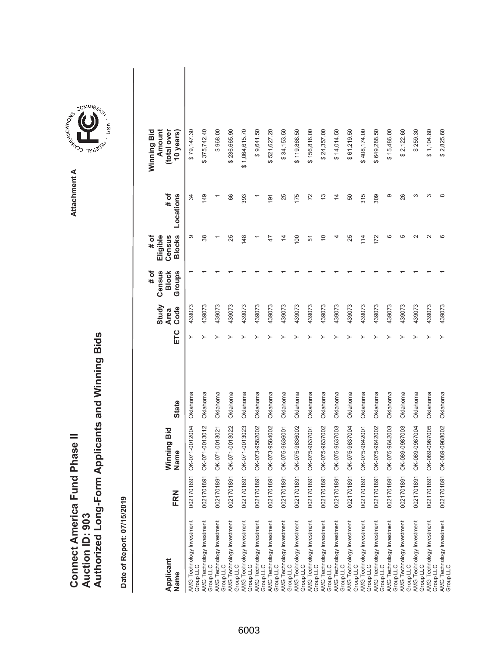|                                      |                 | Authorized Long-Form Applicants and Winning Bids |
|--------------------------------------|-----------------|--------------------------------------------------|
|                                      |                 |                                                  |
| <b>Connect America Fund Phase II</b> | Auction ID: 903 |                                                  |

| Applicant<br>Name                      | FRN        | Winning Bid<br>Name | <b>State</b> | ETC | Study<br>Code<br><b>Area</b> | Census<br>Groups<br><b>Block</b><br># of | <b>Blocks</b><br>Eligible<br># of<br>Census | # of<br>Locations | Winning Bid<br>Amount<br>(total over<br>10 years) |  |
|----------------------------------------|------------|---------------------|--------------|-----|------------------------------|------------------------------------------|---------------------------------------------|-------------------|---------------------------------------------------|--|
| AMG Technology Investment<br>Group LLC | 0021701891 | OK-071-0012004      | Oklahoma     | ≻   | 439073                       |                                          | တ                                           | 34                | \$79,147.30                                       |  |
| AMG Technology Investment<br>Group LLC | 0021701891 | OK-071-0013012      | Oklahoma     |     | 439073                       |                                          | 38                                          | 149               | \$375,742.40                                      |  |
| AMG Technology Investment<br>Group LLC | 0021701891 | OK-071-0013021      | Oklahoma     |     | 439073                       |                                          |                                             |                   | \$968.00                                          |  |
| AMG Technology Investment<br>Group LLC | 0021701891 | OK-071-0013022      | Oklahoma     |     | 439073                       |                                          | 25                                          | 66                | \$236,665.90                                      |  |
| AMG Technology Investment<br>Group LLC | 0021701891 | OK-071-0013023      | Oklahoma     |     | 439073                       |                                          | 148                                         | 393               | \$1,064,615.70                                    |  |
| AMG Technology Investment<br>Group LLC | 0021701891 | OK-073-9582002      | Oklahoma     |     | 439073                       |                                          |                                             |                   | \$9,641.50                                        |  |
| AMG Technology Investment<br>Group LLC | 0021701891 | OK-073-9584002      | Oklahoma     |     | 439073                       |                                          | $\ddot{+}$                                  | 191               | \$521,627.20                                      |  |
| AMG Technology Investment<br>Group LLC | 0021701891 | OK-075-9636001      | Oklahoma     |     | 439073                       |                                          | 4                                           | 25                | \$34,153.50                                       |  |
| AMG Technology Investment<br>Group LLC | 0021701891 | OK-075-9636002      | Oklahoma     |     | 439073                       |                                          | 100                                         | 175               | \$119,868.50                                      |  |
| AMG Technology Investment<br>Group LLC | 0021701891 | OK-075-9637001      | Oklahoma     |     | 439073                       |                                          | 51                                          | 72                | \$156,816.00                                      |  |
| AMG Technology Investment<br>Group LLC | 0021701891 | OK-075-9637002      | Oklahoma     |     | 439073                       |                                          | $\Rightarrow$                               | $\frac{3}{2}$     | \$24,357.00                                       |  |
| AMG Technology Investment<br>Group LLC | 0021701891 | OK-075-9637003      | Oklahoma     |     | 439073                       |                                          | 4                                           | $\overline{4}$    | \$14,014.50                                       |  |
| AMG Technology Investment<br>Group LLC | 0021701891 | OK-075-9637004      | Oklahoma     |     | 439073                       |                                          | 25                                          | 50                | \$61,219.50                                       |  |
| AMG Technology Investment<br>Group LLC | 0021701891 | OK-075-9642001      | Oklahoma     |     | 439073                       |                                          | 114                                         | 315               | \$408,174.00                                      |  |
| AMG Technology Investment<br>Group LLC | 0021701891 | OK-075-9642002      | Oklahoma     |     | 439073                       |                                          | 172                                         | 309               | \$649,288.50                                      |  |
| AMG Technology Investment<br>Group LLC | 0021701891 | OK-075-9642003      | Oklahoma     |     | 439073                       |                                          | ဖ                                           | တ                 | \$15,486.00                                       |  |
| AMG Technology Investment<br>Group LLC | 0021701891 | OK-089-0987003      | Oklahoma     |     | 439073                       |                                          | 5                                           | 26                | \$2,122.60                                        |  |
| AMG Technology Investment<br>Group LLC | 0021701891 | OK-089-0987004      | Oklahoma     |     | 439073                       |                                          | $\sim$                                      | ω                 | \$259.30                                          |  |
| AMG Technology Investment<br>Group LLC | 0021701891 | OK-089-0987005      | Oklahoma     |     | 439073                       |                                          | $\sim$                                      | S                 | \$1,104.80                                        |  |
| AMG Technology Investment<br>Group LLC | 0021701891 | OK-089-0988002      | Oklahoma     |     | 439073                       |                                          | ဖ                                           | $\infty$          | \$2,825.60                                        |  |

Attachment A **Attachment A**

**COMMISSION**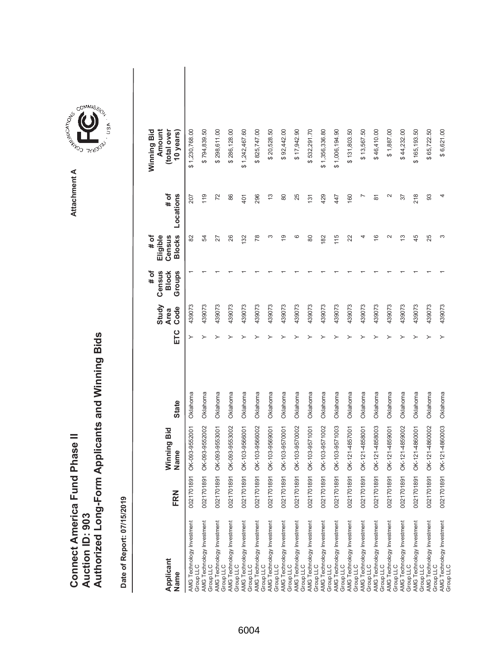|                               |                 | Authorized Long-Form Applicants and Winning Bids |
|-------------------------------|-----------------|--------------------------------------------------|
| Connect America Fund Phase II | Auction ID: 903 |                                                  |

| Applicant<br>Name                      | FRN        | Winning Bid<br>Name | <b>State</b> | ETC | Study<br>Code<br><b>Area</b> | Census<br># of<br><b>Block</b><br>Groups | <b>Blocks</b><br>Eligible<br>Census<br># of | # of<br>Locations   | Amount<br>(total over<br>Winning Bid<br>10 years) |  |
|----------------------------------------|------------|---------------------|--------------|-----|------------------------------|------------------------------------------|---------------------------------------------|---------------------|---------------------------------------------------|--|
| AMG Technology Investment<br>Group LLC | 0021701891 | OK-093-9552001      | Oklahoma     |     | 439073                       |                                          | 82                                          | 207                 | \$1,230,768.00                                    |  |
| AMG Technology Investment<br>Group LLC | 0021701891 | OK-093-9552002      | Oklahoma     |     | 439073                       |                                          | R                                           | 119                 | \$794,839.50                                      |  |
| AMG Technology Investment<br>Group LLC | 0021701891 | OK-093-9553001      | Oklahoma     |     | 439073                       |                                          | 27                                          | 72                  | \$298,611.00                                      |  |
| AMG Technology Investment<br>Group LLC | 0021701891 | OK-093-9553002      | Oklahoma     |     | 439073                       |                                          | 26                                          | 86                  | \$286,128.00                                      |  |
| AMG Technology Investment<br>Group LLC | 0021701891 | OK-103-9566001      | Oklahoma     |     | 439073                       |                                          | 132                                         | 401                 | \$1,242,467.60                                    |  |
| AMG Technology Investment<br>Group LLC | 0021701891 | OK-103-9566002      | Oklahoma     |     | 439073                       |                                          | 78                                          | 296                 | \$825,747.00                                      |  |
| AMG Technology Investment<br>Group LLC | 0021701891 | OK-103-9569001      | Oklahoma     |     | 439073                       |                                          | ς                                           | $\frac{3}{2}$       | \$20,528.50                                       |  |
| AMG Technology Investment<br>Group LLC | 0021701891 | OK-103-9570001      | Oklahoma     |     | 439073                       |                                          | ഉ                                           | 80                  | \$92,442.00                                       |  |
| AMG Technology Investment<br>Group LLC | 0021701891 | OK-103-9570002      | Oklahoma     |     | 439073                       |                                          | ဖ                                           | 25                  | \$17,942.90                                       |  |
| AMG Technology Investment<br>Group LLC | 0021701891 | OK-103-9571001      | Oklahoma     |     | 439073                       |                                          | 80                                          | 131                 | \$532,291.70                                      |  |
| AMG Technology Investment<br>Group LLC | 0021701891 | OK-103-9571002      | Oklahoma     |     | 439073                       |                                          | 182                                         | 429                 | \$1,356,336.80                                    |  |
| AMG Technology Investment<br>Group LLC | 0021701891 | OK-103-9571003      | Oklahoma     |     | 439073                       |                                          | 115                                         | 447                 | \$1,006,194.90                                    |  |
| AMG Technology Investment<br>Group LLC | 0021701891 | OK-121-4857001      | Oklahoma     |     | 439073                       |                                          | 22                                          | 160                 | \$131,803.50                                      |  |
| AMG Technology Investment<br>Group LLC | 0021701891 | OK-121-4858001      | Oklahoma     |     | 439073                       |                                          | 4                                           | ↖                   | \$13,567.50                                       |  |
| AMG Technology Investment<br>Group LLC | 0021701891 | OK-121-4858003      | Oklahoma     |     | 439073                       |                                          | $\frac{6}{5}$                               | $\overline{\infty}$ | \$46,410.00                                       |  |
| AMG Technology Investment<br>Group LLC | 0021701891 | OK-121-4859001      | Oklahoma     |     | 439073                       |                                          | $\sim$                                      | $\mathbf{\Omega}$   | \$1,887.00                                        |  |
| AMG Technology Investment<br>Group LLC | 0021701891 | OK-121-4859002      | Oklahoma     |     | 439073                       |                                          | ഇ                                           | 57                  | \$44,232.00                                       |  |
| AMG Technology Investment<br>Group LLC | 0021701891 | OK-121-4860001      | Oklahoma     |     | 439073                       |                                          | 45                                          | 218                 | \$165,193.50                                      |  |
| AMG Technology Investment<br>Group LLC | 0021701891 | OK-121-4860002      | Oklahoma     |     | 439073                       |                                          | 25                                          | 93                  | \$65,722.50                                       |  |
| AMG Technology Investment<br>Group LLC | 0021701891 | OK-121-4860003      | Oklahoma     |     | 439073                       |                                          | ω                                           | 4                   | \$6,621.00                                        |  |

**COMMISSION** Attachment A **Attachment A**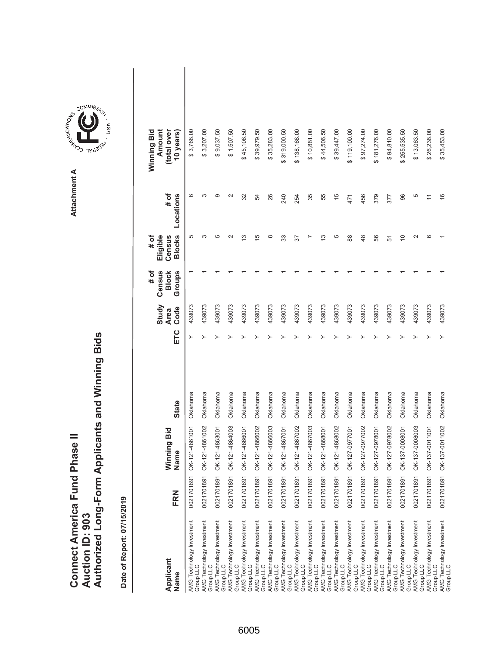|                               |                 | Authorized Long-Form Applicants and Winning Bids |
|-------------------------------|-----------------|--------------------------------------------------|
|                               |                 |                                                  |
|                               |                 |                                                  |
| Connect America Fund Phase II |                 |                                                  |
|                               | Auction ID: 903 |                                                  |
|                               |                 |                                                  |

**COMMISSIC**<br>SIRING THESE Attachment A **Attachment A**

COMMIS<sub>SION</sub>

USA

| Applicant<br>Name                      | FRN        | Winning Bid<br>Name | <b>State</b> | ETC | Study<br>Code<br><b>Area</b> | # of<br>Groups<br>Census<br><b>Block</b> | <b>Blocks</b><br># of<br>Eligible<br>Census | # of<br>Locations | Winning Bid<br>Amount<br>(total over<br>10 years) |  |
|----------------------------------------|------------|---------------------|--------------|-----|------------------------------|------------------------------------------|---------------------------------------------|-------------------|---------------------------------------------------|--|
| AMG Technology Investment<br>Group LLC | 0021701891 | OK-121-4861001      | Oklahoma     | ≻   | 439073                       |                                          | 5                                           | ဖ                 | \$3,768.00                                        |  |
| AMG Technology Investment<br>Group LLC | 0021701891 | OK-121-4861002      | Oklahoma     |     | 439073                       |                                          | ო                                           | ∞                 | \$3,207.00                                        |  |
| AMG Technology Investment<br>Group LLC | 0021701891 | OK-121-4863001      | Oklahoma     |     | 439073                       |                                          | 5                                           | တ                 | \$9,037.50                                        |  |
| AMG Technology Investment<br>Group LLC | 0021701891 | OK-121-4864003      | Oklahoma     |     | 439073                       |                                          |                                             | $\sim$            | \$1,507.50                                        |  |
| AMG Technology Investment<br>Group LLC | 0021701891 | OK-121-4866001      | Oklahoma     |     | 439073                       |                                          | ო                                           | 32                | \$45,106.50                                       |  |
| AMG Technology Investment<br>Group LLC | 0021701891 | OK-121-4866002      | Oklahoma     |     | 439073                       |                                          | c                                           | 54                | \$39,979.50                                       |  |
| AMG Technology Investment<br>Group LLC | 0021701891 | OK-121-4866003      | Oklahoma     |     | 439073                       |                                          | $\infty$                                    | 26                | \$35,283.00                                       |  |
| AMG Technology Investment<br>Group LLC | 0021701891 | OK-121-4867001      | Oklahoma     |     | 439073                       |                                          | 33                                          | 240               | \$319,000.50                                      |  |
| AMG Technology Investment<br>Group LLC | 0021701891 | OK-121-4867002      | Oklahoma     |     | 439073                       |                                          | 57                                          | 254               | \$138,168.00                                      |  |
| AMG Technology Investment<br>Group LLC | 0021701891 | OK-121-4867003      | Oklahoma     |     | 439073                       |                                          |                                             | 35                | \$10,881.00                                       |  |
| AMG Technology Investment<br>Group LLC | 0021701891 | DK-121-4868001      | Oklahoma     |     | 439073                       |                                          | S                                           | 55                | \$44,506.50                                       |  |
| AMG Technology Investment<br>Group LLC | 0021701891 | OK-121-4868002      | Oklahoma     |     | 439073                       |                                          | 5                                           | $\frac{5}{5}$     | \$39,447.00                                       |  |
| AMG Technology Investment<br>Group LLC | 0021701891 | OK-127-0977001      | Oklahoma     |     | 439073                       |                                          | 88                                          | 471               | \$119,100.00                                      |  |
| AMG Technology Investment<br>Group LLC | 0021701891 | OK-127-0977002      | Oklahoma     |     | 439073                       |                                          | $\frac{8}{3}$                               | 456               | \$97,274.00                                       |  |
| AMG Technology Investment<br>Group LLC | 0021701891 | DK-127-0978001      | Oklahoma     |     | 439073                       |                                          | 56                                          | 379               | \$181,276.00                                      |  |
| AMG Technology Investment<br>Group LLC | 0021701891 | OK-127-0978002      | Oklahoma     |     | 439073                       |                                          | 5                                           | 377               | \$94,810.00                                       |  |
| AMG Technology Investment<br>Group LLC | 0021701891 | OK-137-0008001      | Oklahoma     |     | 439073                       |                                          | $\Rightarrow$                               | 96                | \$255,535.50                                      |  |
| AMG Technology Investment<br>Group LLC | 0021701891 | OK-137-0008003      | Oklahoma     |     | 439073                       |                                          | $\sim$                                      | 5                 | \$13,063.50                                       |  |
| AMG Technology Investment<br>Group LLC | 0021701891 | OK-137-0011001      | Oklahoma     |     | 439073                       |                                          | G                                           |                   | \$26,238.00                                       |  |
| AMG Technology Investment<br>Group LLC | 0021701891 | OK-137-0011002      | Oklahoma     |     | 439073                       |                                          |                                             | $\frac{6}{5}$     | \$35,453.00                                       |  |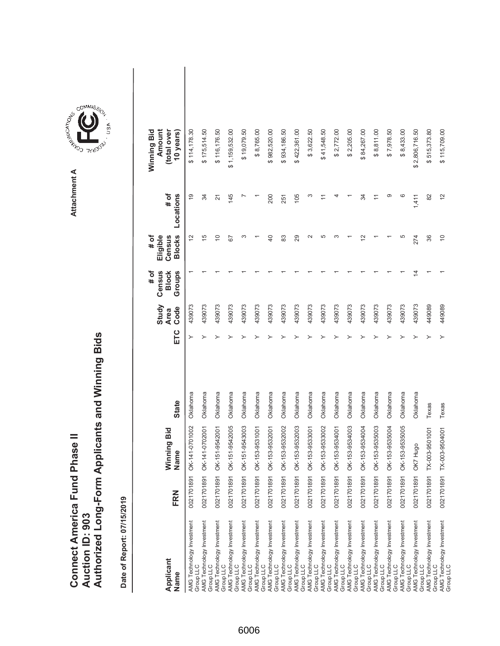|                                      |                        | Authorized Long-Form Applicants and Winning Bids |
|--------------------------------------|------------------------|--------------------------------------------------|
|                                      |                        |                                                  |
|                                      |                        |                                                  |
| <b>Connect America Fund Phase II</b> | <b>Auction ID: 903</b> |                                                  |
|                                      |                        |                                                  |

| Applicant<br>Name                                                   | FRN        | Winning Bid<br>Name | <b>State</b> | ETC | Study<br>Code<br><b>Area</b> | Census<br># of<br><b>Block</b><br>Groups | <b>Blocks</b><br># of<br>Eligible<br>Census | # of<br>Locations | (total over<br>Winning Bid<br>Amount<br>10 years) |  |
|---------------------------------------------------------------------|------------|---------------------|--------------|-----|------------------------------|------------------------------------------|---------------------------------------------|-------------------|---------------------------------------------------|--|
| AMG Technology Investment<br>Group LLC                              | 0021701891 | OK-141-0701002      | Oklahoma     | ≻   | 439073                       |                                          | $\tilde{c}$                                 | $\overline{9}$    | \$114,178.30                                      |  |
| AMG Technology Investment<br>Group LLC                              | 0021701891 | OK-141-0702001      | Oklahoma     |     | 439073                       |                                          | 15                                          | 34                | \$175,514.50                                      |  |
| AMG Technology Investment<br>Group LLC                              | 0021701891 | OK-151-9542001      | Oklahoma     |     | 439073                       |                                          | $\overline{C}$                              | 21                | \$116,176.50                                      |  |
| AMG Technology Investment<br>Group LLC                              | 0021701891 | OK-151-9542005      | Oklahoma     |     | 439073                       |                                          | 59                                          | 145               | \$1,159,532.00                                    |  |
| AMG Technology Investment<br>Group LLC                              | 0021701891 | OK-151-9543003      | Oklahoma     |     | 439073                       |                                          | ω                                           |                   | \$19,079.50                                       |  |
| AMG Technology Investment<br>Group LLC                              | 0021701891 | OK-153-9531001      | Oklahoma     |     | 439073                       |                                          |                                             |                   | \$8,765.00                                        |  |
| AMG Technology Investment<br>Group LLC                              | 0021701891 | OK-153-9532001      | Oklahoma     |     | 439073                       |                                          | $\overline{40}$                             | 200               | \$982,520.00                                      |  |
| AMG Technology Investment<br>Group LLC                              | 0021701891 | OK-153-9532002      | Oklahoma     |     | 439073                       |                                          | 83                                          | 251               | \$934,186.50                                      |  |
| AMG Technology Investment<br>Group LLC<br>AMG Technology Investment | 0021701891 | OK-153-9532003      | Oklahoma     |     | 439073                       |                                          | 29                                          | 105               | \$422,361.00                                      |  |
| Group LLC                                                           | 0021701891 | OK-153-9533001      | Oklahoma     |     | 439073                       |                                          | $\sim$                                      | S                 | \$3,622.50                                        |  |
| AMG Technology Investment<br>Group LLC                              | 0021701891 | OK-153-9533002      | Oklahoma     |     | 439073                       |                                          | 5                                           |                   | \$41,548.50                                       |  |
| AMG Technology Investment<br>Group LLC                              | 0021701891 | OK-153-9534001      | Oklahoma     |     | 439073                       |                                          | ო                                           |                   | \$2,772.00                                        |  |
| AMG Technology Investment                                           | 0021701891 | OK-153-9534003      | Oklahoma     |     | 439073                       |                                          |                                             |                   | \$2,205.00                                        |  |
| Group LLC<br>AMG Technology Investment<br>Group LLC                 | 0021701891 | OK-153-9534004      | Oklahoma     |     | 439073                       |                                          | $\overline{\mathsf{c}}$                     | 34                | \$84,267.00                                       |  |
| AMG Technology Investment<br>Group LLC                              | 0021701891 | OK-153-9535003      | Oklahoma     |     | 439073                       |                                          |                                             |                   | \$8,811.00                                        |  |
| AMG Technology Investment<br>Group LLC                              | 0021701891 | OK-153-9535004      | Oklahoma     |     | 439073                       |                                          |                                             | တ                 | \$7,978.50                                        |  |
| AMG Technology Investment<br>Group LLC                              | 0021701891 | OK-153-9535005      | Oklahoma     |     | 439073                       |                                          | 5                                           | ဖ                 | \$8,433.00                                        |  |
| AMG Technology Investment<br>Group LLC                              | 0021701891 | OK7 Hugo            | Oklahoma     |     | 439073                       | 4                                        | 274                                         | 1,411             | \$2,806,716.50                                    |  |
| AMG Technology Investment<br>Group LLC                              | 0021701891 | TX-003-9501001      | Texas        |     | 449089                       |                                          | 36                                          | 82                | 515,373.80<br>↮                                   |  |
| AMG Technology Investment<br>Group LLC                              | 002170189  | TX-003-9504001      | Texas        |     | 449089                       |                                          | $\overline{0}$                              | $\frac{2}{3}$     | \$115,709.00                                      |  |

**COMMISSION** Attachment A **Attachment A**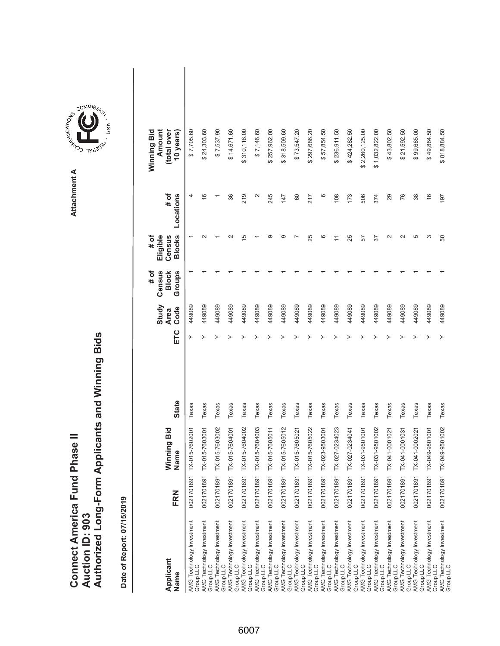|                               |                 | Authorized Long-Form Applicants and Winning Bids |
|-------------------------------|-----------------|--------------------------------------------------|
|                               |                 |                                                  |
| Connect America Fund Phase II | Auction ID: 903 |                                                  |

| Applicant<br>Name                                                                                                             | FRN        | Winning Bid<br>Name | <b>State</b> | ETC | Study<br>Code<br><b>Area</b> | Census<br>Groups<br># of<br><b>Block</b> | <b>Blocks</b><br>Eligible<br>Census<br># of | # of<br>Locations | Amount<br>(total over<br>Winning Bid<br>10 years) |  |
|-------------------------------------------------------------------------------------------------------------------------------|------------|---------------------|--------------|-----|------------------------------|------------------------------------------|---------------------------------------------|-------------------|---------------------------------------------------|--|
| AMG Technology Investment<br>Group LLC                                                                                        | 002170189  | TX-015-7602001      | Texas        | ≻   | 449089                       |                                          |                                             | 4                 | \$7,705.60                                        |  |
| AMG Technology Investment<br>Group LLC                                                                                        | 0021701891 | TX-015-7603001      | Texas        |     | 449089                       |                                          |                                             | $\frac{6}{5}$     | \$24,303.60                                       |  |
| AMG Technology Investment<br>Group LLC                                                                                        | 0021701891 | TX-015-7603002      | Texas        |     | 449089                       |                                          |                                             |                   | \$7,537.90                                        |  |
| AMG Technology Investment<br>Group LLC                                                                                        | 0021701891 | TX-015-7604001      | Texas        |     | 449089                       |                                          |                                             | 36                | \$14,671.60                                       |  |
| AMG Technology Investment<br>Group LLC                                                                                        | 0021701891 | TX-015-7604002      | Texas        |     | 449089                       |                                          | ⊵                                           | 219               | \$310,116.00                                      |  |
| AMG Technology Investment<br>Group LLC                                                                                        | 0021701891 | TX-015-7604003      | Texas        |     | 449089                       |                                          |                                             | $\mathbf{\sim}$   | \$7,146.60                                        |  |
| AMG Technology Investment<br>Group LLC<br>AMG Technology Investment                                                           | 0021701891 | TX-015-7605011      | Texas        |     | 449089                       |                                          | ග                                           | 245               | \$257,962.00                                      |  |
| Group LLC                                                                                                                     | 0021701891 | TX-015-7605012      | Texas        |     | 449089                       |                                          | တ                                           | 147               | \$318,509.60                                      |  |
| AMG Technology Investment<br>Group LLC                                                                                        | 0021701891 | TX-015-7605021      | Texas        |     | 449089                       |                                          |                                             | 60                | \$73,547.20                                       |  |
| AMG Technology Investment<br>Group LLC                                                                                        | 0021701891 | TX-015-7605022      | Texas        |     | 449089                       |                                          | 25                                          | 217               | \$297,686.20                                      |  |
| AMG Technology Investment<br>Group LLC                                                                                        | 0021701891 | TX-023-9503001      | Texas        |     | 449089                       |                                          | ဖ                                           | ဖ                 | \$57,854.50                                       |  |
|                                                                                                                               | 0021701891 | TX-027-0234023      | Texas        |     | 449089                       |                                          | Ξ                                           | 108               | \$236,911.50                                      |  |
|                                                                                                                               | 0021701891 | TX-027-0234041      | Texas        |     | 449089                       |                                          | 25                                          | 173               | \$424,282.50                                      |  |
| AMG Technology Investment<br>Group LLC<br>AMG Technology Investment<br>AMG Technology Investment<br>AMG Technology Investment | 0021701891 | TX-031-9501001      | Texas        |     | 449089                       |                                          | 57                                          | 506               | \$2,260,125.00                                    |  |
| AMG Technology Investment<br>Group LLC                                                                                        | 0021701891 | TX-031-9501002      | Texas        |     | 449089                       |                                          | 57                                          | 374               | \$1,032,822.00                                    |  |
| AMG Technology Investment<br>Group LLC                                                                                        | 0021701891 | TX-041-0001021      | Texas        |     | 449089                       |                                          | $\sim$                                      | 29                | \$43,802.50                                       |  |
| AMG Technology Investment<br>Group LLC                                                                                        | 0021701891 | TX-041-0001031      | Texas        |     | 449089                       |                                          | $\sim$                                      | 76                | \$21,592.50                                       |  |
| AMG Technology Investment<br>Group LLC                                                                                        | 0021701891 | TX-041-0002021      | Texas        |     | 449089                       |                                          | 5                                           | 38                | \$99,685.00                                       |  |
| AMG Technology Investment<br>Group LLC                                                                                        | 0021701891 | TX-049-9501001      | Texas        |     | 449089                       |                                          | S                                           | $\frac{6}{5}$     | \$49,864.50                                       |  |
| AMG Technology Investment<br>Group LLC                                                                                        | 0021701891 | TX-049-9501002      | Texas        |     | 449089                       |                                          | 50                                          | 197               | \$818,884.50                                      |  |

**COMMISSION** Attachment A **Attachment A**

ÚSÁ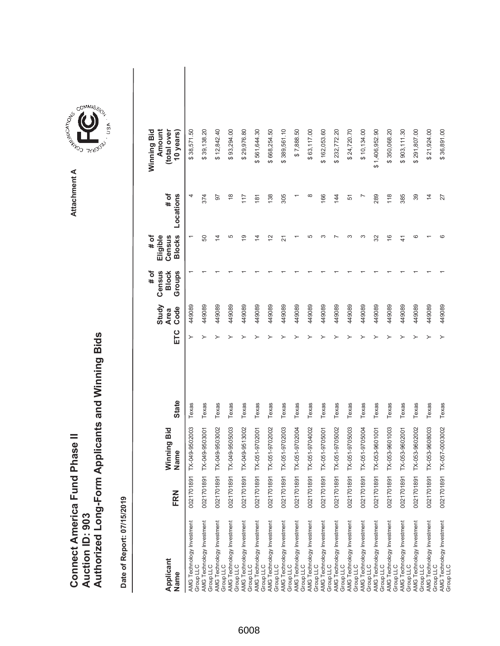|                               |                 | Authorized Long-Form Applicants and Winning Bids |
|-------------------------------|-----------------|--------------------------------------------------|
| Connect America Fund Phase II | Auction ID: 903 |                                                  |

| Applicant<br>Name                      | FRN        | Winning Bid<br>Name | <b>State</b> | ETC | Study<br>Code<br><b>Area</b> | Census<br><b>Block</b><br>Groups<br># of | <b>Blocks</b><br># of<br>Eligible<br>Census | # of<br>Locations | (total over<br>Winning Bid<br>Amount<br>10 years) |
|----------------------------------------|------------|---------------------|--------------|-----|------------------------------|------------------------------------------|---------------------------------------------|-------------------|---------------------------------------------------|
| AMG Technology Investment<br>Group LLC | 0021701891 | TX-049-9502003      | Texas        | ≻   | 449089                       |                                          |                                             | 4                 | \$38,571.50                                       |
| AMG Technology Investment<br>Group LLC | 0021701891 | TX-049-9503001      | Texas        |     | 449089                       |                                          | 50                                          | 374               | \$39,138.20                                       |
| AMG Technology Investment<br>Group LLC | 0021701891 | TX-049-9503002      | Texas        |     | 449089                       |                                          | $\overline{4}$                              | 56                | \$12,842.40                                       |
| AMG Technology Investment<br>Group LLC | 0021701891 | TX-049-9505003      | Texas        |     | 449089                       |                                          | 5                                           | $\frac{8}{1}$     | \$93,294.00                                       |
| AMG Technology Investment<br>Group LLC | 0021701891 | TX-049-9513002      | Texas        |     | 449089                       |                                          | $\overline{9}$                              | 117               | \$29,976.80                                       |
| AMG Technology Investment<br>Group LLC | 0021701891 | TX-051-9702001      | Texas        |     | 449089                       |                                          | $\overline{4}$                              | 181               | \$561,644.30                                      |
| AMG Technology Investment<br>Group LLC | 0021701891 | TX-051-9702002      | Texas        |     | 449089                       |                                          | $\overline{2}$                              | 138               | \$668,254.50                                      |
| AMG Technology Investment<br>Group LLC | 0021701891 | TX-051-9702003      | Texas        |     | 449089                       |                                          | $\overline{N}$                              | 305               | \$389,561.10                                      |
| AMG Technology Investment<br>Group LLC | 0021701891 | TX-051-9702004      | Texas        |     | 449089                       |                                          |                                             |                   | \$7,888.50                                        |
| AMG Technology Investment<br>Group LLC | 0021701891 | TX-051-9704002      | Texas        |     | 449089                       |                                          | Ю                                           | $\infty$          | \$63,117.00                                       |
| AMG Technology Investment<br>Group LLC | 0021701891 | TX-051-9705001      | Texas        |     | 449089                       |                                          |                                             | 166               | \$162,053.60                                      |
| AMG Technology Investment<br>Group LLC | 0021701891 | TX-051-9705002      | Texas        |     | 449089                       |                                          |                                             | 144               | \$232,772.20                                      |
| AMG Technology Investment<br>Group LLC | 0021701891 | TX-051-9705003      | Texas        |     | 449089                       |                                          |                                             | 51                | \$24,720.70                                       |
| AMG Technology Investment<br>Group LLC | 0021701891 | TX-051-9705004      | Texas        |     | 449089                       |                                          | ω                                           |                   | \$10,134.00                                       |
| AMG Technology Investment<br>Group LLC | 0021701891 | TX-053-9601001      | Texas        |     | 449089                       |                                          | 32                                          | 289               | \$1,406,952.90                                    |
| AMG Technology Investment<br>Group LLC | 0021701891 | TX-053-9601003      | Texas        |     | 449089                       |                                          | $\frac{6}{5}$                               | 118               | \$350,068.20                                      |
| AMG Technology Investment<br>Group LLC | 0021701891 | TX-053-9602001      | Texas        |     | 449089                       |                                          | $\frac{4}{3}$                               | 385               | \$903,111.30                                      |
| AMG Technology Investment<br>Group LLC | 0021701891 | TX-053-9602002      | Texas        |     | 449089                       |                                          | ဖ                                           | 39                | \$291,807.00                                      |
| AMG Technology Investment<br>Group LLC | 0021701891 | TX-053-9608003      | Texas        |     | 449089                       |                                          |                                             | $\overline{4}$    | \$21,924.00                                       |
| AMG Technology Investment<br>Group LLC | 0021701891 | TX-057-0003002      | Texas        |     | 449089                       |                                          | ဖ                                           | 27                | \$36,891.00                                       |

**COMMISSION** Attachment A **Attachment A**

ÚSÁ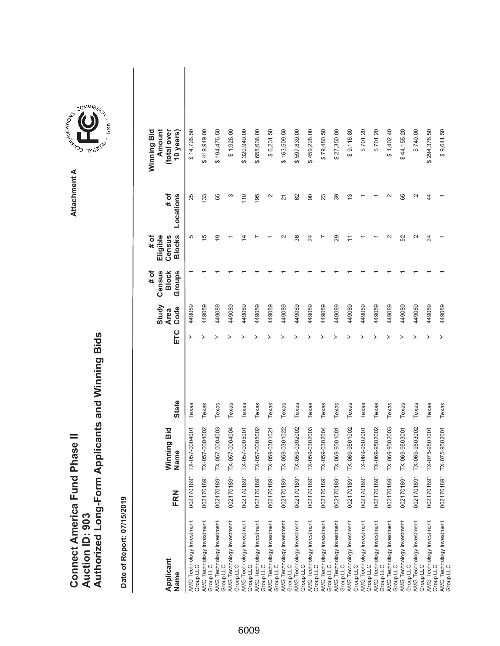|                                      |                        | Authorized Long-Form Applicants and Winning Bids |
|--------------------------------------|------------------------|--------------------------------------------------|
|                                      |                        |                                                  |
|                                      |                        |                                                  |
| <b>Connect America Fund Phase II</b> |                        |                                                  |
|                                      |                        |                                                  |
|                                      | <b>Auction ID: 903</b> |                                                  |
|                                      |                        |                                                  |

| Applicant<br>Name                                                                                                                                                                                                                                               | FRN        | Winning Bid<br>Name | <b>State</b> | ETC | Study<br>Code<br><b>Area</b> | Census<br>Groups<br><b>Block</b><br># of | <b>Blocks</b><br>Eligible<br># of<br>Census | # of<br>Locations        | Amount<br>total over<br>Winning Bid<br>10 years) |  |
|-----------------------------------------------------------------------------------------------------------------------------------------------------------------------------------------------------------------------------------------------------------------|------------|---------------------|--------------|-----|------------------------------|------------------------------------------|---------------------------------------------|--------------------------|--------------------------------------------------|--|
| AMG Technology Investment<br>Group LLC                                                                                                                                                                                                                          | 0021701891 | TX-057-0004001      | Texas        |     | 449089                       |                                          | 5                                           | 25                       | \$14,728.50                                      |  |
| AMG Technology Investment<br>Group LLC                                                                                                                                                                                                                          | 002170189  | TX-057-0004002      | Texas        |     | 449089                       |                                          | 15                                          | 133                      | \$419,949.00                                     |  |
| AMG Technology Investment<br>Group LLC                                                                                                                                                                                                                          | 002170189  | TX-057-0004003      | Texas        |     | 449089                       |                                          | $\overline{9}$                              | 65                       | \$194,476.50                                     |  |
| AMG Technology Investment<br>Group LLC                                                                                                                                                                                                                          | 002170189  | TX-057-0004004      | Texas        |     | 449089                       |                                          |                                             | S                        | \$1,926.00                                       |  |
| AWG Technology Investment<br>Group LLC<br>Group LLC<br>AWG Technology Investment<br>AWG Technology Investment<br>AWG Technology Investment<br>Group LLC<br>Group LLC<br>AWG Technology Investment<br>AWG Technology Investment<br>AWG Technology Investment<br> | 002170189  | TX-057-0005001      | Texas        |     | 449089                       |                                          | 4                                           | 110                      | \$320,949.00                                     |  |
|                                                                                                                                                                                                                                                                 | 002170189  | TX-057-0005002      | Texas        |     | 449089                       |                                          |                                             | 195                      | \$658,638.00                                     |  |
|                                                                                                                                                                                                                                                                 | 002170189  | TX-059-0301021      | Texas        |     | 449089                       |                                          |                                             | $\mathbf{\Omega}$        | \$6,231.50                                       |  |
|                                                                                                                                                                                                                                                                 | 002170189  | TX-059-0301022      | Texas        |     | 449089                       |                                          |                                             | $\overline{2}$           | \$163,509.50                                     |  |
|                                                                                                                                                                                                                                                                 | 0021701891 | TX-059-0302002      | Texas        |     | 449089                       |                                          | 36                                          | 62                       | 597,839.00<br>ക                                  |  |
|                                                                                                                                                                                                                                                                 | 0021701891 | TX-059-0302003      | Texas        |     | 449089                       |                                          | 24                                          | 90                       | \$459,228.00                                     |  |
|                                                                                                                                                                                                                                                                 | 0021701891 | TX-059-0302004      | Texas        |     | 449089                       |                                          |                                             | 23                       | \$79,480.50                                      |  |
| AMG Technology Investment<br>Group LLC                                                                                                                                                                                                                          | 002170189  | TX-069-9501001      | Texas        |     | 449089                       |                                          | 29                                          | 39                       | \$27,350.00                                      |  |
| AMG Technology Investment<br>Group LLC                                                                                                                                                                                                                          | 002170189  | TX-069-9501002      | Texas        |     | 449089                       |                                          |                                             | 13                       | \$9,116.80                                       |  |
| AMG Technology Investment<br>Group LLC                                                                                                                                                                                                                          | 002170189  | TX-069-9502001      | Texas        |     | 449089                       |                                          |                                             |                          | \$701.20                                         |  |
|                                                                                                                                                                                                                                                                 | 002170189  | TX-069-9502002      | Texas        |     | 449089                       |                                          |                                             |                          | \$701.20                                         |  |
| AMG <sup>*</sup> Technology Investment<br>Group LLC<br>AMG Technology Investment<br>Group LLC                                                                                                                                                                   | 002170189  | TX-069-9502003      | Texas        |     | 449089                       |                                          |                                             |                          | \$1,402.40                                       |  |
| AMG Technology Investment<br>Group LLC                                                                                                                                                                                                                          | 002170189  | TX-069-9503001      | Texas        |     | 449089                       |                                          | 52                                          | 65                       | \$44,155.20                                      |  |
| AMG Technology Investment<br>Group LLC                                                                                                                                                                                                                          | 002170189  | TX-069-9503002      | Texas        |     | 449089                       |                                          | $\mathbf{\Omega}$                           | $\scriptstyle\mathtt{N}$ | \$740.00                                         |  |
| AMG Technology Investment<br>Group LLC                                                                                                                                                                                                                          | 002170189  | TX-075-9501001      | Texas        |     | 449089                       |                                          | $\overline{\mathcal{A}}$                    | 44                       | \$294,376.50                                     |  |
| AMG Technology Investment<br>Group LLC                                                                                                                                                                                                                          | 002170189  | TX-075-9502001      | Texas        |     | 449089                       |                                          |                                             |                          | \$9,641.50                                       |  |

**COMMISSION** Attachment A **Attachment A**

 $\frac{4}{3}$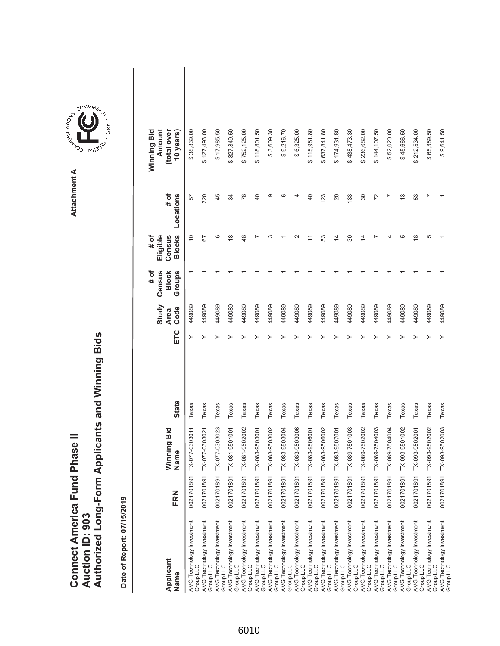|                               |                 | Authorized Long-Form Applicants and Winning Bids |
|-------------------------------|-----------------|--------------------------------------------------|
| Connect America Fund Phase II |                 |                                                  |
|                               | Auction ID: 903 |                                                  |

| Applicant<br>Name                                                                                                             | FRN        | Winning Bid<br>Name | <b>State</b> | ETC | Study<br>Code<br><b>Area</b> | Census<br><b>Block</b><br>Groups<br># of | <b>Blocks</b><br>Eligible<br>Census<br># of | # of<br>Locations | Amount<br>(total over<br>Winning Bid<br>10 years) |  |
|-------------------------------------------------------------------------------------------------------------------------------|------------|---------------------|--------------|-----|------------------------------|------------------------------------------|---------------------------------------------|-------------------|---------------------------------------------------|--|
| AMG Technology Investment<br>Group LLC                                                                                        | 0021701891 | TX-077-0303011      | Texas        |     | 449089                       |                                          | $\widetilde{C}$                             | 57                | \$38,839.00                                       |  |
| AMG Technology Investment<br>Group LLC                                                                                        | 0021701891 | TX-077-0303021      | Texas        |     | 449089                       |                                          | 52                                          | 220               | \$127,493.00                                      |  |
| AMG Technology Investment<br>Group LLC                                                                                        | 0021701891 | TX-077-0303023      | Texas        |     | 449089                       |                                          | ဖ                                           | 45                | \$17,985.50                                       |  |
|                                                                                                                               | 0021701891 | TX-081-9501001      | Texas        |     | 449089                       |                                          | $\frac{8}{1}$                               | 34                | \$327,849.50                                      |  |
| AMG Technology Investment<br>Group LLC<br>AMG Technology Investment<br>Group LLC                                              | 0021701891 | TX-081-9502002      | Texas        |     | 449089                       |                                          | $\frac{8}{3}$                               | 78                | \$752,125.00                                      |  |
| AMG Technology Investment<br>Group LLC                                                                                        | 0021701891 | TX-083-9503001      | Texas        |     | 449089                       |                                          |                                             | 40                | \$118,801.50                                      |  |
| AMG Technology Investment<br>Group LLC                                                                                        | 0021701891 | TX-083-9503002      | Texas        |     | 449089                       |                                          |                                             | ග                 | \$3,609.30                                        |  |
|                                                                                                                               | 0021701891 | TX-083-9503004      | Texas        |     | 449089                       |                                          |                                             | ဖ                 | \$9,216.70                                        |  |
| AMG Technology Investment<br>Group LLC<br>AMG Technology Investment<br>Group LLC                                              | 0021701891 | TX-083-9503006      | Texas        |     | 449089                       |                                          |                                             |                   | \$6,325.00                                        |  |
| AMG Technology Investment<br>Group LLC                                                                                        | 0021701891 | TX-083-9506001      | Texas        |     | 449089                       |                                          | Ξ                                           | $\overline{40}$   | \$115,981.80                                      |  |
| AMG Technology Investment<br>Group LLC                                                                                        | 0021701891 | TX-083-9506002      | Texas        |     | 449089                       |                                          | 53                                          | 123               | \$637,841.80                                      |  |
|                                                                                                                               | 0021701891 | TX-083-9507001      | Texas        |     | 449089                       |                                          | $\overline{4}$                              | 20                | \$174,931.80                                      |  |
|                                                                                                                               | 0021701891 | TX-089-7501003      | Texas        |     | 449089                       |                                          | 80                                          | 133               | \$438,473.30                                      |  |
| AMG Technology Investment<br>Group LLC<br>AMG Technology Investment<br>AMG Technology Investment<br>AMG Technology Investment | 0021701891 | TX-089-7502002      | Texas        |     | 449089                       |                                          | 4                                           | 30                | \$236,682.00                                      |  |
| AMG Technology Investment<br>Group LLC                                                                                        | 0021701891 | TX-089-7504003      | Texas        |     | 449089                       |                                          |                                             | 72                | \$144,107.50                                      |  |
| AMG Technology Investment<br>Group LLC                                                                                        | 0021701891 | TX-089-7504004      | Texas        |     | 449089                       |                                          |                                             |                   | \$52,020.00                                       |  |
| AMG Technology Investment<br>Group LLC<br>AMG Technology Investment<br>Group LLC                                              | 0021701891 | TX-093-9501002      | Texas        |     | 449089                       |                                          | 5                                           | 13                | \$45,666.50                                       |  |
|                                                                                                                               | 0021701891 | TX-093-9502001      | Texas        |     | 449089                       |                                          | $\frac{8}{1}$                               | 53                | \$212,534.00                                      |  |
| AMG Technology Investment<br>Group LLC                                                                                        | 0021701891 | TX-093-9502002      | Texas        |     | 449089                       |                                          | 5                                           |                   | \$65,389.50                                       |  |
| AMG Technology Investment<br>Group LLC                                                                                        | 0021701891 | TX-093-9502003      | Texas        |     | 449089                       |                                          |                                             |                   | \$9,641.50                                        |  |

**COMMISSION** Attachment A **Attachment A**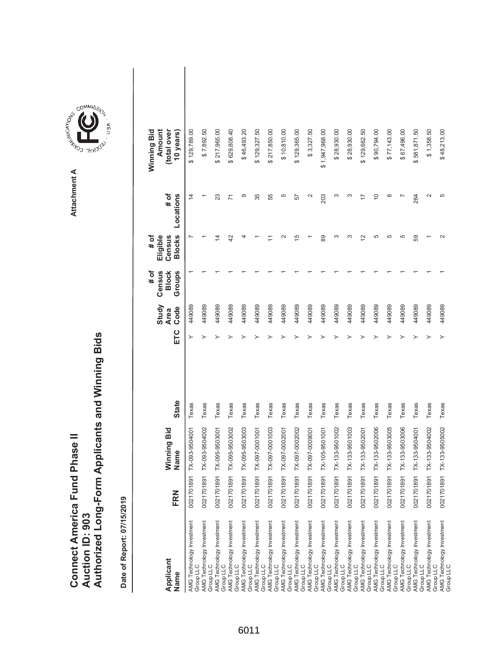|                               |                 | Authorized Long-Form Applicants and Winning Bids |
|-------------------------------|-----------------|--------------------------------------------------|
| Connect America Fund Phase II | Auction ID: 903 |                                                  |

**abids** 

Date of Report: 07/15/2019 **Date of Report: 07/15/2019**

| Applicant<br>Name                      | FRN        | Winning Bid<br>Name | <b>State</b> | ETC | Study<br>Code<br><b>Area</b> | Census<br>Groups<br># of<br><b>Block</b> | <b>Blocks</b><br>Eligible<br># of<br>Census | # of<br>Locations | Amount<br>(total over<br>Winning Bid<br>10 years) |  |
|----------------------------------------|------------|---------------------|--------------|-----|------------------------------|------------------------------------------|---------------------------------------------|-------------------|---------------------------------------------------|--|
| AMG Technology Investment<br>Group LLC | 0021701891 | X-093-9504001       | Texas        | ≻   | 449089                       |                                          |                                             | $\overline{4}$    | \$129,789.00                                      |  |
| AMG Technology Investment<br>Group LLC | 0021701891 | X-093-9504002       | Texas        |     | 449089                       |                                          |                                             |                   | \$7,892.50                                        |  |
| AMG Technology Investment<br>Group LLC | 0021701891 | X-095-9503001       | Texas        |     | 449089                       |                                          | 4                                           | 23                | \$217,965.00                                      |  |
| AMG Technology Investment<br>Group LLC | 0021701891 | X-095-9503002       | Texas        |     | 449089                       |                                          | $\overline{4}$                              | $\overline{1}$    | \$629,808.40                                      |  |
| AMG Technology Investment<br>Group LLC | 0021701891 | X-095-9503003       | Texas        |     | 449089                       |                                          |                                             | တ                 | \$46,493.20                                       |  |
| AMG Technology Investment<br>Group LLC | 0021701891 | X-097-0001001       | Texas        |     | 449089                       |                                          |                                             | 35                | \$129,327.50                                      |  |
| AMG Technology Investment<br>Group LLC | 0021701891 | X-097-0001003       | Texas        |     | 449089                       |                                          |                                             | 55                | \$217,850.00                                      |  |
| AMG Technology Investment<br>Group LLC | 0021701891 | X-097-0002001       | Texas        |     | 449089                       |                                          |                                             | 5                 | \$10,810.00                                       |  |
| AMG Technology Investment<br>Group LLC | 0021701891 | X-097-0002002       | Texas        |     | 449089                       |                                          | 15                                          | 57                | \$129,365.00                                      |  |
| AMG Technology Investment<br>Group LLC | 0021701891 | X-097-0000001       | Texas        |     | 449089                       |                                          |                                             |                   | \$3,327.50                                        |  |
| AMG Technology Investment<br>Group LLC | 0021701891 | X-105-9501001       | Texas        |     | 449089                       |                                          | 89                                          | 203               | \$1,947,968.00                                    |  |
| AMG Technology Investment<br>Group LLC | 0021701891 | X-133-9501002       | Texas        |     | 449089                       |                                          | ς                                           |                   | \$28,930.00                                       |  |
| AMG Technology Investment<br>Group LLC | 0021701891 | X-133-9501003       | Texas        |     | 449089                       |                                          | ᠬ                                           |                   | \$28,930.00                                       |  |
| AMG Technology Investment<br>Group LLC | 0021701891 | X-133-9502001       | Texas        |     | 449089                       |                                          | 2                                           |                   | \$129,662.50                                      |  |
| AMG Technology Investment<br>Group LLC | 0021701891 | X-133-9502006       | Texas        |     | 449089                       |                                          | 5                                           | $\overline{C}$    | \$90,794.00                                       |  |
| AMG Technology Investment<br>Group LLC | 0021701891 | X-133-9503005       | Texas        |     | 449089                       |                                          | 5                                           | ∞                 | \$77,143.00                                       |  |
| AMG Technology Investment<br>Group LLC | 0021701891 | X-133-9503006       | Texas        |     | 449089                       |                                          | 5                                           |                   | \$67,496.00                                       |  |
| AMG Technology Investment<br>Group LLC | 0021701891 | X-133-9504001       | Texas        |     | 449089                       |                                          | S9                                          | 264               | \$581,871.50                                      |  |
| AMG Technology Investment<br>Group LLC | 0021701891 | X-133-9504002       | Texas        |     | 449089                       |                                          |                                             | $\mathbf{\sim}$   | \$1,358.50                                        |  |
| AMG Technology Investment<br>Group LLC | 0021701891 | X-133-9505002       | Texas        |     | 449089                       |                                          | $\sim$                                      | Ю                 | \$48,213.00                                       |  |

COMMIS<sub>SION</sub> **COMMISSION** USA

**Attachment A**

Attachment A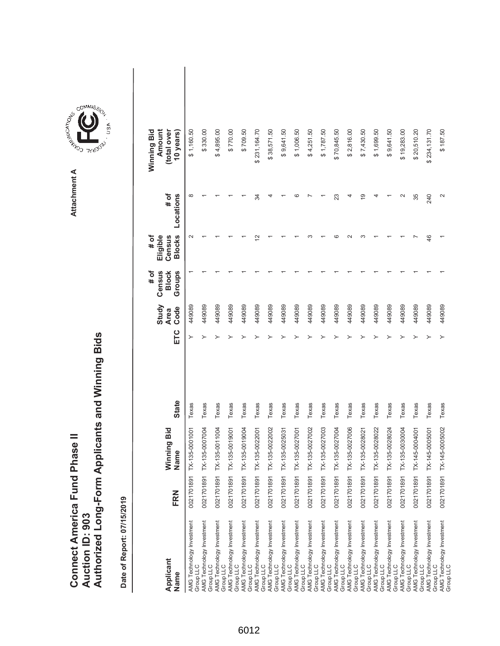| <b>Connect America Fund Phase II</b> |                 | Authorized Long-Form Applicants and Winning Bids |
|--------------------------------------|-----------------|--------------------------------------------------|
|                                      | Auction ID: 903 |                                                  |

**COMMISSION** Attachment A **Attachment A**

COMMIS<sub>SION</sub>

USA

| Applicant<br>Name                      | FRN        | Winning Bid<br>Name       | <b>State</b> | ETC | Study<br>Code<br><b>Area</b> | Census<br>Groups<br># of<br><b>Block</b> | <b>Blocks</b><br>Eligible<br># of<br>Census | # of<br>Locations | Amount<br>(total over<br>Winning Bid<br>10 years) |  |
|----------------------------------------|------------|---------------------------|--------------|-----|------------------------------|------------------------------------------|---------------------------------------------|-------------------|---------------------------------------------------|--|
| AMG Technology Investment<br>Group LLC | 0021701891 | TX-135-0001001            | Texas        |     | 449089                       |                                          | $\mathbf 2$                                 | $\infty$          | \$1,160.50                                        |  |
| AMG Technology Investment<br>Group LLC |            | 0021701891 TX-135-0007004 | Texas        |     | 449089                       |                                          |                                             |                   | \$330.00                                          |  |
| AMG Technology Investment<br>Group LLC |            | 0021701891 TX-135-0011004 | Texas        |     | 449089                       |                                          |                                             |                   | \$4,895.00                                        |  |
| AMG Technology Investment<br>Group LLC |            | 0021701891 TX-135-0019001 | Texas        |     | 449089                       |                                          |                                             |                   | \$770.00                                          |  |
| AMG Technology Investment<br>Group LLC |            | 0021701891 TX-135-0019004 | Texas        |     | 449089                       |                                          |                                             |                   | \$709.50                                          |  |
| AMG Technology Investment<br>Group LLC |            | 0021701891 TX-135-0022001 | Texas        |     | 449089                       |                                          |                                             | 34                | \$231,164.70                                      |  |
| AMG Technology Investment<br>Group LLC |            | 0021701891 TX-135-0022002 | Texas        |     | 449089                       |                                          |                                             |                   | \$38,571.50                                       |  |
| AMG Technology Investment<br>Group LLC |            | 0021701891 TX-135-0025031 | Texas        |     | 449089                       |                                          |                                             |                   | \$9,641.50                                        |  |
| AMG Technology Investment<br>Group LLC |            | 0021701891 TX-135-0027001 | Texas        |     | 449089                       |                                          |                                             | c                 | \$1,006.50                                        |  |
| AMG Technology Investment<br>Group LLC |            | 0021701891 TX-135-0027002 | Texas        |     | 449089                       |                                          |                                             |                   | \$4,251.50                                        |  |
| AMG Technology Investment<br>Group LLC |            | 0021701891 TX-135-0027003 | Texas        |     | 449089                       |                                          |                                             |                   | \$1,787.50                                        |  |
| AMG Technology Investment<br>Group LLC |            | 0021701891 TX-135-0027004 | Texas        |     | 449089                       |                                          |                                             | 23                | \$70,845.50                                       |  |
| AMG Technology Investment<br>Group LLC |            | 0021701891 TX-135-0027006 | Texas        |     | 449089                       |                                          |                                             |                   | \$2,816.00                                        |  |
| AMG Technology Investment<br>Group LLC |            | 0021701891 TX-135-0028021 | Texas        |     | 449089                       |                                          |                                             | $\frac{6}{5}$     | \$7,430.50                                        |  |
| AMG Technology Investment<br>Group LLC |            | 0021701891 TX-135-0028022 | Texas        |     | 449089                       |                                          |                                             |                   | \$1,699.50                                        |  |
| AMG Technology Investment<br>Group LLC |            | 0021701891 TX-135-0028024 | Texas        |     | 449089                       |                                          |                                             |                   | \$9,641.50                                        |  |
| AMG Technology Investment<br>Group LLC |            | 0021701891 TX-135-0030004 | Texas        |     | 449089                       |                                          |                                             | $\sim$            | \$19,283.00                                       |  |
| AMG Technology Investment<br>Group LLC |            | 0021701891 TX-145-0004001 | Texas        |     | 449089                       |                                          |                                             | 35                | \$20,510.20                                       |  |
| AMG Technology Investment<br>Group LLC |            | 0021701891 TX-145-0005001 | Texas        |     | 449089                       |                                          | $\frac{4}{6}$                               | 240               | \$234,131.70                                      |  |
| AMG Technology Investment<br>Group LLC |            | 0021701891 TX-145-0005002 | Texas        |     | 449089                       |                                          |                                             | $\mathbf{\sim}$   | \$187.50                                          |  |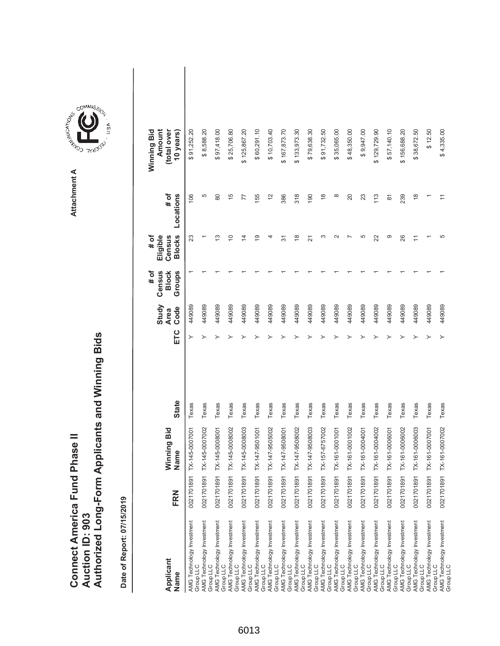|                                      |                 | Authorized Long-Form Applicants and Winning Bids |
|--------------------------------------|-----------------|--------------------------------------------------|
|                                      |                 |                                                  |
| <b>Connect America Fund Phase II</b> | Auction ID: 903 |                                                  |

COMMIS<sub>SION</sub>

USA

| Applicant<br>Name                                                   | FRN | Ninning Bid<br>Name       | <b>State</b> | ETC | Study<br>Code<br><b>Area</b> | # of<br>Census<br>Groups<br><b>Block</b> | <b>Blocks</b><br># of<br>Eligible<br>Census | # of<br>Locations | Winning Bid<br>Amount<br>(total over<br>10 years) |  |
|---------------------------------------------------------------------|-----|---------------------------|--------------|-----|------------------------------|------------------------------------------|---------------------------------------------|-------------------|---------------------------------------------------|--|
| AMG Technology Investment<br>Group LLC                              |     | 0021701891 TX-145-0007001 | Texas        | ≻   | 449089                       |                                          | 23                                          | 106               | \$91,252.20                                       |  |
| AMG Technology Investment<br>Group LLC                              |     | 0021701891 TX-145-0007002 | Texas        |     | 449089                       |                                          |                                             | 5                 | \$8,588.20                                        |  |
| AMG Technology Investment<br>Group LLC                              |     | 0021701891 TX-145-0008001 | Texas        |     | 449089                       |                                          | 13                                          | 80                | \$97,418.00                                       |  |
| AMG Technology Investment<br>Group LLC                              |     | 0021701891 TX-145-0008002 | Texas        |     | 449089                       |                                          | $\Rightarrow$                               | 15                | \$25,706.80                                       |  |
| AMG Technology Investment<br>Group LLC                              |     | 0021701891 TX-145-0008003 | Texas        |     | 449089                       |                                          | 4                                           | 77                | \$125,867.20                                      |  |
| AMG Technology Investment<br>Group LLC                              |     | 0021701891 TX-147-9501001 | Texas        |     | 449089                       |                                          | é,                                          | 155               | \$60,291.10                                       |  |
| AMG Technology Investment<br>Group LLC                              |     | 0021701891 TX-147-9505002 | Texas        |     | 449089                       |                                          | 4                                           | $\frac{2}{3}$     | \$10,703.40                                       |  |
| AMG Technology Investment<br>Group LLC                              |     | 0021701891 TX-147-9508001 | Texas        |     | 449089                       |                                          | 57                                          | 386               | \$167,873.70                                      |  |
| AMG Technology Investment<br>Group LLC                              |     | 0021701891 TX-147-9508002 | Texas        |     | 449089                       |                                          | $\frac{8}{1}$                               | 318               | \$133,973.30                                      |  |
| AMG Technology Investment<br>Group LLC<br>AMG Technology Investment |     | 0021701891 TX-147-9508003 | Texas        |     | 449089                       |                                          | 21                                          | 190               | \$79,638.30                                       |  |
| Group LLC                                                           |     | 0021701891 TX-157-6757002 | Texas        |     | 449089                       |                                          | ∞                                           | $\frac{8}{1}$     | \$91,732.50                                       |  |
| AMG Technology Investment<br>Group LLC                              |     | 0021701891 TX-161-0001001 | Texas        |     | 449089                       |                                          | $\sim$                                      | $\infty$          | \$35,065.00                                       |  |
| AMG Technology Investment<br>Group LLC                              |     | 0021701891 TX-161-0001002 | Texas        |     | 449089                       |                                          |                                             | 20                | \$48,350.00                                       |  |
| AMG Technology Investment<br>Group LLC                              |     | 0021701891 TX-161-0004001 | Texas        |     | 449089                       |                                          | 5                                           | 23                | \$9,947.00                                        |  |
| AMG Technology Investment<br>Group LLC                              |     | 0021701891 TX-161-0004002 | Texas        |     | 449089                       |                                          | 22                                          | 113               | \$129,729.90                                      |  |
| AMG Technology Investment<br>Group LLC                              |     | 0021701891 TX-161-0006001 | Texas        |     | 449089                       |                                          | တ                                           | 5                 | \$57,140.10                                       |  |
| AMG Technology Investment<br>Group LLC                              |     | 0021701891 TX-161-0006002 | Texas        |     | 449089                       |                                          | 26                                          | 239               | \$156,688.20                                      |  |
| AMG Technology Investment<br>Group LLC                              |     | 0021701891 TX-161-0006003 | Texas        |     | 449089                       |                                          |                                             | $\frac{8}{1}$     | \$38,672.50                                       |  |
| AMG Technology Investment<br>Group LLC                              |     | 0021701891 TX-161-0007001 | Texas        |     | 449089                       |                                          |                                             |                   | \$12.50                                           |  |
| AMG Technology Investment<br>Group LLC                              |     | 0021701891 TX-161-0007002 | Texas        |     | 449089                       |                                          | 5                                           |                   | \$4,335.00                                        |  |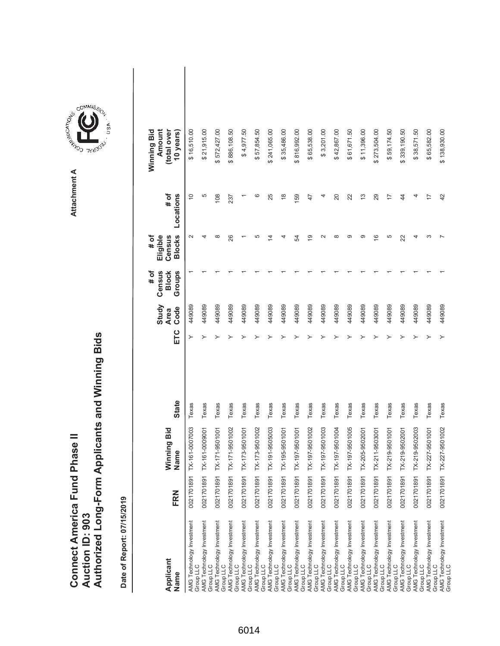|                                      |                 | Authorized Long-Form Applicants and Winning Bids |
|--------------------------------------|-----------------|--------------------------------------------------|
| <b>Connect America Fund Phase II</b> | Auction ID: 903 |                                                  |

| Applicant<br>Name                      | FRN        | Winning Bid<br>Name | <b>State</b> | ETC | Study<br>Code<br><b>Area</b> | Census<br><b>Block</b><br>Groups<br># of | <b>Blocks</b><br>Eligible<br># of<br>Census | # of<br>Locations | Amount<br>(total over<br>Winning Bid<br>10 years) |  |
|----------------------------------------|------------|---------------------|--------------|-----|------------------------------|------------------------------------------|---------------------------------------------|-------------------|---------------------------------------------------|--|
| AMG Technology Investment<br>Group LLC | 0021701891 | TX-161-0007003      | Texas        | ≻   | 449089                       |                                          | $\sim$                                      | $\overline{0}$    | \$16,510.00                                       |  |
| AMG Technology Investment<br>Group LLC | 0021701891 | TX-161-0009001      | Texas        |     | 449089                       |                                          |                                             | 5                 | \$21,915.00                                       |  |
| AMG Technology Investment<br>Group LLC | 0021701891 | TX-171-9501001      | Texas        |     | 449089                       |                                          | $\infty$                                    | 108               | 572,427.00                                        |  |
| AMG Technology Investment<br>Group LLC | 0021701891 | TX-171-9501002      | Texas        |     | 449089                       |                                          | 26                                          | 237               | \$886,108.50                                      |  |
| AMG Technology Investment<br>Group LLC | 0021701891 | TX-173-9501001      | Texas        |     | 449089                       |                                          |                                             |                   | \$4,977.50                                        |  |
| AMG Technology Investment<br>Group LLC | 0021701891 | TX-173-9501002      | Texas        |     | 449089                       |                                          | 5                                           | ဖ                 | \$57,854.50                                       |  |
| AMG Technology Investment<br>Group LLC | 0021701891 | TX-191-9505003      | Texas        |     | 449089                       |                                          | $\overline{4}$                              | 25                | \$241,065.00                                      |  |
| AMG Technology Investment<br>Group LLC | 0021701891 | TX-195-9501001      | Texas        |     | 449089                       |                                          | 4                                           | $\frac{8}{1}$     | \$35,486.00                                       |  |
| AMG Technology Investment<br>Group LLC | 0021701891 | TX-197-9501001      | Texas        |     | 449089                       |                                          | 54                                          | 159               | \$816,992.00                                      |  |
| AMG Technology Investment<br>Group LLC | 0021701891 | TX-197-9501002      | Texas        |     | 449089                       |                                          | $\overline{9}$                              | 47                | \$65,538.00                                       |  |
| AMG Technology Investment<br>Group LLC | 0021701891 | TX-197-9501003      | Texas        |     | 449089                       |                                          | $\sim$                                      | 4                 | \$3,201.00                                        |  |
| AMG Technology Investment<br>Group LLC | 0021701891 | TX-197-9501004      | Texas        |     | 449089                       |                                          | ∞                                           | 20                | \$42,867.00                                       |  |
| AMG Technology Investment<br>Group LLC | 0021701891 | TX-197-9501005      | Texas        |     | 449089                       |                                          | ග                                           | 22                | \$61,671.50                                       |  |
| AMG Technology Investment<br>Group LLC | 0021701891 | TX-205-9502001      | Texas        |     | 449089                       |                                          | တ                                           | $\frac{3}{2}$     | \$11,396.00                                       |  |
| AMG Technology Investment<br>Group LLC | 0021701891 | TX-211-9503001      | Texas        |     | 449089                       |                                          | $\frac{6}{5}$                               | 29                | \$273,504.00                                      |  |
| AMG Technology Investment<br>Group LLC | 0021701891 | TX-219-9501001      | Texas        |     | 449089                       |                                          | 5                                           | 7                 | \$59,174.50                                       |  |
| AMG Technology Investment<br>Group LLC | 0021701891 | TX-219-9502001      | Texas        |     | 449089                       |                                          | 22                                          | 44                | \$339,190.50                                      |  |
| AMG Technology Investment<br>Group LLC | 0021701891 | TX-219-9502003      | Texas        |     | 449089                       |                                          |                                             | 4                 | \$38,571.50                                       |  |
| AMG Technology Investment<br>Group LLC | 0021701891 | TX-227-9501001      | Texas        |     | 449089                       |                                          |                                             | $\overline{1}$    | \$65,582.00                                       |  |
| AMG Technology Investment<br>Group LLC | 0021701891 | TX-227-9501002      | Texas        |     | 449089                       |                                          |                                             | 42                | \$138,930.00                                      |  |

**COMMISSION** Attachment A **Attachment A**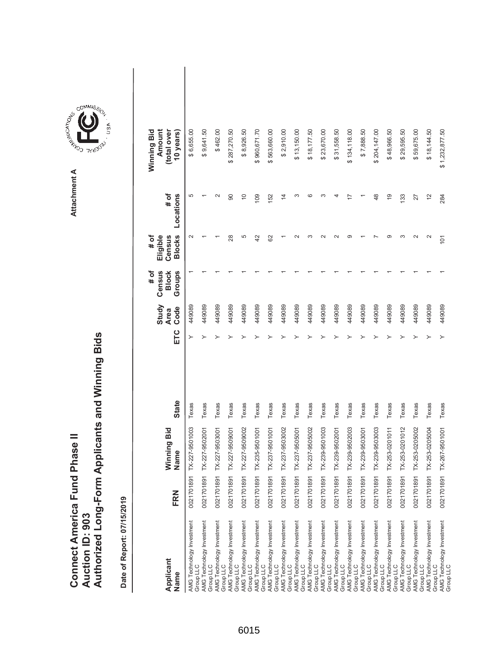| <b>Connect America Fund Phase II</b> |                 | Authorized Long-Form Applicants and Winning Bids |
|--------------------------------------|-----------------|--------------------------------------------------|
|                                      | Auction ID: 903 |                                                  |

| Applicant<br>Name                      | FRN        | Winning Bid<br>Name | <b>State</b> | ETC | Study<br>Code<br><b>Area</b> | Census<br>Groups<br># of<br><b>Block</b> | <b>Blocks</b><br>Eligible<br># of<br>Census | # of<br>Locations | Amount<br>Winning Bid<br>(total over<br>10 years) |  |
|----------------------------------------|------------|---------------------|--------------|-----|------------------------------|------------------------------------------|---------------------------------------------|-------------------|---------------------------------------------------|--|
| AMG Technology Investment<br>Group LLC | 0021701891 | TX-227-9501003      | Texas        | ≻   | 449089                       |                                          | $\sim$                                      | 5                 | \$6,655.00                                        |  |
| AMG Technology Investment<br>Group LLC | 0021701891 | TX-227-9502001      | Texas        | ≻   | 449089                       |                                          |                                             |                   | \$9,641.50                                        |  |
| AMG Technology Investment<br>Group LLC | 0021701891 | TX-227-9503001      | Texas        |     | 449089                       |                                          |                                             | $\mathbf{\Omega}$ | \$462.00                                          |  |
| AMG Technology Investment<br>Group LLC | 0021701891 | TX-227-9509001      | Texas        |     | 449089                       |                                          | 28                                          | 90                | \$287,270.50                                      |  |
| AMG Technology Investment<br>Group LLC | 0021701891 | TX-227-9509002      | Texas        |     | 449089                       |                                          | 5                                           | $\frac{0}{1}$     | \$8,926.50                                        |  |
| AMG Technology Investment<br>Group LLC | 0021701891 | TX-235-9501001      | Texas        |     | 449089                       |                                          | 42                                          | 109               | \$960,671.70                                      |  |
| AMG Technology Investment<br>Group LLC | 0021701891 | TX-237-9501001      | Texas        |     | 449089                       |                                          | 82                                          | 152               | \$563,660.00                                      |  |
| AMG Technology Investment<br>Group LLC | 0021701891 | TX-237-9503002      | Texas        |     | 449089                       |                                          |                                             | $\overline{4}$    | \$2,910.00                                        |  |
| AMG Technology Investment<br>Group LLC | 0021701891 | TX-237-9505001      | Texas        |     | 449089                       |                                          | $\sim$                                      | ∞                 | \$13,150.00                                       |  |
| AMG Technology Investment<br>Group LLC | 0021701891 | TX-237-9505002      | Texas        |     | 449089                       |                                          | ო                                           | c                 | \$18,177.50                                       |  |
| AMG Technology Investment<br>Group LLC | 0021701891 | TX-239-9501003      | Texas        |     | 449089                       |                                          |                                             |                   | \$23,670.00                                       |  |
| AMG Technology Investment<br>Group LLC | 0021701891 | TX-239-9502001      | Texas        |     | 449089                       |                                          | $\sim$                                      |                   | \$31,558.50                                       |  |
| AMG Technology Investment<br>Group LLC | 0021701891 | TX-239-9502003      | Texas        |     | 449089                       |                                          | െ                                           |                   | \$134,118.00                                      |  |
| AMG Technology Investment<br>Group LLC | 0021701891 | TX-239-9503001      | Texas        |     | 449089                       |                                          |                                             |                   | \$7,888.50                                        |  |
| AMG Technology Investment<br>Group LLC | 0021701891 | TX-239-9503003      | Texas        |     | 449089                       |                                          |                                             | 48                | \$204,147.00                                      |  |
| AMG Technology Investment<br>Group LLC | 0021701891 | TX-253-0201011      | Texas        |     | 449089                       |                                          | ာ                                           | $\frac{0}{1}$     | \$48,966.50                                       |  |
| AMG Technology Investment<br>Group LLC | 0021701891 | TX-253-0201012      | Texas        |     | 449089                       |                                          | ო                                           | 133               | 29,595.50<br>↔                                    |  |
| AMG Technology Investment<br>Group LLC | 0021701891 | TX-253-0205002      | Texas        |     | 449089                       |                                          | $\sim$                                      | 27                | \$59,675.00                                       |  |
| AMG Technology Investment<br>Group LLC | 0021701891 | TX-253-0205004      | Texas        |     | 449089                       |                                          | $\sim$                                      | $\tilde{c}$       | \$18,144.50                                       |  |
| AMG Technology Investment<br>Group LLC | 0021701891 | TX-267-9501001      | Texas        |     | 449089                       |                                          | 101                                         | 284               | \$1,232,877.50                                    |  |

**COMMISSION** Attachment A **Attachment A**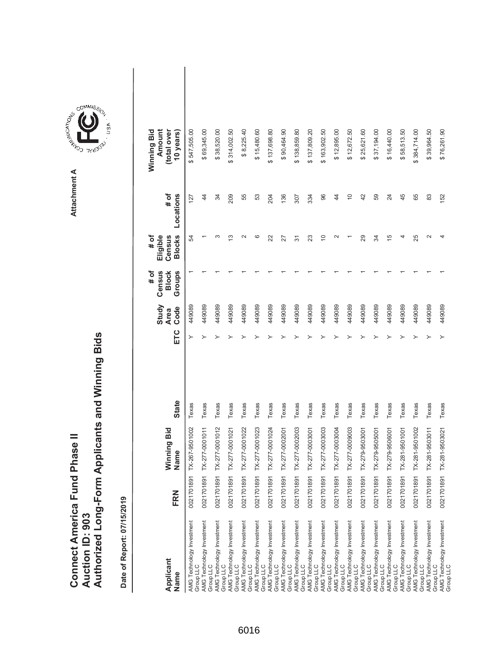|                               |                 | Authorized Long-Form Applicants and Winning Bids |
|-------------------------------|-----------------|--------------------------------------------------|
| Connect America Fund Phase II | Auction ID: 903 |                                                  |

| Applicant<br>Name                             | FRN        | Winning Bid<br>Name | <b>State</b> | ETC | Study<br>Code<br><b>Area</b> | Census<br>Groups<br># of<br><b>Block</b> | <b>Blocks</b><br>Eligible<br># of<br>Census | # of<br>Locations | Amount<br>(total over<br>Winning Bid<br>10 years) |  |
|-----------------------------------------------|------------|---------------------|--------------|-----|------------------------------|------------------------------------------|---------------------------------------------|-------------------|---------------------------------------------------|--|
| AMG Technology Investment<br>Group LLC        | 0021701891 | TX-267-9501002      | Texas        | ≻   | 449089                       |                                          | R,                                          | 127               | \$547,505.00                                      |  |
| AMG Technology Investment<br>Group LLC        | 0021701891 | TX-277-0001011      | Texas        |     | 449089                       |                                          |                                             | 44                | \$69,345.00                                       |  |
| AMG Technology Investment<br>Group LLC        | 0021701891 | TX-277-0001012      | Texas        |     | 449089                       |                                          | ო                                           | 34                | \$38,520.00                                       |  |
| AMG Technology Investment<br>Group LLC        | 0021701891 | TX-277-0001021      | Texas        |     | 449089                       |                                          | చ                                           | 209               | \$314,002.50                                      |  |
| AMG Technology Investment<br>Group LLC        | 0021701891 | TX-277-0001022      | Texas        |     | 449089                       |                                          | $\scriptstyle\sim$                          | 55                | \$8,225.40                                        |  |
| <b>AMG Technology Investment</b><br>Group LLC | 0021701891 | TX-277-0001023      | Texas        |     | 449089                       |                                          | ဖ                                           | 53                | \$15,480.60                                       |  |
| AMG Technology Investment<br>Group LLC        | 0021701891 | TX-277-0001024      | Texas        |     | 449089                       |                                          | 22                                          | 204               | \$137,698.80                                      |  |
| AMG Technology Investment<br>Group LLC        | 0021701891 | TX-277-0002001      | Texas        |     | 449089                       |                                          | 27                                          | 136               | \$90,464.90                                       |  |
| AMG Technology Investment<br>Group LLC        | 0021701891 | TX-277-0002003      | Texas        |     | 449089                       |                                          | $\overline{5}$                              | 307               | \$138,859.80                                      |  |
| AMG Technology Investment<br>Group LLC        | 0021701891 | TX-277-0003001      | Texas        |     | 449089                       |                                          | 23                                          | 334               | \$137,809.20                                      |  |
| AMG Technology Investment<br>Group LLC        | 0021701891 | TX-277-0003003      | Texas        |     | 449089                       |                                          | $\overline{C}$                              | 96                | \$163,902.50                                      |  |
| AMG Technology Investment<br>Group LLC        | 0021701891 | TX-277-0003004      | Texas        |     | 449089                       |                                          | $\sim$                                      | $\overline{4}$    | \$12,895.00                                       |  |
| AMG Technology Investment<br>Group LLC        | 0021701891 | TX-277-0009003      | Texas        |     | 449089                       |                                          |                                             | $\overline{C}$    | \$12,672.50                                       |  |
| AMG Technology Investment<br>Group LLC        | 0021701891 | TX-279-9503001      | Texas        |     | 449089                       |                                          | 29                                          | 42                | \$25,621.60                                       |  |
| AMG Technology Investment<br>Group LLC        | 0021701891 | TX-279-9505001      | Texas        |     | 449089                       |                                          | ₩                                           | 59                | \$37,194.00                                       |  |
| AMG Technology Investment<br>Group LLC        | 0021701891 | TX-279-9506001      | Texas        |     | 449089                       |                                          | $\overline{5}$                              | 24                | \$16,440.00                                       |  |
| AMG Technology Investment<br>Group LLC        | 0021701891 | TX-281-9501001      | Texas        |     | 449089                       |                                          | 4                                           | 45                | \$58,513.50                                       |  |
| AMG Technology Investment<br>Group LLC        | 0021701891 | TX-281-9501002      | Texas        |     | 449089                       |                                          | 25                                          | 65                | \$384,714.00                                      |  |
| AMG Technology Investment<br>Group LLC        | 0021701891 | TX-281-9503011      | Texas        |     | 449089                       |                                          | $\mathbf{\sim}$                             | 83                | \$39,964.50                                       |  |
| AMG Technology Investment<br>Group LLC        | 0021701891 | TX-281-9503021      | Texas        |     | 449089                       |                                          | 4                                           | 152               | \$76,261.90                                       |  |

**COMMISSION** Attachment A **Attachment A**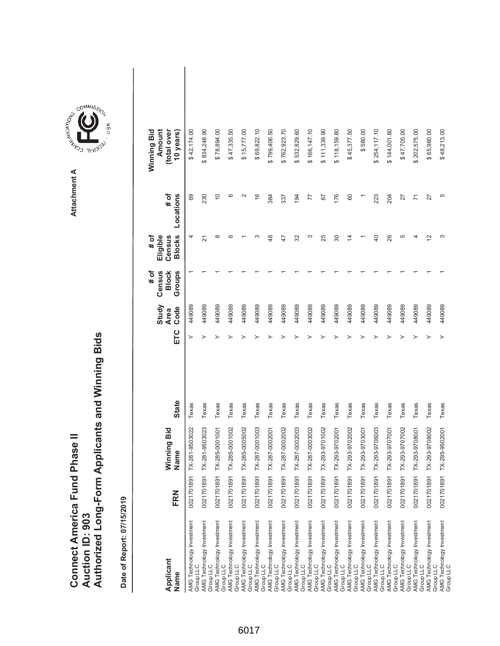|                               |                 | Authorized Long-Form Applicants and Winning Bids |
|-------------------------------|-----------------|--------------------------------------------------|
| Connect America Fund Phase II | Auction ID: 903 |                                                  |

| Applicant<br>Name                                                                | FRN        | Winning Bid<br>Name | <b>State</b> | ETC | Study<br>Code<br><b>Area</b> | Census<br>Groups<br># of<br><b>Block</b> | <b>Blocks</b><br>Eligible<br># of<br>Census | # of<br>Locations | Winning Bid<br>Amount<br>(total over<br>10 years) |  |
|----------------------------------------------------------------------------------|------------|---------------------|--------------|-----|------------------------------|------------------------------------------|---------------------------------------------|-------------------|---------------------------------------------------|--|
| AMG Technology Investment<br>Group LLC                                           | 0021701891 | TX-281-9503022      | Texas        |     | 449089                       |                                          | 4                                           | 69                | \$42,174.00                                       |  |
| AMG Technology Investment<br>Group LLC                                           | 0021701891 | TX-281-9503023      | Texas        |     | 449089                       |                                          | 21                                          | 230               | \$834,248.90                                      |  |
| AMG Technology Investment<br>Group LLC                                           | 0021701891 | TX-285-0001001      | Texas        |     | 449089                       |                                          | $\infty$                                    | $\overline{C}$    | \$78,894.00                                       |  |
| AMG Technology Investment<br>Group LLC                                           | 0021701891 | TX-285-0001002      | Texas        |     | 449089                       |                                          | ဖ                                           | ဖ                 | \$47,335.50                                       |  |
| AMG Technology Investment<br>Group LLC                                           | 0021701891 | TX-285-0005002      | Texas        |     | 449089                       |                                          |                                             | $\mathbf{\sim}$   | \$15,777.00                                       |  |
| AMG Technology Investment<br>Group LLC                                           | 0021701891 | TX-287-0001003      | Texas        |     | 449089                       |                                          |                                             | $\frac{6}{5}$     | \$69,822.10                                       |  |
| AMG Technology Investment<br>Group LLC                                           | 0021701891 | TX-287-0002001      | Texas        |     | 449089                       |                                          | 48                                          | 384               | \$799,406.50                                      |  |
|                                                                                  | 0021701891 | TX-287-0002002      | Texas        |     | 449089                       |                                          | 47                                          | 337               | \$762,923.70                                      |  |
| AMG Technology Investment<br>Group LLC<br>AMG Technology Investment<br>Group LLC | 0021701891 | TX-287-0002003      | Texas        |     | 449089                       |                                          | 32                                          | 194               | 532,829.60                                        |  |
| AMG Technology Investment<br>Group LLC                                           | 0021701891 | TX-287-0003002      | Texas        |     | 449089                       |                                          | ω                                           | 77                | \$166,147.10                                      |  |
| AMG Technology Investment<br>Group LLC                                           | 0021701891 | TX-293-9701002      | Texas        |     | 449089                       |                                          | 25                                          | 57                | \$111,339.90                                      |  |
| AMG Technology Investment<br>Group LLC                                           | 0021701891 | TX-293-9702001      | Texas        |     | 449089                       |                                          | 80                                          | 176               | \$118,159.80                                      |  |
| AMG Technology Investment<br>Group LLC                                           | 0021701891 | TX-293-9702002      | Texas        |     | 449089                       |                                          | 4                                           | 60                | \$45,377.50                                       |  |
| AMG Technology Investment<br>Group LLC                                           | 0021701891 | TX-293-9703001      | Texas        |     | 449089                       |                                          |                                             |                   | \$580.00                                          |  |
| AMG Technology Investment<br>Group LLC                                           | 0021701891 | TX-293-9706003      | Texas        |     | 449089                       |                                          | $\overline{a}$                              | 223               | \$254,117.10                                      |  |
| AMG Technology Investment<br>Group LLC                                           | 0021701891 | TX-293-9707001      | Texas        |     | 449089                       |                                          | 26                                          | 204               | \$144,001.80                                      |  |
|                                                                                  | 0021701891 | TX-293-9707002      | Texas        |     | 449089                       |                                          | 5                                           | 27                | \$47,705.00                                       |  |
| AMG Technology Investment<br>Group LLC<br>AMG Technology Investment<br>Group LLC | 0021701891 | TX-293-9708001      | Texas        |     | 449089                       |                                          | 4                                           | 71                | \$202,575.00                                      |  |
| AMG Technology Investment<br>Group LLC                                           | 0021701891 | TX-293-9708002      | Texas        |     | 449089                       |                                          | $\tilde{c}$                                 | 27                | \$65,980.00                                       |  |
| AMG Technology Investment<br>Group LLC                                           | 0021701891 | TX-295-9502001      | Texas        |     | 449089                       |                                          | ω                                           | 5                 | \$48,213.00                                       |  |

Attachment A **Attachment A**

**COMMISSION**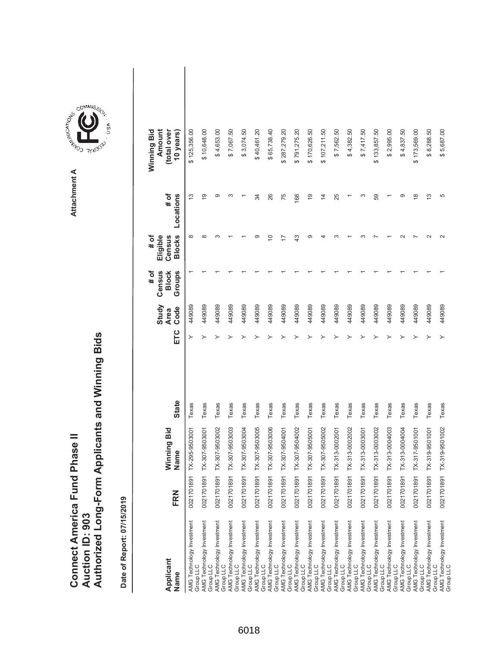|                               |                 | Authorized Long-Form Applicants and Winning Bids |
|-------------------------------|-----------------|--------------------------------------------------|
| Connect America Fund Phase II | Auction ID: 903 |                                                  |

Attachment A **Attachment A**

COMMIS<sub>SION</sub>

USA

| Applicant<br>Name                      | FRN        | Vinning Bid<br>Name       | <b>State</b> | ETC | Study<br>Code<br><b>Area</b> | # of<br>Census<br><b>Block</b><br>Groups | <b>Blocks</b><br># of<br>Eligible<br>Census | # of<br>Locations | Winning Bid<br>Amount<br>(total over<br>10 years |  |
|----------------------------------------|------------|---------------------------|--------------|-----|------------------------------|------------------------------------------|---------------------------------------------|-------------------|--------------------------------------------------|--|
| AMG Technology Investment<br>Group LLC | 0021701891 | TX-295-9503001            | Texas        | ≻   | 449089                       |                                          | $\infty$                                    | $\frac{3}{2}$     | \$125,356.00                                     |  |
| AMG Technology Investment<br>Group LLC |            | 0021701891 TX-307-9503001 | Texas        |     | 449089                       |                                          |                                             | σ                 | \$10,648.00                                      |  |
| AMG Technology Investment<br>Group LLC |            | 0021701891 TX-307-9503002 | Texas        |     | 449089                       |                                          |                                             | တ                 | \$4,653.00                                       |  |
| AMG Technology Investment<br>Group LLC |            | 0021701891 TX-307-9503003 | Texas        |     | 449089                       |                                          |                                             | ∞                 | \$7,067.50                                       |  |
| AMG Technology Investment<br>Group LLC |            | 0021701891 TX-307-9503004 | Texas        |     | 449089                       |                                          |                                             |                   | \$3,074.50                                       |  |
| AMG Technology Investment<br>Group LLC |            | 0021701891 TX-307-9503005 | Texas        |     | 449089                       |                                          |                                             | 34                | \$40,461.20                                      |  |
| AMG Technology Investment<br>Group LLC |            | 0021701891 TX-307-9503006 | Texas        |     | 449089                       |                                          | ₽                                           | 26                | \$65,738.40                                      |  |
| AMG Technology Investment<br>Group LLC |            | 0021701891 TX-307-9504001 | Texas        |     | 449089                       |                                          |                                             | 75                | \$287,279.20                                     |  |
| AMG Technology Investment<br>Group LLC | 0021701891 | TX-307-9504002            | Texas        |     | 449089                       |                                          | $\frac{3}{4}$                               | 168               | \$791,275.20                                     |  |
| AMG Technology Investment<br>Group LLC |            | 0021701891 TX-307-9505001 | Texas        |     | 449089                       |                                          |                                             | $\frac{6}{1}$     | \$170,626.50                                     |  |
| AMG Technology Investment<br>Group LLC |            | 0021701891 TX-307-9505002 | Texas        |     | 449089                       |                                          |                                             | $\overline{4}$    | \$107,211.50                                     |  |
| AMG Technology Investment<br>Group LLC |            | 0021701891 TX-313-0002001 | Texas        |     | 449089                       |                                          |                                             | 25                | \$7,562.50                                       |  |
| AMG Technology Investment<br>Group LLC |            | 0021701891 TX-313-0002002 | Texas        |     | 449089                       |                                          |                                             |                   | \$4,382.50                                       |  |
| AMG Technology Investment<br>Group LLC |            | 0021701891 TX-313-0003001 | Texas        |     | 449089                       |                                          |                                             | ო                 | \$7,417.50                                       |  |
| AMG Technology Investment<br>Group LLC |            | 0021701891 TX-313-0003002 | Texas        |     | 449089                       |                                          |                                             | 59                | \$133,857.50                                     |  |
| AMG Technology Investment<br>Group LLC |            | 0021701891 TX-313-0004003 | Texas        |     | 449089                       |                                          |                                             |                   | \$2,995.00                                       |  |
| AMG Technology Investment<br>Group LLC | 0021701891 | TX-313-0004004            | Texas        |     | 449089                       |                                          |                                             | ග                 | \$4,837.50                                       |  |
| AMG Technology Investment<br>Group LLC |            | 0021701891 TX-317-9501001 | Texas        |     | 449089                       |                                          |                                             | $\infty$          | \$173,569.00                                     |  |
| AMG Technology Investment<br>Group LLC |            | 0021701891 TX-319-9501001 | Texas        |     | 449089                       |                                          |                                             | $\frac{3}{2}$     | \$8,288.50                                       |  |
| AMG Technology Investment<br>Group LLC |            | 0021701891 TX-319-9501002 | Texas        |     | 449089                       |                                          |                                             | 5                 | \$5,687.00                                       |  |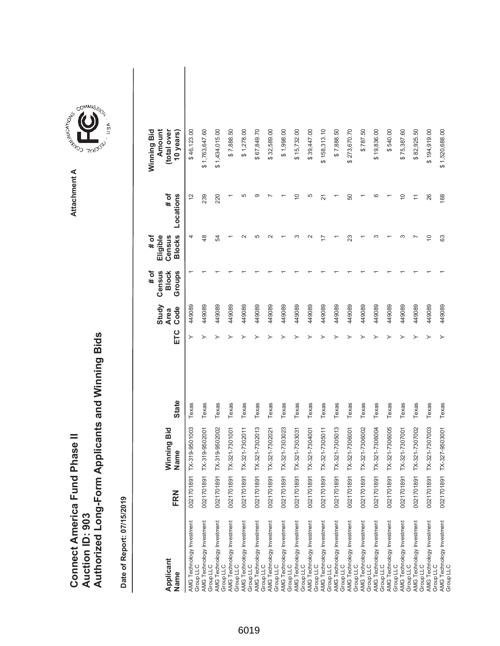|                               |                        | Authorized Long-Form Applicants and Winning Bids |
|-------------------------------|------------------------|--------------------------------------------------|
|                               |                        |                                                  |
| Connect America Fund Phase II | <b>Auction ID: 903</b> |                                                  |

Attachment A **Attachment A**

COMMIS<sub>SION</sub>

USA

| Applicant<br>Name                      | FRN        | Winning Bid<br>Vame | <b>State</b> | ETC | Study<br>Code<br><b>Area</b> | Census<br>Groups<br><b>Block</b><br># of | <b>Blocks</b><br># of<br>Eligible<br>Census | # of<br>Locations | Winning Bid<br>Amount<br>(total over<br>10 years) |  |
|----------------------------------------|------------|---------------------|--------------|-----|------------------------------|------------------------------------------|---------------------------------------------|-------------------|---------------------------------------------------|--|
| AMG Technology Investment<br>Group LLC | 0021701891 | X-319-9501003       | Texas        | ≻   | 449089                       |                                          | 4                                           | $\frac{2}{3}$     | \$46,123.00                                       |  |
| AMG Technology Investment<br>Group LLC | 0021701891 | X-319-9502001       | Texas        |     | 449089                       |                                          | $\frac{8}{3}$                               | 239               | \$1,763,647.60                                    |  |
| AMG Technology Investment<br>Group LLC | 0021701891 | X-319-9502002       | Texas        |     | 449089                       |                                          | R                                           | 220               | \$1,434,015.00                                    |  |
| AMG Technology Investment<br>Group LLC | 0021701891 | X-321-7301001       | Texas        |     | 449089                       |                                          |                                             |                   | \$7,888.50                                        |  |
| AMG Technology Investment<br>Group LLC | 0021701891 | $X-321-7302011$     | Texas        |     | 449089                       |                                          |                                             |                   | \$1,278.00                                        |  |
| AMG Technology Investment<br>Group LLC | 0021701891 | X-321-7302013       | Texas        |     | 449089                       |                                          | 5                                           |                   | \$67,849.70                                       |  |
| AMG Technology Investment<br>Group LLC | 0021701891 | X-321-7302021       | Texas        |     | 449089                       |                                          |                                             |                   | \$32,589.00                                       |  |
| AMG Technology Investment<br>Group LLC | 0021701891 | TX-321-7303023      | Texas        |     | 449089                       |                                          |                                             |                   | \$1,998.00                                        |  |
| AMG Technology Investment<br>Group LLC | 0021701891 | $X-321-7303031$     | Texas        |     | 449089                       |                                          | ∞                                           | $\widetilde{C}$   | \$15,732.00                                       |  |
| AMG Technology Investment<br>Group LLC | 0021701891 | $X-321-7304001$     | Texas        |     | 449089                       |                                          |                                             | Ю                 | \$39,447.00                                       |  |
| AMG Technology Investment<br>Group LLC | 0021701891 | $X-321-7305011$     | Texas        |     | 449089                       |                                          |                                             | ಸ                 | \$158,313.10                                      |  |
| AMG Technology Investment<br>Group LLC | 0021701891 | IX-321-7305013      | Texas        |     | 449089                       |                                          |                                             |                   | \$7,888.50                                        |  |
| AMG Technology Investment<br>Group LLC | 0021701891 | $X-321-7306001$     | Texas        |     | 449089                       |                                          | 23                                          | 50                | \$273,670.70                                      |  |
| AMG Technology Investment<br>Group LLC | 0021701891 | X-321-7306002       | Texas        |     | 449089                       |                                          |                                             |                   | \$787.50                                          |  |
| AMG Technology Investment<br>Group LLC | 0021701891 | X-321-7306004       | Texas        |     | 449089                       |                                          | ო                                           |                   | \$19,836.00                                       |  |
| AMG Technology Investment<br>Group LLC | 0021701891 | X-321-7306005       | Texas        |     | 449089                       |                                          |                                             |                   | \$540.00                                          |  |
| AMG Technology Investment<br>Group LLC | 0021701891 | X-321-7307001       | Texas        |     | 449089                       |                                          | ო                                           | $\overline{0}$    | \$75,387.60                                       |  |
| AMG Technology Investment<br>Group LLC | 0021701891 | X-321-7307002       | Texas        |     | 449089                       |                                          |                                             |                   | \$82,925.50                                       |  |
| AMG Technology Investment<br>Group LLC | 0021701891 | X-321-7307003       | Texas        |     | 449089                       |                                          | $\overline{C}$                              | 26                | \$194,919.00                                      |  |
| AMG Technology Investment<br>Group LLC | 0021701891 | X-327-9503001       | Texas        |     | 449089                       |                                          | යි                                          | 168               | \$1,520,688.00                                    |  |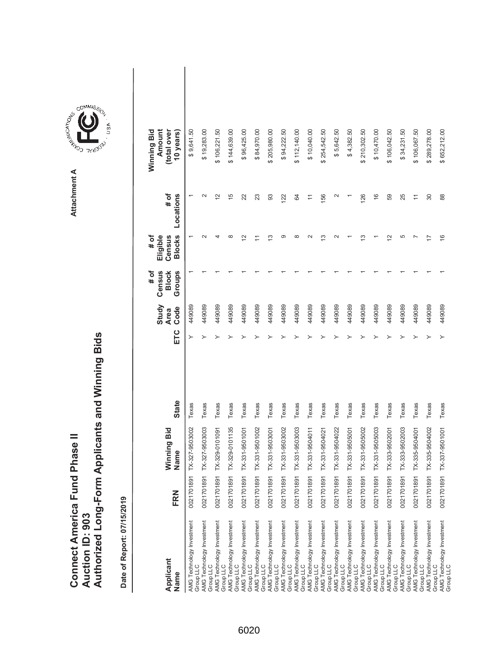| Connect America Fund Phase II |                 | Authorized Long-Form Applicants and Winning Bids |
|-------------------------------|-----------------|--------------------------------------------------|
|                               | Auction ID: 903 |                                                  |

COMMIS<sub>SION</sub>

USA

| Applicant<br>Name                                                   | FRN        | Ninning Bid<br>Vame       | <b>State</b> | ETC | Study<br>Code<br><b>Area</b> | # of<br>Census<br>Groups<br><b>Block</b> | <b>Blocks</b><br># of<br>Eligible<br>Census | # of<br>Locations                                                   | Winning Bid<br>Amount<br>(total over<br>10 years) |  |
|---------------------------------------------------------------------|------------|---------------------------|--------------|-----|------------------------------|------------------------------------------|---------------------------------------------|---------------------------------------------------------------------|---------------------------------------------------|--|
| AMG Technology Investment<br>Group LLC                              | 0021701891 | X-327-9503002             | Texas        | ≻   | 449089                       |                                          |                                             |                                                                     | \$9,641.50                                        |  |
| AMG Technology Investment<br>Group LLC                              |            | 0021701891 TX-327-9503003 | Texas        |     | 449089                       |                                          |                                             | $\scriptstyle\sim$                                                  | \$19,283.00                                       |  |
| AMG Technology Investment<br>Group LLC                              | 0021701891 | TX-329-0101091            | Texas        |     | 449089                       |                                          |                                             | $\tilde{c}$                                                         | \$106,221.50                                      |  |
| AMG Technology Investment<br>Group LLC                              |            | 0021701891 TX-329-0101135 | Texas        |     | 449089                       |                                          | ∞                                           | 15                                                                  | \$144,639.00                                      |  |
| AMG Technology Investment<br>Group LLC                              |            | 0021701891 TX-331-9501001 | Texas        |     | 449089                       |                                          | $\tilde{\phantom{a}}$                       | 22                                                                  | \$96,425.00                                       |  |
| AMG Technology Investment<br>Group LLC                              | 0021701891 | TX-331-9501002            | Texas        |     | 449089                       |                                          |                                             | 23                                                                  | \$84,970.00                                       |  |
| AMG Technology Investment                                           | 0021701891 | TX-331-9503001            | Texas        |     | 449089                       |                                          | ≌                                           | 93                                                                  | \$205,980.00                                      |  |
| Group LLC<br>AMG Technology Investment<br>Group LLC                 | 0021701891 | TX-331-9503002            | Texas        |     | 449089                       |                                          | ග                                           | 122                                                                 | \$94,222.50                                       |  |
| AMG Technology Investment<br>Group LLC                              | 0021701891 | TX-331-9503003            | Texas        |     | 449089                       |                                          | ∞                                           | 84                                                                  | \$112,140.00                                      |  |
| AMG Technology Investment<br>Group LLC<br>AMG Technology Investment | 0021701891 | TX-331-9504011            | Texas        |     | 449089                       |                                          |                                             | Ξ                                                                   | \$10,040.00                                       |  |
| Group LLC                                                           | 0021701891 | TX-331-9504021            | Texas        |     | 449089                       |                                          | ෆ                                           | 156                                                                 | \$254,542.50                                      |  |
| AMG Technology Investment<br>Group LLC                              | 0021701891 | TX-331-9504022            | Texas        |     | 449089                       |                                          |                                             | $\mathbf{\sim}$                                                     | \$5,642.50                                        |  |
| AMG Technology Investment<br>Group LLC                              |            | 0021701891 TX-331-9505001 | Texas        |     | 449089                       |                                          |                                             |                                                                     | \$4,382.50                                        |  |
| AMG Technology Investment<br>Group LLC                              | 0021701891 | TX-331-9505002            | Texas        |     | 449089                       |                                          | <u>ო</u>                                    | 126                                                                 | \$210,302.50                                      |  |
| AMG Technology Investment<br>Group LLC                              | 0021701891 | TX-331-9505003            | Texas        |     | 449089                       |                                          |                                             | $\frac{6}{1}$                                                       | \$10,470.00                                       |  |
| AMG Technology Investment<br>Group LLC                              | 0021701891 | TX-333-9502001            | Texas        |     | 449089                       |                                          | 5                                           | 59                                                                  | \$106,042.50                                      |  |
| AMG Technology Investment<br>Group LLC                              | 0021701891 | TX-333-9502003            | Texas        |     | 449089                       |                                          | 5                                           | 25                                                                  | \$34,231.50                                       |  |
| AMG Technology Investment<br>Group LLC                              | 0021701891 | TX-335-9504001            | Texas        |     | 449089                       |                                          |                                             | $\stackrel{\textstyle\scriptstyle\smile}{\scriptstyle\cdot\!\!\!=}$ | \$106,067.50                                      |  |
| AMG Technology Investment<br>Group LLC                              |            | 0021701891 TX-335-9504002 | Texas        |     | 449089                       |                                          |                                             | 30                                                                  | \$289,278.00                                      |  |
| AMG Technology Investment<br>Group LLC                              |            | 0021701891 TX-337-9501001 | Texas        |     | 449089                       |                                          | $\frac{6}{5}$                               | 88                                                                  | \$652,212.00                                      |  |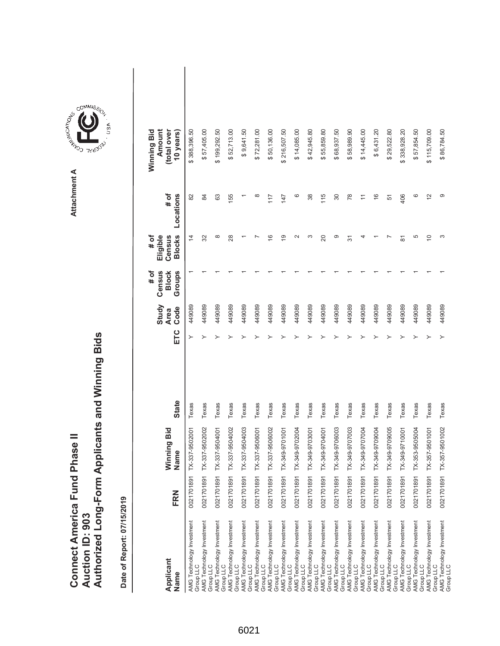|                               |                 | Authorized Long-Form Applicants and Winning Bids |
|-------------------------------|-----------------|--------------------------------------------------|
| Connect America Fund Phase II |                 |                                                  |
|                               | Auction ID: 903 |                                                  |

COMMIS<sub>SION</sub>

USA

| Applicant<br>Name                      | FRN            | Winning Bid<br>ame<br><u>ទី</u> | <b>State</b> | ETC | Study<br>Code<br><b>Area</b> | # of<br>Census<br><b>Block</b><br>Groups | <b>Blocks</b><br># of<br>Eligible<br>Census | Locations<br># of | Winning Bid<br>Amount<br>(total over<br>10 years) |
|----------------------------------------|----------------|---------------------------------|--------------|-----|------------------------------|------------------------------------------|---------------------------------------------|-------------------|---------------------------------------------------|
| AMG Technology Investment<br>Group LLC |                | 0021701891 TX-337-9502001       | Texas        | ≻   | 449089                       |                                          | $\overline{4}$                              | 82                | \$388,396.50                                      |
| AMG Technology Investment<br>Group LLC |                | 0021701891 TX-337-9502002       | Texas        |     | 449089                       |                                          | 32                                          | 84                | \$57,405.00                                       |
| AMG Technology Investment<br>Group LLC | 0021701891 TX- | 337-9504001                     | Texas        |     | 449089                       |                                          | $\infty$                                    | 63                | \$199,292.50                                      |
| AMG Technology Investment<br>Group LLC |                | 0021701891 TX-337-9504002       | Texas        |     | 449089                       |                                          | 28                                          | 155               | \$52,713.00                                       |
| AMG Technology Investment<br>Group LLC |                | 0021701891 TX-337-9504003       | Texas        |     | 449089                       |                                          |                                             |                   | \$9,641.50                                        |
| AMG Technology Investment<br>Group LLC |                | 0021701891 TX-337-9506001       | Texas        |     | 449089                       |                                          |                                             | ∞                 | \$72,281.00                                       |
| AMG Technology Investment<br>Group LLC |                | 0021701891 TX-337-9506002       | Texas        |     | 449089                       |                                          | $\frac{6}{5}$                               | 117               | \$50,136.00                                       |
| AMG Technology Investment<br>Group LLC | 0021701891 TX- | 349-9701001                     | Texas        |     | 449089                       |                                          | $\overline{9}$                              | 147               | \$216,507.50                                      |
| AMG Technology Investment<br>Group LLC | 0021701891 TX- | 349-9702004                     | Texas        |     | 449089                       |                                          | $\mathbf{\sim}$                             | ဖ                 | \$14,085.00                                       |
| AMG Technology Investment<br>Group LLC | 0021701891 TX- | 349-9703001                     | Texas        |     | 449089                       |                                          | ∞                                           | 38                | \$42,945.80                                       |
| AMG Technology Investment<br>Group LLC | 0021701891 TX- | 1007026-675                     | Texas        |     | 449089                       |                                          | 20                                          | 115               | 55,859.80<br>↮                                    |
| AMG Technology Investment<br>Group LLC | 0021701891 TX- | 349-9706003                     | Texas        |     | 449089                       |                                          | ග                                           | 30                | \$68,937.50                                       |
| AMG Technology Investment<br>Group LLC | 0021701891 TX- | 8007026-656                     | Texas        |     | 449089                       |                                          | 57                                          | 78                | \$58,989.90                                       |
| AMG Technology Investment<br>Group LLC | 0021701891 TX- | 349-9707004                     | Texas        |     | 449089                       |                                          |                                             | $\overline{1}$    | \$14,445.00                                       |
| AMG Technology Investment<br>Group LLC | 0021701891 TX- | 349-9709004                     | Texas        |     | 449089                       |                                          |                                             | $\frac{6}{5}$     | \$6,431.20                                        |
| AMG Technology Investment<br>Group LLC | 0021701891 TX- | 349-9709005                     | Texas        |     | 449089                       |                                          |                                             | 51                | \$29,522.80                                       |
| AMG Technology Investment<br>Group LLC | 0021701891 TX- | 10001/6-675                     | Texas        |     | 449089                       |                                          | 81                                          | 406               | \$338,928.20                                      |
| AMG Technology Investment<br>Group LLC |                | 0021701891 TX-353-9505004       | Texas        |     | 449089                       |                                          | 5                                           | ဖ                 | \$57,854.50                                       |
| AMG Technology Investment<br>Group LLC | 0021701891 TX- | 357-9501001                     | Texas        |     | 449089                       |                                          | $\overline{C}$                              | $\overline{c}$    | \$115,709.00                                      |
| AMG Technology Investment<br>Group LLC |                | 0021701891 TX-357-9501002       | Texas        |     | 449089                       |                                          | S                                           | ග                 | \$86,784.50                                       |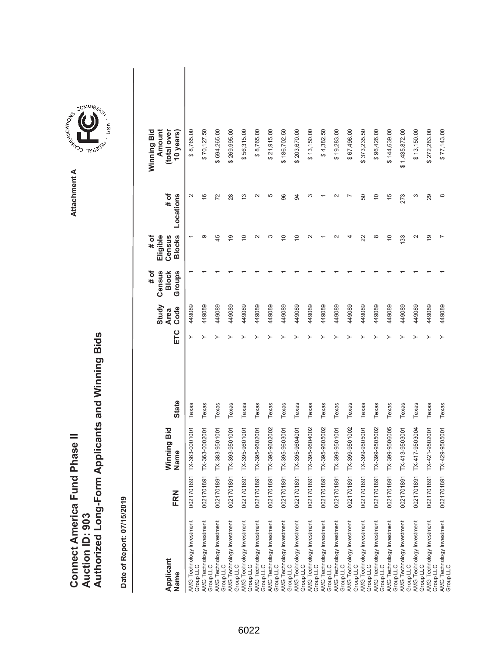|                               |                 | Authorized Long-Form Applicants and Winning Bids |
|-------------------------------|-----------------|--------------------------------------------------|
| Connect America Fund Phase II |                 |                                                  |
|                               |                 |                                                  |
|                               |                 |                                                  |
|                               | Auction ID: 903 |                                                  |
|                               |                 |                                                  |

COMMIS<sub>SION</sub>

USA

| Applicant<br>Name                             | FRN           | Winning Bid<br>Name       | <b>State</b> | ETC | Study<br>Code<br><b>Area</b> | $\sharp$ of<br>Census<br>Groups<br><b>Block</b> | <b>Blocks</b><br>$#$ of<br>Census<br>Eligible | Locations<br># of | Winning Bid<br>(total over<br>Amount<br>10 years) |  |
|-----------------------------------------------|---------------|---------------------------|--------------|-----|------------------------------|-------------------------------------------------|-----------------------------------------------|-------------------|---------------------------------------------------|--|
| AMG Technology Investment<br>Group LLC        | 0021701891    | TX-363-0001001            | Texas        |     | 449089                       |                                                 |                                               | $\sim$            | \$8,765.00                                        |  |
| AMG Technology Investment<br>Group LLC        |               | 0021701891 TX-363-0002001 | Texas        |     | 449089                       |                                                 | တ                                             | $\frac{6}{5}$     | \$70,127.50                                       |  |
| AMG Technology Investment<br>Group LLC        |               | 0021701891 TX-383-9501001 | Texas        |     | 449089                       |                                                 | 45                                            | 72                | \$694,265.00                                      |  |
| AMG Technology Investment<br>Group LLC        |               | 0021701891 TX-393-9501001 | Texas        |     | 449089                       |                                                 | $\overline{9}$                                | 28                | \$269,995.00                                      |  |
| AMG Technology Investment<br>Group LLC        |               | 0021701891 TX-395-9601001 | Texas        |     | 449089                       |                                                 | $\overline{C}$                                | $\frac{3}{2}$     | \$56,315.00                                       |  |
| AMG Technology Investment<br>Group LLC        |               | 0021701891 TX-395-9602001 | Texas        |     | 449089                       |                                                 |                                               | $\mathbf{\Omega}$ | \$8,765.00                                        |  |
| AMG Technology Investment<br>Group LLC        |               | 0021701891 TX-395-9602002 | Texas        |     | 449089                       |                                                 |                                               | 5                 | \$21,915.00                                       |  |
| AMG Technology Investment<br>Group LLC        |               | 0021701891 TX-395-9603001 | Texas        |     | 449089                       |                                                 | $\overline{a}$                                | 96                | \$186,702.50                                      |  |
| AMG Technology Investment<br>Group LLC        |               | 0021701891 TX-395-9604001 | Texas        |     | 449089                       |                                                 | $\widetilde{C}$                               | 94                | \$203,670.00                                      |  |
| AMG Technology Investment<br>Group LLC        |               | 0021701891 TX-395-9604002 | Texas        |     | 449089                       |                                                 |                                               | 3                 | \$13,150.00                                       |  |
| <b>AMG Technology Investment</b><br>Group LLC |               | 0021701891 TX-395-9605002 | Texas        |     | 449089                       |                                                 |                                               |                   | \$4,382.50                                        |  |
| AMG Technology Investment<br>Group LLC        |               | 0021701891 TX-399-9501001 | Texas        |     | 449089                       |                                                 |                                               |                   | \$19,283.00                                       |  |
| AMG Technology Investment<br>Group LLC        |               | 0021701891 TX-399-9501002 | Texas        |     | 449089                       |                                                 |                                               |                   | \$67,496.00                                       |  |
| AMG Technology Investment<br>Group LLC        |               | 0021701891 TX-399-9505001 | Texas        |     | 449089                       |                                                 | 22                                            | 50                | \$373,235.50                                      |  |
| AMG Technology Investment<br>Group LLC        |               | 0021701891 TX-399-9505002 | Texas        |     | 449089                       |                                                 | $\infty$                                      | $\overline{C}$    | \$96,426.00                                       |  |
| AMG Technology Investment<br>Group LLC        |               | 0021701891 TX-399-9506005 | Texas        |     | 449089                       |                                                 | $\overline{C}$                                | 15                | \$144,639.00                                      |  |
| AMG Technology Investment<br>Group LLC        |               | 0021701891 TX-413-9503001 | Texas        |     | 449089                       |                                                 | 133                                           | 273               | \$1,435,872.00                                    |  |
| AMG Technology Investment<br>Group LLC        |               | 0021701891 TX-417-9503004 | Texas        |     | 449089                       |                                                 |                                               | S                 | \$13,150.00                                       |  |
| AMG Technology Investment<br>Group LLC        | 0021701891 TX | $-421 - 9502001$          | Texas        |     | 449089                       |                                                 | $\overline{9}$                                | 29                | \$272,283.00                                      |  |
| AMG Technology Investment<br>Group LLC        | 0021701891 TX | $-429 - 9505001$          | Texas        |     | 449089                       |                                                 |                                               | $\infty$          | \$77,143.00                                       |  |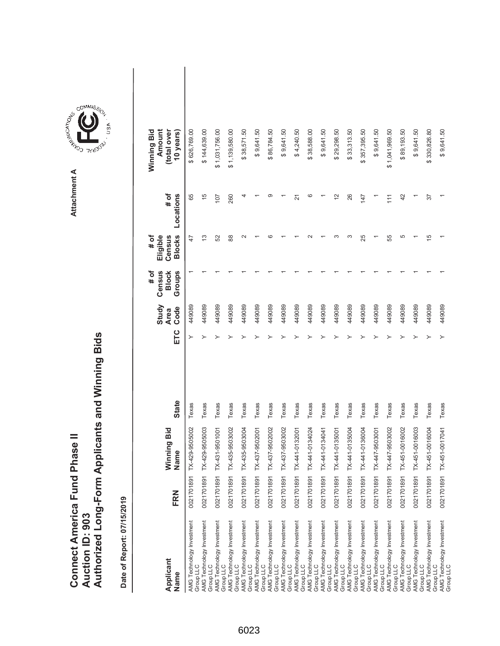|                               |                 | Authorized Long-Form Applicants and Winning Bids |
|-------------------------------|-----------------|--------------------------------------------------|
| Connect America Fund Phase II | Auction ID: 903 |                                                  |

| Applicant<br>Name                                                   | FRN        | Winning Bid<br>Name | <b>State</b> | ETC | Study<br>Code<br><b>Area</b> | Census<br>Groups<br># of<br><b>Block</b> | <b>Blocks</b><br># of<br>Eligible<br>Census | # of<br>Locations | Amount<br>(total over<br>Winning Bid<br>10 years) |
|---------------------------------------------------------------------|------------|---------------------|--------------|-----|------------------------------|------------------------------------------|---------------------------------------------|-------------------|---------------------------------------------------|
| AMG Technology Investment<br>Group LLC                              | 0021701891 | TX-429-9505002      | Texas        | ≻   | 449089                       |                                          | 47                                          | 65                | \$626,769.00                                      |
| AMG Technology Investment<br>Group LLC                              | 0021701891 | TX-429-9505003      | Texas        |     | 449089                       |                                          | 13                                          | $\frac{5}{1}$     | \$144,639.00                                      |
| AMG Technology Investment<br>Group LLC                              | 0021701891 | TX-431-9501001      | Texas        |     | 449089                       |                                          | 52                                          | 107               | \$1,031,756.00                                    |
| AMG Technology Investment<br>Group LLC                              | 0021701891 | TX-435-9503002      | Texas        |     | 449089                       |                                          | 88                                          | 260               | \$1,139,580.00                                    |
| AMG Technology Investment<br>Group LLC                              | 0021701891 | TX-435-9503004      | Texas        |     | 449089                       |                                          | $\sim$                                      | 4                 | \$38,571.50                                       |
| AMG Technology Investment<br>Group LLC                              | 0021701891 | TX-437-9502001      | Texas        |     | 449089                       |                                          |                                             |                   | \$9,641.50                                        |
| AMG Technology Investment<br>Group LLC<br>AMG Technology Investment | 0021701891 | TX-437-9502002      | Texas        |     | 449089                       |                                          |                                             | ග                 | \$86,784.50                                       |
| Group LLC                                                           | 0021701891 | TX-437-9503002      | Texas        |     | 449089                       |                                          |                                             |                   | \$9,641.50                                        |
| AMG Technology Investment<br>Group LLC                              | 0021701891 | TX-441-0132001      | Texas        |     | 449089                       |                                          |                                             | $\overline{2}$    | \$4,240.50                                        |
| AMG Technology Investment<br>Group LLC                              | 0021701891 | TX-441-0134024      | Texas        |     | 449089                       |                                          |                                             | ဖ                 | \$38,588.00                                       |
| AMG Technology Investment<br>Group LLC                              | 0021701891 | TX-441-0134041      | Texas        |     | 449089                       |                                          |                                             |                   | \$9,641.50                                        |
| AMG Technology Investment<br>Group LLC                              | 0021701891 | TX-441-0135001      | Texas        |     | 449089                       |                                          |                                             | $\frac{2}{3}$     | \$29,298.50                                       |
| AMG Technology Investment<br>Group LLC                              | 0021701891 | TX-441-0135004      | Texas        |     | 449089                       |                                          | ო                                           | 26                | \$33,313.50                                       |
| AMG Technology Investment<br>Group LLC                              | 0021701891 | TX-441-0136004      | Texas        |     | 449089                       |                                          | 25                                          | 147               | \$357,395.50                                      |
| AMG Technology Investment<br>Group LLC                              | 0021701891 | TX-447-9503001      | Texas        |     | 449089                       |                                          |                                             |                   | \$9,641.50                                        |
| AMG Technology Investment<br>Group LLC                              | 0021701891 | TX-447-9503002      | Texas        |     | 449089                       |                                          | 55                                          | 111               | \$1,041,969.50                                    |
| AMG Technology Investment<br>Group LLC                              | 0021701891 | TX-451-0016002      | Texas        |     | 449089                       |                                          | 5                                           | 42                | \$89,193.50                                       |
| AMG Technology Investment<br>Group LLC                              | 0021701891 | TX-451-0016003      | Texas        |     | 449089                       |                                          |                                             |                   | \$9,641.50                                        |
| AMG Technology Investment<br>Group LLC                              | 0021701891 | TX-451-0016004      | Texas        |     | 449089                       |                                          | 15                                          | 57                | \$330,826.80                                      |
| AMG Technology Investment<br>Group LLC                              | 0021701891 | TX-451-0017041      | Texas        | ≻   | 449089                       |                                          |                                             |                   | \$9,641.50                                        |

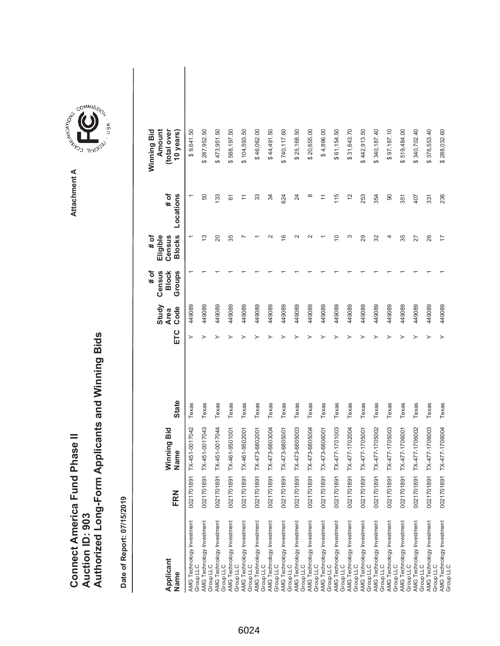|                               |                 | Authorized Long-Form Applicants and Winning Bids |
|-------------------------------|-----------------|--------------------------------------------------|
| Connect America Fund Phase II |                 |                                                  |
|                               | Auction ID: 903 |                                                  |
|                               |                 |                                                  |

| Applicant<br>Name                                                                | FRN        | Winning Bid<br>Name | <b>State</b> | ETC | Study<br>Code<br><b>Area</b> | Census<br>Groups<br># of<br><b>Block</b> | <b>Blocks</b><br>Eligible<br># of<br>Census | # of<br>Locations | Amount<br>(total over<br>Winning Bid<br>10 years) |  |
|----------------------------------------------------------------------------------|------------|---------------------|--------------|-----|------------------------------|------------------------------------------|---------------------------------------------|-------------------|---------------------------------------------------|--|
| AMG Technology Investment<br>Group LLC                                           | 0021701891 | TX-451-0017042      | Texas        |     | 449089                       |                                          |                                             |                   | \$9,641.50                                        |  |
| AMG Technology Investment<br>Group LLC                                           | 0021701891 | TX-451-0017043      | Texas        |     | 449089                       |                                          | 13                                          | 50                | \$287,952.50                                      |  |
| AMG Technology Investment<br>Group LLC                                           | 0021701891 | TX-451-0017044      | Texas        |     | 449089                       |                                          | 20                                          | 133               | \$473,951.50                                      |  |
| AMG Technology Investment<br>Group LLC                                           | 0021701891 | TX-461-9501001      | Texas        |     | 449089                       |                                          | 35                                          | 61                | \$588,197.50                                      |  |
| AMG Technology Investment<br>Group LLC                                           | 0021701891 | TX-461-9502001      | Texas        |     | 449089                       |                                          |                                             |                   | \$104,593.50                                      |  |
| AMG Technology Investment<br>Group LLC                                           | 0021701891 | TX-473-6802001      | Texas        |     | 449089                       |                                          |                                             | 33                | \$46,062.00                                       |  |
| AMG Technology Investment<br>Group LLC                                           | 0021701891 | TX-473-6803004      | Texas        |     | 449089                       |                                          |                                             | 34                | \$44,491.50                                       |  |
|                                                                                  | 0021701891 | TX-473-6805001      | Texas        |     | 449089                       |                                          | $\circ$                                     | 624               | \$740,117.60                                      |  |
| AMG Technology Investment<br>Group LLC<br>AMG Technology Investment<br>Group LLC | 0021701891 | TX-473-6805003      | Texas        |     | 449089                       |                                          | $\scriptstyle\mathtt{N}$                    | 24                | \$25,168.50                                       |  |
| AMG Technology Investment<br>Group LLC                                           | 0021701891 | TX-473-6805004      | Texas        |     | 449089                       |                                          |                                             | $\infty$          | \$20,655.00                                       |  |
| AMG Technology Investment<br>Group LLC                                           | 0021701891 | TX-473-6806001      | Texas        |     | 449089                       |                                          |                                             |                   | \$4,896.00                                        |  |
| AMG Technology Investment<br>Group LLC                                           | 0021701891 | TX-477-1701003      | Texas        |     | 449089                       |                                          | $\overline{C}$                              | 115               | \$61,154.50                                       |  |
| AMG Technology Investment<br>Group LLC                                           | 0021701891 | TX-477-1702004      | Texas        |     | 449089                       |                                          | ω                                           | $\frac{2}{3}$     | \$31,643.70                                       |  |
| AMG Technology Investment<br>Group LLC                                           | 0021701891 | TX-477-1705001      | Texas        |     | 449089                       |                                          | 29                                          | 253               | \$442,913.50                                      |  |
| AMG Technology Investment<br>Group LLC                                           | 0021701891 | TX-477-1705002      | Texas        |     | 449089                       |                                          | 32                                          | 354               | \$340,187.40                                      |  |
| AMG Technology Investment<br>Group LLC                                           | 0021701891 | TX-477-1705003      | Texas        |     | 449089                       |                                          | 4                                           | 90                | \$97,187.10                                       |  |
| AMG Technology Investment<br>Group LLC                                           | 0021701891 | TX-477-1706001      | Texas        |     | 449089                       |                                          | 35                                          | 351               | 519,484.00<br>↮                                   |  |
| AMG Technology Investment<br>Group LLC                                           | 0021701891 | TX-477-1706002      | Texas        |     | 449089                       |                                          | 27                                          | 407               | \$340,702.40                                      |  |
| AMG Technology Investment<br>Group LLC                                           | 0021701891 | TX-477-1706003      | Texas        |     | 449089                       |                                          | 26                                          | 331               | \$376,553.40                                      |  |
| AMG Technology Investment<br>Group LLC                                           | 0021701891 | TX-477-1706004      | Texas        |     | 449089                       |                                          | 17                                          | 236               | \$288,032.60                                      |  |

**COMMISSION** Attachment A **Attachment A**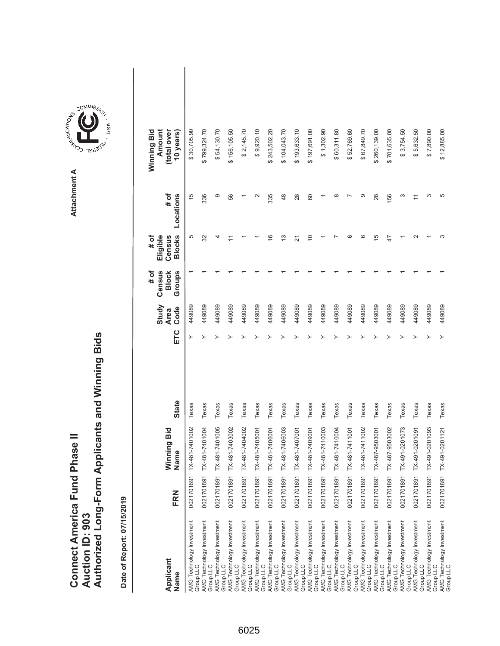| <b>Connect America Fund Phase II</b> |                 | Authorized Long-Form Applicants and Winning Bids |
|--------------------------------------|-----------------|--------------------------------------------------|
|                                      | Auction ID: 903 |                                                  |

Attachment A **Attachment A**

COMMIS<sub>SION</sub>

USA

| Applicant<br>Name                      | FRN | Ninning Bid<br>Name       | <b>State</b> | ETC | Study<br>Code<br><b>Area</b> | # of<br>Census<br>Groups<br><b>Block</b> | <b>Blocks</b><br>Eligible<br># of<br>Census | # of<br>Locations | Winning Bid<br>Amount<br>(total over<br>10 years) |  |
|----------------------------------------|-----|---------------------------|--------------|-----|------------------------------|------------------------------------------|---------------------------------------------|-------------------|---------------------------------------------------|--|
| AMG Technology Investment<br>Group LLC |     | 0021701891 TX-481-7401002 | Texas        | ≻   | 449089                       |                                          | 5                                           | $\frac{6}{1}$     | \$30,705.90                                       |  |
| AMG Technology Investment<br>Group LLC |     | 0021701891 TX-481-7401004 | Texas        |     | 449089                       |                                          | 32                                          | 336               | \$799,324.70                                      |  |
| AMG Technology Investment<br>Group LLC |     | 0021701891 TX-481-7401005 | Texas        |     | 449089                       |                                          |                                             | တ                 | \$54,130.70                                       |  |
| AMG Technology Investment<br>Group LLC |     | 0021701891 TX-481-7403002 | Texas        |     | 449089                       |                                          |                                             | 56                | \$156,105.50                                      |  |
| AMG Technology Investment<br>Group LLC |     | 0021701891 TX-481-7404002 | Texas        |     | 449089                       |                                          |                                             |                   | \$2,145.70                                        |  |
| AMG Technology Investment<br>Group LLC |     | 0021701891 TX-481-7405001 | Texas        |     | 449089                       |                                          |                                             |                   | \$9,920.10                                        |  |
| AMG Technology Investment<br>Group LLC |     | 0021701891 TX-481-7406001 | Texas        |     | 449089                       |                                          | $\frac{6}{5}$                               | 335               | \$243,502.20                                      |  |
| AMG Technology Investment<br>Group LLC |     | 0021701891 TX-481-7406003 | Texas        |     | 449089                       |                                          | 13                                          | 48                | \$104,043.70                                      |  |
| AMG Technology Investment<br>Group LLC |     | 0021701891 TX-481-7407001 | Texas        |     | 449089                       |                                          | 21                                          | 28                | \$193,633.10                                      |  |
| AMG Technology Investment<br>Group LLC |     | 0021701891 TX-481-7409001 | Texas        |     | 449089                       |                                          | $\Rightarrow$                               | 60                | \$197,691.00                                      |  |
| AMG Technology Investment<br>Group LLC |     | 0021701891 TX-481-7410003 | Texas        |     | 449089                       |                                          |                                             |                   | \$1,302.90                                        |  |
| AMG Technology Investment<br>Group LLC |     | 0021701891 TX-481-7410004 | Texas        |     | 449089                       |                                          |                                             | $\infty$          | \$60,311.80                                       |  |
| AMG Technology Investment<br>Group LLC |     | 0021701891 TX-481-7411001 | Texas        |     | 449089                       |                                          | ca                                          |                   | \$52,769.60                                       |  |
| AMG Technology Investment<br>Group LLC |     | 0021701891 TX-481-7411002 | Texas        |     | 449089                       |                                          | ဖ                                           | တ                 | \$67,849.70                                       |  |
| AMG Technology Investment<br>Group LLC |     | 0021701891 TX-487-9503001 | Texas        |     | 449089                       |                                          | 15                                          | 28                | \$260,139.00                                      |  |
| AMG Technology Investment<br>Group LLC |     | 0021701891 TX-487-9503002 | Texas        |     | 449089                       |                                          | 47                                          | 156               | \$701,635.00                                      |  |
| AMG Technology Investment<br>Group LLC |     | 0021701891 TX-491-0201073 | Texas        |     | 449089                       |                                          |                                             | ო                 | \$3,754.50                                        |  |
| AMG Technology Investment<br>Group LLC |     | 0021701891 TX-491-0201091 | Texas        |     | 449089                       |                                          |                                             |                   | \$5,632.50                                        |  |
| AMG Technology Investment<br>Group LLC |     | 0021701891 TX-491-0201093 | Texas        |     | 449089                       |                                          |                                             | ო                 | \$7,890.00                                        |  |
| AMG Technology Investment<br>Group LLC |     | 0021701891 TX-491-0201121 | Texas        |     | 449089                       |                                          | ∞                                           | 5                 | \$12,885.00                                       |  |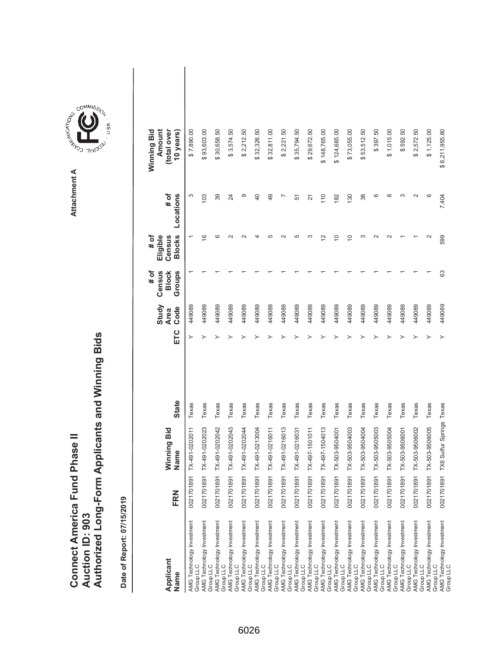| <b>Connect America Fund Phase II</b> |                 | Authorized Long-Form Applicants and Winning Bids |
|--------------------------------------|-----------------|--------------------------------------------------|
|                                      | Auction ID: 903 |                                                  |

**COMMISSION** Attachment A **Attachment A**

COMMIS<sub>SION</sub>

USA

| Applicant<br>Name                      | FRN        | Vinning Bid<br>Jame                 | <b>State</b> | ETC | Study<br>Code<br><b>Area</b> | # of<br>Census<br><b>Block</b><br>Groups | <b>Blocks</b><br># of<br>Eligible<br>Census | # of<br>Locations | Winning Bid<br>Amount<br>(total over<br>10 years) |  |
|----------------------------------------|------------|-------------------------------------|--------------|-----|------------------------------|------------------------------------------|---------------------------------------------|-------------------|---------------------------------------------------|--|
| AMG Technology Investment<br>Group LLC | 0021701891 | TX-491-0202011                      | Texas        | ≻   | 449089                       |                                          |                                             | S                 | \$7,890.00                                        |  |
| AMG Technology Investment<br>Group LLC |            | 0021701891 TX-491-0202023           | Texas        |     | 449089                       |                                          | $\overline{6}$                              | 103               | \$93,603.00                                       |  |
| AMG Technology Investment<br>Group LLC |            | 0021701891 TX-491-0202042           | Texas        |     | 449089                       |                                          | ဖ                                           | 39                | \$30,658.50                                       |  |
| AMG Technology Investment<br>Group LLC |            | 0021701891 TX-491-0202043           | Texas        |     | 449089                       |                                          | $\sim$                                      | 24                | \$3,574.50                                        |  |
| AMG Technology Investment<br>Group LLC |            | 0021701891 TX-491-0202044           | Texas        |     | 449089                       |                                          |                                             | တ                 | \$2,212.50                                        |  |
| AMG Technology Investment<br>Group LLC |            | 0021701891 TX-491-0213004           | Texas        |     | 449089                       |                                          |                                             | $\overline{4}$    | \$32,326.50                                       |  |
| AMG Technology Investment<br>Group LLC |            | 0021701891 TX-491-0216011           | Texas        |     | 449089                       |                                          | Ю                                           | 49                | \$32,811.00                                       |  |
| AMG Technology Investment<br>Group LLC |            | 0021701891 TX-491-0216013           | Texas        |     | 449089                       |                                          |                                             |                   | \$2,221.50                                        |  |
| AMG Technology Investment<br>Group LLC |            | 0021701891 TX-491-0216031           | Texas        |     | 449089                       |                                          | 5                                           | 51                | \$35,794.50                                       |  |
| AMG Technology Investment<br>Group LLC |            | 0021701891 TX-497-1501011           | Texas        |     | 449089                       |                                          | S                                           | 21                | \$29,672.50                                       |  |
| AMG Technology Investment<br>Group LLC |            | 0021701891 TX-497-1504013           | Texas        |     | 449089                       |                                          | $\tilde{\phantom{a}}$                       | 110               | \$148,765.00                                      |  |
| AMG Technology Investment<br>Group LLC |            | 0021701891 TX-503-9504001           | Texas        |     | 449089                       |                                          | $\Rightarrow$                               | 182               | \$124,685.00                                      |  |
| AMG Technology Investment<br>Group LLC |            | 0021701891 TX-503-9504003           | Texas        |     | 449089                       |                                          | ₽                                           | 130               | \$73,055.00                                       |  |
| AMG Technology Investment<br>Group LLC |            | 0021701891 TX-503-9504004           | Texas        |     | 449089                       |                                          | S                                           | 38                | \$53,512.50                                       |  |
| AMG Technology Investment<br>Group LLC |            | 0021701891 TX-503-9505003           | Texas        |     | 449089                       |                                          | $\sim$                                      | ဖ                 | \$397.50                                          |  |
| AMG Technology Investment<br>Group LLC |            | 0021701891 TX-503-9505004           | Texas        |     | 449089                       |                                          |                                             | $\infty$          | \$1,015.00                                        |  |
| AMG Technology Investment<br>Group LLC |            | 0021701891 TX-503-9506001           | Texas        |     | 449089                       |                                          |                                             | $\infty$          | \$592.50                                          |  |
| AMG Technology Investment<br>Group LLC |            | 0021701891 TX-503-9506002           | Texas        |     | 449089                       |                                          |                                             | $\sim$            | \$2,572.50                                        |  |
| AMG Technology Investment<br>Group LLC |            | 0021701891 TX-503-9506005           | Texas        |     | 449089                       |                                          | $\scriptstyle\sim$                          | ဖ                 | \$1,125.00                                        |  |
| AMG Technology Investment<br>Group LLC |            | 0021701891 TX6 Sulfur Springs Texas |              |     | 449089                       | 63                                       | 599                                         | 7,404             | \$6,211,955.80                                    |  |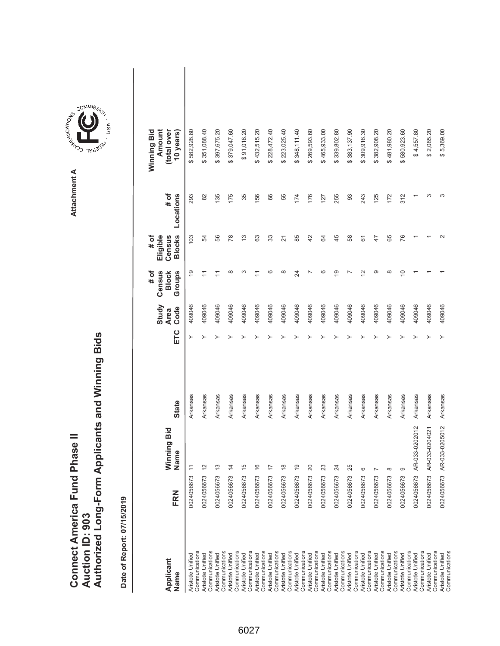|                               |                        | uthorized Long-Form Applicants and Winning Bids |
|-------------------------------|------------------------|-------------------------------------------------|
| Connect America Fund Phase II | <b>Nuction ID: 903</b> |                                                 |



**Attachment A**

Attachment A

| Applicant<br>Name                                     | FRN        | Winning Bid<br>Name | <b>State</b> | ETC | Study<br>Code<br><b>Area</b> | $#$ of<br>Census<br>Groups<br><b>Block</b> | # of<br><b>Blocks</b><br>Census<br>Eligible | Locations<br># of | Winning Bid<br>Amount<br>(total over<br>10 years) |  |
|-------------------------------------------------------|------------|---------------------|--------------|-----|------------------------------|--------------------------------------------|---------------------------------------------|-------------------|---------------------------------------------------|--|
| Communications<br>Aristotle Unified                   | 0024056673 | $\overline{1}$      | Arkansas     | ≻   | 409046                       | $\frac{6}{5}$                              | 103                                         | 293               | \$582,928.80                                      |  |
| Communications<br>Aristotle Unified                   | 0024056673 | $\frac{2}{3}$       | Arkansas     |     | 409046                       | $\overline{1}$                             | R                                           | 82                | \$351,088.40                                      |  |
| Communications<br>Aristotle Unified                   | 0024056673 | $\frac{3}{2}$       | Arkansas     |     | 409046                       | $\overline{1}$                             | 56                                          | 135               | \$397,675.20                                      |  |
| Communications<br><b>Aristotle Unified</b>            | 0024056673 | $\overline{4}$      | Arkansas     |     | 409046                       | $\infty$                                   | œ                                           | 175               | \$379,047.60                                      |  |
| Communications<br>Aristotle Unified                   | 0024056673 | $\frac{6}{1}$       | Arkansas     |     | 409046                       | ∞                                          | 13                                          | 35                | \$91,018.20                                       |  |
| Communications<br>Aristotle Unified                   | 0024056673 | $\frac{6}{5}$       | Arkansas     |     | 409046                       |                                            | යි                                          | 156               | \$432,515.20                                      |  |
| Communications<br>Aristotle Unified                   | 0024056673 | $\overline{1}$      | Arkansas     |     | 409046                       | G                                          | 33                                          | 66                | \$228,472.40                                      |  |
| Aristotle Unified                                     | 0024056673 | $\frac{8}{3}$       | Arkansas     |     | 409046                       | $\infty$                                   | $\overline{N}$                              | 55                | \$223,025.40                                      |  |
| Communications<br>Communications<br>Aristotle Unified | 0024056673 | <b>0)</b>           | Arkansas     |     | 409046                       | 24                                         | 85                                          | 174               | \$348,111.40                                      |  |
| Aristotle Unified                                     | 0024056673 | $\infty$            | Arkansas     |     | 409046                       |                                            | 42                                          | 176               | \$269,593.60                                      |  |
| Communications<br>Aristotle Unified                   | 0024056673 | 23                  | Arkansas     |     | 409046                       | ဖ                                          | S,                                          | 127               | \$465,933.00                                      |  |
| Communications<br>Aristotle Unified                   | 0024056673 | $\overline{2}$      | Arkansas     |     | 409046                       | $\overline{9}$                             | 45                                          | 255               | \$339,802.80                                      |  |
| Communications<br>Aristotle Unified                   | 0024056673 | 25                  | Arkansas     |     | 409046                       |                                            | 58                                          | 93                | \$383,137.90                                      |  |
| Communications<br>Aristotle Unified                   | 0024056673 | $\circ$             | Arkansas     |     | 409046                       | $\frac{2}{3}$                              | 61                                          | 243               | \$309,916.30                                      |  |
| Communications                                        |            |                     |              |     |                              |                                            |                                             |                   |                                                   |  |
| Communications<br>Aristotle Unified                   | 0024056673 |                     | Arkansas     |     | 409046                       | ာ                                          | 47                                          | 125               | \$382,908.20                                      |  |
| Aristotle Unified                                     | 0024056673 | $^{\circ}$          | Arkansas     |     | 409046                       | $\infty$                                   | 65                                          | 172               | \$481,980.20                                      |  |
| Communications<br>Aristotle Unified                   | 0024056673 | ග                   |              |     |                              | $\overline{C}$                             | 76                                          | 312               | \$580,923.60                                      |  |
| Communications                                        |            |                     | Arkansas     |     | 409046                       |                                            |                                             |                   |                                                   |  |
| Aristotle Unified                                     | 0024056673 | AR-033-0202012      | Arkansas     |     | 409046                       |                                            |                                             |                   | \$4,557.80                                        |  |
| Communications<br>Aristotle Unified                   | 0024056673 | AR-033-0204021      | Arkansas     |     | 409046                       |                                            |                                             | ო                 | \$2,085.20                                        |  |
| Communications                                        |            |                     |              |     |                              |                                            |                                             |                   |                                                   |  |
| Communications<br>Aristotle Unified                   | 0024056673 | AR-033-0205012      | Arkansas     |     | 409046                       |                                            |                                             | ω                 | \$5,369.00                                        |  |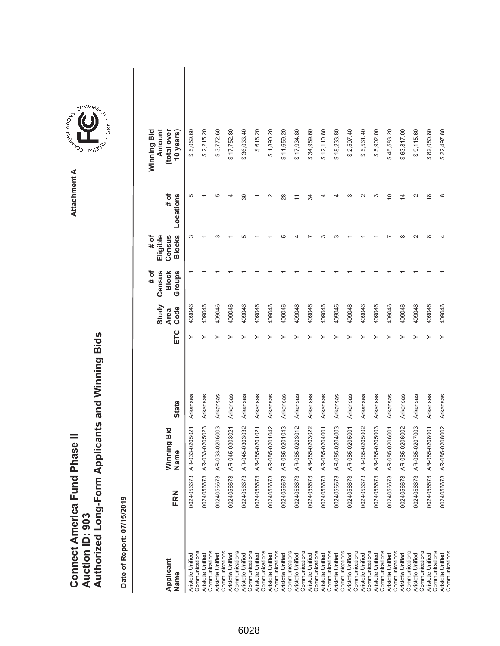| <b>Connect America Fund Phase II</b> |                 | Authorized Long-Form Applicants and Winning Bids |
|--------------------------------------|-----------------|--------------------------------------------------|
|                                      | Auction ID: 903 |                                                  |

**COMMISSION** Attachment A **Attachment A**

COMMIS<sub>SION</sub>

USA

| Applicant<br>Name                   | FRN          | Vinning Bid<br>lame<br>z | <b>State</b> | ETC | Study<br>Code<br><b>Area</b> | Census<br>Groups<br># of<br><b>Block</b> | <b>Blocks</b><br>Eligible<br># of<br>Census | # of<br>Locations  | Amount<br>Winning Bid<br>(total over<br>10 years) |  |
|-------------------------------------|--------------|--------------------------|--------------|-----|------------------------------|------------------------------------------|---------------------------------------------|--------------------|---------------------------------------------------|--|
| Communications<br>Aristotle Unified | 0024056673   | AR-033-0205021           | Arkansas     | ≻   | 409046                       |                                          | ∞                                           | 5                  | \$5,059.60                                        |  |
| Communications<br>Aristotle Unified | 0024056673 A | R-033-0205023            | Arkansas     |     | 409046                       |                                          |                                             |                    | \$2,215.20                                        |  |
| Communications<br>Aristotle Unified | 0024056673   | AR-033-0206003           | Arkansas     |     | 409046                       |                                          |                                             | 5                  | \$3,772.60                                        |  |
| Communications<br>Aristotle Unified | 0024056673   | AR-045-0303021           | Arkansas     |     | 409046                       |                                          |                                             | 4                  | \$17,752.80                                       |  |
| Communications<br>Aristotle Unified | 0024056673   | AR-045-0303032           | Arkansas     |     | 409046                       |                                          |                                             | 30                 | \$36,033.40                                       |  |
| Communications<br>Aristotle Unified | 0024056673   | R-085-0201021<br>₹       | Arkansas     |     | 409046                       |                                          |                                             |                    | \$616.20                                          |  |
| Communications<br>Aristotle Unified | 0024056673   | AR-085-0201042           | Arkansas     |     | 409046                       |                                          |                                             | $\scriptstyle\sim$ | \$1,890.20                                        |  |
| Aristotle Unified                   | 0024056673   | AR-085-0201043           | Arkansas     |     | 409046                       |                                          |                                             | 28                 | \$11,659.20                                       |  |
| Communications<br>Aristotle Unified | 0024056673   | AR-085-0203012           | Arkansas     |     | 409046                       |                                          |                                             |                    | \$17,934.80                                       |  |
| Communications<br>Aristotle Unified | 0024056673   | AR-085-0203022           | Arkansas     |     | 409046                       |                                          |                                             | 34                 | \$34,959.60                                       |  |
| Communications<br>Aristotle Unified | 0024056673   | AR-085-0204001           | Arkansas     |     | 409046                       |                                          |                                             | 4                  | \$12,110.80                                       |  |
| Communications<br>Aristotle Unified | 0024056673   | R-085-0204003<br>₹       | Arkansas     |     | 409046                       |                                          |                                             |                    | \$18,233.80                                       |  |
| Communications<br>Aristotle Unified | 0024056673   | AR-085-0205001           | Arkansas     |     | 409046                       |                                          |                                             |                    | \$2,597.40                                        |  |
| Communications<br>Aristotle Unified | 0024056673   | AR-085-0205002           | Arkansas     |     | 409046                       |                                          |                                             |                    | \$5,561.40                                        |  |
| Communications<br>Aristotle Unified | 0024056673   | R-085-0205003<br>₹       | Arkansas     |     | 409046                       |                                          |                                             | ∞                  | \$5,902.00                                        |  |
| Communications<br>Aristotle Unified | 0024056673   | AR-085-0206001           | Arkansas     |     | 409046                       |                                          |                                             | $\overline{0}$     | \$45,583.20                                       |  |
| Communications<br>Aristotle Unified | 0024056673   | AR-085-0206002           | Arkansas     |     | 409046                       |                                          |                                             | 4                  | \$63,817.00                                       |  |
| Communications                      |              |                          |              |     |                              |                                          |                                             |                    |                                                   |  |
| Communications<br>Aristotle Unified | 0024056673   | AR-085-0207003           | Arkansas     |     | 409046                       |                                          |                                             | $\sim$             | \$9,115.60                                        |  |
| Communications<br>Aristotle Unified | 0024056673   | AR-085-0208001           | Arkansas     |     | 409046                       |                                          | $\infty$                                    | $\infty$           | \$82,050.80                                       |  |
| Communications<br>Aristotle Unified | 0024056673   | AR-085-0208002           | Arkansas     |     | 409046                       |                                          |                                             | $\infty$           | \$22,497.80                                       |  |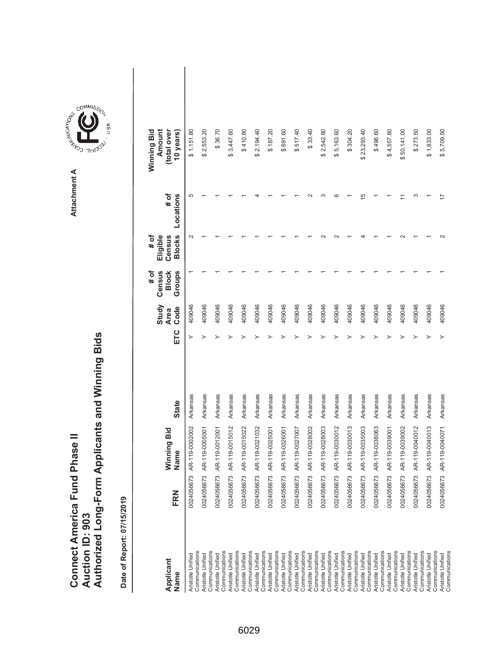| <b>Connect America Fund Phase II</b> |                 | Authorized Long-Form Applicants and Winning Bids |
|--------------------------------------|-----------------|--------------------------------------------------|
|                                      | Auction ID: 903 |                                                  |

COMMIS<sub>SION</sub>

USA

| Applicant<br>Name                                     | FRN        | Winning Bid<br>Name | <b>State</b> | ETC | Study<br>Code<br>Area | # of<br>Census<br>Groups<br><b>Block</b> | <b>Blocks</b><br># of<br>Eligible<br>Census | Locations<br># of | Winning Bid<br>Amount<br>(total over<br>10 years) |  |
|-------------------------------------------------------|------------|---------------------|--------------|-----|-----------------------|------------------------------------------|---------------------------------------------|-------------------|---------------------------------------------------|--|
| Communications<br>Aristotle Unified                   | 0024056673 | AR-119-0002002      | Arkansas     | ≻   | 409046                |                                          | $\sim$                                      | 5                 | \$1,151.80                                        |  |
| Communications<br>Aristotle Unified                   | 0024056673 | AR-119-0005001      | Arkansas     |     | 409046                |                                          |                                             |                   | \$2,553.20                                        |  |
| Communications<br>Aristotle Unified                   | 0024056673 | AR-119-0012001      | Arkansas     |     | 409046                |                                          |                                             |                   | \$36.70                                           |  |
| Communications<br>Aristotle Unified                   | 0024056673 | AR-119-0015012      | Arkansas     |     | 409046                |                                          |                                             |                   | \$3,447.60                                        |  |
| Communications<br>Aristotle Unified                   | 0024056673 | AR-119-0015022      | Arkansas     |     | 409046                |                                          |                                             |                   | \$410.80                                          |  |
| Communications<br>Aristotle Unified                   | 0024056673 | AR-119-0021032      | Arkansas     |     | 409046                |                                          |                                             |                   | \$2,194.40                                        |  |
| Communications<br>Aristotle Unified                   | 0024056673 | AR-119-0025001      | Arkansas     |     | 409046                |                                          |                                             |                   | \$187.20                                          |  |
| Communications<br>Aristotle Unified                   | 0024056673 | AR-119-0026001      | Arkansas     |     | 409046                |                                          |                                             |                   | \$691.60                                          |  |
| Aristotle Unified                                     | 0024056673 | AR-119-0027007      | Arkansas     |     | 409046                |                                          |                                             |                   | \$517.40                                          |  |
| Communications<br>Aristotle Unified                   | 0024056673 | AR-119-0028002      | Arkansas     |     | 409046                |                                          |                                             |                   | \$33.40                                           |  |
| Communications<br>Aristotle Unified                   | 0024056673 | AR-119-0028003      | Arkansas     |     | 409046                |                                          |                                             |                   | \$2,542.80                                        |  |
| Communications<br>Aristotle Unified                   | 0024056673 | AR-119-0030012      | Arkansas     |     | 409046                |                                          |                                             |                   | \$5,163.60                                        |  |
| Communications<br>Aristotle Unified                   | 0024056673 | AR-119-0030013      | Arkansas     |     | 409046                |                                          |                                             |                   | \$304.20                                          |  |
| Communications<br>Aristotle Unified                   | 0024056673 | AR-119-0035003      | Arkansas     |     | 409046                |                                          |                                             | ഥ                 | \$23,293.40                                       |  |
| Communications<br>Aristotle Unified                   | 0024056673 |                     | Arkansas     |     | 409046                |                                          |                                             |                   | \$496.60                                          |  |
| Communications                                        |            | AR-119-0036063      |              |     |                       |                                          |                                             |                   |                                                   |  |
| Aristotle Unified                                     | 0024056673 | AR-119-0039001      | Arkansas     |     | 409046                |                                          |                                             |                   | \$4,557.80                                        |  |
| Communications<br>Aristotle Unified                   | 0024056673 | AR-119-0039002      | Arkansas     |     | 409046                |                                          |                                             |                   | \$50,141.00                                       |  |
| Communications<br>Aristotle Unified                   | 0024056673 | AR-119-0040012      | Arkansas     |     | 409046                |                                          |                                             |                   | \$273.50                                          |  |
| Communications<br>Aristotle Unified                   | 0024056673 | AR-119-0040013      | Arkansas     |     | 409046                |                                          |                                             |                   | \$1,833.00                                        |  |
| Communications<br>Communications<br>Aristotle Unified | 0024056673 | AR-119-0040071      | Arkansas     |     | 409046                |                                          |                                             |                   | \$5,709.50                                        |  |
|                                                       |            |                     |              |     |                       |                                          |                                             |                   |                                                   |  |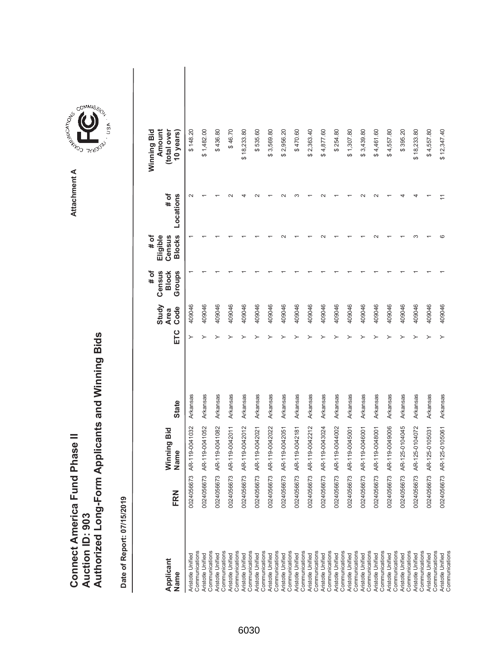| <b>Connect America Fund Phase II</b> |                        | Authorized Long-Form Applicants and Winning Bids |
|--------------------------------------|------------------------|--------------------------------------------------|
|                                      | <b>Auction ID: 903</b> |                                                  |

| Applicant<br>Name                                     | FRN        | Winning Bid<br>Name | <b>State</b> | ETC | Study<br>Code<br><b>Area</b> | Census<br><b>Block</b><br>Groups<br># of | <b>Blocks</b><br>Eligible<br>Census<br># of | # of<br>Locations | Winning Bid<br>Amount<br>(total over<br>10 years) |  |
|-------------------------------------------------------|------------|---------------------|--------------|-----|------------------------------|------------------------------------------|---------------------------------------------|-------------------|---------------------------------------------------|--|
| <b>Communications</b><br><b>Aristotle Unified</b>     | 0024056673 | AR-119-0041032      | Arkansas     |     | 409046                       |                                          |                                             | $\sim$            | \$148.20                                          |  |
| Communications<br>Aristotle Unified                   | 0024056673 | AR-119-0041052      | Arkansas     |     | 409046                       |                                          |                                             |                   | \$1,482.00                                        |  |
| <b>Aristotle Unified</b>                              | 0024056673 | AR-119-0041082      | Arkansas     |     | 409046                       |                                          |                                             |                   | \$436.80                                          |  |
| Communications<br>Communications<br>Aristotle Unified | 0024056673 | AR-119-0042011      | Arkansas     |     | 409046                       |                                          |                                             |                   | \$46.70                                           |  |
| Aristotle Unified                                     | 0024056673 | AR-119-0042012      | Arkansas     |     | 409046                       |                                          |                                             |                   | \$18,233.80                                       |  |
| Communications<br>Communications<br>Aristotle Unified | 0024056673 | AR-119-0042021      | Arkansas     |     | 409046                       |                                          |                                             |                   | \$535.60                                          |  |
| Aristotle Unified                                     | 0024056673 | AR-119-0042022      | Arkansas     |     | 409046                       |                                          |                                             |                   | \$3,569.80                                        |  |
| Communications<br>Aristotle Unified                   | 0024056673 | AR-119-0042051      | Arkansas     |     | 409046                       |                                          |                                             |                   | \$2,956.20                                        |  |
| Communications<br>Aristotle Unified                   | 0024056673 | AR-119-0042181      | Arkansas     |     | 409046                       |                                          |                                             |                   | \$470.60                                          |  |
| Communications<br><b>Aristotle Unified</b>            | 0024056673 | AR-119-0042212      | Arkansas     |     | 409046                       |                                          |                                             |                   | \$2,363.40                                        |  |
| Communications<br>Aristotle Unified                   | 0024056673 | AR-119-0043024      | Arkansas     |     | 409046                       |                                          |                                             |                   | \$4,877.60                                        |  |
| Communications<br>Aristotle Unified                   | 0024056673 | AR-119-0044002      | Arkansas     |     | 409046                       |                                          |                                             |                   | \$254.80                                          |  |
| Communications<br>Aristotle Unified                   | 0024056673 | AR-119-0045001      | Arkansas     |     | 409046                       |                                          |                                             |                   | \$1,307.80                                        |  |
| Communications<br>Aristotle Unified                   | 0024056673 | AR-119-0046001      | Arkansas     |     | 409046                       |                                          |                                             |                   | \$3,439.80                                        |  |
| Communications<br>Aristotle Unified                   | 0024056673 | AR-119-0048001      | Arkansas     |     | 409046                       |                                          |                                             |                   | \$4,461.60                                        |  |
| Communications<br>Aristotle Unified                   | 0024056673 | AR-119-0049006      | Arkansas     |     | 409046                       |                                          |                                             |                   | \$4,557.80                                        |  |
| Communications                                        |            |                     |              |     |                              |                                          |                                             |                   |                                                   |  |
| Communications<br>Aristotle Unified                   | 0024056673 | AR-125-0104045      | Arkansas     |     | 409046                       |                                          |                                             |                   | \$395.20                                          |  |
| Aristotle Unified                                     | 0024056673 | AR-125-0104072      | Arkansas     |     | 409046                       |                                          |                                             |                   | \$18,233.80                                       |  |
| Communications<br><b>Aristotle Unified</b>            | 0024056673 | AR-125-0105031      | Arkansas     |     | 409046                       |                                          |                                             |                   | \$4,557.80                                        |  |
| Communications<br>Communications<br>Aristotle Unified | 0024056673 | AR-125-0105061      | Arkansas     |     | 409046                       |                                          | ဖ                                           |                   | \$12,347.40                                       |  |

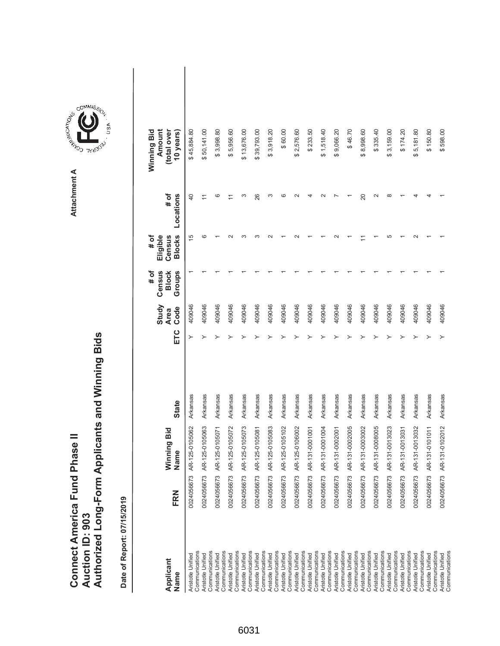| Connect America Fund Phase II |                 | Authorized Long-Form Applicants and Winning Bids |
|-------------------------------|-----------------|--------------------------------------------------|
|                               |                 |                                                  |
|                               |                 |                                                  |
|                               | Auction ID: 903 |                                                  |
|                               |                 |                                                  |

**COMMISSION** Attachment A **Attachment A**

GOMMIS<sub>SION</sub>

USA

| Applicant<br>Name                   | FRN        | Vinning Bid<br>Vame       | <b>State</b> | ETC | Study<br>Code<br><b>Area</b> | Census<br># of<br>Groups<br><b>Block</b> | <b>Blocks</b><br>Eligible<br>Census<br># of | Locations<br># of | Amount<br>Winning Bid<br>(total over<br>10 years) |  |
|-------------------------------------|------------|---------------------------|--------------|-----|------------------------------|------------------------------------------|---------------------------------------------|-------------------|---------------------------------------------------|--|
| Communications<br>Aristotle Unified | 0024056673 | AR-125-0105062            | Arkansas     | ≻   | 409046                       |                                          | $\overline{5}$                              | $\overline{4}$    | \$45,884.80                                       |  |
| Communications<br>Aristotle Unified |            | 0024056673 AR-125-0105063 | Arkansas     |     | 409046                       |                                          | G                                           |                   | \$50,141.00                                       |  |
| Communications<br>Aristotle Unified |            | 0024056673 AR-125-0105071 | Arkansas     |     | 409046                       |                                          |                                             |                   | \$3,998.80                                        |  |
| Communications<br>Aristotle Unified |            | 0024056673 AR-125-0105072 | Arkansas     |     | 409046                       |                                          |                                             |                   | \$5,956.60                                        |  |
| Communications<br>Aristotle Unified |            | 0024056673 AR-125-0105073 | Arkansas     |     | 409046                       |                                          | ო                                           |                   | \$13,676.00                                       |  |
| Communications<br>Aristotle Unified | 0024056673 | AR-125-0105081            | Arkansas     |     | 409046                       |                                          | ∼                                           | 26                | \$39,793.00                                       |  |
| Communications<br>Aristotle Unified | 0024056673 | AR-125-0105083            | Arkansas     |     | 409046                       |                                          |                                             | ∞                 | \$3,918.20                                        |  |
| Communications<br>Aristotle Unified |            | 0024056673 AR-125-0105102 | Arkansas     |     | 409046                       |                                          |                                             |                   | \$60.00                                           |  |
| Aristotle Unified                   |            | 0024056673 AR-125-0106002 | Arkansas     |     | 409046                       |                                          |                                             |                   | \$2,576.60                                        |  |
| Communications<br>Aristotle Unified | 0024056673 | AR-131-0001001            | Arkansas     |     | 409046                       |                                          |                                             |                   | \$233.50                                          |  |
| Communications<br>Aristotle Unified | 0024056673 | AR-131-0001004            | Arkansas     |     | 409046                       |                                          |                                             |                   | \$1,518.40                                        |  |
| Communications<br>Aristotle Unified | 0024056673 | AR-131-0002001            | Arkansas     |     | 409046                       |                                          |                                             |                   | \$9,066.20                                        |  |
| Communications                      |            |                           |              |     |                              |                                          |                                             |                   |                                                   |  |
| Communications<br>Aristotle Unified | 0024056673 | AR-131-0002005            | Arkansas     |     | 409046                       |                                          |                                             |                   | \$46.70                                           |  |
| Communications<br>Aristotle Unified | 0024056673 | AR-131-0003002            | Arkansas     |     | 409046                       |                                          |                                             | 20                | \$8,998.60                                        |  |
| Aristotle Unified                   | 0024056673 | AR-131-0008005            | Arkansas     |     | 409046                       |                                          |                                             |                   | \$335.40                                          |  |
| Communications<br>Aristotle Unified |            | 0024056673 AR-131-0013023 | Arkansas     |     | 409046                       |                                          | Ю                                           | ∞                 | \$3,159.00                                        |  |
| Communications                      |            |                           |              |     |                              |                                          |                                             |                   |                                                   |  |
| Aristotle Unified                   | 0024056673 | AR-131-0013031            | Arkansas     |     | 409046                       |                                          |                                             |                   | \$174.20                                          |  |
| Communications<br>Aristotle Unified | 0024056673 | AR-131-0013032            | Arkansas     |     | 409046                       |                                          |                                             |                   | \$5,181.80                                        |  |
| Communications                      |            |                           |              |     |                              |                                          |                                             |                   |                                                   |  |
| Communications<br>Aristotle Unified | 0024056673 | AR-131-0101011            | Arkansas     |     | 409046                       |                                          |                                             |                   | \$150.80                                          |  |
| Communications<br>Aristotle Unified |            | 0024056673 AR-131-0102012 | Arkansas     |     | 409046                       |                                          |                                             |                   | \$598.00                                          |  |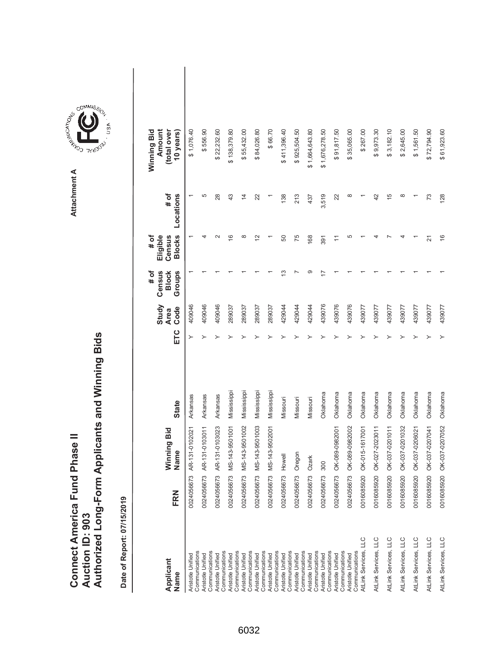|                                      |                        | Authorized Long-Form Applicants and Winning Bids |
|--------------------------------------|------------------------|--------------------------------------------------|
|                                      |                        |                                                  |
|                                      |                        |                                                  |
|                                      |                        |                                                  |
|                                      |                        |                                                  |
| <b>Connect America Fund Phase II</b> | <b>Auction ID: 903</b> |                                                  |

| Applicant<br>Name                                     | FRN        | Winning Bid<br>Name | <b>State</b> | ETC | Study<br>Code<br><b>Area</b> | Census<br># of<br><b>Block</b><br>Groups | <b>Blocks</b><br># of<br>Eligible<br>Census | # of<br>Locations | Winning Bid<br>Amount<br>(total over<br>10 years) |  |
|-------------------------------------------------------|------------|---------------------|--------------|-----|------------------------------|------------------------------------------|---------------------------------------------|-------------------|---------------------------------------------------|--|
| Communications<br>Aristotle Unified                   | 0024056673 | AR-131-0102021      | Arkansas     |     | 409046                       |                                          |                                             |                   | \$1,076.40                                        |  |
| Communications<br>Aristotle Unified                   | 0024056673 | AR-131-0103011      | Arkansas     | ≻   | 409046                       |                                          |                                             | 5                 | \$556.90                                          |  |
| Aristotle Unified                                     | 0024056673 | AR-131-0103023      | Arkansas     |     | 409046                       |                                          | $\sim$                                      | 28                | \$22,232.60                                       |  |
| Communications<br>Aristotle Unified                   | 0024056673 | MS-143-9501001      | Mississippi  |     | 289037                       |                                          | $\frac{6}{2}$                               | 43                | \$138,379.80                                      |  |
| Communications<br>Aristotle Unified                   | 0024056673 | MS-143-9501002      | Mississippi  |     | 289037                       |                                          | $\infty$                                    | $\overline{4}$    | \$55,432.00                                       |  |
| Communications<br>Communications<br>Aristotle Unified | 0024056673 | MS-143-9501003      | Mississippi  |     | 289037                       |                                          | 21                                          | 22                | \$84,026.80                                       |  |
| Aristotle Unified                                     | 0024056673 | MS-143-9502001      | Mississippi  |     | 289037                       |                                          |                                             |                   | \$66.70                                           |  |
| Communications<br>Aristotle Unified                   | 0024056673 | Howell              | Missouri     |     | 429044                       | ∞                                        | 50                                          | 138               | \$411,396.40                                      |  |
| Communications<br>Aristotle Unified                   | 0024056673 | Oregon              | Missouri     |     | 429044                       |                                          | 75                                          | 213               | \$925,504.50                                      |  |
| Communications<br>Aristotle Unified                   | 0024056673 | <b>Ozark</b>        | Missouri     |     | 429044                       |                                          | 168                                         | 437               | \$1,664,643.80                                    |  |
| Communications<br>Aristotle Unified                   | 0024056673 | 300                 | Oklahoma     |     | 439076                       |                                          | 391                                         | 3,519             | \$1,676,278.50                                    |  |
| Communications<br>Aristotle Unified                   | 0024056673 | OK-089-0982001      | Oklahoma     |     | 439076                       |                                          |                                             | 22                | \$91,817.50                                       |  |
| Communications<br>Aristotle Unified                   | 0024056673 | OK-089-0982002      | Oklahoma     |     | 439076                       |                                          | 5                                           | œ                 | \$35,065.00                                       |  |
| AtLink Services, LLC<br>Communications                | 0016085920 | OK-015-1617001      | Oklahoma     |     | 439077                       |                                          |                                             |                   | \$267.00                                          |  |
| AtLink Services, LLC                                  | 0016085920 | OK-027-2023011      | Oklahoma     |     | 439077                       |                                          |                                             | 42                | \$9,973.30                                        |  |
| AtLink Services, LLC                                  | 0016085920 | OK-037-0201011      | Oklahoma     |     | 439077                       |                                          |                                             | $\frac{5}{3}$     | \$3,182.10                                        |  |
| AtLink Services, LLC                                  | 0016085920 | OK-037-0201032      | Oklahoma     |     | 439077                       |                                          |                                             | $\infty$          | \$2,645.00                                        |  |
| AtLink Services, LLC                                  | 0016085920 | OK-037-0206021      | Oklahoma     |     | 439077                       |                                          |                                             |                   | \$1,561.50                                        |  |
| AtLink Services, LLC                                  | 0016085920 | OK-037-0207041      | Oklahoma     |     | 439077                       |                                          | 21                                          | 73                | \$72,794.90                                       |  |
| AtLink Services, LLC                                  | 0016085920 | OK-037-0207052      | Oklahoma     |     | 439077                       |                                          | $\frac{6}{5}$                               | 128               | \$61,923.60                                       |  |

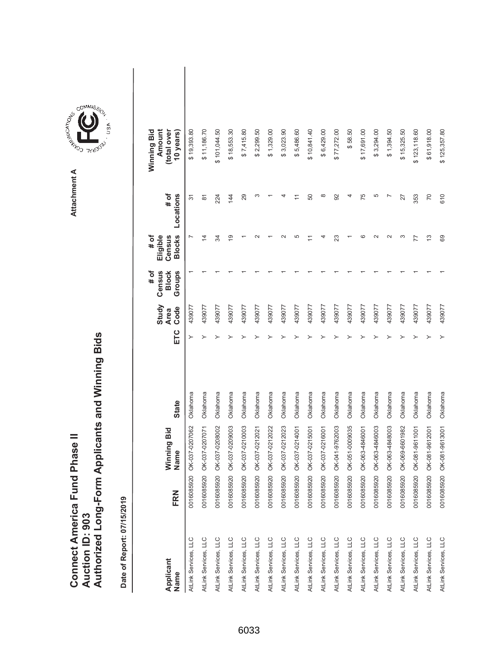|                               |                 | Authorized Long-Form Applicants and Winning Bids |
|-------------------------------|-----------------|--------------------------------------------------|
| Connect America Fund Phase II | Auction ID: 903 |                                                  |

| Applicant<br>Name    | FRN        | Winning Bid<br>Name | <b>State</b> | ETC | Study<br>Code<br><b>Area</b> | Census<br># of<br>Groups<br><b>Block</b> | <b>Blocks</b><br>Eligible<br>Census<br># of | # of<br>Locations  | Amount<br>Winning Bid<br>(total over<br>10 years) |  |
|----------------------|------------|---------------------|--------------|-----|------------------------------|------------------------------------------|---------------------------------------------|--------------------|---------------------------------------------------|--|
| AtLink Services, LLC | 0016085920 | OK-037-0207062      | Oklahoma     |     | 439077                       |                                          |                                             | $\overline{5}$     | \$19,393.80                                       |  |
| AtLink Services, LLC | 0016085920 | OK-037-0207071      | Oklahoma     | ≻   | 439077                       |                                          | $\overline{4}$                              | $\overline{\circ}$ | \$11,186.70                                       |  |
| AtLink Services, LLC | 0016085920 | OK-037-0208002      | Oklahoma     |     | 439077                       |                                          | R                                           | 224                | \$101,044.50                                      |  |
| AtLink Services, LLC | 0016085920 | OK-037-0209003      | Oklahoma     |     | 439077                       |                                          | 67                                          | 144                | \$18,553.30                                       |  |
| AtLink Services, LLC | 0016085920 | OK-037-0210003      | Oklahoma     |     | 439077                       |                                          |                                             | 29                 | \$7,415.80                                        |  |
| AtLink Services, LLC | 0016085920 | OK-037-0212021      | Oklahoma     |     | 439077                       |                                          |                                             | ო                  | \$2,299.50                                        |  |
| AtLink Services, LLC | 0016085920 | OK-037-0212022      | Oklahoma     |     | 439077                       |                                          |                                             |                    | \$1,329.00                                        |  |
| AtLink Services, LLC | 0016085920 | OK-037-0212023      | Oklahoma     |     | 439077                       |                                          |                                             |                    | \$3,023.90                                        |  |
| AtLink Services, LLC | 0016085920 | OK-037-0214001      | Oklahoma     |     | 439077                       |                                          | ഥ                                           |                    | \$5,486.60                                        |  |
| AtLink Services, LLC | 0016085920 | OK-037-0215001      | Oklahoma     |     | 439077                       |                                          |                                             | 50                 | \$10,841.40                                       |  |
| AtLink Services, LLC | 0016085920 | OK-037-0216001      | Oklahoma     |     | 439077                       |                                          |                                             | $^{\circ}$         | \$6,429.00                                        |  |
| AtLink Services, LLC | 0016085920 | OK-041-9762003      | Oklahoma     |     | 439077                       |                                          | 23                                          | 92                 | \$77,272.00                                       |  |
| AtLink Services, LLC | 0016085920 | OK-051-0009035      | Oklahoma     |     | 439077                       |                                          |                                             |                    | \$58.50                                           |  |
| AtLink Services, LLC | 0016085920 | OK-063-4846001      | Oklahoma     |     | 439077                       |                                          | ဖ                                           | 75                 | \$17,691.00                                       |  |
| AtLink Services, LLC | 0016085920 | OK-063-4846003      | Oklahoma     |     | 439077                       |                                          |                                             | Ю                  | \$3,294.00                                        |  |
| AtLink Services, LLC | 0016085920 | OK-063-4848003      | Oklahoma     |     | 439077                       |                                          | $\sim$                                      |                    | \$1,394.50                                        |  |
| AtLink Services, LLC | 0016085920 | OK-069-6601982      | Oklahoma     |     | 439077                       |                                          | ς                                           | 27                 | \$15,325.50                                       |  |
| AtLink Services, LLC | 0016085920 | OK-081-9611001      | Oklahoma     |     | 439077                       |                                          | 77                                          | 353                | \$123,118.60                                      |  |
| AtLink Services, LLC | 0016085920 | OK-081-9612001      | Oklahoma     |     | 439077                       |                                          | 13                                          | 70                 | \$61,918.00                                       |  |
| AtLink Services, LLC | 0016085920 | OK-081-9613001      | Oklahoma     |     | 439077                       |                                          | 69                                          | 610                | \$125,357.80                                      |  |

**COMMISSION** Attachment A **Attachment A**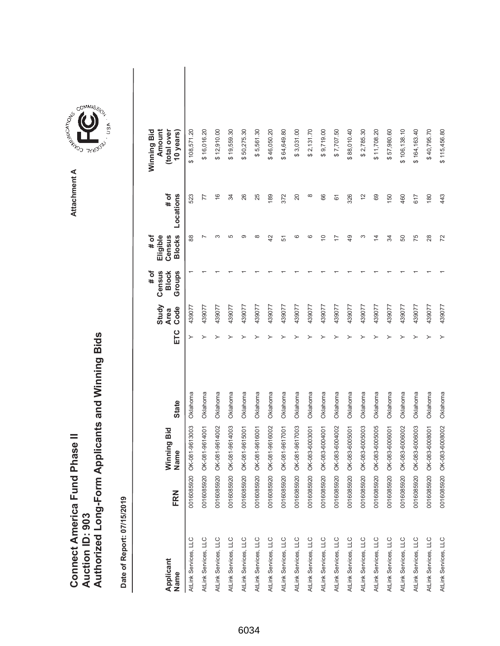|                               |                 | Authorized Long-Form Applicants and Winning Bids |
|-------------------------------|-----------------|--------------------------------------------------|
|                               |                 |                                                  |
| Connect America Fund Phase II | Auction ID: 903 |                                                  |



COMMIS<sub>SION</sub>

USA

| Applicant<br>Name    | FRN        | Winning Bid<br>Name | <b>State</b> | ETC | Study<br>Code<br><b>Area</b> | Census<br># of<br><b>Block</b><br>Groups | <b>Blocks</b><br>Eligible<br># of<br>Census | # of<br>Locations | (total over<br>Amount<br>Winning Bid<br>10 years) |  |
|----------------------|------------|---------------------|--------------|-----|------------------------------|------------------------------------------|---------------------------------------------|-------------------|---------------------------------------------------|--|
| AtLink Services, LLC | 0016085920 | OK-081-9613003      | Oklahoma     |     | 439077                       |                                          | 88                                          | 523               | \$108,571.20                                      |  |
| AtLink Services, LLC | 0016085920 | OK-081-9614001      | Oklahoma     |     | 439077                       |                                          |                                             | 77                | \$16,016.20                                       |  |
| AtLink Services, LLC | 0016085920 | OK-081-9614002      | Oklahoma     |     | 439077                       |                                          | ო                                           | $\frac{6}{5}$     | \$12,910.00                                       |  |
| AtLink Services, LLC | 0016085920 | OK-081-9614003      | Oklahoma     |     | 439077                       |                                          | 5                                           | 34                | \$19,559.30                                       |  |
| AtLink Services, LLC | 0016085920 | OK-081-9615001      | Oklahoma     |     | 439077                       |                                          | ග                                           | 26                | \$50,275.30                                       |  |
| AtLink Services, LLC | 0016085920 | OK-081-9616001      | Oklahoma     |     | 439077                       |                                          | œ                                           | 25                | \$5,561.30                                        |  |
| AtLink Services, LLC | 0016085920 | OK-081-9616002      | Oklahoma     |     | 439077                       |                                          | 42                                          | 189               | \$46,050.20                                       |  |
| AtLink Services, LLC | 0016085920 | OK-081-9617001      | Oklahoma     |     | 439077                       |                                          | 5                                           | 372               | \$64,649.80                                       |  |
| AtLink Services, LLC | 0016085920 | OK-081-9617003      | Oklahoma     |     | 439077                       |                                          | ဖ                                           | 20                | \$3,031.00                                        |  |
| AtLink Services, LLC | 0016085920 | OK-083-6003001      | Oklahoma     |     | 439077                       |                                          | ဖ                                           | $\infty$          | 2,131.70<br>↮                                     |  |
| AtLink Services, LLC | 0016085920 | OK-083-6004001      | Oklahoma     |     | 439077                       |                                          | ₽                                           | 66                | \$9,719.00                                        |  |
| AtLink Services, LLC | 0016085920 | OK-083-6004002      | Oklahoma     |     | 439077                       |                                          |                                             | 61                | \$7,707.50                                        |  |
| AtLink Services, LLC | 0016085920 | OK-083-6005001      | Oklahoma     |     | 439077                       |                                          | 49                                          | 326               | \$88,010.40                                       |  |
| AtLink Services, LLC | 0016085920 | OK-083-6005003      | Oklahoma     |     | 439077                       |                                          | ∞                                           | $\tilde{c}$       | \$2,785.30                                        |  |
| AtLink Services, LLC | 0016085920 | OK-083-6005005      | Oklahoma     |     | 439077                       |                                          | $\overline{4}$                              | 69                | \$11,708.20                                       |  |
| AtLink Services, LLC | 0016085920 | OK-083-6006001      | Oklahoma     |     | 439077                       |                                          | R                                           | 150               | \$57,980.60                                       |  |
| AtLink Services, LLC | 0016085920 | OK-083-6006002      | Oklahoma     |     | 439077                       |                                          | 50                                          | 460               | \$106,138.10                                      |  |
| AtLink Services, LLC | 0016085920 | OK-083-6006003      | Oklahoma     |     | 439077                       |                                          | 75                                          | 617               | \$164,163.40                                      |  |
| AtLink Services, LLC | 0016085920 | OK-083-6008001      | Oklahoma     |     | 439077                       |                                          | 28                                          | 180               | \$40,795.70                                       |  |
| AtLink Services, LLC | 0016085920 | OK-083-6008002      | Oklahoma     |     | 439077                       |                                          | 72                                          | 443               | \$115,456.80                                      |  |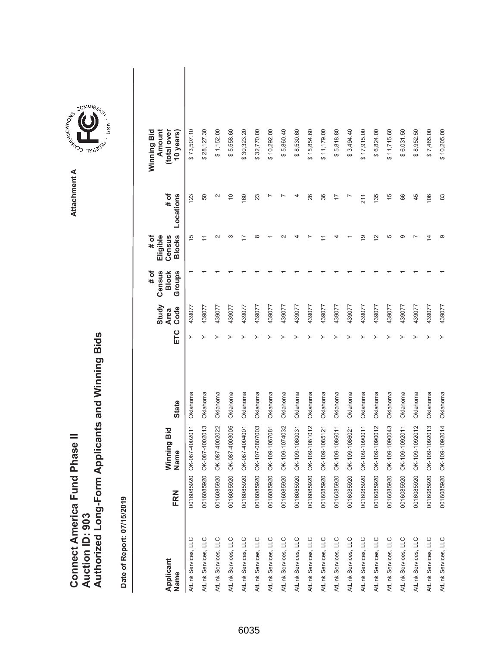| Connect America Fund Phase II |                 | Authorized Long-Form Applicants and Winning Bids |
|-------------------------------|-----------------|--------------------------------------------------|
|                               |                 |                                                  |
|                               |                 |                                                  |
|                               | Auction ID: 903 |                                                  |

| Applicant<br>Name    | FRN                         | Winning Bid<br>Name       | <b>State</b> | ETC | Study<br>Code<br><b>Area</b> | # of<br>Census<br><b>Block</b><br>Groups | <b>Blocks</b><br># of<br>Eligible<br>Census | # of<br>Locations | Winning Bid<br>Amount<br>(total over<br>10 years) |  |
|----------------------|-----------------------------|---------------------------|--------------|-----|------------------------------|------------------------------------------|---------------------------------------------|-------------------|---------------------------------------------------|--|
| AtLink Services, LLC | $\overline{20}$<br>00160859 | OK-087-4002011            | Oklahoma     |     | 439077                       |                                          | 15                                          | 123               | \$73,507.10                                       |  |
| AtLink Services, LLC |                             | 0016085920 OK-087-4002013 | Oklahoma     |     | 439077                       |                                          | Ξ                                           | 50                | \$28,127.30                                       |  |
| AtLink Services, LLC | 0016085920                  | OK-087-4002022            | Oklahoma     |     | 439077                       |                                          | $\scriptstyle\sim$                          | $\mathbf{\Omega}$ | \$1,152.00                                        |  |
| AtLink Services, LLC | 0016085920                  | OK-087-4003005            | Oklahoma     |     | 439077                       |                                          |                                             | $\overline{0}$    | \$5,558.60                                        |  |
| AtLink Services, LLC | 0016085920                  | OK-087-4004001            | Oklahoma     |     | 439077                       |                                          | F                                           | 160               | \$30,323.20                                       |  |
| AtLink Services, LLC | 0016085920                  | OK-107-0807003            | Oklahoma     |     | 439077                       |                                          |                                             | 23                | \$32,770.00                                       |  |
| AtLink Services, LLC | 0016085920                  | OK-109-1067081            | Oklahoma     |     | 439077                       |                                          |                                             |                   | \$10,292.00                                       |  |
| AtLink Services, LLC | 0016085920                  | OK-109-1074032            | Oklahoma     |     | 439077                       |                                          |                                             |                   | \$5,860.40                                        |  |
| AtLink Services, LLC | 0016085920                  | OK-109-1080031            | Oklahoma     |     | 439077                       |                                          |                                             |                   | \$8,530.60                                        |  |
| AtLink Services, LLC | 0016085920                  | OK-109-1081012            | Oklahoma     |     | 439077                       |                                          |                                             | 26                | \$15,854.60                                       |  |
| AtLink Services, LLC | 0016085920                  | OK-109-1085121            | Oklahoma     |     | 439077                       |                                          |                                             | 36                | \$11,179.00                                       |  |
| AtLink Services, LLC | 0016085920                  | OK-109-1086011            | Oklahoma     |     | 439077                       |                                          |                                             | $\overline{1}$    | \$5,818.80                                        |  |
| AtLink Services, LLC | 0016085920                  | OK-109-1086021            | Oklahoma     |     | 439077                       |                                          |                                             |                   | \$3,494.40                                        |  |
| AtLink Services, LLC | 0016085920                  | OK-109-1090011            | Oklahoma     |     | 439077                       |                                          | ഉ                                           | 211               | \$17,915.00                                       |  |
| AtLink Services, LLC | 0016085920                  | OK-109-1090012            | Oklahoma     |     | 439077                       |                                          | $\overline{2}$                              | 135               | \$6,824.00                                        |  |
| AtLink Services, LLC | 0016085920                  | OK-109-1090043            | Oklahoma     |     | 439077                       |                                          | 5                                           | $\frac{5}{3}$     | \$11,715.60                                       |  |
| AtLink Services, LLC | 0016085920                  | OK-109-1092011            | Oklahoma     |     | 439077                       |                                          |                                             | 66                | \$6,031.50                                        |  |
| AtLink Services, LLC | 0016085920                  | OK-109-1092012            | Oklahoma     |     | 439077                       |                                          |                                             | 45                | \$8,952.50                                        |  |
| AtLink Services, LLC | 0016085920                  | OK-109-1092013            | Oklahoma     |     | 439077                       |                                          | 4                                           | 106               | \$7,465.00                                        |  |
| AtLink Services, LLC |                             | 0016085920 OK-109-1092014 | Oklahoma     |     | 439077                       |                                          |                                             | 83                | \$10,205.00                                       |  |

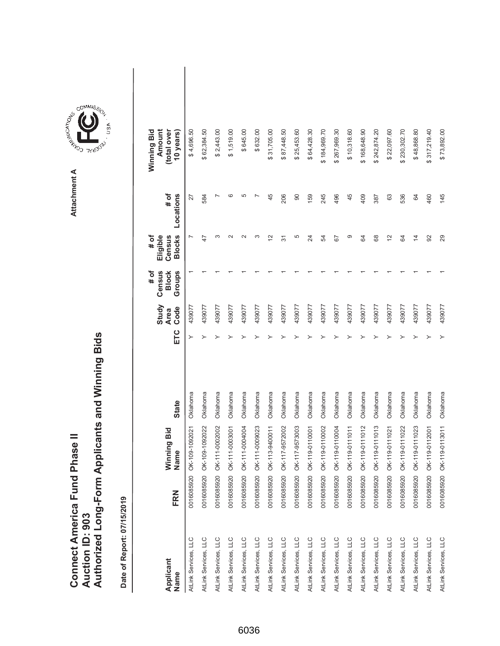|                               |                 | Authorized Long-Form Applicants and Winning Bids |
|-------------------------------|-----------------|--------------------------------------------------|
|                               |                 |                                                  |
| Connect America Fund Phase II |                 |                                                  |
|                               | Auction ID: 903 |                                                  |



**COMMISSION** Attachment A **Attachment A**

GOMMIS<sub>SION</sub>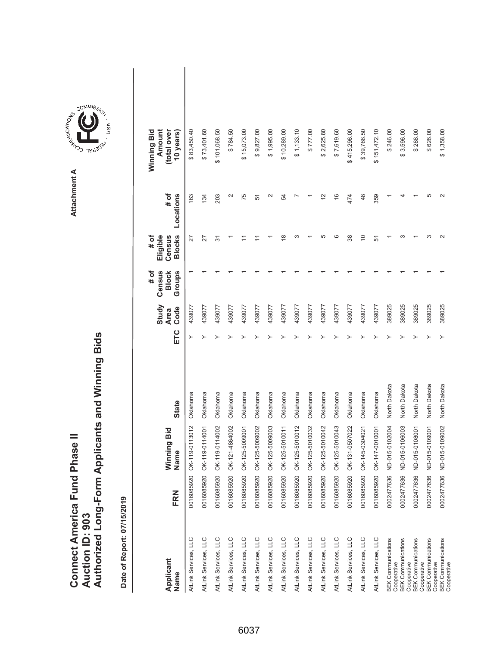|                                      |                 | Authorized Long-Form Applicants and Winning Bids |
|--------------------------------------|-----------------|--------------------------------------------------|
| <b>Connect America Fund Phase II</b> | Auction ID: 903 |                                                  |



| Applicant<br>Name                        | FRN        | Winning Bid<br>Name | <b>State</b> | ETC | Study<br>Code<br><b>Area</b> | Census<br># of<br>Groups<br><b>Block</b> | <b>Blocks</b><br># of<br>Eligible<br>Census | # of<br>Locations | Winning Bid<br>Amount<br>(total over<br>10 years) |  |
|------------------------------------------|------------|---------------------|--------------|-----|------------------------------|------------------------------------------|---------------------------------------------|-------------------|---------------------------------------------------|--|
| AtLink Services, LLC                     | 0016085920 | OK-119-0113012      | Oklahoma     | ≻   | 439077                       |                                          | 27                                          | 163               | \$83,450.40                                       |  |
| AtLink Services, LLC                     | 0016085920 | OK-119-0114001      | Oklahoma     |     | 439077                       |                                          | 27                                          | 134               | \$73,401.60                                       |  |
| AtLink Services, LLC                     | 0016085920 | OK-119-0114002      | Oklahoma     |     | 439077                       |                                          | 57                                          | 203               | \$101,068.50                                      |  |
| AtLink Services, LLC                     | 0016085920 | OK-121-4864002      | Oklahoma     |     | 439077                       |                                          |                                             | $\mathbf{\Omega}$ | \$784.50                                          |  |
| AtLink Services, LLC                     | 0016085920 | OK-125-5009001      | Oklahoma     |     | 439077                       |                                          |                                             | 75                | \$15,073.00                                       |  |
| AtLink Services, LLC                     | 0016085920 | OK-125-5009002      | Oklahoma     |     | 439077                       |                                          |                                             | 51                | \$9,827.00                                        |  |
| AtLink Services, LLC                     | 0016085920 | OK-125-5009003      | Oklahoma     |     | 439077                       |                                          |                                             | $\sim$            | \$1,995.00                                        |  |
| AtLink Services, LLC                     | 0016085920 | OK-125-5010011      | Oklahoma     |     | 439077                       |                                          | $\frac{8}{1}$                               | 54                | \$10,289.00                                       |  |
| AtLink Services, LLC                     | 0016085920 | OK-125-5010012      | Oklahoma     |     | 439077                       |                                          | ∞                                           |                   | \$1,133.10                                        |  |
| AtLink Services, LLC                     | 0016085920 | OK-125-5010032      | Oklahoma     |     | 439077                       |                                          |                                             |                   | \$777.00                                          |  |
| AtLink Services, LLC                     | 0016085920 | OK-125-5010042      | Oklahoma     |     | 439077                       |                                          | 5                                           | $\tilde{C}$       | \$2,625.80                                        |  |
| AtLink Services, LLC                     | 0016085920 | OK-125-5010043      | Oklahoma     |     | 439077                       |                                          | ဖ                                           | $\frac{6}{5}$     | \$7,619.60                                        |  |
| AtLink Services, LLC                     | 0016085920 | OK-131-0507022      | Oklahoma     |     | 439077                       |                                          | 38                                          | 474               | \$415,296.00                                      |  |
| AtLink Services, LLC                     | 0016085920 | OK-145-0304021      | Oklahoma     |     | 439077                       |                                          | $\Rightarrow$                               | 48                | \$39,766.50                                       |  |
| AtLink Services, LLC                     | 0016085920 | OK-147-0010001      | Oklahoma     |     | 439077                       |                                          | 51                                          | 359               | \$151,472.10                                      |  |
| <b>BEK Communications</b><br>Cooperative | 0002477636 | ND-015-0102004      | North Dakota |     | 389025                       |                                          |                                             |                   | \$246.00                                          |  |
| <b>BEK Communications</b><br>Cooperative | 0002477636 | ND-015-0106003      | North Dakota |     | 389025                       |                                          |                                             |                   | \$3,596.00                                        |  |
| <b>BEK Communications</b><br>Cooperative | 0002477636 | ND-015-0108001      | North Dakota |     | 389025                       |                                          |                                             |                   | \$288.00                                          |  |
| <b>BEK Communications</b><br>Cooperative | 0002477636 | ND-015-0109001      | North Dakota |     | 389025                       |                                          | ∞                                           | 5                 | \$626.00                                          |  |
| <b>BEK Communications</b><br>Cooperative | 0002477636 | ND-015-0109002      | North Dakota |     | 389025                       |                                          | $\sim$                                      | $\mathbf{\Omega}$ | \$1,358.00                                        |  |



6037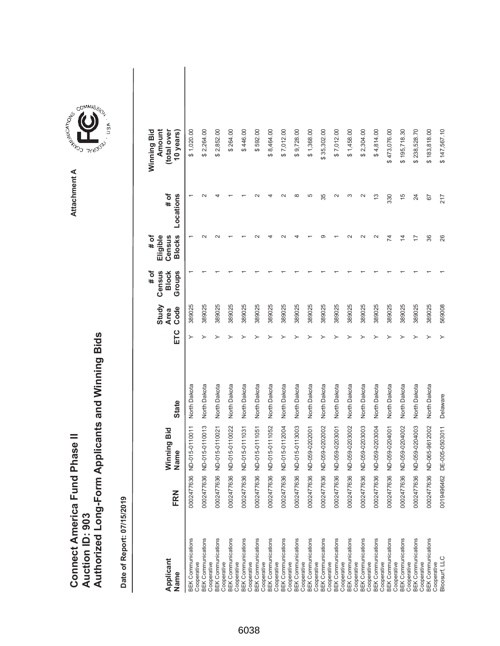|                               |                 | Authorized Long-Form Applicants and Winning Bids |
|-------------------------------|-----------------|--------------------------------------------------|
| Connect America Fund Phase II |                 |                                                  |
|                               |                 |                                                  |
|                               |                 |                                                  |
|                               | Auction ID: 903 |                                                  |
|                               |                 |                                                  |

**Attachment A**

Attachment A

**COMMISSION** 

COMMIS<sub>SION</sub>

USA

| Applicant<br>Name                                       | FRN | Winning Bid<br>Name       | <b>State</b> | ETC | Study<br>Code<br><b>Area</b> | Census<br>Groups<br># of<br><b>Block</b> | <b>Blocks</b><br># of<br>Eligible<br>Census | # of<br>Locations | Amount<br>Winning Bid<br>(total over<br>10 years) |  |
|---------------------------------------------------------|-----|---------------------------|--------------|-----|------------------------------|------------------------------------------|---------------------------------------------|-------------------|---------------------------------------------------|--|
| <b>BEK Communications</b><br>Cooperative                |     | 0002477636 ND-015-0110011 | North Dakota | ≻   | 389025                       |                                          |                                             |                   | \$1,020.00                                        |  |
| <b>BEK Communications</b><br>Cooperative                |     | 0002477636 ND-015-0110013 | North Dakota | ≻   | 389025                       |                                          |                                             |                   | \$2,264.00                                        |  |
| <b>BEK Communications</b><br>Cooperative                |     | 0002477636 ND-015-0110021 | North Dakota |     | 389025                       |                                          |                                             |                   | \$2,852.00                                        |  |
| <b>BEK Communications</b><br>Cooperative                |     | 0002477636 ND-015-0110022 | North Dakota |     | 389025                       |                                          |                                             |                   | \$264.00                                          |  |
| <b>BEK Communications</b><br>Cooperative                |     | 0002477636 ND-015-0111031 | North Dakota |     | 389025                       |                                          |                                             |                   | \$446.00                                          |  |
| <b>BEK Communications</b><br>Cooperative                |     | 0002477636 ND-015-0111051 | North Dakota |     | 389025                       |                                          |                                             |                   | \$592.00                                          |  |
| <b>BEK Communications</b><br>Cooperative                |     | 0002477636 ND-015-0111052 | North Dakota |     | 389025                       |                                          |                                             |                   | \$8,464.00                                        |  |
| <b>BEK Communications</b><br>Cooperative                |     | 0002477636 ND-015-0112004 | North Dakota |     | 389025                       |                                          |                                             |                   | \$7,012.00                                        |  |
| <b>BEK Communications</b><br>Cooperative                |     | 0002477636 ND-015-0113003 | North Dakota |     | 389025                       |                                          |                                             |                   | \$9,728.00                                        |  |
| <b>BEK Communications</b><br>Cooperative                |     | 0002477636 ND-059-0202001 | North Dakota |     | 389025                       |                                          |                                             | 5                 | \$1,368.00                                        |  |
| <b>BEK Communications</b><br>Cooperative                |     | 0002477636 ND-059-0202002 | North Dakota |     | 389025                       |                                          |                                             | 35                | \$35,302.00                                       |  |
| <b>BEK Communications</b>                               |     | 0002477636 ND-059-0203001 | North Dakota |     | 389025                       |                                          |                                             |                   | \$7,012.00                                        |  |
| <b>BEK Communications</b><br>Cooperative<br>Cooperative |     | 0002477636 ND-059-0203002 | North Dakota |     | 389025                       |                                          |                                             |                   | \$1,458.00                                        |  |
| <b>BEK Communications</b><br>Cooperative                |     | 0002477636 ND-059-0203003 | North Dakota |     | 389025                       |                                          |                                             |                   | \$2,304.00                                        |  |
| <b>BEK Communications</b>                               |     | 0002477636 ND-059-0203004 | North Dakota |     | 389025                       |                                          |                                             | 13                | \$4,814.00                                        |  |
| <b>BEK Communications</b><br>Cooperative<br>Cooperative |     | 0002477636 ND-059-0204001 | North Dakota |     | 389025                       |                                          | 74                                          | 330               | \$473,076.00                                      |  |
| <b>BEK Communications</b><br>Cooperative                |     | 0002477636 ND-059-0204002 | North Dakota |     | 389025                       |                                          | $\overline{4}$                              | $\frac{5}{3}$     | \$195,718.30                                      |  |
| <b>BEK Communications</b><br>Cooperative                |     | 0002477636 ND-059-0204003 | North Dakota |     | 389025                       |                                          | 17                                          | 24                | \$238,528.70                                      |  |
| <b>BEK Communications</b><br>Cooperative                |     | 0002477636 ND-065-9612002 | North Dakota |     | 389025                       |                                          | 36                                          | 67                | \$183,818.00                                      |  |
| Bloosurf, LLC                                           |     | 0019496462 DE-005-0503011 | Delaware     |     | 569008                       |                                          | 26                                          | 217               | \$147,567.10                                      |  |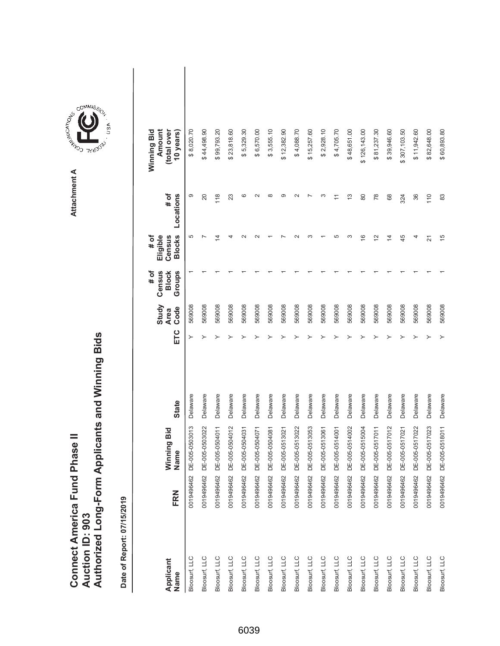| <b>Connect America Fund Phase II</b> |                 | Authorized Long-Form Applicants and Winning Bids |
|--------------------------------------|-----------------|--------------------------------------------------|
|                                      | Auction ID: 903 |                                                  |

Attachment A **Attachment A**

COMMIS<sub>SION</sub>

USA

| Applicant<br>Name | <b>FRN</b>   | Vinning Bid<br>Name       | <b>State</b> | ETC | Study<br>Code<br><b>Area</b> | # of<br>Census<br>Groups<br><b>Block</b> | <b>Blocks</b><br>Eligible<br># of<br>Census | Locations<br># of | Winning Bid<br>Amount<br>(total over<br>10 years) |  |
|-------------------|--------------|---------------------------|--------------|-----|------------------------------|------------------------------------------|---------------------------------------------|-------------------|---------------------------------------------------|--|
| Bloosurf, LLC     |              | 0019496462 DE-005-0503013 | Delaware     | ≻   | 569008                       |                                          | 5                                           | တ                 | \$8,020.70                                        |  |
| Bloosurf, LLC     |              | 0019496462 DE-005-0503022 | Delaware     |     | 569008                       |                                          |                                             | 20                | \$44,498.90                                       |  |
| Bloosurf, LLC     |              | 0019496462 DE-005-0504011 | Delaware     |     | 569008                       |                                          | 4                                           | 118               | \$99,793.20                                       |  |
| Bloosurf, LLC     | 0019496462 D | E-005-0504012             | Delaware     |     | 569008                       |                                          |                                             | 23                | \$23,818.60                                       |  |
| Bloosurf, LLC     |              | 0019496462 DE-005-0504031 | Delaware     |     | 569008                       |                                          |                                             | ဖ                 | \$5,329.30                                        |  |
| Bloosurf, LLC     |              | 0019496462 DE-005-0504071 | Delaware     |     | 569008                       |                                          |                                             |                   | \$6,570.00                                        |  |
| Bloosurf, LLC     | 0019496462 D | E-005-0504081             | Delaware     |     | 569008                       |                                          |                                             |                   | \$3,555.10                                        |  |
| Bloosurf, LLC     |              | 0019496462 DE-005-0513021 | Delaware     |     | 569008                       |                                          |                                             |                   | \$12,382.90                                       |  |
| Bloosurf, LLC     |              | 0019496462 DE-005-0513022 | Delaware     |     | 569008                       |                                          |                                             |                   | \$4,088.70                                        |  |
| Bloosurf, LLC     | 0019496462 D | E-005-0513053             | Delaware     |     | 569008                       |                                          |                                             |                   | \$15,257.60                                       |  |
| Bloosurf, LLC     |              | 0019496462 DE-005-0513061 | Delaware     |     | 569008                       |                                          |                                             |                   | \$2,928.10                                        |  |
| Bloosurf, LLC     |              | 0019496462 DE-005-0514001 | Delaware     |     | 569008                       |                                          | LO                                          |                   | \$4,705.70                                        |  |
| Bloosurf, LLC     | 0019496462 D | E-005-0514002             | Delaware     |     | 569008                       |                                          | ო                                           | $\frac{3}{2}$     | \$48,651.00                                       |  |
| Bloosurf, LLC     |              | 0019496462 DE-005-0515004 | Delaware     |     | 569008                       |                                          | $\frac{6}{5}$                               | 80                | \$126,143.00                                      |  |
| Bloosurf, LLC     |              | 0019496462 DE-005-0517011 | Delaware     |     | 569008                       |                                          | $\tilde{c}$                                 | $\frac{8}{2}$     | \$81,237.30                                       |  |
| Bloosurf, LLC     |              | 0019496462 DE-005-0517012 | Delaware     |     | 569008                       |                                          | 4                                           | 68                | \$39,946.60                                       |  |
| Bloosurf, LLC     |              | 0019496462 DE-005-0517021 | Delaware     |     | 569008                       |                                          | 45                                          | 324               | \$307,103.50                                      |  |
| Bloosurf, LLC     |              | 0019496462 DE-005-0517022 | Delaware     |     | 569008                       |                                          |                                             | 36                | \$11,942.60                                       |  |
| Bloosurf, LLC     |              | 0019496462 DE-005-0517023 | Delaware     |     | 569008                       |                                          | 21                                          | 110               | \$82,648.00                                       |  |
| Bloosurf, LLC     |              | 0019496462 DE-005-0518011 | Delaware     |     | 569008                       |                                          | $\frac{5}{2}$                               | 83                | \$60,893.80                                       |  |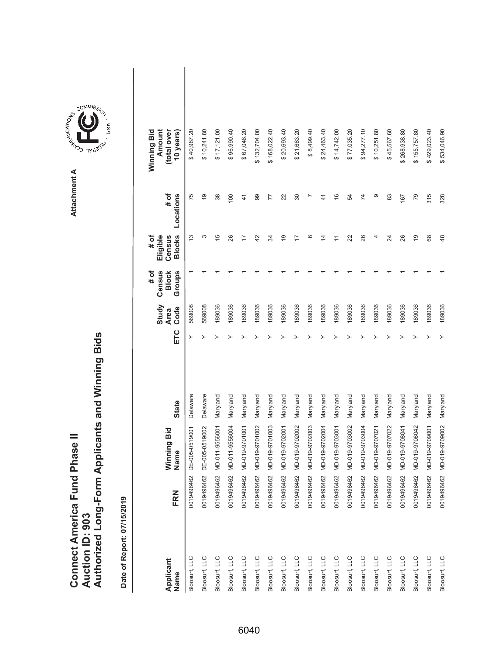|                                      |                        | Authorized Long-Form Applicants and Winning Bids |
|--------------------------------------|------------------------|--------------------------------------------------|
|                                      |                        |                                                  |
|                                      |                        |                                                  |
| <b>Connect America Fund Phase II</b> |                        |                                                  |
|                                      |                        |                                                  |
|                                      | <b>Auction ID: 903</b> |                                                  |
|                                      |                        |                                                  |



USA

| Applicant<br>Name | <b>FRN</b> | Winning Bid<br>Name | <b>State</b> | ETC | Study<br>Code<br><b>Area</b> | # of<br>Census<br>Groups<br><b>Block</b> | <b>Blocks</b><br>Eligible<br>Census<br># of | # of<br>Locations | Amount<br>(total over<br>Winning Bid<br>10 years) |  |
|-------------------|------------|---------------------|--------------|-----|------------------------------|------------------------------------------|---------------------------------------------|-------------------|---------------------------------------------------|--|
| Bloosurf, LLC     | 0019496462 | DE-005-0519001      | Delaware     |     | 569008                       |                                          | ഇ                                           | 75                | \$40,987.20                                       |  |
| Bloosurf, LLC     | 0019496462 | DE-005-0519002      | Delaware     |     | 569008                       |                                          | S                                           | $\frac{0}{1}$     | \$10,241.80                                       |  |
| Bloosurf, LLC     | 0019496462 | MD-011-9556001      | Maryland     |     | 189036                       |                                          | $\frac{5}{2}$                               | 38                | \$17,121.00                                       |  |
| Bloosurf, LLC     | 0019496462 | MD-011-9556004      | Maryland     |     | 189036                       |                                          | 26                                          | 100               | \$96,990.40                                       |  |
| Bloosurf, LLC     | 0019496462 | MD-019-9701001      | Maryland     |     | 189036                       |                                          | $\overline{1}$                              | $\frac{4}{1}$     | \$67,046.20                                       |  |
| Bloosurf, LLC     | 0019496462 | MD-019-9701002      | Maryland     |     | 189036                       |                                          | 42                                          | 99                | \$132,704.00                                      |  |
| Bloosurf, LLC     | 0019496462 | MD-019-9701003      | Maryland     |     | 189036                       |                                          | R                                           | 77                | \$168,022.40                                      |  |
| Bloosurf, LLC     | 0019496462 | MD-019-9702001      | Maryland     |     | 189036                       |                                          | é,                                          | 22                | \$20,693.40                                       |  |
| Bloosurf, LLC     | 0019496462 | MD-019-9702002      | Maryland     |     | 189036                       |                                          | $\overline{1}$                              | 30                | \$21,663.20                                       |  |
| Bloosurf, LLC     | 0019496462 | MD-019-9702003      | Maryland     |     | 189036                       |                                          | ဖ                                           | r                 | \$8,499.40                                        |  |
| Bloosurf, LLC     | 0019496462 | MD-019-9702004      | Maryland     |     | 189036                       |                                          | 4                                           | $\frac{4}{3}$     | \$24,463.40                                       |  |
| Bloosurf, LLC     | 0019496462 | MD-019-9703001      | Maryland     |     | 189036                       |                                          | Ξ                                           | $\frac{6}{1}$     | \$14,742.00                                       |  |
| Bloosurf, LLC     | 0019496462 | MD-019-9703002      | Maryland     |     | 189036                       |                                          | 22                                          | 54                | \$77,035.20                                       |  |
| Bloosurf, LLC     | 0019496462 | MD-019-9703004      | Maryland     |     | 189036                       |                                          | 26                                          | $\overline{7}$    | \$94,277.10                                       |  |
| Bloosurf, LLC     | 0019496462 | MD-019-9707021      | Maryland     |     | 189036                       |                                          |                                             | တ                 | \$10,251.80                                       |  |
| Bloosurf, LLC     | 0019496462 | MD-019-9707022      | Maryland     |     | 189036                       |                                          | 24                                          | 83                | \$45,567.60                                       |  |
| Bloosurf, LLC     | 0019496462 | MD-019-9708041      | Maryland     |     | 189036                       |                                          | 26                                          | 167               | \$268,938.80                                      |  |
| Bloosurf, LLC     | 0019496462 | MD-019-9708042      | Maryland     |     | 189036                       |                                          | $\overline{9}$                              | 79                | \$155,757.80                                      |  |
| Bloosurf, LLC     | 0019496462 | MD-019-9709001      | Maryland     |     | 189036                       |                                          | 89                                          | 315               | \$429,023.40                                      |  |
| Bloosurf, LLC     | 0019496462 | MD-019-9709002      | Maryland     | ≻   | 189036                       |                                          | 48                                          | 328               | \$534,046.90                                      |  |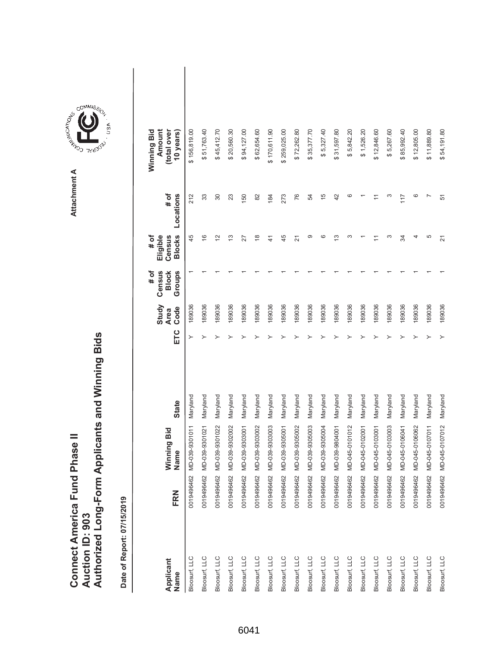|                               |                 | Authorized Long-Form Applicants and Winning Bids |
|-------------------------------|-----------------|--------------------------------------------------|
| Connect America Fund Phase II | Auction ID: 903 |                                                  |

**COMMISSION** Attachment A **Attachment A**

COMMIS<sub>SION</sub>

USA

| Applicant<br>Name | FRN | Winning Bid<br>Name       | <b>State</b> | ETC | Study<br>Code<br><b>Area</b> | Census<br># of<br><b>Block</b><br>Groups | <b>Blocks</b><br># of<br>Eligible<br>Census | # of<br>Locations | (total over<br>Amount<br>Winning Bid<br>10 years) |  |
|-------------------|-----|---------------------------|--------------|-----|------------------------------|------------------------------------------|---------------------------------------------|-------------------|---------------------------------------------------|--|
| Bloosurf, LLC     |     | 0019496462 MD-039-9301011 | Maryland     | ≻   | 189036                       |                                          | 45                                          | 212               | \$156,819.00                                      |  |
| Bloosurf, LLC     |     | 0019496462 MD-039-9301021 | Maryland     | ≻   | 189036                       |                                          | $\frac{6}{5}$                               | 33                | \$51,763.40                                       |  |
| Bloosurf, LLC     |     | 0019496462 MD-039-9301022 | Maryland     |     | 189036                       |                                          | $\tilde{c}$                                 | 30                | \$45,412.70                                       |  |
| Bloosurf, LLC     |     | 0019496462 MD-039-9302002 | Maryland     |     | 189036                       |                                          | 13                                          | 23                | \$20,560.30                                       |  |
| Bloosurf, LLC     |     | 0019496462 MD-039-9303001 | Maryland     |     | 189036                       |                                          | 27                                          | 150               | \$94,127.00                                       |  |
| Bloosurf, LLC     |     | 0019496462 MD-039-9303002 | Maryland     |     | 189036                       |                                          | $\frac{8}{1}$                               | 82                | \$62,654.60                                       |  |
| Bloosurf, LLC     |     | 0019496462 MD-039-9303003 | Maryland     |     | 189036                       |                                          | $\frac{4}{3}$                               | 184               | \$170,611.90                                      |  |
| Bloosurf, LLC     |     | 0019496462 MD-039-9305001 | Maryland     |     | 189036                       |                                          | 45                                          | 273               | \$259,025.00                                      |  |
| Bloosurf, LLC     |     | 0019496462 MD-039-9305002 | Maryland     |     | 189036                       |                                          | 21                                          | 76                | \$72,262.80                                       |  |
| Bloosurf, LLC     |     | 0019496462 MD-039-9305003 | Maryland     |     | 189036                       |                                          | ග                                           | 54                | \$35,377.70                                       |  |
| Bloosurf, LLC     |     | 0019496462 MD-039-9305004 | Maryland     |     | 189036                       |                                          | ဖ                                           | $\frac{5}{3}$     | \$5,327.40                                        |  |
| Bloosurf, LLC     |     | 0019496462 MD-039-9804001 | Maryland     |     | 189036                       |                                          | ≌                                           | 42                | \$31,597.80                                       |  |
| Bloosurf, LLC     |     | 0019496462 MD-045-0101012 | Maryland     |     | 189036                       |                                          | ᠬ                                           | ဖ                 | \$5,842.20                                        |  |
| Bloosurf, LLC     |     | 0019496462 MD-045-0102001 | Maryland     |     | 189036                       |                                          |                                             |                   | \$1,526.20                                        |  |
| Bloosurf, LLC     |     | 0019496462 MD-045-0103001 | Maryland     |     | 189036                       |                                          |                                             |                   | \$12,846.60                                       |  |
| Bloosurf, LLC     |     | 0019496462 MD-045-0103003 | Maryland     |     | 189036                       |                                          | c                                           | ო                 | \$5,267.60                                        |  |
| Bloosurf, LLC     |     | 0019496462 MD-045-0106041 | Maryland     |     | 189036                       |                                          | R                                           | 117               | \$85,992.40                                       |  |
| Bloosurf, LLC     |     | 0019496462 MD-045-0106062 | Maryland     |     | 189036                       |                                          |                                             | ဖ                 | \$12,805.00                                       |  |
| Bloosurf, LLC     |     | 0019496462 MD-045-0107011 | Maryland     |     | 189036                       |                                          | 5                                           | ∼                 | \$11,889.80                                       |  |
| Bloosurf, LLC     |     | 0019496462 MD-045-0107012 | Maryland     |     | 189036                       |                                          | 21                                          | 51                | \$54,191.80                                       |  |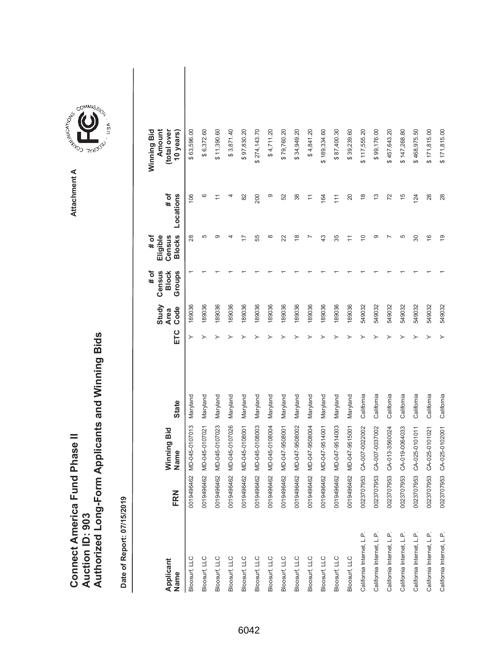|                               |                 | Authorized Long-Form Applicants and Winning Bids |
|-------------------------------|-----------------|--------------------------------------------------|
|                               |                 |                                                  |
| Connect America Fund Phase II | Auction ID: 903 |                                                  |

| Applicant<br>Name         | FRN        | Winning Bid<br>Name | <b>State</b> | ETC | Study<br>Code<br><b>Area</b> | Census<br># of<br><b>Block</b><br>Groups | <b>Blocks</b><br># of<br>Eligible<br>Census | # of<br>Locations         | Winning Bid<br>Amount<br>(total over<br>10 years) |  |
|---------------------------|------------|---------------------|--------------|-----|------------------------------|------------------------------------------|---------------------------------------------|---------------------------|---------------------------------------------------|--|
| Bloosurf, LLC             | 0019496462 | MD-045-0107013      | Maryland     |     | 189036                       |                                          | 28                                          | 106                       | \$63,596.00                                       |  |
| Bloosurf, LLC             | 0019496462 | MD-045-0107021      | Maryland     |     | 189036                       |                                          | 5                                           | ဖ                         | \$6,372.60                                        |  |
| Bloosurf, LLC             | 0019496462 | MD-045-0107023      | Maryland     |     | 189036                       |                                          | ග                                           |                           | \$11,390.60                                       |  |
| Bloosurf, LLC             | 0019496462 | MD-045-0107026      | Maryland     |     | 189036                       |                                          |                                             |                           | \$3,871.40                                        |  |
| Bloosurf, LLC             | 0019496462 | MD-045-0108001      | Maryland     |     | 189036                       |                                          |                                             | 82                        | \$97,830.20                                       |  |
| Bloosurf, LLC             | 0019496462 | MD-045-0108003      | Maryland     |     | 189036                       |                                          | 55                                          | 200                       | \$274,143.70                                      |  |
| Bloosurf, LLC             | 0019496462 | MD-045-0108004      | Maryland     |     | 189036                       |                                          | $^{\circ}$                                  | တ                         | \$4,711.20                                        |  |
| Bloosurf, LLC             | 0019496462 | MD-047-9508001      | Maryland     |     | 189036                       |                                          | 22                                          | 52                        | \$79,760.20                                       |  |
| Bloosurf, LLC             | 0019496462 | MD-047-9508002      | Maryland     |     | 189036                       |                                          | $\frac{8}{1}$                               | 38                        | \$34,949.20                                       |  |
| Bloosurf, LLC             | 0019496462 | MD-047-9508004      | Maryland     |     | 189036                       |                                          |                                             | $\overline{\overline{1}}$ | \$4,841.20                                        |  |
| Bloosurf, LLC             | 0019496462 | MD-047-9514001      | Maryland     |     | 189036                       |                                          | 43                                          | 164                       | \$189,334.60                                      |  |
| Bloosurf, LLC             | 0019496462 | MD-047-9514003      | Maryland     |     | 189036                       |                                          | 35                                          | 111                       | \$87,400.30                                       |  |
| Bloosurf, LLC             | 0019496462 | MD-047-9515001      | Maryland     |     | 189036                       |                                          |                                             | 20                        | \$39,239.60                                       |  |
| California Internet, L.P. | 0023707953 | CA-007-0022002      | California   |     | 549032                       |                                          | $\overline{0}$                              | $\frac{8}{1}$             | \$117,555.20                                      |  |
| California Internet, L.P. | 0023707953 | CA-007-0037002      | California   |     | 549032                       |                                          | ග                                           | 13                        | \$99,176.00                                       |  |
| California Internet, L.P. | 0023707953 | CA-013-3560024      | California   |     | 549032                       |                                          |                                             | 72                        | \$457,643.20                                      |  |
| California Internet, L.P. | 0023707953 | CA-019-0064033      | California   |     | 549032                       |                                          | 5                                           | $\frac{5}{3}$             | \$147,268.80                                      |  |
| California Internet, L.P. | 0023707953 | CA-025-0101011      | California   |     | 549032                       |                                          | 30                                          | 124                       | \$468,975.50                                      |  |
| California Internet, L.P. | 0023707953 | CA-025-0101021      | California   |     | 549032                       |                                          | $\frac{6}{5}$                               | 28                        | \$171,815.00                                      |  |
| California Internet, L.P. | 0023707953 | CA-025-0102001      | California   |     | 549032                       |                                          | $\overline{9}$                              | 28                        | \$171,815.00                                      |  |

**COMMISSION** Attachment A **Attachment A**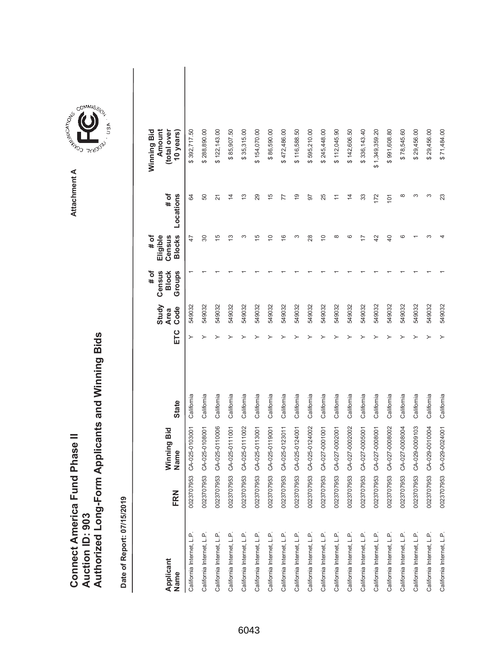|                               |                 | Authorized Long-Form Applicants and Winning Bids |
|-------------------------------|-----------------|--------------------------------------------------|
| Connect America Fund Phase II |                 |                                                  |
|                               | Auction ID: 903 |                                                  |

| Applicant<br>Name         | FRN        | Winning Bid<br>Name | <b>State</b> | ETC | Study<br>Code<br><b>Area</b> | Census<br># of<br><b>Block</b><br>Groups | <b>Blocks</b><br># of<br>Eligible<br>Census | # of<br>Locations | Winning Bid<br>Amount<br>(total over<br>10 years) |  |
|---------------------------|------------|---------------------|--------------|-----|------------------------------|------------------------------------------|---------------------------------------------|-------------------|---------------------------------------------------|--|
| California Internet, L.P. | 0023707953 | CA-025-0103001      | California   |     | 549032                       |                                          | 47                                          | 84                | \$392,717.50                                      |  |
| California Internet, L.P. | 0023707953 | CA-025-0108001      | California   |     | 549032                       |                                          | 80                                          | 50                | \$288,890.00                                      |  |
| California Internet, L.P. | 0023707953 | CA-025-0110006      | California   |     | 549032                       |                                          | $\frac{1}{2}$                               | $\overline{2}$    | \$122,143.00                                      |  |
| California Internet, L.P. | 0023707953 | CA-025-0111001      | California   |     | 549032                       |                                          | ≌                                           | $\overline{4}$    | \$85,907.50                                       |  |
| California Internet, L.P. | 0023707953 | CA-025-0111002      | California   |     | 549032                       |                                          | ω                                           | 13                | \$35,315.00                                       |  |
| California Internet, L.P. | 0023707953 | CA-025-0113001      | California   |     | 549032                       |                                          | ю                                           | 29                | \$154,070.00                                      |  |
| California Internet, L.P. | 0023707953 | CA-025-0119001      | California   |     | 549032                       |                                          | $\supseteq$                                 | $\frac{5}{3}$     | \$86,590.00                                       |  |
| California Internet, L.P. | 0023707953 | CA-025-0123011      | California   |     | 549032                       |                                          | $\frac{6}{5}$                               | 77                | \$472,486.00                                      |  |
| California Internet, L.P. | 0023707953 | CA-025-0124001      | California   |     | 549032                       |                                          | ω                                           | é,                | \$116,588.50                                      |  |
| California Internet, L.P. | 0023707953 | CA-025-0124002      | California   |     | 549032                       |                                          | 28                                          | 50                | \$595,210.00                                      |  |
| California Internet, L.P. | 0023707953 | CA-027-0001001      | California   |     | 549032                       |                                          | $\Rightarrow$                               | 25                | \$245,448.00                                      |  |
| California Internet, L.P. | 0023707953 | CA-027-0002001      | California   |     | 549032                       |                                          | $\infty$                                    |                   | \$112,045.90                                      |  |
| California Internet, L.P. | 0023707953 | CA-027-0002002      | California   |     | 549032                       |                                          | ဖ                                           | $\overline{4}$    | \$142,606.50                                      |  |
| California Internet, L.P. | 0023707953 | CA-027-0005001      | California   |     | 549032                       |                                          |                                             | 33                | \$336,143.40                                      |  |
| California Internet, L.P. | 0023707953 | CA-027-0008001      | California   |     | 549032                       |                                          | 42                                          | 172               | \$1,349,359.20                                    |  |
| California Internet, L.P. | 0023707953 | CA-027-0008002      | California   |     | 549032                       |                                          | $\overline{40}$                             | 101               | \$991,608.80                                      |  |
| California Internet, L.P. | 0023707953 | CA-027-0008004      | California   |     | 549032                       |                                          | ဖ                                           | ∞                 | \$78,545.60                                       |  |
| California Internet, L.P. | 0023707953 | CA-029-0009103      | California   |     | 549032                       |                                          |                                             |                   | \$29,456.00                                       |  |
| California Internet, L.P. | 0023707953 | CA-029-0010004      | California   |     | 549032                       |                                          |                                             | ∞                 | \$29,456.00                                       |  |
| California Internet, L.P. | 0023707953 | CA-029-0024001      | California   |     | 549032                       |                                          |                                             | 23                | \$71,484.00                                       |  |

**COMMISSION** Attachment A **Attachment A**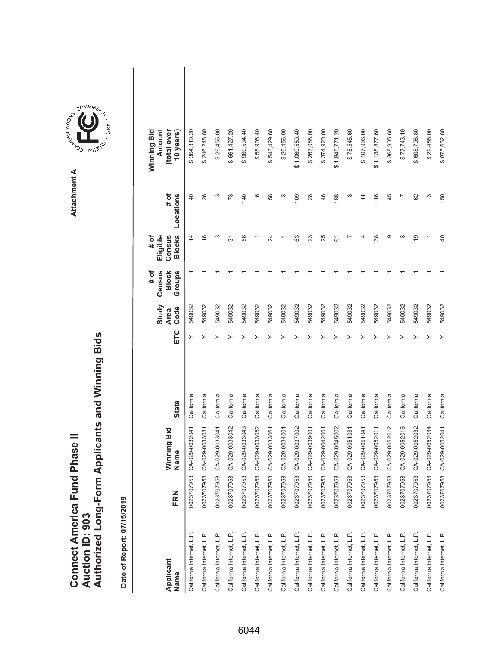|                               |                 | Authorized Long-Form Applicants and Winning Bids |
|-------------------------------|-----------------|--------------------------------------------------|
| Connect America Fund Phase II | Auction ID: 903 |                                                  |

**COMMISSION** Attachment A **Attachment A**

GOMMIS<sub>SION</sub>

USA

| Applicant<br>Name         | FRN        | Winning Bid<br>Name | <b>State</b> | ETC | Study<br>Code<br><b>Area</b> | # of<br>Census<br>Groups<br><b>Block</b> | <b>Blocks</b><br>Eligible<br># of<br>Census | # of<br>Locations        | Winning Bid<br>Amount<br>(total over<br>10 years) |  |
|---------------------------|------------|---------------------|--------------|-----|------------------------------|------------------------------------------|---------------------------------------------|--------------------------|---------------------------------------------------|--|
| California Internet, L.P. | 0023707953 | CA-029-0032041      | California   |     | 549032                       |                                          | $\overline{4}$                              | $\overline{40}$          | \$364,319.20                                      |  |
| California Internet, L.P. | 0023707953 | CA-029-0033031      | California   |     | 549032                       |                                          | $\frac{6}{5}$                               | 26                       | \$246,248.80                                      |  |
| California Internet, L.P. | 0023707953 | CA-029-0033041      | California   |     | 549032                       |                                          | S                                           | ω                        | \$29,456.00                                       |  |
| California Internet, L.P. | 0023707953 | CA-029-0033042      | California   |     | 549032                       |                                          | 57                                          | 73                       | \$661,427.20                                      |  |
| California Internet, L.P. | 0023707953 | CA-029-0033043      | California   |     | 549032                       |                                          | 56                                          | 140                      | \$960,534.40                                      |  |
| California Internet, L.P. | 0023707953 | CA-029-0033052      | California   |     | 549032                       |                                          |                                             | ဖ                        | \$58,906.40                                       |  |
| California Internet, L.P. | 0023707953 | CA-029-0033061      | California   |     | 549032                       |                                          | 24                                          | 58                       | \$543,429.60                                      |  |
| California Internet, L.P. | 0023707953 | CA-029-0034001      | California   |     | 549032                       |                                          |                                             | S                        | \$29,456.00                                       |  |
| California Internet, L.P. | 0023707953 | CA-029-0037002      | California   |     | 549032                       |                                          | යි                                          | 109                      | \$1,060,550.40                                    |  |
| California Internet, L.P. | 0023707953 | CA-029-0039001      | California   |     | 549032                       |                                          | 23                                          | 28                       | \$263,088.00                                      |  |
| California Internet, L.P. | 0023707953 | CA-029-0042001      | California   |     | 549032                       |                                          | 25                                          | 46                       | \$374,920.00                                      |  |
| California Internet, L.P. | 0023707953 | CA-029-0045002      | California   |     | 549032                       |                                          | 61                                          | 188                      | \$1,845,771.20                                    |  |
| California Internet, L.P. | 0023707953 | CA-029-0051031      | California   |     | 549032                       |                                          |                                             | $\infty$                 | \$78,545.60                                       |  |
| California Internet, L.P. | 0023707953 | CA-029-0051041      | California   |     | 549032                       |                                          |                                             | Ξ                        | \$107,996.00                                      |  |
| California Internet, L.P. | 0023707953 | CA-029-0052011      | California   |     | 549032                       |                                          | 38                                          | 116                      | \$1,138,877.60                                    |  |
| California Internet, L.P. | 0023707953 | CA-029-0052012      | California   |     | 549032                       |                                          | ග                                           | 45                       | \$368,905.60                                      |  |
| California Internet, L.P. | 0023707953 | CA-029-0052016      | California   |     | 549032                       |                                          | ო                                           | $\overline{\phantom{0}}$ | \$77,743.10                                       |  |
| California Internet, L.P. | 0023707953 | CA-029-0052032      | California   |     | 549032                       |                                          | ഉ                                           | 62                       | \$608,708.80                                      |  |
| California Internet, L.P. | 0023707953 | CA-029-0052034      | California   |     | 549032                       |                                          |                                             | S                        | \$29,456.00                                       |  |
| California Internet, L.P. | 0023707953 | CA-029-0052041      | California   |     | 549032                       |                                          | $\overline{a}$                              | 150                      | \$875,632.80                                      |  |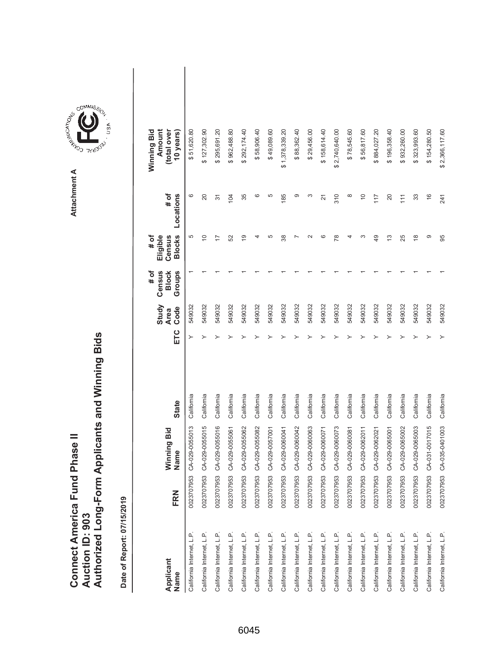|                                      |                        | Authorized Long-Form Applicants and Winning Bids |
|--------------------------------------|------------------------|--------------------------------------------------|
|                                      |                        |                                                  |
|                                      |                        |                                                  |
| <b>Connect America Fund Phase II</b> |                        |                                                  |
|                                      |                        |                                                  |
|                                      | <b>Auction ID: 903</b> |                                                  |
|                                      |                        |                                                  |

| Applicant<br>Name         | FRN        | Winning Bid<br>Name | <b>State</b> | ETC | Study<br>Code<br>Area | Census<br>Groups<br># of<br><b>Block</b> | <b>Blocks</b><br># of<br>Eligible<br>Census | # of<br>Locations | Amount<br>Winning Bid<br>(total over<br>10 years) |  |
|---------------------------|------------|---------------------|--------------|-----|-----------------------|------------------------------------------|---------------------------------------------|-------------------|---------------------------------------------------|--|
| California Internet, L.P. | 0023707953 | CA-029-0055013      | California   |     | 549032                |                                          | 5                                           | ဖ                 | \$51,620.80                                       |  |
| California Internet, L.P. | 0023707953 | CA-029-0055015      | California   |     | 549032                |                                          | $\widetilde{C}$                             | 20                | \$127,302.90                                      |  |
| California Internet, L.P. | 0023707953 | CA-029-0055016      | California   |     | 549032                |                                          |                                             | 5                 | \$295,691.20                                      |  |
| California Internet, L.P. | 0023707953 | CA-029-0055061      | California   |     | 549032                |                                          | 52                                          | 104               | \$962,488.80                                      |  |
| California Internet, L.P. | 0023707953 | CA-029-0055062      | California   |     | 549032                |                                          | $\overline{9}$                              | 35                | \$292,174.40                                      |  |
| California Internet, L.P. | 0023707953 | CA-029-0055082      | California   |     | 549032                |                                          |                                             | ဖ                 | \$58,906.40                                       |  |
| California Internet, L.P. | 0023707953 | CA-029-0057001      | California   |     | 549032                |                                          | 5                                           | 5                 | \$49,089.60                                       |  |
| California Internet, L.P. | 0023707953 | CA-029-0060041      | California   |     | 549032                |                                          | 38                                          | 185               | \$1,378,339.20                                    |  |
| California Internet, L.P. | 0023707953 | CA-029-0060042      | California   |     | 549032                |                                          |                                             | ග                 | \$88,362.40                                       |  |
| California Internet, L.P. | 0023707953 | CA-029-0060063      | California   |     | 549032                |                                          | $\sim$                                      | S                 | \$29,456.00                                       |  |
| California Internet, L.P. | 0023707953 | CA-029-0060071      | California   |     | 549032                |                                          | ဖ                                           | 21                | \$158,614.40                                      |  |
| California Internet, L.P. | 0023707953 | CA-029-0060073      | California   |     | 549032                |                                          | R <sub>8</sub>                              | 310               | \$2,740,640.00                                    |  |
| California Internet, L.P. | 0023707953 | CA-029-0060081      | California   |     | 549032                |                                          |                                             | $\infty$          | \$78,545.60                                       |  |
| California Internet, L.P. | 0023707953 | CA-029-0062011      | California   |     | 549032                |                                          | ო                                           | $\overline{0}$    | \$56,817.60                                       |  |
| California Internet, L.P. | 0023707953 | CA-029-0062021      | California   |     | 549032                |                                          | $\overline{49}$                             | 117               | \$884,027.20                                      |  |
| California Internet, L.P. | 0023707953 | CA-029-0065001      | California   |     | 549032                |                                          | 13                                          | 20                | \$196,358.40                                      |  |
| California Internet, L.P. | 0023707953 | CA-029-0065002      | California   |     | 549032                |                                          | 25                                          | 111               | \$932,260.00                                      |  |
| California Internet, L.P. | 0023707953 | CA-029-0065003      | California   |     | 549032                |                                          | ≌                                           | 33                | \$323,993.60                                      |  |
| California Internet, L.P. | 0023707953 | CA-031-0017015      | California   |     | 549032                |                                          | တ                                           | $\frac{6}{5}$     | \$154,280.50                                      |  |
| California Internet, L.P. | 0023707953 | CA-035-0401003      | California   |     | 549032                |                                          | 95                                          | 241               | \$2,366,117.60                                    |  |

**COMMISSION** Attachment A **Attachment A**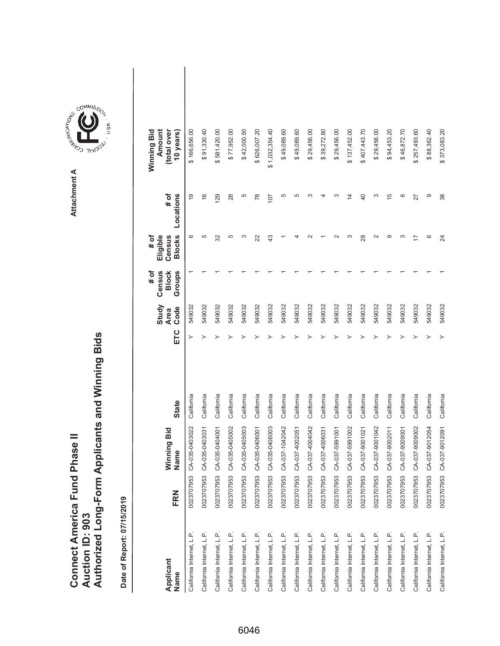|                               |                 | Authorized Long-Form Applicants and Winning Bids |
|-------------------------------|-----------------|--------------------------------------------------|
| Connect America Fund Phase II | Auction ID: 903 |                                                  |
|                               |                 |                                                  |

| Applicant<br>Name         | FRN        | Winning Bid<br>Name | <b>State</b> | ETC | Study<br>Code<br><b>Area</b> | Census<br># of<br><b>Block</b><br>Groups | <b>Blocks</b><br># of<br>Eligible<br>Census | # of<br>Locations | Winning Bid<br>Amount<br>(total over<br>10 years) |  |
|---------------------------|------------|---------------------|--------------|-----|------------------------------|------------------------------------------|---------------------------------------------|-------------------|---------------------------------------------------|--|
| California Internet, L.P. | 0023707953 | CA-035-0403022      | California   |     | 549032                       |                                          | စ                                           | $\overline{9}$    | \$166,656.00                                      |  |
| California Internet, L.P. | 0023707953 | CA-035-0403031      | California   |     | 549032                       |                                          | 5                                           | $\frac{6}{1}$     | \$91,330.40                                       |  |
| California Internet, L.P. | 0023707953 | CA-035-0404001      | California   |     | 549032                       |                                          | 32                                          | 129               | \$581,420.00                                      |  |
| California Internet, L.P. | 0023707953 | CA-035-0405002      | California   |     | 549032                       |                                          | 5                                           | 28                | \$77,952.00                                       |  |
| California Internet, L.P. | 0023707953 | CA-035-0405003      | California   |     | 549032                       |                                          | ω                                           | 5                 | \$42,000.50                                       |  |
| California Internet, L.P. | 0023707953 | CA-035-0406001      | California   |     | 549032                       |                                          | 22                                          | 78                | \$626,007.20                                      |  |
| California Internet, L.P. | 0023707953 | CA-035-0406003      | California   |     | 549032                       |                                          | 43                                          | 107               | \$1,032,354.40                                    |  |
| California Internet, L.P. | 0023707953 | CA-037-1042042      | California   |     | 549032                       |                                          |                                             | 5                 | \$49,089.60                                       |  |
| California Internet, L.P. | 0023707953 | CA-037-4002051      | California   |     | 549032                       |                                          |                                             | 5                 | \$49,089.60                                       |  |
| California Internet, L.P. | 0023707953 | CA-037-4004042      | California   |     | 549032                       |                                          |                                             | c                 | \$29,456.00                                       |  |
| California Internet, L.P. | 0023707953 | CA-037-4006031      | California   |     | 549032                       |                                          |                                             | 4                 | \$39,272.80                                       |  |
| California Internet, L.P. | 0023707953 | CA-037-5991001      | California   |     | 549032                       |                                          |                                             | S                 | \$29,456.00                                       |  |
| California Internet, L.P. | 0023707953 | CA-037-5991002      | California   |     | 549032                       |                                          | S                                           | 4                 | \$137,452.00                                      |  |
| California Internet, L.P. | 0023707953 | CA-037-9001021      | California   |     | 549032                       |                                          | 28                                          | 40                | \$407,443.70                                      |  |
| California Internet, L.P. | 0023707953 | CA-037-9001042      | California   |     | 549032                       |                                          | $\sim$                                      | S                 | \$29,456.00                                       |  |
| California Internet, L.P. | 0023707953 | CA-037-9002011      | California   |     | 549032                       |                                          | ග                                           | Ю                 | \$94,453.20                                       |  |
| California Internet, L.P. | 0023707953 | CA-037-9009001      | California   |     | 549032                       |                                          | ω                                           | ဖ                 | \$46,872.70                                       |  |
| California Internet, L.P. | 0023707953 | CA-037-9009002      | California   |     | 549032                       |                                          | $\overline{ }$                              | 27                | \$257,493.60                                      |  |
| California Internet, L.P. | 0023707953 | CA-037-9012054      | California   |     | 549032                       |                                          | ဖ                                           | တ                 | \$88,362.40                                       |  |
| California Internet, L.P. | 0023707953 | CA-037-9012091      | California   |     | 549032                       |                                          | 24                                          | 38                | \$373,083.20                                      |  |

**COMMISSION** Attachment A **Attachment A**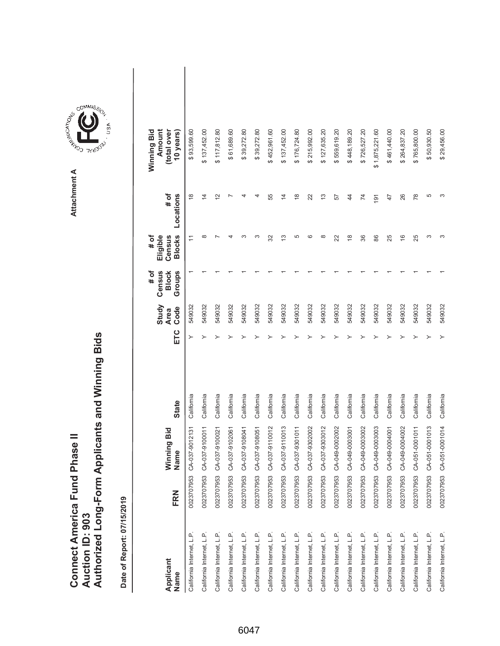|                               |                 | Authorized Long-Form Applicants and Winning Bids |
|-------------------------------|-----------------|--------------------------------------------------|
| Connect America Fund Phase II | Auction ID: 903 |                                                  |

| Applicant<br>Name         | FRN                   | Winning Bid<br>Name | <b>State</b> | ETC | Study<br>Code<br><b>Area</b> | Census<br># of<br><b>Block</b><br>Groups | <b>Blocks</b><br>Eligible<br>Census<br># of | # of<br>Locations       | Amount<br>Winning Bid<br>(total over<br>10 years) |  |
|---------------------------|-----------------------|---------------------|--------------|-----|------------------------------|------------------------------------------|---------------------------------------------|-------------------------|---------------------------------------------------|--|
| California Internet, L.P. | က<br>002370795        | CA-037-9012131      | California   |     | 549032                       |                                          |                                             | $\frac{8}{1}$           | \$93,599.60                                       |  |
| California Internet, L.P. | $\infty$<br>002370795 | CA-037-9100011      | California   |     | 549032                       |                                          | $\infty$                                    | 4                       | \$137,452.00                                      |  |
| California Internet, L.P. | 0023707953            | CA-037-9100021      | California   |     | 549032                       |                                          |                                             | $\overline{\mathsf{c}}$ | \$117,812.80                                      |  |
| California Internet, L.P. | 0023707953            | CA-037-9102061      | California   |     | 549032                       |                                          |                                             |                         | \$61,689.60                                       |  |
| California Internet, L.P. | 0023707953            | CA-037-9108041      | California   |     | 549032                       |                                          | ო                                           |                         | \$39,272.80                                       |  |
| California Internet, L.P. | 0023707953            | CA-037-9108051      | California   |     | 549032                       |                                          | ∽                                           |                         | \$39,272.80                                       |  |
| California Internet, L.P. | 0023707953            | CA-037-9110012      | California   |     | 549032                       |                                          | 32                                          | 55                      | \$452,961.60                                      |  |
| California Internet, L.P. | 0023707953            | CA-037-9110013      | California   |     | 549032                       |                                          | 13                                          | $\overline{4}$          | \$137,452.00                                      |  |
| California Internet, L.P. | 0023707953            | CA-037-9301011      | California   |     | 549032                       |                                          | 5                                           | $\frac{8}{1}$           | \$176,724.80                                      |  |
| California Internet, L.P. | 0023707953            | CA-037-9302002      | California   |     | 549032                       |                                          | ဖ                                           | 22                      | \$215,992.00                                      |  |
| California Internet, L.P. | 0023707953            | CA-037-9303012      | California   |     | 549032                       |                                          | $\infty$                                    | 13                      | \$127,635.20                                      |  |
| California Internet, L.P. | 0023707953            | CA-049-0002002      | California   |     | 549032                       |                                          | 22                                          | 57                      | \$559,619.20                                      |  |
| California Internet, L.P. | 0023707953            | CA-049-0003001      | California   |     | 549032                       |                                          | $\frac{8}{1}$                               | $\overline{4}$          | \$448,189.20                                      |  |
| California Internet, L.P. | 0023707953            | CA-049-0003002      | California   |     | 549032                       |                                          | 36                                          | $\overline{74}$         | \$726,527.20                                      |  |
| California Internet, L.P. | 0023707953            | CA-049-0003003      | California   |     | 549032                       |                                          | 86                                          | $\overline{9}$          | \$1,875,221.60                                    |  |
| California Internet, L.P. | 0023707953            | CA-049-0004001      | California   |     | 549032                       |                                          | 25                                          | 47                      | \$461,440.00                                      |  |
| California Internet, L.P. | 0023707953            | CA-049-0004002      | California   |     | 549032                       |                                          | $\frac{6}{5}$                               | 26                      | \$264,837.20                                      |  |
| California Internet, L.P. | 0023707953            | CA-051-0001011      | California   |     | 549032                       |                                          | 25                                          | $\frac{8}{2}$           | \$765,800.00                                      |  |
| California Internet, L.P. | 0023707953            | CA-051-0001013      | California   |     | 549032                       |                                          | S                                           | 5                       | \$50,930.50                                       |  |
| California Internet, L.P. | 0023707953            | CA-051-0001014      | California   |     | 549032                       |                                          | c                                           |                         | \$29,456.00                                       |  |

**COMMISSION** Attachment A **Attachment A**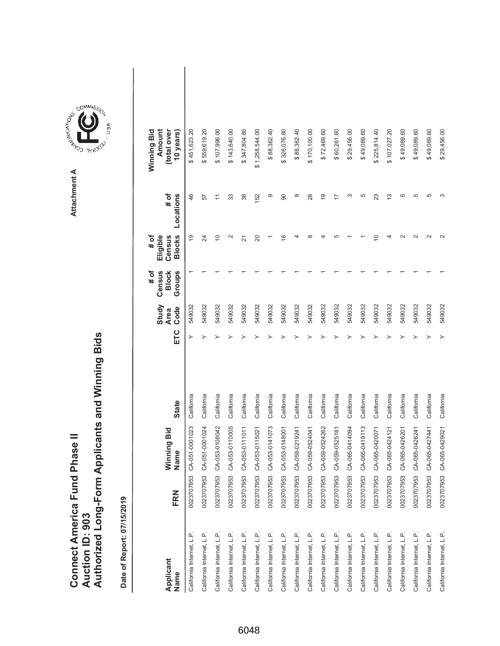|                                      |                        | Authorized Long-Form Applicants and Winning Bids |
|--------------------------------------|------------------------|--------------------------------------------------|
|                                      |                        |                                                  |
|                                      |                        |                                                  |
| <b>Connect America Fund Phase II</b> |                        |                                                  |
|                                      |                        |                                                  |
|                                      | <b>Auction ID: 903</b> |                                                  |
|                                      |                        |                                                  |

**COMMISSION** Attachment A **Attachment A**

GOMMIS<sub>SION</sub>

USA

| Applicant<br>Name         | FRN        | Winning Bid<br>Name       | <b>State</b> | ETC | Study<br>Code<br><b>Area</b> | Census<br>Groups<br># of<br><b>Block</b> | <b>Blocks</b><br># of<br>Eligible<br>Census | # of<br>Locations     | Amount<br>Winning Bid<br>(total over<br>10 years) |  |
|---------------------------|------------|---------------------------|--------------|-----|------------------------------|------------------------------------------|---------------------------------------------|-----------------------|---------------------------------------------------|--|
| California Internet, L.P. |            | 0023707953 CA-051-0001023 | California   |     | 549032                       |                                          | ഉ                                           | 46                    | \$451,623.20                                      |  |
| California Internet, L.P. |            | 0023707953 CA-051-0001024 | California   |     | 549032                       |                                          | 24                                          | 57                    | \$559,619.20                                      |  |
| California Internet, L.P. |            | 0023707953 CA-053-0108042 | California   |     | 549032                       |                                          | $\Rightarrow$                               | $\tilde{\mathcal{L}}$ | \$107,996.00                                      |  |
| California Internet, L.P. |            | 0023707953 CA-053-0110005 | California   |     | 549032                       |                                          | $\sim$                                      | 33                    | \$143,640.00                                      |  |
| California Internet, L.P. |            | 0023707953 CA-053-0111011 | California   |     | 549032                       |                                          | 21                                          | 38                    | \$347,804.80                                      |  |
| California Internet, L.P. |            | 0023707953 CA-053-0115021 | California   |     | 549032                       |                                          | 20                                          | 152                   | \$1,258,544.00                                    |  |
| California Internet, L.P. |            | 0023707953 CA-053-0141073 | California   |     | 549032                       |                                          |                                             | တ                     | \$88,362.40                                       |  |
| California Internet, L.P. |            | 0023707953 CA-053-0148001 | California   |     | 549032                       |                                          | $\frac{6}{5}$                               | 90                    | \$326,076.80                                      |  |
| California Internet, L.P. |            | 0023707953 CA-059-0219241 | California   |     | 549032                       |                                          |                                             | တ                     | \$88,362.40                                       |  |
| California Internet, L.P. |            | 0023707953 CA-059-0524041 | California   |     | 549032                       |                                          |                                             | 28                    | \$170,100.00                                      |  |
| California Internet, L.P. |            | 0023707953 CA-059-0524262 | California   |     | 549032                       |                                          |                                             | $\overline{9}$        | \$72,469.60                                       |  |
| California Internet, L.P. |            | 0023707953 CA-059-0525181 | California   |     | 549032                       |                                          |                                             |                       | \$60,261.60                                       |  |
| California Internet, L.P. |            | 0023707953 CA-065-0414094 | California   |     | 549032                       |                                          |                                             | ო                     | \$29,456.00                                       |  |
| California Internet, L.P. |            | 0023707953 CA-065-0419113 | California   |     | 549032                       |                                          |                                             | 5                     | \$49,089.60                                       |  |
| California Internet, L.P. |            | 0023707953 CA-065-0420071 | California   |     | 549032                       |                                          | $\circ$                                     | 23                    | \$225,814.40                                      |  |
| California Internet, L.P. |            | 0023707953 CA-065-0424121 | California   |     | 549032                       |                                          |                                             | $\frac{3}{2}$         | \$107,027.20                                      |  |
| California Internet, L.P. |            | 0023707953 CA-065-0426201 | California   |     | 549032                       |                                          |                                             | 5                     | \$49,089.60                                       |  |
| California Internet, L.P. | 0023707953 | CA-065-0426241            | California   |     | 549032                       |                                          |                                             | 5                     | \$49,089.60                                       |  |
| California Internet, L.P. |            | 0023707953 CA-065-0427441 | California   |     | 549032                       |                                          |                                             | 5                     | \$49,089.60                                       |  |
| California Internet, L.P. |            | 0023707953 CA-065-0429021 | California   | ≻   | 549032                       |                                          |                                             |                       | \$29,456.00                                       |  |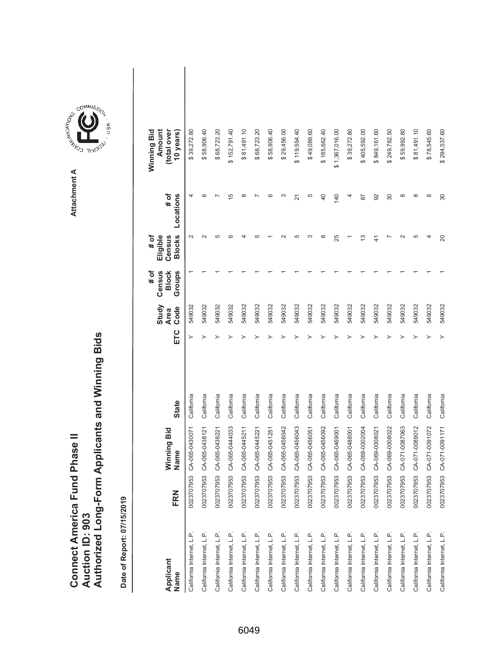|                               |                 | Authorized Long-Form Applicants and Winning Bids |
|-------------------------------|-----------------|--------------------------------------------------|
| Connect America Fund Phase II |                 |                                                  |
|                               |                 |                                                  |
|                               |                 |                                                  |
|                               | Auction ID: 903 |                                                  |
|                               |                 |                                                  |

| Applicant<br>Name         | FRN        | Winning Bid<br>Name | <b>State</b> | ETC | Study<br>Code<br><b>Area</b> | # of<br>Census<br><b>Block</b><br>Groups | <b>Blocks</b><br># of<br>Eligible<br>Census | # of<br>Locations | Winning Bid<br>Amount<br>(total over<br>10 years) |  |
|---------------------------|------------|---------------------|--------------|-----|------------------------------|------------------------------------------|---------------------------------------------|-------------------|---------------------------------------------------|--|
| California Internet, L.P. | 0023707953 | CA-065-0430071      | California   |     | 549032                       |                                          | $\sim$                                      |                   | \$39,272.80                                       |  |
| California Internet, L.P. | 0023707953 | CA-065-0438121      | California   |     | 549032                       |                                          | $\sim$                                      | ဖ                 | \$58,906.40                                       |  |
| California Internet, L.P. | 0023707953 | CA-065-0438221      | California   |     | 549032                       |                                          | 5                                           |                   | \$68,723.20                                       |  |
| California Internet, L.P. | 0023707953 | CA-065-0444033      | California   |     | 549032                       |                                          | ca                                          | 5                 | \$152,791.40                                      |  |
| California Internet, L.P. | 0023707953 | CA-065-0445211      | California   |     | 549032                       |                                          |                                             | $\infty$          | \$81,491.10                                       |  |
| California Internet, L.P. | 0023707953 | CA-065-0445221      | California   |     | 549032                       |                                          | Ю                                           |                   | \$68,723.20                                       |  |
| California Internet, L.P. | 0023707953 | CA-065-0451251      | California   |     | 549032                       |                                          |                                             | G                 | \$58,906.40                                       |  |
| California Internet, L.P. | 0023707953 | CA-065-0456042      | California   |     | 549032                       |                                          |                                             | ო                 | \$29,456.00                                       |  |
| California Internet, L.P. | 0023707953 | CA-065-0456043      | California   |     | 549032                       |                                          | Ю                                           | 21                | \$119,554.40                                      |  |
| California Internet, L.P. | 0023707953 | CA-065-0456051      | California   |     | 549032                       |                                          | ∞                                           | 5                 | \$49,089.60                                       |  |
| California Internet, L.P. | 0023707953 | CA-065-0456092      | California   |     | 549032                       |                                          | $\infty$                                    | 40                | \$185,662.40                                      |  |
| California Internet, L.P. | 0023707953 | CA-065-0469001      | California   |     | 549032                       |                                          | 25                                          | 140               | \$1,367,016.00                                    |  |
| California Internet, L.P. | 0023707953 | CA-065-0488001      | California   |     | 549032                       |                                          |                                             |                   | \$39,272.80                                       |  |
| California Internet, L.P. | 0023707953 | CA-069-0002004      | California   |     | 549032                       |                                          | 13                                          | 87                | \$405,592.00                                      |  |
| California Internet, L.P. | 0023707953 | CA-069-0008021      | California   |     | 549032                       |                                          | A                                           | 92                | \$849,161.60                                      |  |
| California Internet, L.P. | 0023707953 | CA-069-0008022      | California   |     | 549032                       |                                          |                                             | 30                | \$249,782.50                                      |  |
| California Internet, L.P. | 0023707953 | CA-071-0087063      | California   |     | 549032                       |                                          | $\sim$                                      | $\infty$          | \$59,992.80                                       |  |
| California Internet, L.P. | 0023707953 | CA-071-0089012      | California   |     | 549032                       |                                          | 5                                           | $\infty$          | \$81,491.10                                       |  |
| California Internet, L.P. | 0023707953 | CA-071-0091072      | California   |     | 549032                       |                                          | 4                                           | $\infty$          | \$78,545.60                                       |  |
| California Internet, L.P. | 0023707953 | CA-071-0091171      | California   |     | 549032                       |                                          | $\overline{c}$                              | 30                | \$294,537.60                                      |  |

**COMMISSION** Attachment A **Attachment A**

COMMIS<sub>SION</sub>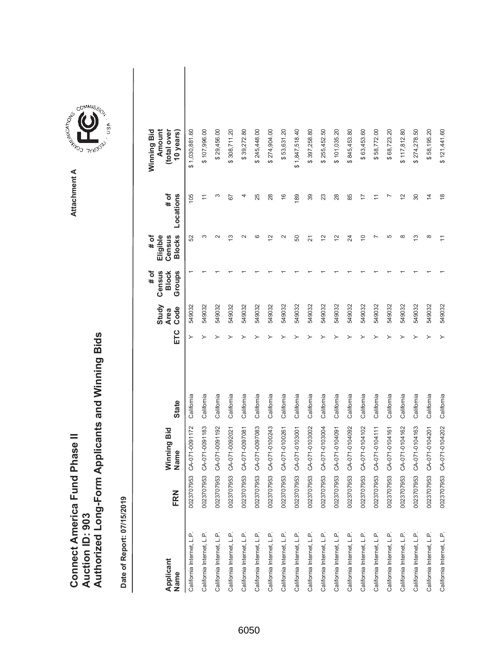|                               |                 | Authorized Long-Form Applicants and Winning Bids |
|-------------------------------|-----------------|--------------------------------------------------|
|                               |                 |                                                  |
| Connect America Fund Phase II |                 |                                                  |
|                               | Auction ID: 903 |                                                  |



ARISTICATION CONTROL Attachment A **Attachment A**

COMMIS<sub>SION</sub>

**TYLING**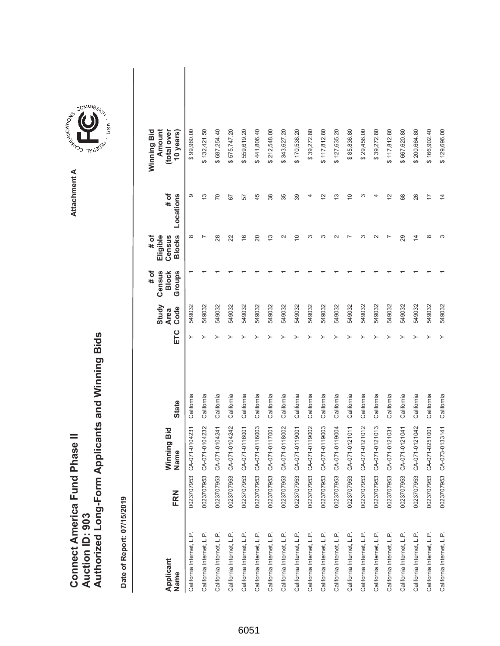|                                      |                        | Authorized Long-Form Applicants and Winning Bids |
|--------------------------------------|------------------------|--------------------------------------------------|
|                                      |                        |                                                  |
| <b>Connect America Fund Phase II</b> | <b>Auction ID: 903</b> |                                                  |

| Applicant<br>Name         | FRN        | Winning Bid<br>Name | <b>State</b> | ETC | Study<br>Code<br><b>Area</b> | Census<br>Groups<br># of<br><b>Block</b> | <b>Blocks</b><br># of<br>Eligible<br>Census | # of<br>Locations | Winning Bid<br>Amount<br>(total over<br>10 years) |  |
|---------------------------|------------|---------------------|--------------|-----|------------------------------|------------------------------------------|---------------------------------------------|-------------------|---------------------------------------------------|--|
| California Internet, L.P. | 0023707953 | CA-071-0104231      | California   |     | 549032                       |                                          | $\infty$                                    | တ                 | \$99,960.00                                       |  |
| California Internet, L.P. | 0023707953 | CA-071-0104232      | California   |     | 549032                       |                                          |                                             | $\frac{3}{2}$     | \$132,421.50                                      |  |
| California Internet, L.P. | 0023707953 | CA-071-0104241      | California   |     | 549032                       |                                          | 28                                          | 20                | \$687,254.40                                      |  |
| California Internet, L.P. | 0023707953 | CA-071-0104242      | California   |     | 549032                       |                                          | 22                                          | 67                | \$575,747.20                                      |  |
| California Internet, L.P. | 0023707953 | CA-071-0116001      | California   |     | 549032                       |                                          | $\frac{6}{5}$                               | 57                | \$559,619.20                                      |  |
| California Internet, L.P. | 0023707953 | CA-071-0116003      | California   |     | 549032                       |                                          | 20                                          | 45                | \$441,806.40                                      |  |
| California Internet, L.P. | 0023707953 | CA-071-0117001      | California   |     | 549032                       |                                          | 13                                          | 38                | \$212,548.00                                      |  |
| California Internet, L.P. | 0023707953 | CA-071-0118002      | California   |     | 549032                       |                                          | $\scriptstyle\sim$                          | 35                | \$343,627.20                                      |  |
| California Internet, L.P. | 0023707953 | CA-071-0119001      | California   |     | 549032                       |                                          | ₽                                           | 39                | \$170,538.20                                      |  |
| California Internet, L.P. | 0023707953 | CA-071-0119002      | California   |     | 549032                       |                                          |                                             |                   | \$39,272.80                                       |  |
| California Internet, L.P. | 0023707953 | CA-071-0119003      | California   |     | 549032                       |                                          |                                             | 21                | \$117,812.80                                      |  |
| California Internet, L.P. | 0023707953 | CA-071-0119004      | California   |     | 549032                       |                                          |                                             | ∾                 | \$127,635.20                                      |  |
| California Internet, L.P. | 0023707953 | CA-071-0121011      | California   |     | 549032                       |                                          |                                             | $\frac{1}{2}$     | \$85,836.80                                       |  |
| California Internet, L.P. | 0023707953 | CA-071-0121012      | California   |     | 549032                       |                                          |                                             |                   | \$29,456.00                                       |  |
| California Internet, L.P. | 0023707953 | CA-071-0121013      | California   |     | 549032                       |                                          |                                             |                   | \$39,272.80                                       |  |
| California Internet, L.P. | 0023707953 | CA-071-0121031      | California   |     | 549032                       |                                          |                                             | $\tilde{c}$       | \$117,812.80                                      |  |
| California Internet, L.P. | 0023707953 | CA-071-0121041      | California   |     | 549032                       |                                          | 29                                          | 68                | \$667,620.80                                      |  |
| California Internet, L.P. | 0023707953 | CA-071-0121042      | California   |     | 549032                       |                                          | $\overline{4}$                              | 26                | \$200,664.80                                      |  |
| California Internet, L.P. | 0023707953 | CA-071-0251001      | California   |     | 549032                       |                                          | ∞                                           | $\overline{1}$    | \$166,902.40                                      |  |
| California Internet, L.P. | 0023707953 | CA-073-0133141      | California   |     | 549032                       |                                          |                                             | $\overline{4}$    | \$129,696.00                                      |  |

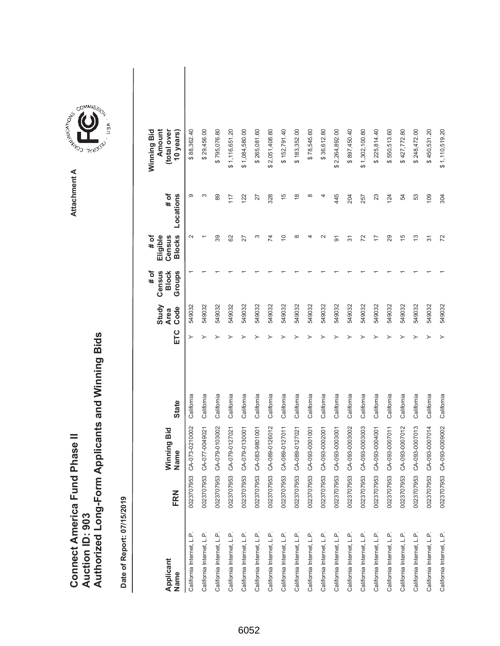|                 | Connect America Fund Phase II |  | <b>Nuthorized Long-Form Applicants and Winning Bids</b> |
|-----------------|-------------------------------|--|---------------------------------------------------------|
|                 |                               |  |                                                         |
|                 |                               |  |                                                         |
| Auction ID: 903 |                               |  |                                                         |

| Applicant<br>Name         | FRN        | Winning Bid<br>Name | <b>State</b> | ETC | Study<br>Code<br><b>Area</b> | Census<br>Groups<br># of<br><b>Block</b> | <b>Blocks</b><br># of<br>Eligible<br>Census | # of<br>Locations | Amount<br>Winning Bid<br>(total over<br>10 years) |  |
|---------------------------|------------|---------------------|--------------|-----|------------------------------|------------------------------------------|---------------------------------------------|-------------------|---------------------------------------------------|--|
| California Internet, L.P. | 0023707953 | CA-073-0210002      | California   | ≻   | 549032                       |                                          | $\mathbf{\sim}$                             | တ                 | \$88,362.40                                       |  |
| California Internet, L.P. | 0023707953 | CA-077-0049021      | California   |     | 549032                       |                                          |                                             | S                 | \$29,456.00                                       |  |
| California Internet, L.P. | 0023707953 | CA-079-0103002      | California   |     | 549032                       |                                          | 39                                          | 89                | \$795,076.80                                      |  |
| California Internet, L.P. | 0023707953 | CA-079-0127021      | California   |     | 549032                       |                                          | 82                                          | 117               | \$1,116,651.20                                    |  |
| California Internet, L.P. | 0023707953 | CA-079-0130001      | California   |     | 549032                       |                                          | 27                                          | 122               | \$1,084,580.00                                    |  |
| California Internet, L.P. | 0023707953 | CA-083-9801001      | California   |     | 549032                       |                                          | ∞                                           | 27                | \$265,081.60                                      |  |
| California Internet, L.P. | 0023707953 | CA-089-0126012      | California   |     | 549032                       |                                          | 74                                          | 328               | \$2,051,408.80                                    |  |
| California Internet, L.P. | 0023707953 | CA-089-0127011      | California   |     | 549032                       |                                          | S                                           | $\frac{5}{3}$     | \$152,791.40                                      |  |
| California Internet, L.P. | 0023707953 | CA-089-0127021      | California   |     | 549032                       |                                          | œ                                           | $\frac{8}{1}$     | \$183,352.00                                      |  |
| California Internet, L.P. | 0023707953 | CA-093-0001001      | California   |     | 549032                       |                                          |                                             | ∞                 | \$78,545.60                                       |  |
| California Internet, L.P. | 0023707953 | CA-093-0002001      | California   |     | 549032                       |                                          |                                             | 4                 | \$36,612.80                                       |  |
| California Internet, L.P. | 0023707953 | CA-093-0003001      | California   |     | 549032                       |                                          | 5                                           | 445               | \$2,264,892.00                                    |  |
| California Internet, L.P. | 0023707953 | CA-093-0003002      | California   |     | 549032                       |                                          | 57                                          | 204               | \$897,450.40                                      |  |
| California Internet, L.P. | 0023707953 | CA-093-0003003      | California   |     | 549032                       |                                          | 72                                          | 257               | \$1,302,100.80                                    |  |
| California Internet, L.P. | 0023707953 | CA-093-0004001      | California   |     | 549032                       |                                          | $\overline{1}$                              | 23                | \$225,814.40                                      |  |
| California Internet, L.P. | 0023707953 | CA-093-0007011      | California   |     | 549032                       |                                          | 29                                          | 124               | \$550,513.60                                      |  |
| California Internet, L.P. | 0023707953 | CA-093-0007012      | California   |     | 549032                       |                                          | 15                                          | 54                | \$427,772.80                                      |  |
| California Internet, L.P. | 0023707953 | CA-093-0007013      | California   |     | 549032                       |                                          | 13                                          | 53                | \$248,472.00                                      |  |
| California Internet, L.P. | 0023707953 | CA-093-0007014      | California   |     | 549032                       |                                          | 57                                          | 109               | \$450,531.20                                      |  |
| California Internet, L.P. | 0023707953 | CA-093-0009002      | California   |     | 549032                       |                                          | 72                                          | 304               | \$1,110,519.20                                    |  |

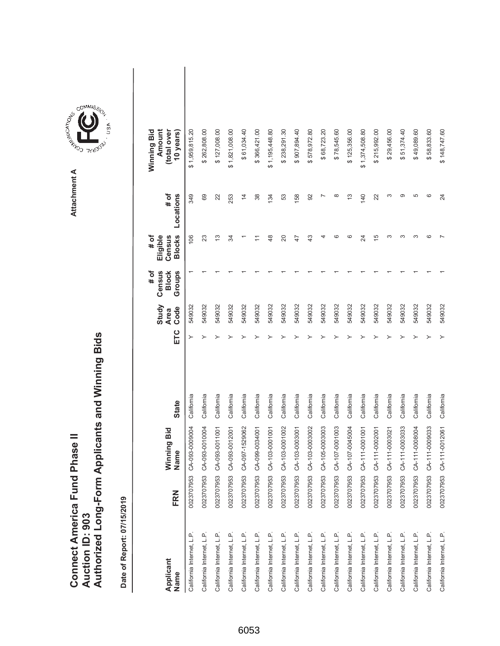|                                      |                 | Authorized Long-Form Applicants and Winning Bids |
|--------------------------------------|-----------------|--------------------------------------------------|
|                                      |                 |                                                  |
| <b>Connect America Fund Phase II</b> | Auction ID: 903 |                                                  |

| Applicant<br>Name         | FRN        | Winning Bid<br>Name | <b>State</b> | ETC | Study<br>Code<br><b>Area</b> | Census<br>Groups<br># of<br><b>Block</b> | <b>Blocks</b><br># of<br>Eligible<br>Census | # of<br>Locations | Amount<br>Winning Bid<br>(total over<br>10 years) |  |
|---------------------------|------------|---------------------|--------------|-----|------------------------------|------------------------------------------|---------------------------------------------|-------------------|---------------------------------------------------|--|
| California Internet, L.P. | 0023707953 | CA-093-0009004      | California   |     | 549032                       |                                          | 106                                         | 349               | \$1,959,815.20                                    |  |
| California Internet, L.P. | 0023707953 | CA-093-0010004      | California   |     | 549032                       |                                          | 23                                          | 69                | \$262,808.00                                      |  |
| California Internet, L.P. | 0023707953 | CA-093-0011001      | California   |     | 549032                       |                                          | 13                                          | 22                | \$127,008.00                                      |  |
| California Internet, L.P. | 0023707953 | CA-093-0012001      | California   |     | 549032                       |                                          | रू                                          | 253               | \$1,821,008.00                                    |  |
| California Internet, L.P. | 0023707953 | CA-097-1529062      | California   |     | 549032                       |                                          |                                             | $\overline{4}$    | \$61,034.40                                       |  |
| California Internet, L.P. | 0023707953 | CA-099-0034001      | California   |     | 549032                       |                                          |                                             | 38                | \$366,421.00                                      |  |
| California Internet, L.P. | 0023707953 | CA-103-0001001      | California   |     | 549032                       |                                          | $\frac{8}{3}$                               | 134               | \$1,195,448.80                                    |  |
| California Internet, L.P. | 0023707953 | CA-103-0001002      | California   |     | 549032                       |                                          | 20                                          | 53                | \$238,291.30                                      |  |
| California Internet, L.P. | 0023707953 | CA-103-0003001      | California   |     | 549032                       |                                          | 47                                          | 58                | \$907,894.40                                      |  |
| California Internet, L.P. | 0023707953 | CA-103-0003002      | California   |     | 549032                       |                                          | 43                                          | 92                | \$578,972.80                                      |  |
| California Internet, L.P. | 0023707953 | CA-105-0003003      | California   |     | 549032                       |                                          |                                             |                   | \$68,723.20                                       |  |
| California Internet, L.P. | 0023707953 | CA-107-0001003      | California   |     | 549032                       |                                          | ဖ                                           | $\infty$          | \$78,545.60                                       |  |
| California Internet, L.P. | 0023707953 | CA-107-0045004      | California   |     | 549032                       |                                          | ဖ                                           | 13                | \$125,356.00                                      |  |
| California Internet, L.P. | 0023707953 | CA-111-0001001      | California   |     | 549032                       |                                          | 24                                          | 140               | \$1,374,508.80                                    |  |
| California Internet, L.P. | 0023707953 | CA-111-0002001      | California   |     | 549032                       |                                          | $\overline{5}$                              | 22                | \$215,992.00                                      |  |
| California Internet, L.P. | 0023707953 | CA-111-0003021      | California   |     | 549032                       |                                          | ∞                                           | 3                 | \$29,456.00                                       |  |
| California Internet, L.P. | 0023707953 | CA-111-0003033      | California   |     | 549032                       |                                          | ∞                                           | တ                 | \$51,374.40                                       |  |
| California Internet, L.P. | 0023707953 | CA-111-0008004      | California   |     | 549032                       |                                          | ო                                           | 5                 | \$49,089.60                                       |  |
| California Internet, L.P. | 0023707953 | CA-111-0009033      | California   |     | 549032                       |                                          | ဖ                                           | ဖ                 | \$58,833.60                                       |  |
| California Internet, L.P. | 0023707953 | CA-111-0012061      | California   | ≻   | 549032                       |                                          |                                             | 24                | \$148,747.60                                      |  |

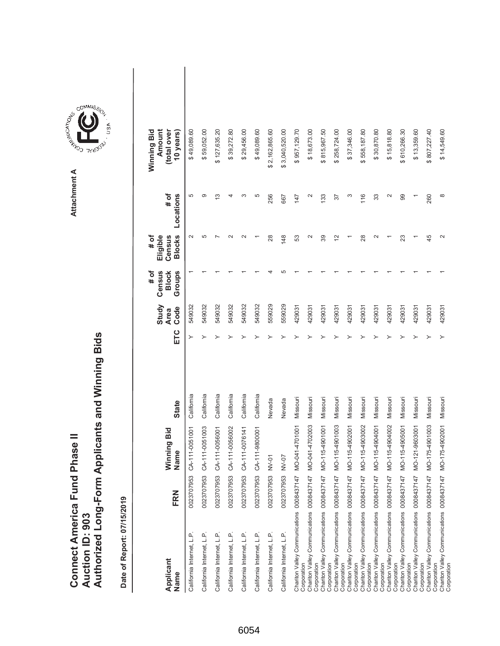|                               |                 | Authorized Long-Form Applicants and Winning Bids |
|-------------------------------|-----------------|--------------------------------------------------|
|                               |                 |                                                  |
| Connect America Fund Phase II |                 |                                                  |
|                               | Auction ID: 903 |                                                  |



Attachment A **Attachment A**

ARISTICATION CONTROL

GOMMIS<sub>SION</sub>

**TYURO**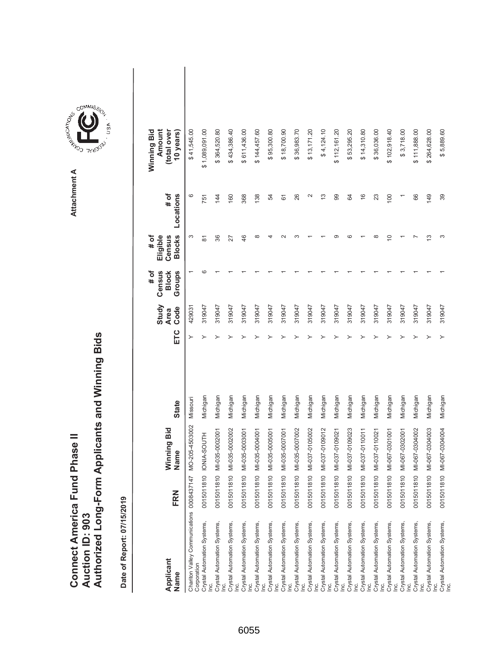|                               |                 | Authorized Long-Form Applicants and Winning Bids |
|-------------------------------|-----------------|--------------------------------------------------|
|                               |                 |                                                  |
| Connect America Fund Phase II | Auction ID: 903 |                                                  |

| Applicant<br>Name                                        | FRN        | Winning Bid<br>Name | <b>State</b> | ETC | Study<br>Code<br><b>Area</b> | # of<br>Census<br>Groups<br><b>Block</b> | <b>Blocks</b><br>Eligible<br># of<br>Census | # of<br>Locations | Winning Bid<br>Amount<br>(total over<br>10 years) |  |
|----------------------------------------------------------|------------|---------------------|--------------|-----|------------------------------|------------------------------------------|---------------------------------------------|-------------------|---------------------------------------------------|--|
| Chariton Valley Communications 0008437147<br>Corporation |            | MO-205-4503002      | Missouri     |     | 429031                       |                                          | S                                           | 6                 | \$41,545.00                                       |  |
| Crystal Automation Systems,                              | 0015011810 | IONIA-SOUTH         | Michigan     |     | 319047                       | ဖ                                        | 5                                           | 751               | \$1,089,091.00                                    |  |
| Crystal Automation Systems,                              | 0015011810 | MI-035-0002001      | Michigan     |     | 319047                       |                                          | 86                                          | 144               | \$364,520.80                                      |  |
| Crystal Automation Systems,<br>g                         | 0015011810 | MI-035-0002002      | Michigan     |     | 319047                       |                                          | 27                                          | 160               | \$434,386.40                                      |  |
| Crystal Automation Systems,                              | 0015011810 | MI-035-0003001      | Michigan     |     | 319047                       |                                          | $\frac{4}{6}$                               | 368               | \$611,436.00                                      |  |
| Crystal Automation Systems,                              | 0015011810 | MI-035-0004001      | Michigan     |     | 319047                       |                                          | $\infty$                                    | 138               | \$144,457.60                                      |  |
| Crystal Automation Systems,<br>$\dot{g}$                 | 0015011810 | MI-035-0005001      | Michigan     |     | 319047                       |                                          |                                             | 54                | \$95,300.80                                       |  |
| Crystal Automation Systems,<br>gi                        | 0015011810 | MI-035-0007001      | Michigan     |     | 319047                       |                                          |                                             | 61                | \$18,700.90                                       |  |
| Crystal Automation Systems,<br>g                         | 0015011810 | MI-035-0007002      | Michigan     |     | 319047                       |                                          |                                             | 26                | \$36,983.70                                       |  |
| Crystal Automation Systems,                              | 0015011810 | MI-037-0105002      | Michigan     |     | 319047                       |                                          |                                             | $\sim$            | \$13,171.20                                       |  |
| Crystal Automation Systems,<br>Inc.                      | 0015011810 | MI-037-0109012      | Michigan     |     | 319047                       |                                          |                                             | $\frac{3}{2}$     | \$4,124.10                                        |  |
| Crystal Automation Systems,<br>Lei                       | 0015011810 | MI-037-0109021      | Michigan     |     | 319047                       |                                          | σ.                                          | 99                | \$112,161.20                                      |  |
| Crystal Automation Systems,<br>Γ                         | 0015011810 | MI-037-0109023      | Michigan     |     | 319047                       |                                          | ca                                          | 64                | \$53,295.20                                       |  |
| Crystal Automation Systems,<br>lnc.                      | 0015011810 | MI-037-0110011      | Michigan     |     | 319047                       |                                          |                                             | $\frac{6}{1}$     | \$14,310.80                                       |  |
| Crystal Automation Systems,<br>le.                       | 0015011810 | MI-037-0110021      | Michigan     |     | 319047                       |                                          | $\infty$                                    | 23                | \$36,036.00                                       |  |
| Crystal Automation Systems,<br><u>ic</u>                 | 0015011810 | MI-067-0301001      | Michigan     |     | 319047                       |                                          | $\Rightarrow$                               | 100               | \$102,918.40                                      |  |
| Crystal Automation Systems,<br>lnc.                      | 0015011810 | MI-067-0302001      | Michigan     |     | 319047                       |                                          |                                             |                   | \$3,718.00                                        |  |
| Crystal Automation Systems,                              | 0015011810 | MI-067-0304002      | Michigan     |     | 319047                       |                                          |                                             | 86                | \$111,888.00                                      |  |
| Crystal Automation Systems,                              | 0015011810 | MI-067-0304003      | Michigan     |     | 319047                       |                                          | ഇ                                           | 149               | \$264,628.00                                      |  |
| Crystal Automation Systems,<br>Inc.                      | 0015011810 | MI-067-0304004      | Michigan     |     | 319047                       |                                          | ∞                                           | 39                | \$5,889.60                                        |  |

**COMMISSION** Attachment A **Attachment A**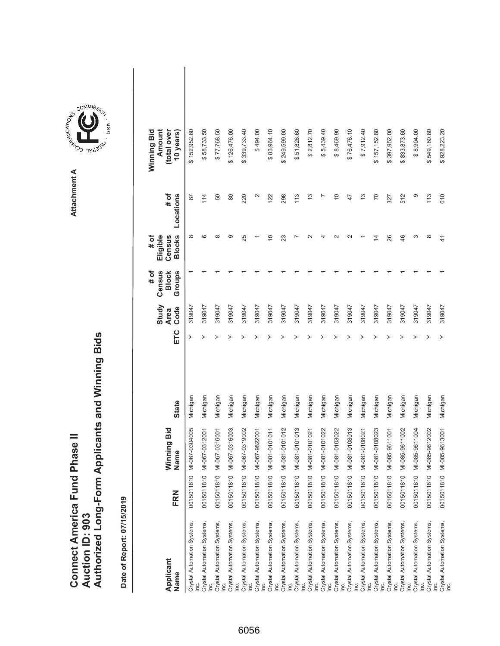|                               |                 | Authorized Long-Form Applicants and Winning Bids |
|-------------------------------|-----------------|--------------------------------------------------|
| Connect America Fund Phase II | Auction ID: 903 |                                                  |

| Applicant<br>Name                                      | FRN                         | Winning Bid<br>Name | <b>State</b> | ETC | Study<br>Code<br><b>Area</b> | Census<br>Groups<br># of<br><b>Block</b> | <b>Blocks</b><br>Eligible<br># of<br>Census | # of<br>Locations | Winning Bid<br>Amount<br>(total over<br>10 years) |  |
|--------------------------------------------------------|-----------------------------|---------------------|--------------|-----|------------------------------|------------------------------------------|---------------------------------------------|-------------------|---------------------------------------------------|--|
| Crystal Automation Systems,                            | $\subseteq$<br>00150118     | MI-067-0304005      | Michigan     | ≻   | 319047                       |                                          |                                             | 78                | \$152,952.80                                      |  |
| Crystal Automation Systems,                            | 0015011810                  | MI-067-0312001      | Michigan     |     | 319047                       |                                          | စ                                           | 114               | \$58,733.50                                       |  |
| Crystal Automation Systems,                            | $\ddot{\Theta}$<br>00150118 | MI-067-0316001      | Michigan     |     | 319047                       |                                          | ∞                                           | 50                | \$77,768.50                                       |  |
| Crystal Automation Systems,<br>Ιğ                      | 0015011810                  | MI-067-0316003      | Michigan     |     | 319047                       |                                          | တ                                           | 80                | \$126,476.00                                      |  |
| Crystal Automation Systems,<br>Inc.                    | 0015011810                  | MI-067-0319002      | Michigan     |     | 319047                       |                                          | 25                                          | 220               | \$339,733.40                                      |  |
| Crystal Automation Systems,<br>Inc.                    | $\tilde{a}$<br>00150118     | MI-067-9822001      | Michigan     |     | 319047                       |                                          |                                             | N                 | \$494.00                                          |  |
| Crystal Automation Systems,<br>Inc.                    | $\tilde{a}$<br>00150118     | MI-081-0101011      | Michigan     |     | 319047                       |                                          | $\overline{C}$                              | 122               | \$83,964.10                                       |  |
| Crystal Automation Systems,<br>Inc.                    | $\widetilde{C}$<br>00150118 | MI-081-0101012      | Michigan     |     | 319047                       |                                          | 23                                          | 298               | \$249,599.00                                      |  |
| Crystal Automation Systems,<br>Inc.                    | ă<br>00150118               | MI-081-0101013      | Michigan     |     | 319047                       |                                          |                                             | 113               | \$51,826.60                                       |  |
| Crystal Automation Systems,<br>Inc.                    | 0015011810                  | MI-081-0101021      | Michigan     |     | 319047                       |                                          |                                             | 13                | \$2,812.70                                        |  |
| Crystal Automation Systems,<br>Inc.                    | $\tilde{a}$<br>00150118     | MI-081-0101022      | Michigan     |     | 319047                       |                                          |                                             |                   | \$5,439.40                                        |  |
| Crystal Automation Systems,<br>Inc.                    | $\widetilde{C}$<br>00150118 | MI-081-0103022      | Michigan     |     | 319047                       |                                          |                                             | $\widetilde{C}$   | \$8,469.90                                        |  |
| Crystal Automation Systems,<br>lnc.                    | 0015011810                  | MI-081-0108013      | Michigan     |     | 319047                       |                                          |                                             | 47                | \$76,476.10                                       |  |
| Crystal Automation Systems,<br>$\overline{\mathsf{c}}$ | 0015011810                  | MI-081-0108021      | Michigan     |     | 319047                       |                                          |                                             | $\frac{3}{2}$     | \$7,912.40                                        |  |
| Crystal Automation Systems,<br>Inc.                    | $\tilde{a}$<br>00150118     | MI-081-0108023      | Michigan     |     | 319047                       |                                          | $\overline{4}$                              | 70                | \$157,152.80                                      |  |
| Crystal Automation Systems,<br>Inc.                    | $\Rightarrow$<br>00150118   | MI-085-9611001      | Michigan     |     | 319047                       |                                          | 26                                          | 327               | \$397,952.00                                      |  |
| Crystal Automation Systems,<br>Inc.                    | 0015011810                  | MI-085-9611002      | Michigan     |     | 319047                       |                                          | 46                                          | 512               | \$833,873.60                                      |  |
| Crystal Automation Systems,<br>lnc.                    | 0015011810                  | MI-085-9611004      | Michigan     |     | 319047                       |                                          | ო                                           | တ                 | \$8,904.00                                        |  |
| Crystal Automation Systems,                            | $\tilde{a}$<br>00150118     | MI-085-9612002      | Michigan     |     | 319047                       |                                          | $\infty$                                    | 113               | \$549,180.80                                      |  |
| Crystal Automation Systems,<br>Inc.                    | 0015011810                  | MI-085-9613001      | Michigan     |     | 319047                       |                                          | 4                                           | 610               | \$928,223.20                                      |  |

**COMMISSION** Attachment A **Attachment A**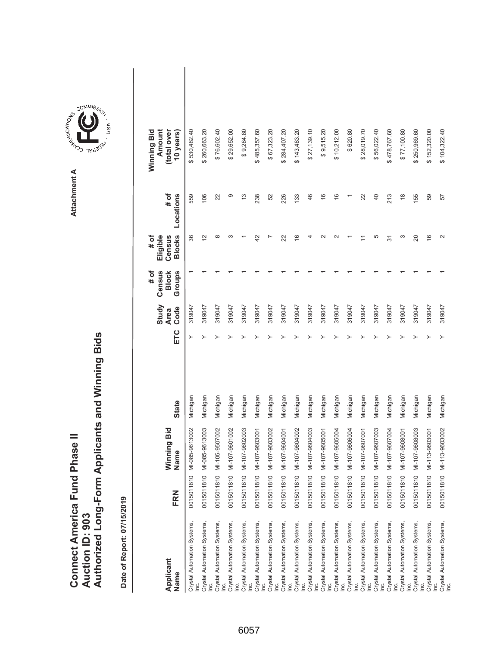|                               |                 | Authorized Long-Form Applicants and Winning Bids |
|-------------------------------|-----------------|--------------------------------------------------|
| Connect America Fund Phase II | Auction ID: 903 |                                                  |

| Applicant                                                                       |                             | Winning Bid    |              |     | Study<br><b>Area</b> | Census<br># of<br><b>Block</b> | Eligible<br># of<br>Census | # of            | Amount<br>Winning Bid<br>(total over |
|---------------------------------------------------------------------------------|-----------------------------|----------------|--------------|-----|----------------------|--------------------------------|----------------------------|-----------------|--------------------------------------|
| Name                                                                            | FRN                         | Name           | <b>State</b> | ETC | Code                 | Groups                         | <b>Blocks</b>              | Locations       | 10 years)                            |
| Crystal Automation Systems,                                                     | $\circ$<br>00150118         | MI-085-9613002 | Michigan     | ≻   | 319047               |                                | 36                         | 559             | \$530,482.40                         |
| Crystal Automation Systems,                                                     | $\overline{a}$<br>001501181 | MI-085-9613003 | Michigan     |     | 319047               |                                | 12                         | 106             | \$260,663.20                         |
| Crystal Automation Systems,<br>Inc.                                             | $\subseteq$<br>001501181    | MI-105-9507002 | Michigan     |     | 319047               |                                | ∞                          | 22              | \$76,602.40                          |
| Crystal Automation Systems,<br>Inc.                                             | $\subseteq$<br>001501181    | MI-107-9601002 | Michigan     |     | 319047               |                                | ო                          | တ               | \$29,652.00                          |
| Crystal Automation Systems,<br>Inc.                                             | $\subseteq$<br>001501181    | MI-107-9602003 | Michigan     |     | 319047               |                                |                            | $\frac{3}{2}$   | \$9,284.80                           |
| Crystal Automation Systems,<br>Inc.                                             | $\frac{1}{2}$<br>001501181  | MI-107-9603001 | Michigan     |     | 319047               |                                | ₽                          | 238             | \$485,357.60                         |
| Crystal Automation Systems,<br>Inc.                                             | $\supseteq$<br>001501181    | MI-107-9603002 | Michigan     |     | 319047               |                                |                            | 52              | \$67,323.20                          |
| Crystal Automation Systems,<br>Inc.                                             | $\overline{a}$<br>001501181 | MI-107-9604001 | Michigan     |     | 319047               |                                | 22                         | 226             | \$284,407.20                         |
| Crystal Automation Systems,<br>Inc.                                             | 0015011810                  | MI-107-9604002 | Michigan     |     | 319047               |                                | $\frac{6}{2}$              | 133             | \$143,483.20                         |
| Crystal Automation Systems,<br>Inc.                                             | $\overline{a}$<br>001501181 | MI-107-9604003 | Michigan     |     | 319047               |                                |                            | 46              | \$27,139.10                          |
| Crystal Automation Systems,<br>Inc.                                             | 0015011810                  | MI-107-9605001 | Michigan     |     | 319047               |                                |                            | $\frac{6}{5}$   | \$9,515.20                           |
| Crystal Automation Systems,<br>Inc.                                             | $\subseteq$<br>001501181    | MI-107-9605004 | Michigan     |     | 319047               |                                |                            | $\frac{6}{5}$   | \$10,212.00                          |
| Crystal Automation Systems,<br>Inc.                                             | 0015011810                  | MI-107-9606004 | Michigan     |     | 319047               |                                |                            |                 | \$620.80                             |
| Crystal Automation Systems,<br>Inc.                                             | $\ddot{a}$<br>001501181     | MI-107-9607001 | Michigan     |     | 319047               |                                |                            | 22              | \$28,019.70                          |
| Crystal Automation Systems,<br>Inc.<br>Crystal Automation Systems,<br>Inc.      | 0015011810                  | MI-107-9607003 | Michigan     |     | 319047               |                                | 5                          | $\overline{40}$ | \$56,022.40                          |
|                                                                                 | $\overline{a}$<br>001501181 | MI-107-9607004 | Michigan     |     | 319047               |                                | 31                         | 213             | \$478,767.60                         |
| Crystal Automation Systems,<br>Inc.                                             | 0015011810                  | MI-107-9608001 | Michigan     |     | 319047               |                                | S                          | $\frac{8}{3}$   | \$77,100.80                          |
| Crystal Automation Systems,<br>$\underline{\underline{\underline{\mathrm{c}}}}$ | $\overline{0}$<br>001501181 | MI-107-9608003 | Michigan     |     | 319047               |                                | 20                         | 155             | \$250,969.60                         |
| Crystal Automation Systems,                                                     | $\subseteq$<br>001501181    | MI-113-9603001 | Michigan     |     | 319047               |                                | $\frac{6}{2}$              | 59              | \$152,320.00                         |
| Crystal Automation Systems,<br>Inc.                                             | $\ddot{a}$<br>00150118      | MI-113-9603002 | Michigan     | ≻   | 319047               |                                | $\mathbf{\sim}$            | 57              | \$104,322.40                         |



COMMIS<sub>SION</sub>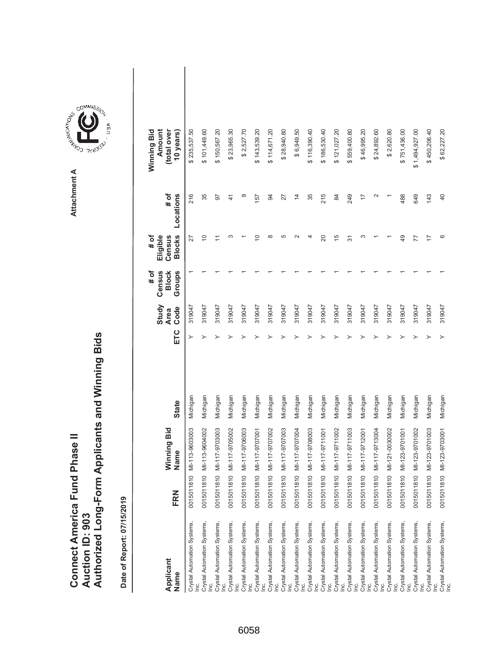| <b>Connect America Fund Phase II</b> |                 | Authorized Long-Form Applicants and Winning Bids |
|--------------------------------------|-----------------|--------------------------------------------------|
|                                      | Auction ID: 903 |                                                  |



| Applicant<br>Name                                             | FRN        | Winning Bid<br>Name | <b>State</b> | ETC | Study<br>Code<br><b>Area</b> | Census<br># of<br><b>Block</b><br>Groups | <b>Blocks</b><br># of<br>Eligible<br>Census | $#$ of<br>Locations | Winning Bid<br>Amount<br>(total over<br>10 years) |  |
|---------------------------------------------------------------|------------|---------------------|--------------|-----|------------------------------|------------------------------------------|---------------------------------------------|---------------------|---------------------------------------------------|--|
| Crystal Automation Systems,                                   | 0015011810 | MI-113-9603003      | Michigan     |     | 319047                       |                                          | 27                                          | 216                 | 235,537.50<br>ക                                   |  |
| Crystal Automation Systems,                                   | 0015011810 | MI-113-9604002      | Michigan     |     | 319047                       |                                          | $\overline{C}$                              | 35                  | \$101,449.60                                      |  |
| Crystal Automation Systems,                                   | 0015011810 | MI-117-9703003      | Michigan     |     | 319047                       |                                          | Ξ                                           | 50                  | \$150,567.20                                      |  |
| Crystal Automation Systems,<br>Lei                            | 0015011810 | MI-117-9705002      | Michigan     |     | 319047                       |                                          | ო                                           | $\frac{4}{1}$       | \$23,965.30                                       |  |
| Crystal Automation Systems,<br>Lei                            | 0015011810 | MI-117-9706003      | Michigan     |     | 319047                       |                                          |                                             | တ                   | \$2,527.70                                        |  |
| Crystal Automation Systems,                                   | 0015011810 | MI-117-9707001      | Michigan     |     | 319047                       |                                          | ≘                                           | 157                 | \$143,539.20                                      |  |
| Crystal Automation Systems,<br>Inc.                           | 0015011810 | MI-117-9707002      | Michigan     |     | 319047                       |                                          | $\infty$                                    | $\overline{a}$      | \$114,671.20                                      |  |
| Crystal Automation Systems,<br>Lei                            | 0015011810 | MI-117-9707003      | Michigan     |     | 319047                       |                                          | 5                                           | 27                  | \$28,940.80                                       |  |
| Crystal Automation Systems,<br>Lei                            | 0015011810 | MI-117-9707004      | Michigan     |     | 319047                       |                                          | $\sim$                                      | $\overline{4}$      | \$6,949.50                                        |  |
| Crystal Automation Systems,<br>Lei                            | 0015011810 | MI-117-9708003      | Michigan     |     | 319047                       |                                          | 4                                           | 35                  | \$116,390.40                                      |  |
| Crystal Automation Systems,<br>Inc.                           | 0015011810 | MI-117-9711001      | Michigan     |     | 319047                       |                                          | 20                                          | 215                 | \$186,530.40                                      |  |
| Crystal Automation Systems,<br>le.                            | 0015011810 | MI-117-9711002      | Michigan     |     | 319047                       |                                          | $\frac{6}{5}$                               | 84                  | \$121,027.20                                      |  |
| Crystal Automation Systems,<br>Lei                            | 0015011810 | MI-117-9711003      | Michigan     |     | 319047                       |                                          | $\overline{5}$                              | 249                 | \$559,400.80                                      |  |
| Crystal Automation Systems,<br>Lei                            | 0015011810 | MI-117-9712001      | Michigan     |     | 319047                       |                                          | S                                           | 7                   | \$46,995.20                                       |  |
| Crystal Automation Systems,<br>Inc.                           | 0015011810 | MI-117-9713004      | Michigan     |     | 319047                       |                                          |                                             | $\sim$              | \$24,892.60                                       |  |
| Crystal Automation Systems,<br>$\underline{\mathsf{c}}$       | 0015011810 | MI-121-0030002      | Michigan     |     | 319047                       |                                          |                                             |                     | \$2,620.80                                        |  |
| Crystal Automation Systems,<br>$\underline{\dot{\mathsf{c}}}$ | 0015011810 | MI-123-9701001      | Michigan     |     | 319047                       |                                          | 49                                          | 488                 | \$751,436.00                                      |  |
| Crystal Automation Systems,                                   | 0015011810 | MI-123-9701002      | Michigan     |     | 319047                       |                                          | 77                                          | 649                 | \$1,494,927.00                                    |  |
| Crystal Automation Systems,<br>Lei                            | 0015011810 | MI-123-9701003      | Michigan     |     | 319047                       |                                          | $\overline{1}$                              | 143                 | \$450,206.40                                      |  |
| Crystal Automation Systems,<br>Inc.                           | 0015011810 | MI-123-9703001      | Michigan     |     | 319047                       |                                          | ဖ                                           | 40                  | \$62,227.20                                       |  |

Attachment A **Attachment A**

**COMMISSION** 

ÙSA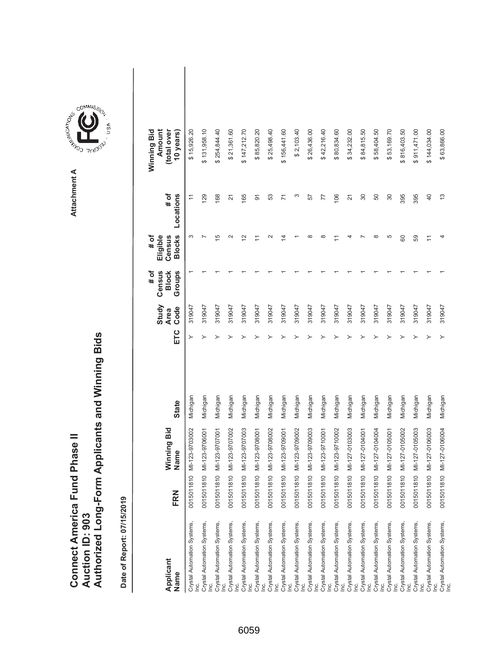| Connect America Fund Phase II | Auction ID: 903 | Authorized Long-Form Applicants and Winning Bids |
|-------------------------------|-----------------|--------------------------------------------------|



GOMMIS<sub>SION</sub>

USA

| Applicant<br>Name                   | FRN        | Winning Bid<br>Name | <b>State</b> | ETC | Study<br>Code<br><b>Area</b> | # of<br>Census<br>Groups<br><b>Block</b> | <b>Blocks</b><br># of<br>Eligible<br>Census | # of<br>Locations                                               | Winning Bid<br>Amount<br>(total over<br>10 years |  |
|-------------------------------------|------------|---------------------|--------------|-----|------------------------------|------------------------------------------|---------------------------------------------|-----------------------------------------------------------------|--------------------------------------------------|--|
| Crystal Automation Systems,<br>Inc. | 0015011810 | MI-123-9703002      | Michigan     | ≻   | 319047                       |                                          | S                                           | $\stackrel{\textstyle\scriptstyle\smile}{\textstyle\phantom{}}$ | \$15,926.20                                      |  |
| Crystal Automation Systems,<br>Inc. | 0015011810 | MI-123-9706001      | Michigan     |     | 319047                       |                                          |                                             | 129                                                             | \$131,958.10                                     |  |
| Crystal Automation Systems,<br>Inc. | 0015011810 | MI-123-9707001      | Michigan     |     | 319047                       |                                          | 15                                          | 168                                                             | \$254,844.40                                     |  |
| Crystal Automation Systems,<br>Inc. | 0015011810 | MI-123-9707002      | Michigan     |     | 319047                       |                                          | $\sim$                                      | $\overline{2}$                                                  | \$21,361.60                                      |  |
| Crystal Automation Systems,<br>Inc. | 0015011810 | MI-123-9707003      | Michigan     |     | 319047                       |                                          | $\overline{\mathbf{C}}$                     | 165                                                             | \$147,212.70                                     |  |
| Crystal Automation Systems,<br>Inc. | 0015011810 | MI-123-9708001      | Michigan     |     | 319047                       |                                          | Ξ                                           | 5                                                               | \$85,820.20                                      |  |
| Crystal Automation Systems,<br>Inc. | 0015011810 | MI-123-9708002      | Michigan     |     | 319047                       |                                          |                                             | 53                                                              | \$25,498.40                                      |  |
| Crystal Automation Systems,<br>Inc. | 0015011810 | MI-123-9709001      | Michigan     |     | 319047                       |                                          | 4                                           | $\overline{7}$                                                  | \$156,441.60                                     |  |
| Crystal Automation Systems,<br>Inc. | 0015011810 | MI-123-9709002      | Michigan     |     | 319047                       |                                          |                                             | ω                                                               | \$2,103.40                                       |  |
| Crystal Automation Systems,<br>Inc. | 0015011810 | MI-123-9709003      | Michigan     |     | 319047                       |                                          | ∞                                           | 57                                                              | \$26,436.00                                      |  |
| Crystal Automation Systems,<br>Inc. | 0015011810 | MI-123-9710001      | Michigan     |     | 319047                       |                                          | $\infty$                                    | 77                                                              | \$42,216.40                                      |  |
| Crystal Automation Systems,<br>Inc. | 0015011810 | MI-123-9710002      | Michigan     |     | 319047                       |                                          |                                             | 106                                                             | \$80,834.60                                      |  |
| Crystal Automation Systems,<br>Inc. | 0015011810 | MI-127-0103003      | Michigan     |     | 319047                       |                                          |                                             | $\overline{2}$                                                  | \$34,232.00                                      |  |
| Crystal Automation Systems,<br>Inc. | 0015011810 | MI-127-0104001      | Michigan     |     | 319047                       |                                          |                                             | $\overline{30}$                                                 | \$84,815.50                                      |  |
| Crystal Automation Systems,<br>Inc. | 0015011810 | MI-127-0104004      | Michigan     |     | 319047                       |                                          | ∞                                           | 50                                                              | \$58,404.50                                      |  |
| Crystal Automation Systems,<br>Inc. | 0015011810 | MI-127-0105001      | Michigan     |     | 319047                       |                                          | Ю                                           | $\overline{30}$                                                 | \$53,169.70                                      |  |
| Crystal Automation Systems,<br>Inc. | 0015011810 | MI-127-0105002      | Michigan     |     | 319047                       |                                          | 8                                           | 395                                                             | \$816,403.50                                     |  |
| Crystal Automation Systems,<br>Inc. | 0015011810 | MI-127-0105003      | Michigan     |     | 319047                       |                                          | 59                                          | 395                                                             | \$911,471.00                                     |  |
| Crystal Automation Systems,         | 0015011810 | MI-127-0106003      | Michigan     |     | 319047                       |                                          | Ξ                                           | $\overline{4}$                                                  | \$144,034.00                                     |  |
| Crystal Automation Systems,<br>Inc. | 0015011810 | MI-127-0106004      | Michigan     |     | 319047                       |                                          | 4                                           | $\frac{3}{2}$                                                   | \$63,866.00                                      |  |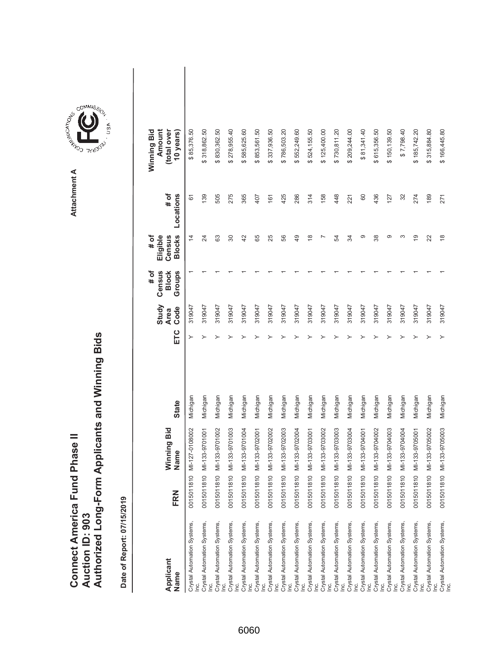|                               |                 | Authorized Long-Form Applicants and Winning Bids |
|-------------------------------|-----------------|--------------------------------------------------|
| Connect America Fund Phase II | Auction ID: 903 |                                                  |

| Applicant<br>Name                                                               | FRN        | Winning Bid<br>Name | <b>State</b> | ETC | Study<br>Code<br><b>Area</b> | Census<br># of<br><b>Block</b><br>Groups | <b>Blocks</b><br># of<br>Eligible<br>Census | # of<br>Locations | (total over<br>Winning Bid<br>Amount<br>10 years) |  |
|---------------------------------------------------------------------------------|------------|---------------------|--------------|-----|------------------------------|------------------------------------------|---------------------------------------------|-------------------|---------------------------------------------------|--|
| Crystal Automation Systems,<br>lnc.                                             | 0015011810 | MI-127-0108002      | Michigan     | ≻   | 319047                       |                                          | $\overline{4}$                              | 61                | \$85,376.50                                       |  |
| Crystal Automation Systems,                                                     | 0015011810 | MI-133-9701001      | Michigan     |     | 319047                       |                                          | 24                                          | 139               | \$318,862.50                                      |  |
| Crystal Automation Systems,                                                     | 0015011810 | MI-133-9701002      | Michigan     |     | 319047                       |                                          | යි                                          | 505               | \$830,362.50                                      |  |
| Crystal Automation Systems,<br>Inc.                                             | 0015011810 | MI-133-9701003      | Michigan     |     | 319047                       |                                          | 80                                          | 275               | \$278,955.40                                      |  |
| Crystal Automation Systems,<br><u>ic</u>                                        | 0015011810 | MI-133-9701004      | Michigan     |     | 319047                       |                                          | 42                                          | 365               | 585,625.60<br>↔                                   |  |
| Crystal Automation Systems,<br>$\underline{\underline{c}}$                      | 0015011810 | MI-133-9702001      | Michigan     |     | 319047                       |                                          | 65                                          | 407               | \$853,561.50                                      |  |
| Crystal Automation Systems,<br>$\leq$                                           | 0015011810 | MI-133-9702002      | Michigan     |     | 319047                       |                                          | 25                                          | 161               | 337,936.50<br>↔                                   |  |
| Crystal Automation Systems,<br>Inc.                                             | 0015011810 | MI-133-9702003      | Michigan     |     | 319047                       |                                          | 99                                          | 425               | \$786,503.20                                      |  |
| Crystal Automation Systems,<br>$\underline{\underline{\underline{\mathrm{c}}}}$ | 0015011810 | MI-133-9702004      | Michigan     |     | 319047                       |                                          | 49                                          | 286               | 552,249.60<br>ക                                   |  |
| Crystal Automation Systems,<br>Inc.                                             | 0015011810 | MI-133-9703001      | Michigan     |     | 319047                       |                                          | $\overset{\infty}{\rightarrow}$             | 314               | \$524,155.50                                      |  |
| Crystal Automation Systems,<br>Inc.                                             | 0015011810 | MI-133-9703002      | Michigan     |     | 319047                       |                                          |                                             | 158               | \$125,400.00                                      |  |
| Crystal Automation Systems,<br>Inc.                                             | 0015011810 | MI-133-9703003      | Michigan     |     | 319047                       |                                          | R                                           | 448               | \$730,811.20                                      |  |
| Crystal Automation Systems,<br>$\underline{\underline{\dot{c}}}$                | 0015011810 | MI-133-9703004      | Michigan     |     | 319047                       |                                          | ₩                                           | 221               | \$209,244.00                                      |  |
| Crystal Automation Systems,<br>lnc.                                             | 0015011810 | MI-133-9704001      | Michigan     |     | 319047                       |                                          | ග                                           | 60                | \$81,341.40                                       |  |
| Crystal Automation Systems,<br>Inc.                                             | 0015011810 | MI-133-9704002      | Michigan     |     | 319047                       |                                          | 38                                          | 436               | \$615,356.50                                      |  |
| Crystal Automation Systems,<br>Inc.                                             | 0015011810 | MI-133-9704003      | Michigan     |     | 319047                       |                                          | တ                                           | 127               | \$150,139.50                                      |  |
| Crystal Automation Systems,<br>$\underline{\underline{\mathrm{e}}}$             | 0015011810 | MI-133-9704004      | Michigan     |     | 319047                       |                                          | ω                                           | 32                | \$7,798.40                                        |  |
| Crystal Automation Systems,<br>lnc.                                             | 0015011810 | MI-133-9705001      | Michigan     |     | 319047                       |                                          | 67                                          | 274               | \$185,742.20                                      |  |
| Crystal Automation Systems,                                                     | 0015011810 | MI-133-9705002      | Michigan     |     | 319047                       |                                          | 22                                          | 189               | 315,884.80<br>ക                                   |  |
| Crystal Automation Systems,<br>Inc.                                             | 0015011810 | MI-133-9705003      | Michigan     |     | 319047                       |                                          | $\frac{8}{1}$                               | 271               | \$166,445.80                                      |  |

Attachment A **Attachment A**

**COMMISSION**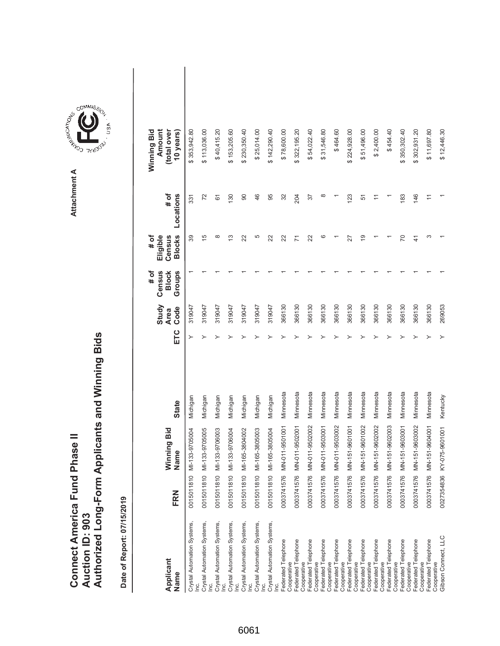|                               |                 | Authorized Long-Form Applicants and Winning Bids |
|-------------------------------|-----------------|--------------------------------------------------|
|                               |                 |                                                  |
| Connect America Fund Phase II |                 |                                                  |
|                               | Auction ID: 903 |                                                  |



ARISTICATION CONTROL Attachment A **Attachment A**

GOMMIS<sub>SION</sub>

**TYU303**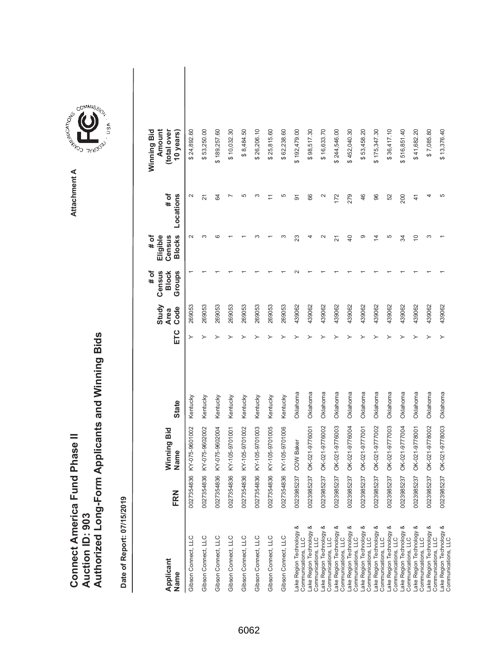|                               |                        | Authorized Long-Form Applicants and Winning Bids |
|-------------------------------|------------------------|--------------------------------------------------|
| Connect America Fund Phase II |                        |                                                  |
|                               | <b>Auction ID: 903</b> |                                                  |

| Applicant<br>Name                               | FRN        | Winning Bid<br>Name | <b>State</b> | ETC | Study<br>Code<br><b>Area</b> | # of<br>Census<br>Groups<br><b>Block</b> | <b>Blocks</b><br>Eligible<br># of<br>Census | # of<br>Locations | Winning Bid<br>Amount<br>(total over<br>10 years) |  |
|-------------------------------------------------|------------|---------------------|--------------|-----|------------------------------|------------------------------------------|---------------------------------------------|-------------------|---------------------------------------------------|--|
| Gibson Connect, LLC                             | 0027354836 | KY-075-9601002      | Kentucky     |     | 269053                       |                                          | $\sim$                                      | $\sim$            | \$24,892.60                                       |  |
| Gibson Connect, LLC                             | 0027354836 | KY-075-9602002      | Kentucky     |     | 269053                       |                                          | ო                                           | 21                | \$53,250.00                                       |  |
| Gibson Connect, LLC                             | 0027354836 | KY-075-9602004      | Kentucky     |     | 269053                       |                                          | ဖ                                           | 84                | \$189,257.60                                      |  |
| Gibson Connect, LLC                             | 0027354836 | KY-105-9701001      | Kentucky     |     | 269053                       |                                          |                                             |                   | \$10,032.30                                       |  |
| Gibson Connect, LLC                             | 0027354836 | KY-105-9701002      | Kentucky     |     | 269053                       |                                          |                                             | 5                 | \$8,484.50                                        |  |
| Gibson Connect, LLC                             | 0027354836 | KY-105-9701003      | Kentucky     |     | 269053                       |                                          |                                             | ო                 | \$26,206.10                                       |  |
| Gibson Connect, LLC                             | 0027354836 | KY-105-9701005      | Kentucky     |     | 269053                       |                                          |                                             |                   | \$25,815.60                                       |  |
| Gibson Connect, LLC                             | 0027354836 | KY-105-9701006      | Kentucky     |     | 269053                       |                                          |                                             | 5                 | \$62,238.60                                       |  |
| Lake Region Technology &<br>Communications, LLC | 0023985237 | <b>COW Baker</b>    | Oklahoma     |     | 439062                       |                                          | 23                                          | 5                 | \$192,479.00                                      |  |
| Lake Region Technology &<br>Communications, LLC | 0023985237 | OK-021-9776001      | Oklahoma     |     | 439062                       |                                          |                                             | 66                | \$98,517.30                                       |  |
| ake Region Technology &<br>Communications, LLC  | 0023985237 | OK-021-9776002      | Oklahoma     |     | 439062                       |                                          | $\scriptstyle\sim$                          | $\mathbf{\sim}$   | \$16,633.70                                       |  |
| ake Region Technology &<br>Communications, LLC  | 0023985237 | OK-021-9776003      | Oklahoma     |     | 439062                       |                                          | 21                                          | 172               | \$244,546.00                                      |  |
| ake Region Technology &<br>Communications, LLC  | 0023985237 | OK-021-9776004      | Oklahoma     |     | 439062                       |                                          | $\overline{a}$                              | 279               | \$452,040.30                                      |  |
| Lake Region Technology &<br>Communications, LLC | 0023985237 | OK-021-9777001      | Oklahoma     |     | 439062                       |                                          | တ                                           | 46                | \$53,458.20                                       |  |
| Lake Region Technology &<br>Communications, LLC | 0023985237 | OK-021-9777002      | Oklahoma     |     | 439062                       |                                          | 4                                           | 96                | \$175,347.30                                      |  |
| ake Region Technology &<br>Communications, LLC  | 0023985237 | OK-021-9777003      | Oklahoma     |     | 439062                       |                                          | 5                                           | 52                | \$36,417.10                                       |  |
| ake Region Technology &<br>Communications, LLC  | 0023985237 | OK-021-9777004      | Oklahoma     |     | 439062                       |                                          | 34                                          | 200               | \$516,851.40                                      |  |
| Lake Region Technology &<br>Communications, LLC | 0023985237 | OK-021-9778001      | Oklahoma     |     | 439062                       |                                          | $\overline{C}$                              | $\overline{4}$    | \$41,682.20                                       |  |
| Lake Region Technology &<br>Communications, LLC | 0023985237 | OK-021-9778002      | Oklahoma     |     | 439062                       |                                          | ω                                           | 4                 | \$7,085.80                                        |  |
| ake Region Technology &<br>Communications, LLC  | 0023985237 | OK-021-9778003      | Oklahoma     |     | 439062                       |                                          |                                             | 5                 | \$13,376.40                                       |  |

Attachment A **Attachment A**

**COMMISSION**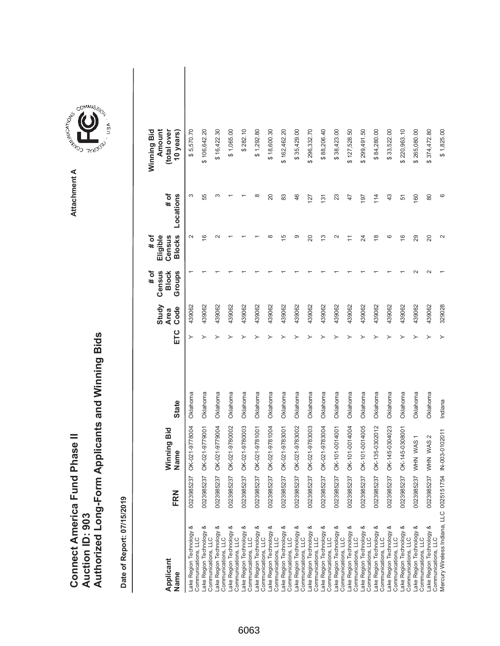|                               |                 | Authorized Long-Form Applicants and Winning Bids |
|-------------------------------|-----------------|--------------------------------------------------|
| Connect America Fund Phase II | Auction ID: 903 |                                                  |

**COMMISSION** Attachment A **Attachment A**

COMMIS<sub>SION</sub>

USA

| Applicant<br>Name                                       | FRN        | Winning Bid<br>Name  | <b>State</b> | ETC | Study<br>Code<br><b>Area</b> | Census<br># of<br><b>Block</b><br>Groups | <b>Blocks</b><br># of<br>Eligible<br>Census | # of<br>Locations | Amount<br>(total over<br>Winning Bid<br>10 years) |  |
|---------------------------------------------------------|------------|----------------------|--------------|-----|------------------------------|------------------------------------------|---------------------------------------------|-------------------|---------------------------------------------------|--|
| య<br>-ake Region Technology<br>Communications, LLC      | 0023985237 | OK-021-9778004       | Oklahoma     |     | 439062                       |                                          | $\sim$                                      | S                 | \$5,570.70                                        |  |
| ake Region Technology &<br>Communications, LLC          | 0023985237 | OK-021-9779001       | Oklahoma     | ≻   | 439062                       |                                          | $\overline{6}$                              | 55                | \$106,642.20                                      |  |
| Lake Region Technology &<br>Communications, LLC         | 0023985237 | OK-021-9779004       | Oklahoma     |     | 439062                       |                                          |                                             | S                 | \$16,422.30                                       |  |
| Lake Region Technology &<br>Communications, LLC         | 0023985237 | OK-021-9780002       | Oklahoma     |     | 439062                       |                                          |                                             |                   | \$1,065.00                                        |  |
| Lake Region Technology &<br>Communications, LLC         | 0023985237 | OK-021-9780003       | Oklahoma     |     | 439062                       |                                          |                                             |                   | \$282.10                                          |  |
| Lake Region Technology &<br>Communications, LLC         | 0023985237 | OK-021-9781001       | Oklahoma     |     | 439062                       |                                          |                                             | $\infty$          | \$1,292.80                                        |  |
| Lake Region Technology &<br>Communications, LLC         | 0023985237 | OK-021-9781004       | Oklahoma     |     | 439062                       |                                          | œ                                           | 20                | \$18,600.30                                       |  |
| Lake Region Technology &<br>Communications, LLC         | 0023985237 | OK-021-9783001       | Oklahoma     |     | 439062                       |                                          | 15                                          | 83                | \$162,462.20                                      |  |
| Lake Region Technology &<br>Communications, LLC         | 0023985237 | OK-021-9783002       | Oklahoma     |     | 439062                       |                                          | ග                                           | 46                | \$35,429.00                                       |  |
| Lake Region Technology &<br>Communications, LLC         | 0023985237 | OK-021-9783003       | Oklahoma     |     | 439062                       |                                          | $\overline{20}$                             | 127               | \$296,332.70                                      |  |
| Lake Region Technology &<br>Communications, LLC         | 0023985237 | OK-021-9783004       | Oklahoma     |     | 439062                       |                                          | 13                                          | 131               | \$88,206.40                                       |  |
| Lake Region Technology &<br>Communications, LLC         | 0023985237 | OK-101-0014001       | Oklahoma     |     | 439062                       |                                          | N                                           | 23                | \$38,423.00                                       |  |
| Lake Region Technology &<br>Communications, LLC         | 0023985237 | OK-101-0014004       | Oklahoma     |     | 439062                       |                                          |                                             | 47                | \$127,528.50                                      |  |
| Lake Region Technology &<br>Communications, LLC         | 0023985237 | OK-101-0014005       | Oklahoma     |     | 439062                       |                                          | $\overline{\mathcal{Z}}$                    | 197               | \$299,491.50                                      |  |
| Lake Region Technology &<br>Communications, LLC         | 0023985237 | OK-135-0302012       | Oklahoma     |     | 439062                       |                                          | $\frac{8}{2}$                               | 114               | \$84,280.00                                       |  |
| Lake Region Technology &<br>Communications, LLC         | 0023985237 | OK-145-0304023       | Oklahoma     |     | 439062                       |                                          | ဖ                                           | 43                | \$33,522.00                                       |  |
| Lake Region Technology &<br>Communications, LLC         | 0023985237 | OK-145-0308001       | Oklahoma     |     | 439062                       |                                          | $\frac{6}{5}$                               | 51                | \$220,963.10                                      |  |
| Lake Region Technology &<br>Communications, LLC         | 0023985237 | WHN WAS 1            | Oklahoma     |     | 439062                       |                                          | 29                                          | 160               | \$265,080.00                                      |  |
| ake Region Technology &<br>Communications, LLC          |            | 0023985237 WHN WAS 2 | Oklahoma     |     | 439062                       |                                          | $\Omega$                                    | 80                | \$374,472.80                                      |  |
| Mercury Wireless Indiana, LLC 0025151754 IN-003-0102011 |            |                      | Indiana      |     | 329028                       |                                          | $\mathbf{\Omega}$                           | ဖ                 | \$1,825.00                                        |  |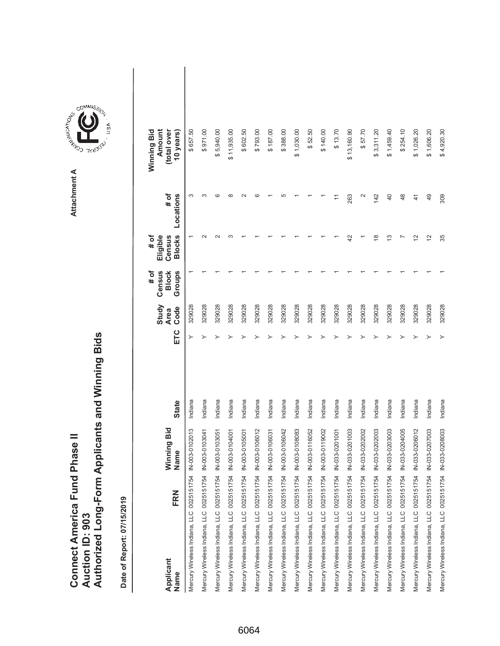|                                      |                        | Authorized Long-Form Applicants and Winning Bids |
|--------------------------------------|------------------------|--------------------------------------------------|
|                                      |                        |                                                  |
| <b>Connect America Fund Phase II</b> | <b>Auction ID: 903</b> |                                                  |

Attachment A **Attachment A**

COMMIS<sub>SION</sub>

USA

| FRN<br>Applicant<br>Name                                | Winning Bid<br>Jame | <b>State</b> | ETC | Study<br>Code<br><b>Area</b> | # of<br>Census<br>Groups<br><b>Block</b> | $#$ of<br><b>Blocks</b><br>Eligible<br>Census | Locations<br># of | Winning Bid<br>Amount<br>(total over<br>10 years) |  |
|---------------------------------------------------------|---------------------|--------------|-----|------------------------------|------------------------------------------|-----------------------------------------------|-------------------|---------------------------------------------------|--|
| Mercury Wireless Indiana, LLC 0025151754 IN-003-0102013 |                     | Indiana      | ≻   | 329028                       |                                          |                                               | ω                 | \$657.50                                          |  |
| Mercury Wireless Indiana, LLC 0025151754 IN-003-0103041 |                     | Indiana      |     | 329028                       |                                          |                                               |                   | \$971.00                                          |  |
| Mercury Wireless Indiana, LLC 0025151754 IN-003-0103051 |                     | Indiana      |     | 329028                       |                                          |                                               |                   | \$5,940.00                                        |  |
| Mercury Wireless Indiana, LLC 0025151754 IN-003-0104001 |                     | Indiana      |     | 329028                       |                                          |                                               |                   | \$11,935.00                                       |  |
| Mercury Wireless Indiana, LLC 0025151754 IN-003-0105001 |                     | Indiana      |     | 329028                       |                                          |                                               |                   | \$602.50                                          |  |
| Mercury Wireless Indiana, LLC 0025151754 IN-003-0106012 |                     | Indiana      |     | 329028                       |                                          |                                               |                   | \$793.00                                          |  |
| Mercury Wireless Indiana, LLC 0025151754 IN-003-0106031 |                     | Indiana      |     | 329028                       |                                          |                                               |                   | \$187.00                                          |  |
| Mercury Wireless Indiana, LLC 0025151754 IN-003-0106042 |                     | Indiana      |     | 329028                       |                                          |                                               |                   | \$388.00                                          |  |
| Mercury Wireless Indiana, LLC 0025151754 IN-003-0108083 |                     | Indiana      |     | 329028                       |                                          |                                               |                   | \$1,030.00                                        |  |
| Mercury Wireless Indiana, LLC 0025151754 IN-003-0116052 |                     | Indiana      |     | 329028                       |                                          |                                               |                   | \$52.50                                           |  |
| Mercury Wireless Indiana, LLC 0025151754 IN-003-0119002 |                     | Indiana      |     | 329028                       |                                          |                                               |                   | \$140.00                                          |  |
| Mercury Wireless Indiana, LLC 0025151754 IN-033-0201001 |                     | Indiana      |     | 329028                       |                                          |                                               |                   | \$13.70                                           |  |
| Mercury Wireless Indiana, LLC 0025151754 IN-033-0201003 |                     | Indiana      |     | 329028                       |                                          | 42                                            | 263               | \$13,160.90                                       |  |
| Mercury Wireless Indiana, LLC 0025151754 IN-033-0202002 |                     | Indiana      |     | 329028                       |                                          |                                               |                   | \$57.70                                           |  |
| Mercury Wireless Indiana, LLC 0025151754 IN-033-0202003 |                     | Indiana      |     | 329028                       |                                          | $\infty$                                      | 142               | \$3,311.20                                        |  |
| Mercury Wireless Indiana, LLC 0025151754 IN-033-0203003 |                     | Indiana      |     | 329028                       |                                          | S                                             | 40                | \$1,459.40                                        |  |
| Mercury Wireless Indiana, LLC 0025151754 IN-033-0204005 |                     | Indiana      |     | 329028                       |                                          |                                               | 48                | \$254.10                                          |  |
| Mercury Wireless Indiana, LLC 0025151754 IN-033-0206012 |                     | Indiana      |     | 329028                       |                                          | $\simeq$                                      | 41                | \$1,026.20                                        |  |
| Mercury Wireless Indiana, LLC 0025151754 IN-033-0207003 |                     | Indiana      |     | 329028                       |                                          | 12                                            | 49                | \$1,606.20                                        |  |
| Mercury Wireless Indiana, LLC 0025151754 IN-033-0208003 |                     | Indiana      |     | 329028                       |                                          | 35                                            | 309               | \$4,920.30                                        |  |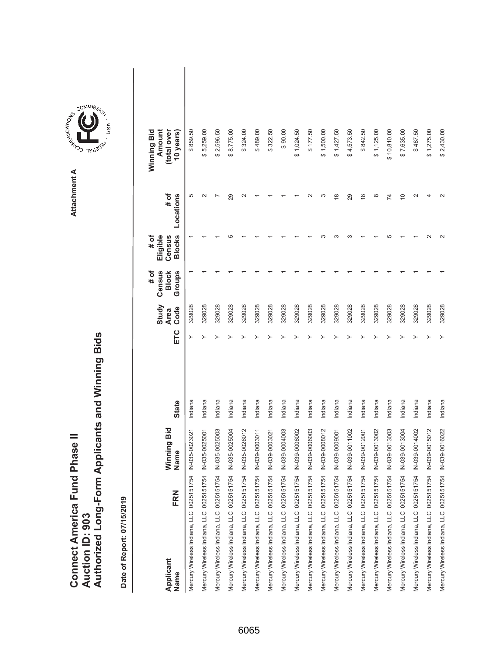|                               |                        | Authorized Long-Form Applicants and Winning Bids |
|-------------------------------|------------------------|--------------------------------------------------|
|                               |                        |                                                  |
| Connect America Fund Phase II | <b>Auction ID: 903</b> |                                                  |

Attachment A **Attachment A**

COMMIS<sub>SION</sub>

USA

| FRN<br>Applicant<br>Name                                | Winning Bid<br>Name | <b>State</b> | ETC | Study<br>Code<br><b>Area</b> | # of<br>Census<br><b>Block</b><br>Groups | <b>Blocks</b><br># of<br>Eligible<br>Census | $#$ of<br>Locations | Winning Bid<br>Amount<br>(total over<br>10 years) |  |
|---------------------------------------------------------|---------------------|--------------|-----|------------------------------|------------------------------------------|---------------------------------------------|---------------------|---------------------------------------------------|--|
| Mercury Wireless Indiana, LLC 0025151754                | IN-035-002302       | Indiana      | ≻   | 329028                       |                                          |                                             | 5                   | \$859.50                                          |  |
| Mercury Wireless Indiana, LLC 0025151754 IN-035-0025001 |                     | Indiana      |     | 329028                       |                                          |                                             |                     | \$5,259.00                                        |  |
| Mercury Wireless Indiana, LLC 0025151754 IN-035-0025003 |                     | Indiana      |     | 329028                       |                                          |                                             |                     | \$2,596.50                                        |  |
| Mercury Wireless Indiana, LLC 0025151754 IN-035-0025004 |                     | Indiana      |     | 329028                       |                                          |                                             | 29                  | 8,775.00<br>ക                                     |  |
| Mercury Wireless Indiana, LLC 0025151754 IN-035-0026012 |                     | Indiana      |     | 329028                       |                                          |                                             |                     | \$324.00                                          |  |
| Mercury Wireless Indiana, LLC 0025151754 IN-039-0003011 |                     | Indiana      |     | 329028                       |                                          |                                             |                     | \$489.00                                          |  |
| Mercury Wireless Indiana, LLC 0025151754 IN-039-0003021 |                     | Indiana      |     | 329028                       |                                          |                                             |                     | \$322.50                                          |  |
| Mercury Wireless Indiana, LLC 0025151754 IN-039-0004003 |                     | Indiana      |     | 329028                       |                                          |                                             |                     | \$90.00                                           |  |
| Mercury Wireless Indiana, LLC 0025151754 IN-039-0006002 |                     | Indiana      |     | 329028                       |                                          |                                             |                     | \$1,024.50                                        |  |
| Mercury Wireless Indiana, LLC 0025151754 IN-039-0006003 |                     | Indiana      |     | 329028                       |                                          |                                             |                     | \$177.50                                          |  |
| Mercury Wireless Indiana, LLC 0025151754 IN-039-0008012 |                     | Indiana      |     | 329028                       |                                          |                                             | ∞                   | \$1,500.00                                        |  |
| Mercury Wireless Indiana, LLC 0025151754 IN-039-0009001 |                     | Indiana      |     | 329028                       |                                          |                                             | $\frac{8}{1}$       | \$1,427.50                                        |  |
| Mercury Wireless Indiana, LLC 0025151754 IN-039-0011002 |                     | Indiana      |     | 329028                       |                                          |                                             | 29                  | \$4,573.50                                        |  |
| Mercury Wireless Indiana, LLC 0025151754 IN-039-0012001 |                     | Indiana      |     | 329028                       |                                          |                                             | $\frac{8}{1}$       | \$842.50                                          |  |
| Mercury Wireless Indiana, LLC 0025151754                | IN-039-0013002      | Indiana      |     | 329028                       |                                          |                                             | $\infty$            | \$1,125.00                                        |  |
| Mercury Wireless Indiana, LLC 0025151754 IN-039-0013003 |                     | Indiana      |     | 329028                       |                                          |                                             | 74                  | \$10,810.00                                       |  |
| Mercury Wireless Indiana, LLC 0025151754 IN-039-0013004 |                     | Indiana      |     | 329028                       |                                          |                                             | $\overline{C}$      | \$7,635.00                                        |  |
| Mercury Wireless Indiana, LLC 0025151754                | IN-039-0014002      | Indiana      |     | 329028                       |                                          |                                             |                     | \$487.50                                          |  |
| Mercury Wireless Indiana, LLC 0025151754 IN-039-0015012 |                     | Indiana      |     | 329028                       |                                          |                                             |                     | \$1,275.00                                        |  |
| Mercury Wireless Indiana, LLC 0025151754 IN-039-0016022 |                     | Indiana      |     | 329028                       |                                          |                                             |                     | \$2,430.00                                        |  |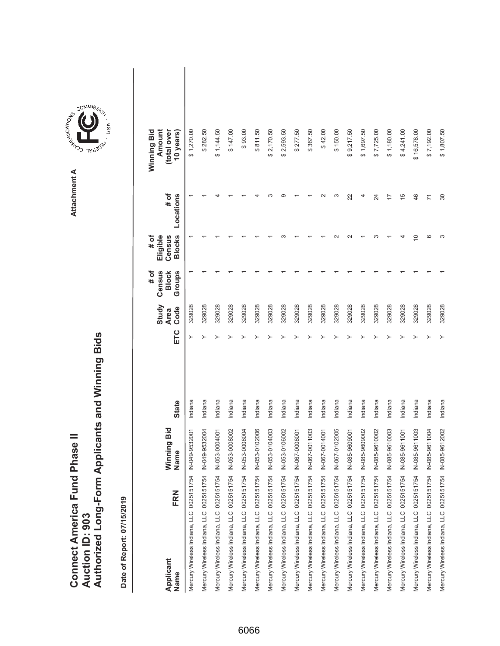|                                      |                        | Authorized Long-Form Applicants and Winning Bids |
|--------------------------------------|------------------------|--------------------------------------------------|
|                                      |                        |                                                  |
|                                      |                        |                                                  |
| <b>Connect America Fund Phase II</b> |                        |                                                  |
|                                      |                        |                                                  |
|                                      | <b>Auction ID: 903</b> |                                                  |
|                                      |                        |                                                  |

**COMMISSIC**<br>SIRING THESE Attachment A **Attachment A**

COMMIS<sub>SION</sub>

USA

| FRN<br>Applicant<br>Name                                | Winning Bid<br>Name | <b>State</b> | ETC | Study<br>Code<br><b>Area</b> | # of<br>Census<br><b>Block</b><br>Groups | <b>Blocks</b><br># of<br>Eligible<br>Census | # of<br>Locations | Winning Bid<br>Amount<br>(total over<br>10 years |  |
|---------------------------------------------------------|---------------------|--------------|-----|------------------------------|------------------------------------------|---------------------------------------------|-------------------|--------------------------------------------------|--|
| Mercury Wireless Indiana, LLC 0025151754 IN-049-9532001 |                     | Indiana      | ≻   | 329028                       |                                          |                                             |                   | \$1,270.00                                       |  |
| Mercury Wireless Indiana, LLC 0025151754 IN-049-9532004 |                     | Indiana      |     | 329028                       |                                          |                                             |                   | \$282.50                                         |  |
| Mercury Wireless Indiana, LLC 0025151754 IN-053-0004001 |                     | Indiana      |     | 329028                       |                                          |                                             |                   | \$1,144.50                                       |  |
| Mercury Wireless Indiana, LLC 0025151754 IN-053-0008002 |                     | Indiana      |     | 329028                       |                                          |                                             |                   | \$147.00                                         |  |
| Mercury Wireless Indiana, LLC 0025151754 IN-053-0008004 |                     | Indiana      |     | 329028                       |                                          |                                             |                   | \$93.00                                          |  |
| Mercury Wireless Indiana, LLC 0025151754 IN-053-0102006 |                     | Indiana      |     | 329028                       |                                          |                                             |                   | \$811.50                                         |  |
| Mercury Wireless Indiana, LLC 0025151754 IN-053-0104003 |                     | Indiana      |     | 329028                       |                                          |                                             |                   | \$2,170.50                                       |  |
| Mercury Wireless Indiana, LLC 0025151754 IN-053-0106002 |                     | Indiana      |     | 329028                       |                                          |                                             |                   | \$2,593.50                                       |  |
| Mercury Wireless Indiana, LLC 0025151754 IN-067-0008001 |                     | Indiana      |     | 329028                       |                                          |                                             |                   | \$277.50                                         |  |
| Mercury Wireless Indiana, LLC 0025151754 IN-067-0011003 |                     | Indiana      |     | 329028                       |                                          |                                             |                   | \$367.50                                         |  |
| Mercury Wireless Indiana, LLC 0025151754 IN-067-0014001 |                     | Indiana      |     | 329028                       |                                          |                                             |                   | \$42.00                                          |  |
| Mercury Wireless Indiana, LLC 0025151754 IN-067-0102005 |                     | Indiana      |     | 329028                       |                                          |                                             | S                 | \$150.00                                         |  |
| Mercury Wireless Indiana, LLC 0025151754 IN-085-9609001 |                     | Indiana      |     | 329028                       |                                          |                                             | 22                | \$9,217.50                                       |  |
| Mercury Wireless Indiana, LLC 0025151754 IN-085-9609002 |                     | Indiana      |     | 329028                       |                                          |                                             |                   | \$1,697.50                                       |  |
| Mercury Wireless Indiana, LLC 0025151754 IN-085-9610002 |                     | Indiana      |     | 329028                       |                                          |                                             | 24                | \$7,725.00                                       |  |
| Mercury Wireless Indiana, LLC 0025151754 IN-085-9610003 |                     | Indiana      |     | 329028                       |                                          |                                             | 7                 | \$1,180.00                                       |  |
| Mercury Wireless Indiana, LLC 0025151754 IN-085-9611001 |                     | Indiana      |     | 329028                       |                                          |                                             | 15                | \$4,241.00                                       |  |
| Mercury Wireless Indiana, LLC 0025151754 IN-085-9611003 |                     | Indiana      |     | 329028                       |                                          | S                                           | 46                | \$16,578.00                                      |  |
| Mercury Wireless Indiana, LLC 0025151754 IN-085-9611004 |                     | Indiana      |     | 329028                       |                                          | ဖ                                           | $\overline{1}$    | \$7,192.00                                       |  |
| Mercury Wireless Indiana, LLC 0025151754 IN-085-9612002 |                     | Indiana      |     | 329028                       |                                          |                                             | 30                | \$1,807.50                                       |  |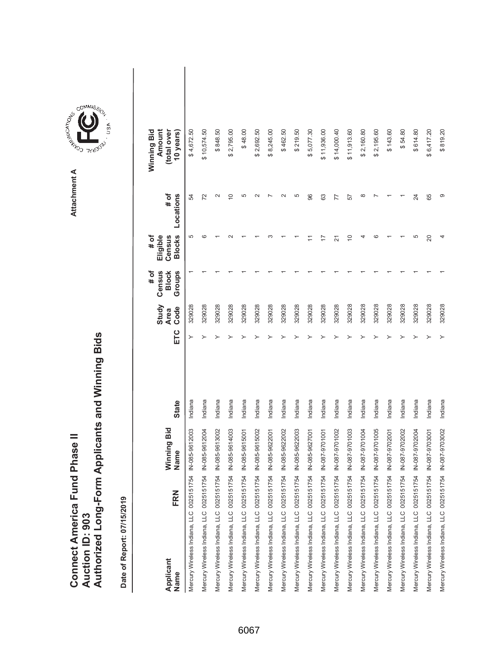|                                      |                        | Authorized Long-Form Applicants and Winning Bids |
|--------------------------------------|------------------------|--------------------------------------------------|
|                                      |                        |                                                  |
|                                      |                        |                                                  |
| <b>Connect America Fund Phase II</b> |                        |                                                  |
|                                      |                        |                                                  |
|                                      | <b>Auction ID: 903</b> |                                                  |
|                                      |                        |                                                  |

| FRN<br>Applicant<br>Name                 | Winning Bid<br>Name | <b>State</b> | ETC | Study<br>Code<br><b>Area</b> | Census<br>Groups<br><b>Block</b><br># of | <b>Blocks</b><br>Eligible<br># of<br>Census | # of<br>Locations | Winning Bid<br>Amount<br>(total over<br>10 years) |  |
|------------------------------------------|---------------------|--------------|-----|------------------------------|------------------------------------------|---------------------------------------------|-------------------|---------------------------------------------------|--|
| Mercury Wireless Indiana, LLC 0025151754 | IN-085-9612003      | Indiana      |     | 329028                       |                                          | 5                                           | 54                | \$4,672.50                                        |  |
| Mercury Wireless Indiana, LLC 0025151754 | IN-085-9612004      | Indiana      |     | 329028                       |                                          | CO                                          | 72                | \$10,574.50                                       |  |
| Mercury Wireless Indiana, LLC 0025151754 | IN-085-9613002      | Indiana      |     | 329028                       |                                          |                                             | $\sim$            | \$848.50                                          |  |
| Mercury Wireless Indiana, LLC 0025151754 | N-085-9614003       | Indiana      |     | 329028                       |                                          |                                             | $\overline{0}$    | \$2,795.00                                        |  |
| Mercury Wireless Indiana, LLC 0025151754 | IN-085-9615001      | Indiana      |     | 329028                       |                                          |                                             | 5                 | \$48.00                                           |  |
| Mercury Wireless Indiana, LLC 0025151754 | IN-085-9615002      | Indiana      |     | 329028                       |                                          |                                             |                   | \$2,692.50                                        |  |
| Mercury Wireless Indiana, LLC 0025151754 | IN-085-9622001      | Indiana      |     | 329028                       |                                          |                                             |                   | \$8,245.00                                        |  |
| Mercury Wireless Indiana, LLC 0025151754 | IN-085-9622002      | Indiana      |     | 329028                       |                                          |                                             |                   | \$462.50                                          |  |
| Mercury Wireless Indiana, LLC 0025151754 | IN-085-9622003      | Indiana      |     | 329028                       |                                          |                                             | 5                 | \$219.50                                          |  |
| Mercury Wireless Indiana, LLC 0025151754 | IN-085-9627001      | Indiana      |     | 329028                       |                                          |                                             | 96                | \$5,077.30                                        |  |
| Mercury Wireless Indiana, LLC 0025151754 | IN-087-9701001      | Indiana      |     | 329028                       |                                          | 17                                          | 63                | \$11,936.00                                       |  |
| Mercury Wireless Indiana, LLC 0025151754 | N-087-9701002       | Indiana      |     | 329028                       |                                          | $\overline{2}$                              | 77                | \$14,000.40                                       |  |
| Mercury Wireless Indiana, LLC 0025151754 | IN-087-9701003      | Indiana      |     | 329028                       |                                          | $\widetilde{C}$                             | 57                | \$11,913.60                                       |  |
| Mercury Wireless Indiana, LLC 0025151754 | N-087-9701004       | Indiana      |     | 329028                       |                                          | ᆉ                                           | ∞                 | \$2,160.80                                        |  |
| Mercury Wireless Indiana, LLC 0025151754 | IN-087-9701005      | Indiana      |     | 329028                       |                                          | ശ                                           |                   | \$2,195.60                                        |  |
| Mercury Wireless Indiana, LLC 0025151754 | IN-087-9702001      | Indiana      |     | 329028                       |                                          |                                             |                   | \$143.60                                          |  |
| Mercury Wireless Indiana, LLC 0025151754 | IN-087-9702002      | Indiana      |     | 329028                       |                                          |                                             |                   | \$54.80                                           |  |
| Mercury Wireless Indiana, LLC 0025151754 | IN-087-9702004      | Indiana      |     | 329028                       |                                          | 5                                           | 24                | \$614.80                                          |  |
| Mercury Wireless Indiana, LLC 0025151754 | IN-087-9703001      | Indiana      |     | 329028                       |                                          | 20                                          | 65                | \$6,417.20                                        |  |
| Mercury Wireless Indiana, LLC 0025151754 | IN-087-9703002      | Indiana      | ≻   | 329028                       |                                          |                                             | Φ                 | \$819.20                                          |  |



GOMMIS<sub>SION</sub>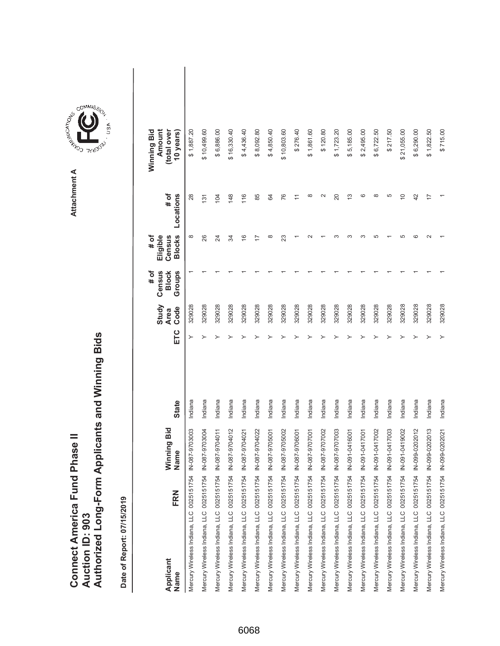|                               |                 | Authorized Long-Form Applicants and Winning Bids |
|-------------------------------|-----------------|--------------------------------------------------|
| Connect America Fund Phase II |                 |                                                  |
|                               | Auction ID: 903 |                                                  |

| FRN<br>Applicant<br>Name                 | Winning Bid<br>Name | <b>State</b> | ETC | Study<br>Code<br><b>Area</b> | Census<br>Groups<br># of<br><b>Block</b> | <b>Blocks</b><br>Eligible<br># of<br>Census | # of<br>Locations | Amount<br>(total over<br>Winning Bid<br>10 years) |  |
|------------------------------------------|---------------------|--------------|-----|------------------------------|------------------------------------------|---------------------------------------------|-------------------|---------------------------------------------------|--|
| Mercury Wireless Indiana, LLC 0025151754 | IN-087-9703003      | Indiana      |     | 329028                       |                                          | $^{\circ}$                                  | 28                | \$1,887.20                                        |  |
| Mercury Wireless Indiana, LLC 0025151754 | IN-087-9703004      | Indiana      |     | 329028                       |                                          | 26                                          | 131               | \$10,499.60                                       |  |
| Mercury Wireless Indiana, LLC 0025151754 | IN-087-9704011      | Indiana      |     | 329028                       |                                          | 24                                          | 104               | \$6,886.00                                        |  |
| Mercury Wireless Indiana, LLC 0025151754 | IN-087-9704012      | Indiana      |     | 329028                       |                                          | र्द्र                                       | 148               | \$16,330.40                                       |  |
| Mercury Wireless Indiana, LLC 0025151754 | IN-087-9704021      | Indiana      |     | 329028                       |                                          | $\frac{6}{5}$                               | 116               | \$4,436.40                                        |  |
| Mercury Wireless Indiana, LLC 0025151754 | IN-087-9704022      | Indiana      |     | 329028                       |                                          | $\overline{1}$                              | 85                | \$8,092.80                                        |  |
| Mercury Wireless Indiana, LLC 0025151754 | IN-087-9705001      | Indiana      |     | 329028                       |                                          | ∞                                           | 64                | \$4,850.40                                        |  |
| Mercury Wireless Indiana, LLC 0025151754 | N-087-9705002       | Indiana      |     | 329028                       |                                          | 23                                          | 76                | \$10,803.60                                       |  |
| Mercury Wireless Indiana, LLC 0025151754 | IN-087-9706001      | Indiana      |     | 329028                       |                                          |                                             |                   | \$276.40                                          |  |
| Mercury Wireless Indiana, LLC 0025151754 | IN-087-9707001      | Indiana      |     | 329028                       |                                          |                                             | $\infty$          | \$1,861.60                                        |  |
| Mercury Wireless Indiana, LLC 0025151754 | IN-087-9707002      | Indiana      |     | 329028                       |                                          |                                             | $\sim$            | \$120.80                                          |  |
| Mercury Wireless Indiana, LLC 0025151754 | IN-087-9707003      | Indiana      |     | 329028                       |                                          |                                             | 20                | \$1,723.20                                        |  |
| Mercury Wireless Indiana, LLC 0025151754 | IN-091-0416001      | Indiana      |     | 329028                       |                                          |                                             | 13                | 5,185.00<br>↮                                     |  |
| Mercury Wireless Indiana, LLC 0025151754 | IN-091-0417001      | Indiana      |     | 329028                       |                                          |                                             | ဖ                 | \$2,495.00                                        |  |
| Mercury Wireless Indiana, LLC 0025151754 | N-091-0417002       | Indiana      |     | 329028                       |                                          |                                             | $\infty$          | \$6,722.50                                        |  |
| Mercury Wireless Indiana, LLC 0025151754 | N-091-0417003       | Indiana      |     | 329028                       |                                          |                                             | 5                 | \$217.50                                          |  |
| Mercury Wireless Indiana, LLC 0025151754 | IN-091-0419002      | Indiana      |     | 329028                       |                                          |                                             | $\overline{C}$    | \$21,055.00                                       |  |
| Mercury Wireless Indiana, LLC 0025151754 | IN-099-0202012      | Indiana      |     | 329028                       |                                          |                                             | 42                | \$6,290.00                                        |  |
| Mercury Wireless Indiana, LLC 0025151754 | IN-099-0202013      | Indiana      |     | 329028                       |                                          |                                             | 7                 | \$1,822.50                                        |  |
| Mercury Wireless Indiana, LLC 0025151754 | IN-099-0202021      | Indiana      | ≻   | 329028                       |                                          |                                             |                   | \$715.00                                          |  |



COMMIS<sub>SION</sub>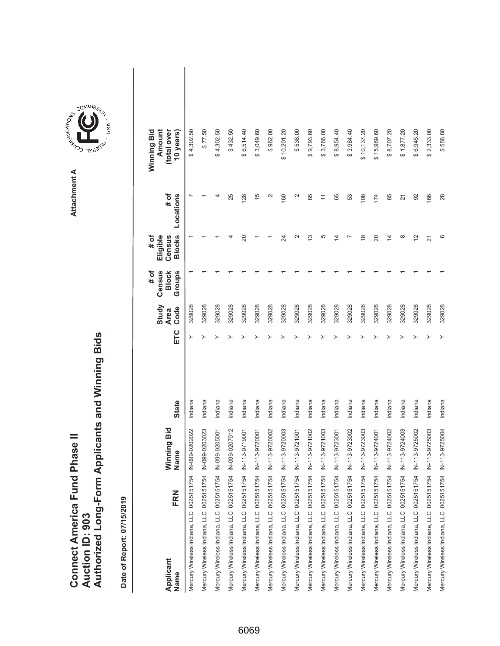| Connect America Fund Phase II | Authorized Long-Form Applicants and Winning Bids |  |
|-------------------------------|--------------------------------------------------|--|
|                               |                                                  |  |
|                               | Auction ID: 903                                  |  |

| Applicant<br>Name                        | FRN | Winning Bid<br>Name | <b>State</b> | ETC | Study<br>Code<br><b>Area</b> | Census<br><b>Block</b><br>Groups<br># of | <b>Blocks</b><br>Eligible<br># of<br>Census | # of<br>Locations | Winning Bid<br>Amount<br>(total over<br>10 years) |  |
|------------------------------------------|-----|---------------------|--------------|-----|------------------------------|------------------------------------------|---------------------------------------------|-------------------|---------------------------------------------------|--|
| Mercury Wireless Indiana, LLC 0025151754 |     | IN-099-0202022      | Indiana      |     | 329028                       |                                          |                                             |                   | \$4,302.50                                        |  |
| Mercury Wireless Indiana, LLC 0025151754 |     | IN-099-0203023      | Indiana      |     | 329028                       |                                          |                                             |                   | \$77.50                                           |  |
| Mercury Wireless Indiana, LLC 0025151754 |     | IN-099-0205001      | Indiana      |     | 329028                       |                                          |                                             |                   | \$4,302.50                                        |  |
| Mercury Wireless Indiana, LLC 0025151754 |     | IN-099-0207012      | Indiana      |     | 329028                       |                                          |                                             | 25                | \$432.50                                          |  |
| Mercury Wireless Indiana, LLC 0025151754 |     | IN-113-9719001      | Indiana      |     | 329028                       |                                          | 20                                          | 128               | \$6,514.40                                        |  |
| Mercury Wireless Indiana, LLC 0025151754 |     | IN-113-9720001      | Indiana      |     | 329028                       |                                          |                                             | 15                | \$3,049.60                                        |  |
| Mercury Wireless Indiana, LLC 0025151754 |     | IN-113-9720002      | Indiana      |     | 329028                       |                                          |                                             | N                 | \$962.00                                          |  |
| Mercury Wireless Indiana, LLC 0025151754 |     | IN-113-9720003      | Indiana      |     | 329028                       |                                          | 24                                          | 160               | \$10,201.20                                       |  |
| Mercury Wireless Indiana, LLC 0025151754 |     | IN-113-9721001      | Indiana      |     | 329028                       |                                          | $\mathbf{\sim}$                             | $\mathbf{\Omega}$ | \$536.00                                          |  |
| Mercury Wireless Indiana, LLC 0025151754 |     | IN-113-9721002      | Indiana      |     | 329028                       |                                          | 13                                          | 65                | 9,793.60<br>↔                                     |  |
| Mercury Wireless Indiana, LLC 0025151754 |     | IN-113-9721003      | Indiana      |     | 329028                       |                                          | 5                                           | $\overline{ }$    | \$3,786.00                                        |  |
| Mercury Wireless Indiana, LLC 0025151754 |     | IN-113-9723001      | Indiana      |     | 329028                       |                                          | 4                                           | 65                | \$8,954.40                                        |  |
| Mercury Wireless Indiana, LLC 0025151754 |     | IN-113-9723002      | Indiana      |     | 329028                       |                                          |                                             | 53                | \$3,984.40                                        |  |
| Mercury Wireless Indiana, LLC 0025151754 |     | IN-113-9723003      | Indiana      |     | 329028                       |                                          | $\frac{8}{1}$                               | 108               | \$10,137.20                                       |  |
| Mercury Wireless Indiana, LLC 0025151754 |     | IN-113-9724001      | Indiana      |     | 329028                       |                                          | 20                                          | 174               | \$15,969.60                                       |  |
| Mercury Wireless Indiana, LLC 0025151754 |     | IN-113-9724002      | Indiana      |     | 329028                       |                                          | $\overline{4}$                              | 85                | \$8,707.20                                        |  |
| Mercury Wireless Indiana, LLC 0025151754 |     | IN-113-9724003      | Indiana      |     | 329028                       |                                          | $^{\circ}$                                  | $\overline{2}$    | \$1,877.20                                        |  |
| Mercury Wireless Indiana, LLC 0025151754 |     | IN-113-9725002      | Indiana      |     | 329028                       |                                          | $\tilde{c}$                                 | 92                | \$6,945.20                                        |  |
| Mercury Wireless Indiana, LLC 0025151754 |     | IN-113-9725003      | Indiana      |     | 329028                       |                                          | 21                                          | 166               | \$2,333.00                                        |  |
| Mercury Wireless Indiana, LLC 0025151754 |     | IN-113-9725004      | Indiana      |     | 329028                       |                                          | ဖ                                           | 28                | \$558.80                                          |  |

**COMMISSION** Attachment A **Attachment A**

GOMMIS<sub>SION</sub>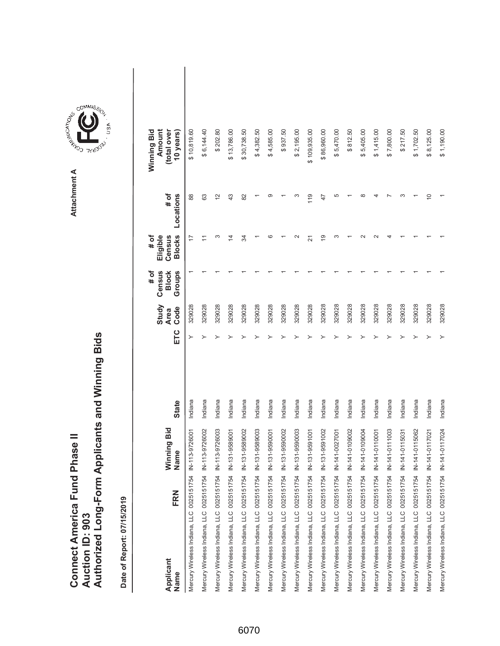|                               |                 | Authorized Long-Form Applicants and Winning Bids |
|-------------------------------|-----------------|--------------------------------------------------|
| Connect America Fund Phase II | Auction ID: 903 |                                                  |

| Applicant<br>Name                        | FRN | Winning Bid<br>Name | <b>State</b> | ETC | Study<br>Code<br><b>Area</b> | Census<br><b>Block</b><br>Groups<br># of | <b>Blocks</b><br>Eligible<br># of<br>Census | $#$ of<br>Locations | Amount<br>Winning Bid<br>(total over<br>10 years) |  |
|------------------------------------------|-----|---------------------|--------------|-----|------------------------------|------------------------------------------|---------------------------------------------|---------------------|---------------------------------------------------|--|
| Mercury Wireless Indiana, LLC 0025151754 |     | IN-113-9726001      | Indiana      |     | 329028                       |                                          | 17                                          | 88                  | \$10,819.60                                       |  |
| Mercury Wireless Indiana, LLC 0025151754 |     | IN-113-9726002      | Indiana      |     | 329028                       |                                          | Ξ                                           | 63                  | \$6,144.40                                        |  |
| Mercury Wireless Indiana, LLC 0025151754 |     | IN-113-9726003      | Indiana      |     | 329028                       |                                          | S                                           | $\overline{c}$      | \$202.80                                          |  |
| Mercury Wireless Indiana, LLC 0025151754 |     | IN-131-9589001      | Indiana      |     | 329028                       |                                          | $\overline{4}$                              | 43                  | \$13,786.00                                       |  |
| Mercury Wireless Indiana, LLC 0025151754 |     | IN-131-9589002      | Indiana      |     | 329028                       |                                          | ₩                                           | 82                  | \$30,738.50                                       |  |
| Mercury Wireless Indiana, LLC 0025151754 |     | IN-131-9589003      | Indiana      |     | 329028                       |                                          |                                             |                     | \$4,382.50                                        |  |
| Mercury Wireless Indiana, LLC 0025151754 |     | IN-131-9590001      | Indiana      |     | 329028                       |                                          | ဖ                                           | ာ                   | \$4,585.00                                        |  |
| Mercury Wireless Indiana, LLC 0025151754 |     | IN-131-9590002      | Indiana      |     | 329028                       |                                          |                                             |                     | \$937.50                                          |  |
| Mercury Wireless Indiana, LLC 0025151754 |     | IN-131-9590003      | Indiana      |     | 329028                       |                                          | $\scriptstyle\sim$                          | ∞                   | \$2,195.00                                        |  |
| Mercury Wireless Indiana, LLC 0025151754 |     | IN-131-9591001      | Indiana      |     | 329028                       |                                          | ম                                           | 119                 | \$109,935.00                                      |  |
| Mercury Wireless Indiana, LLC 0025151754 |     | IN-131-9591002      | Indiana      |     | 329028                       |                                          | é,                                          | 47                  | \$86,960.00                                       |  |
| Mercury Wireless Indiana, LLC 0025151754 |     | IN-141-0027001      | Indiana      |     | 329028                       |                                          | ∞                                           | 5                   | \$5,470.00                                        |  |
| Mercury Wireless Indiana, LLC 0025151754 |     | IN-141-0109002      | Indiana      |     | 329028                       |                                          |                                             |                     | \$812.50                                          |  |
| Mercury Wireless Indiana, LLC 0025151754 |     | IN-141-0109004      | Indiana      |     | 329028                       |                                          |                                             | $\infty$            | \$5,405.00                                        |  |
| Mercury Wireless Indiana, LLC 0025151754 |     | IN-141-0110001      | Indiana      |     | 329028                       |                                          |                                             |                     | \$1,415.00                                        |  |
| Mercury Wireless Indiana, LLC 0025151754 |     | IN-141-0111003      | Indiana      |     | 329028                       |                                          |                                             |                     | \$7,800.00                                        |  |
| Mercury Wireless Indiana, LLC 0025151754 |     | IN-141-0115031      | Indiana      |     | 329028                       |                                          |                                             | ∞                   | \$217.50                                          |  |
| Mercury Wireless Indiana, LLC 0025151754 |     | IN-141-0115062      | Indiana      |     | 329028                       |                                          |                                             |                     | \$1,702.50                                        |  |
| Mercury Wireless Indiana, LLC 0025151754 |     | IN-141-0117021      | Indiana      |     | 329028                       |                                          |                                             | $\widetilde{C}$     | \$8,125.00                                        |  |
| Mercury Wireless Indiana, LLC 0025151754 |     | IN-141-0117024      | Indiana      | ≻   | 329028                       |                                          |                                             |                     | \$1,190.00                                        |  |

**COMMISSION** Attachment A **Attachment A**

GOMMIS<sub>SION</sub>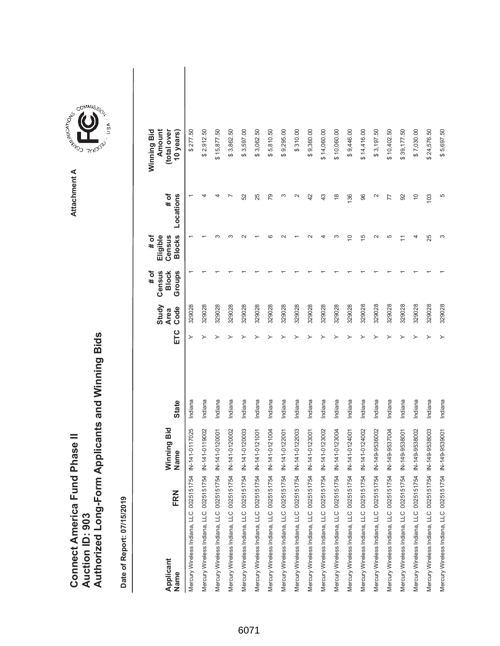|                                      |                        | Authorized Long-Form Applicants and Winning Bids |
|--------------------------------------|------------------------|--------------------------------------------------|
|                                      |                        |                                                  |
|                                      |                        |                                                  |
| <b>Connect America Fund Phase II</b> |                        |                                                  |
|                                      |                        |                                                  |
|                                      | <b>Auction ID: 903</b> |                                                  |
|                                      |                        |                                                  |

Attachment A **Attachment A**

COMMIS<sub>SION</sub>

USA

| FRN<br>Applicant<br>Name                                | Vinning Bid<br>Name | <b>State</b> | ETC | Study<br>Code<br><b>Area</b> | # of<br>Census<br>Groups<br><b>Block</b> | <b>Blocks</b><br>Eligible<br># of<br>Census | Locations<br>$#$ of | Winning Bid<br>Amount<br>(total over<br>10 years) |  |
|---------------------------------------------------------|---------------------|--------------|-----|------------------------------|------------------------------------------|---------------------------------------------|---------------------|---------------------------------------------------|--|
| Mercury Wireless Indiana, LLC 0025151754 IN-141-0117025 |                     | Indiana      | ≻   | 329028                       |                                          |                                             |                     | \$277.50                                          |  |
| Mercury Wireless Indiana, LLC 0025151754 IN-141-0119002 |                     | Indiana      |     | 329028                       |                                          |                                             |                     | \$2,912.50                                        |  |
| Mercury Wireless Indiana, LLC 0025151754 IN-141-0120001 |                     | Indiana      |     | 329028                       |                                          |                                             |                     | \$15,877.50                                       |  |
| Mercury Wireless Indiana, LLC 0025151754 IN-141-0120002 |                     | Indiana      |     | 329028                       |                                          |                                             |                     | \$3,862.50                                        |  |
| Mercury Wireless Indiana, LLC 0025151754 IN-141-0120003 |                     | Indiana      |     | 329028                       |                                          |                                             | 52                  | \$3,597.00                                        |  |
| Mercury Wireless Indiana, LLC 0025151754 IN-141-0121001 |                     | Indiana      |     | 329028                       |                                          |                                             | 25                  | \$3,062.50                                        |  |
| Mercury Wireless Indiana, LLC 0025151754 IN-141-0121004 |                     | Indiana      |     | 329028                       |                                          | ശ                                           | 79                  | \$5,810.50                                        |  |
| Mercury Wireless Indiana, LLC 0025151754 IN-141-0122001 |                     | Indiana      |     | 329028                       |                                          |                                             |                     | \$9,295.00                                        |  |
| Mercury Wireless Indiana, LLC 0025151754 IN-141-0122003 |                     | Indiana      |     | 329028                       |                                          |                                             |                     | \$310.00                                          |  |
| Mercury Wireless Indiana, LLC 0025151754 IN-141-0123001 |                     | Indiana      |     | 329028                       |                                          |                                             | 42                  | \$9,360.00                                        |  |
| Mercury Wireless Indiana, LLC 0025151754 IN-141-0123002 |                     | Indiana      |     | 329028                       |                                          |                                             | 43                  | \$14,060.00                                       |  |
| Mercury Wireless Indiana, LLC 0025151754 IN-141-0123004 |                     | Indiana      |     | 329028                       |                                          |                                             | $\frac{8}{1}$       | \$10,060.00                                       |  |
| Mercury Wireless Indiana, LLC 0025151754 IN-141-0124001 |                     | Indiana      |     | 329028                       |                                          | 5                                           | 136                 | \$9,446.00                                        |  |
| Mercury Wireless Indiana, LLC 0025151754 IN-141-0124002 |                     | Indiana      |     | 329028                       |                                          | 15                                          | 96                  | \$14,416.00                                       |  |
| Mercury Wireless Indiana, LLC 0025151754 IN-149-9536002 |                     | Indiana      |     | 329028                       |                                          |                                             | $\scriptstyle\sim$  | \$3,197.50                                        |  |
| Mercury Wireless Indiana, LLC 0025151754 IN-149-9537004 |                     | Indiana      |     | 329028                       |                                          | 5                                           | 77                  | \$10,402.50                                       |  |
| Mercury Wireless Indiana, LLC 0025151754 IN-149-9538001 |                     | Indiana      |     | 329028                       |                                          |                                             | 92                  | \$39,177.50                                       |  |
| Mercury Wireless Indiana, LLC 0025151754 IN-149-9538002 |                     | Indiana      |     | 329028                       |                                          |                                             | $\overline{0}$      | \$7,030.00                                        |  |
| Mercury Wireless Indiana, LLC 0025151754 IN-149-9538003 |                     | Indiana      |     | 329028                       |                                          | 25                                          | 103                 | \$24,576.50                                       |  |
| Mercury Wireless Indiana, LLC 0025151754 IN-149-9539001 |                     | Indiana      |     | 329028                       |                                          | ∞                                           | 5                   | \$5,697.50                                        |  |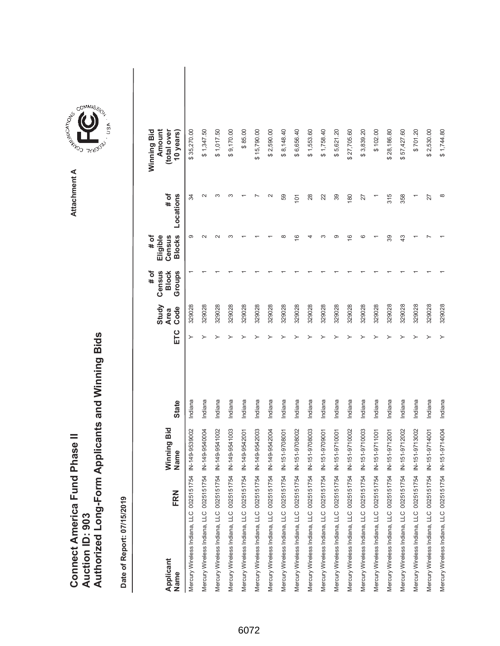|                                      |                        | Authorized Long-Form Applicants and Winning Bids |
|--------------------------------------|------------------------|--------------------------------------------------|
|                                      |                        |                                                  |
|                                      |                        |                                                  |
| <b>Connect America Fund Phase II</b> |                        |                                                  |
|                                      |                        |                                                  |
|                                      | <b>Auction ID: 903</b> |                                                  |
|                                      |                        |                                                  |



COMMIS<sub>SION</sub>

USA

| FRN<br>Applicant<br>Name                 | Winning Bid<br>Name | <b>State</b> | ETC | Study<br>Code<br><b>Area</b> | $#$ of<br>Census<br>Groups<br><b>Block</b> | <b>Blocks</b><br># of<br>Eligible<br>Census | Locations<br># of | Winning Bid<br>Amount<br>(total over<br>10 years) |  |
|------------------------------------------|---------------------|--------------|-----|------------------------------|--------------------------------------------|---------------------------------------------|-------------------|---------------------------------------------------|--|
| Mercury Wireless Indiana, LLC 0025151754 | N-149-9539002       | Indiana      | ≻   | 329028                       |                                            | တ                                           | 34                | \$35,270.00                                       |  |
| Mercury Wireless Indiana, LLC 0025151754 | N-149-9540004       | Indiana      |     | 329028                       |                                            |                                             |                   | \$1,347.50                                        |  |
| Mercury Wireless Indiana, LLC 0025151754 | N-149-9541002       | Indiana      |     | 329028                       |                                            |                                             |                   | \$1,017.50                                        |  |
| Mercury Wireless Indiana, LLC 0025151754 | N-149-9541003       | Indiana      |     | 329028                       |                                            |                                             |                   | \$9,170.00                                        |  |
| Mercury Wireless Indiana, LLC 0025151754 | N-149-9542001       | Indiana      |     | 329028                       |                                            |                                             |                   | \$85.00                                           |  |
| Mercury Wireless Indiana, LLC 0025151754 | IN-149-9542003      | Indiana      |     | 329028                       |                                            |                                             |                   | \$15,790.00                                       |  |
| Mercury Wireless Indiana, LLC 0025151754 | N-149-9542004       | Indiana      |     | 329028                       |                                            |                                             |                   | \$2,590.00                                        |  |
| Mercury Wireless Indiana, LLC 0025151754 | IN-151-9708001      | Indiana      |     | 329028                       |                                            | œ                                           | 59                | \$8,148.40                                        |  |
| Mercury Wireless Indiana, LLC 0025151754 | IN-151-9708002      | Indiana      |     | 329028                       |                                            | $\circ$                                     | 101               | \$6,656.40                                        |  |
| Mercury Wireless Indiana, LLC 0025151754 | N-151-9708003       | Indiana      |     | 329028                       |                                            |                                             | 28                | \$1,553.60                                        |  |
| Mercury Wireless Indiana, LLC 0025151754 | N-151-9709001       | Indiana      |     | 329028                       |                                            |                                             | 22                | \$1,758.40                                        |  |
| Mercury Wireless Indiana, LLC 0025151754 | IN-151-9710001      | Indiana      |     | 329028                       |                                            | σ.                                          | 39                | \$5,621.20                                        |  |
| Mercury Wireless Indiana, LLC 0025151754 | N-151-9710002       | Indiana      |     | 329028                       |                                            | $\frac{6}{5}$                               | 180               | \$27,705.60                                       |  |
| Mercury Wireless Indiana, LLC 0025151754 | N-151-9710003       | Indiana      |     | 329028                       |                                            | c                                           | 27                | \$3,839.20                                        |  |
| Mercury Wireless Indiana, LLC 0025151754 | IN-151-9711001      | Indiana      |     | 329028                       |                                            |                                             |                   | \$102.00                                          |  |
| Mercury Wireless Indiana, LLC 0025151754 | IN-151-9712001      | Indiana      |     | 329028                       |                                            | 39                                          | 315               | \$28,186.80                                       |  |
| Mercury Wireless Indiana, LLC 0025151754 | N-151-9712002       | Indiana      |     | 329028                       |                                            | 43                                          | 358               | \$57,427.60                                       |  |
| Mercury Wireless Indiana, LLC 0025151754 | IN-151-9713002      | Indiana      |     | 329028                       |                                            |                                             |                   | \$701.20                                          |  |
| Mercury Wireless Indiana, LLC 0025151754 | N-151-9714001       | Indiana      |     | 329028                       |                                            |                                             | 27                | \$2,530.00                                        |  |
| Mercury Wireless Indiana, LLC 0025151754 | N-151-9714004       | Indiana      |     | 329028                       |                                            |                                             |                   | \$1,744.80                                        |  |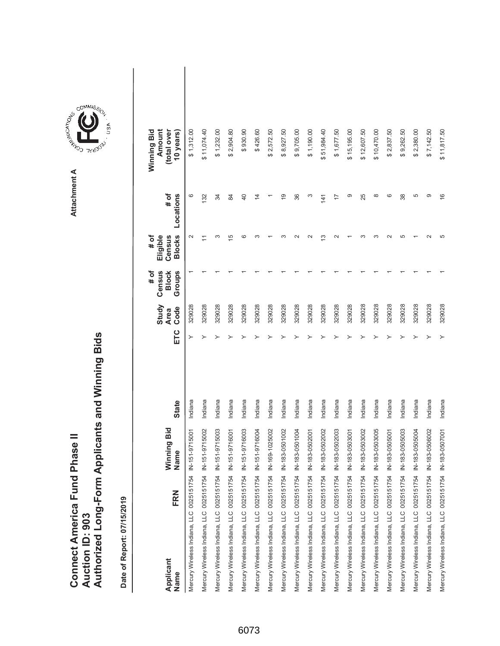|                               |                 | Authorized Long-Form Applicants and Winning Bids |
|-------------------------------|-----------------|--------------------------------------------------|
| Connect America Fund Phase II |                 |                                                  |
|                               | Auction ID: 903 |                                                  |



GOMMIS<sub>SION</sub>

USA

**Attachment A**

Attachment A

**A A AMAISSIDE A COMMISSION** 

| FRN<br>Applicant<br>Name                                | <b>Ninning Bid</b><br>Name | <b>State</b> | ETC | Study<br>Code<br><b>Area</b> | Census<br># of<br><b>Block</b><br>Groups | <b>Blocks</b><br># of<br>Eligible<br>Census | # of<br>Locations | Amount<br>Winning Bid<br>(total over<br>10 years) |  |
|---------------------------------------------------------|----------------------------|--------------|-----|------------------------------|------------------------------------------|---------------------------------------------|-------------------|---------------------------------------------------|--|
| Mercury Wireless Indiana, LLC 0025151754                | IN-151-9715001             | Indiana      |     | 329028                       |                                          |                                             | ဖ                 | \$1,312.00                                        |  |
| Mercury Wireless Indiana, LLC 0025151754                | IN-151-9715002             | Indiana      |     | 329028                       |                                          |                                             | 132               | \$11,074.40                                       |  |
| Mercury Wireless Indiana, LLC 0025151754                | IN-151-9715003             | Indiana      |     | 329028                       |                                          | ∞                                           | 34                | \$1,232.00                                        |  |
| Mercury Wireless Indiana, LLC 0025151754                | IN-151-9716001             | Indiana      |     | 329028                       |                                          | $\overline{5}$                              | 84                | \$2,904.80                                        |  |
| Mercury Wireless Indiana, LLC 0025151754                | IN-151-9716003             | Indiana      |     | 329028                       |                                          | ဖ                                           | 40                | \$930.90                                          |  |
| Mercury Wireless Indiana, LLC 0025151754 IN-151-9716004 |                            | Indiana      |     | 329028                       |                                          |                                             | $\overline{4}$    | \$426.60                                          |  |
| Mercury Wireless Indiana, LLC 0025151754                | IN-169-1025002             | Indiana      |     | 329028                       |                                          |                                             |                   | \$2,572.50                                        |  |
| Mercury Wireless Indiana, LLC 0025151754                | IN-183-0501002             | Indiana      |     | 329028                       |                                          |                                             | $\frac{0}{1}$     | \$8,927.50                                        |  |
| Mercury Wireless Indiana, LLC 0025151754 IN-183-0501004 |                            | Indiana      |     | 329028                       |                                          |                                             | 36                | \$9,705.00                                        |  |
| Mercury Wireless Indiana, LLC 0025151754                | IN-183-0502001             | Indiana      |     | 329028                       |                                          |                                             | ω                 | \$1,190.00                                        |  |
| Mercury Wireless Indiana, LLC 0025151754 IN-183-0502002 |                            | Indiana      |     | 329028                       |                                          | ო                                           | 141               | \$51,984.40                                       |  |
| Mercury Wireless Indiana, LLC 0025151754                | IN-183-0502003             | Indiana      |     | 329028                       |                                          |                                             | 77                | \$1,677.50                                        |  |
| Mercury Wireless Indiana, LLC 0025151754                | IN-183-0503001             | Indiana      |     | 329028                       |                                          |                                             | တ                 | \$15,195.00                                       |  |
| Mercury Wireless Indiana, LLC 0025151754 IN-183-0503002 |                            | Indiana      |     | 329028                       |                                          |                                             | 25                | \$12,607.50                                       |  |
| Mercury Wireless Indiana, LLC 0025151754                | IN-183-0503005             | Indiana      |     | 329028                       |                                          |                                             | $\infty$          | \$10,470.00                                       |  |
| Mercury Wireless Indiana, LLC 0025151754 IN-183-0505001 |                            | Indiana      |     | 329028                       |                                          |                                             | ဖ                 | \$2,837.50                                        |  |
| Mercury Wireless Indiana, LLC 0025151754 IN-183-0505003 |                            | Indiana      |     | 329028                       |                                          | ω                                           | 38                | \$9,262.50                                        |  |
| Mercury Wireless Indiana, LLC 0025151754                | IN-183-0505004             | Indiana      |     | 329028                       |                                          |                                             | 5                 | \$2,380.00                                        |  |
| Mercury Wireless Indiana, LLC 0025151754 IN-183-0506002 |                            | Indiana      |     | 329028                       |                                          |                                             | တ                 | \$7,142.50                                        |  |
| Mercury Wireless Indiana, LLC 0025151754 IN-183-0507001 |                            | Indiana      |     | 329028                       |                                          |                                             | $\frac{6}{5}$     | \$11,817.50                                       |  |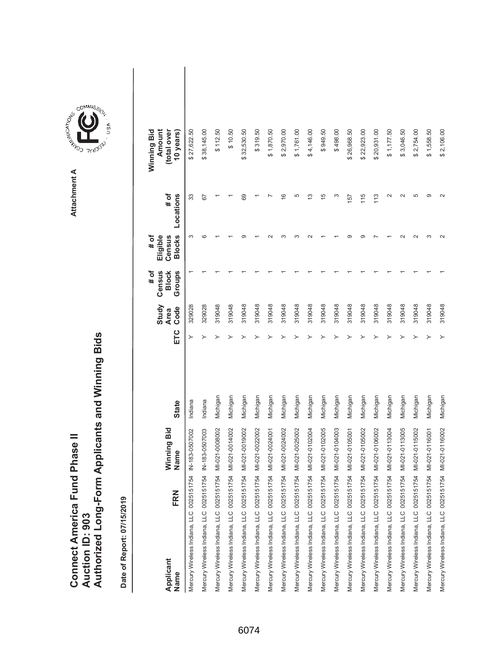|                               |                 | Authorized Long-Form Applicants and Winning Bids |
|-------------------------------|-----------------|--------------------------------------------------|
| Connect America Fund Phase II |                 |                                                  |
|                               | Auction ID: 903 |                                                  |

 $\overline{\phantom{a}}$ 

| FRN<br>Applicant<br>Name                 | Winning Bid<br>Name | <b>State</b> | ETC | Study<br>Code<br><b>Area</b> | Census<br>Groups<br><b>Block</b><br># of | <b>Blocks</b><br># of<br>Eligible<br>Census | # of<br>Locations | Winning Bid<br>Amount<br>(total over<br>10 years) |  |
|------------------------------------------|---------------------|--------------|-----|------------------------------|------------------------------------------|---------------------------------------------|-------------------|---------------------------------------------------|--|
| Mercury Wireless Indiana, LLC 0025151754 | IN-183-0507002      | Indiana      | ≻   | 329028                       |                                          | ω                                           | 33                | \$27,622.50                                       |  |
| Mercury Wireless Indiana, LLC 0025151754 | IN-183-0507003      | Indiana      |     | 329028                       |                                          | CO                                          | 59                | \$38,145.00                                       |  |
| Mercury Wireless Indiana, LLC 0025151754 | MI-021-0008002      | Michigan     |     | 319048                       |                                          |                                             |                   | \$112.50                                          |  |
| Mercury Wireless Indiana, LLC 0025151754 | MI-021-0014002      | Michigan     |     | 319048                       |                                          |                                             |                   | \$10.50                                           |  |
| Mercury Wireless Indiana, LLC 0025151754 | MI-021-0019002      | Michigan     |     | 319048                       |                                          | σ.                                          | 69                | \$32,530.50                                       |  |
| Mercury Wireless Indiana, LLC 0025151754 | MI-021-0022002      | Michigan     |     | 319048                       |                                          |                                             |                   | \$319.50                                          |  |
| Mercury Wireless Indiana, LLC 0025151754 | MI-021-0024001      | Michigan     |     | 319048                       |                                          |                                             |                   | \$1,870.50                                        |  |
| Mercury Wireless Indiana, LLC 0025151754 | MI-021-0024002      | Michigan     |     | 319048                       |                                          |                                             | $\frac{6}{5}$     | \$2,970.00                                        |  |
| Mercury Wireless Indiana, LLC 0025151754 | MI-021-0025002      | Michigan     |     | 319048                       |                                          |                                             | 5                 | \$1,761.00                                        |  |
| Mercury Wireless Indiana, LLC 0025151754 | MI-021-0102004      | Michigan     |     | 319048                       |                                          |                                             | $\frac{3}{2}$     | \$4,146.00                                        |  |
| Mercury Wireless Indiana, LLC 0025151754 | MI-021-0102005      | Michigan     |     | 319048                       |                                          |                                             | $\frac{5}{3}$     | \$949.50                                          |  |
| Mercury Wireless Indiana, LLC 0025151754 | MI-021-0104003      | Michigan     |     | 319048                       |                                          |                                             | ς                 | \$498.00                                          |  |
| Mercury Wireless Indiana, LLC 0025151754 | MI-021-0105001      | Michigan     |     | 319048                       |                                          | σ.                                          | 157               | \$26,968.50                                       |  |
| Mercury Wireless Indiana, LLC 0025151754 | MI-021-0105002      | Michigan     |     | 319048                       |                                          | ത                                           | 115               | \$22,923.00                                       |  |
| Mercury Wireless Indiana, LLC 0025151754 | MI-021-0106002      | Michigan     |     | 319048                       |                                          |                                             | 113               | \$20,931.00                                       |  |
| Mercury Wireless Indiana, LLC 0025151754 | MI-021-0113004      | Michigan     |     | 319048                       |                                          |                                             | $\sim$            | \$1,177.50                                        |  |
| Mercury Wireless Indiana, LLC 0025151754 | MI-021-0113005      | Michigan     |     | 319048                       |                                          |                                             | $\sim$            | \$3,046.50                                        |  |
| Mercury Wireless Indiana, LLC 0025151754 | MI-021-0115002      | Michigan     |     | 319048                       |                                          |                                             | 5                 | \$2,754.00                                        |  |
| Mercury Wireless Indiana, LLC 0025151754 | MI-021-0116001      | Michigan     |     | 319048                       |                                          | ო                                           | ග                 | \$1,558.50                                        |  |
| Mercury Wireless Indiana, LLC 0025151754 | MI-021-0116002      | Michigan     | ≻   | 319048                       |                                          |                                             | $\sim$            | \$2,106.00                                        |  |

**COMMISSION** Attachment A **Attachment A**

GOMMIS<sub>SION</sub>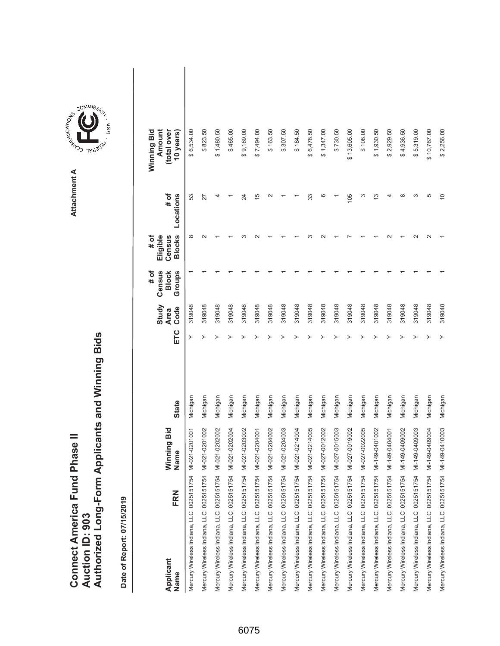|                               |                 | Authorized Long-Form Applicants and Winning Bids |
|-------------------------------|-----------------|--------------------------------------------------|
| Connect America Fund Phase II | Auction ID: 903 |                                                  |

| Applicant<br>Name                        | FRN | Winning Bid<br>Name | <b>State</b> | ETC | Study<br>Code<br><b>Area</b> | Census<br># of<br><b>Block</b><br>Groups | <b>Blocks</b><br>Eligible<br># of<br>Census | # of<br>Locations | Amount<br>Winning Bid<br>(total over<br>10 years) |  |
|------------------------------------------|-----|---------------------|--------------|-----|------------------------------|------------------------------------------|---------------------------------------------|-------------------|---------------------------------------------------|--|
| Mercury Wireless Indiana, LLC 0025151754 |     | MI-021-0201001      | Michigan     |     | 319048                       |                                          | $\infty$                                    | 53                | \$6,534.00                                        |  |
| Mercury Wireless Indiana, LLC 0025151754 |     | MI-021-0201002      | Michigan     |     | 319048                       |                                          |                                             | 27                | \$823.50                                          |  |
| Mercury Wireless Indiana, LLC 0025151754 |     | MI-021-0202002      | Michigan     |     | 319048                       |                                          |                                             |                   | \$1,480.50                                        |  |
| Mercury Wireless Indiana, LLC 0025151754 |     | MI-021-0202004      | Michigan     |     | 319048                       |                                          |                                             |                   | \$465.00                                          |  |
| Mercury Wireless Indiana, LLC 0025151754 |     | MI-021-0203002      | Michigan     |     | 319048                       |                                          |                                             | 24                | \$9,189.00                                        |  |
| Mercury Wireless Indiana, LLC 0025151754 |     | MI-021-0204001      | Michigan     |     | 319048                       |                                          |                                             | $\frac{5}{1}$     | \$7,494.00                                        |  |
| Mercury Wireless Indiana, LLC 0025151754 |     | MI-021-0204002      | Michigan     |     | 319048                       |                                          |                                             | $\sim$            | \$163.50                                          |  |
| Mercury Wireless Indiana, LLC 0025151754 |     | MI-021-0204003      | Michigan     |     | 319048                       |                                          |                                             |                   | \$307.50                                          |  |
| Mercury Wireless Indiana, LLC 0025151754 |     | MI-021-0214004      | Michigan     |     | 319048                       |                                          |                                             |                   | \$184.50                                          |  |
| Mercury Wireless Indiana, LLC 0025151754 |     | MI-021-0214005      | Michigan     |     | 319048                       |                                          |                                             | 33                | \$6,478.50                                        |  |
| Mercury Wireless Indiana, LLC 0025151754 |     | MI-027-0012002      | Michigan     |     | 319048                       |                                          |                                             | ဖ                 | \$1,347.00                                        |  |
| Mercury Wireless Indiana, LLC 0025151754 |     | MI-027-0015003      | Michigan     |     | 319048                       |                                          |                                             |                   | \$730.50                                          |  |
| Mercury Wireless Indiana, LLC 0025151754 |     | MI-027-0019002      | Michigan     |     | 319048                       |                                          |                                             | 105               | \$13,605.00                                       |  |
| Mercury Wireless Indiana, LLC 0025151754 |     | MI-027-0022005      | Michigan     |     | 319048                       |                                          |                                             | ო                 | \$108.00                                          |  |
| Mercury Wireless Indiana, LLC 0025151754 |     | MI-149-0401002      | Michigan     |     | 319048                       |                                          |                                             | S                 | \$1,930.50                                        |  |
| Mercury Wireless Indiana, LLC 0025151754 |     | MI-149-0404001      | Michigan     |     | 319048                       |                                          |                                             |                   | \$2,929.50                                        |  |
| Mercury Wireless Indiana, LLC 0025151754 |     | MI-149-0409002      | Michigan     |     | 319048                       |                                          |                                             | $\infty$          | \$4,936.50                                        |  |
| Mercury Wireless Indiana, LLC 0025151754 |     | MI-149-0409003      | Michigan     |     | 319048                       |                                          |                                             | ო                 | \$5,319.00                                        |  |
| Mercury Wireless Indiana, LLC 0025151754 |     | MI-149-0409004      | Michigan     |     | 319048                       |                                          |                                             | 5                 | \$10,767.00                                       |  |
| Mercury Wireless Indiana, LLC 0025151754 |     | MI-149-0410003      | Michigan     |     | 319048                       |                                          |                                             | $\approx$         | \$2,256.00                                        |  |

**COMMISSION** Attachment A **Attachment A**

GOMMIS<sub>SION</sub>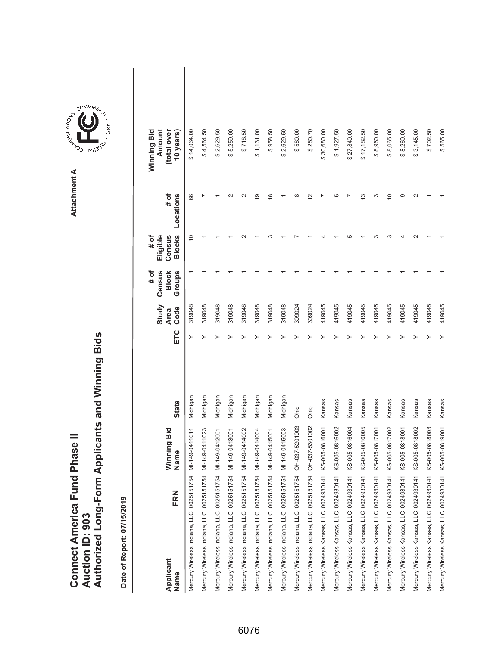| <b>Connect America Fund Phase II</b> |                 | Authorized Long-Form Applicants and Winning Bids |
|--------------------------------------|-----------------|--------------------------------------------------|
|                                      | Auction ID: 903 |                                                  |

Attachment A **Attachment A**

COMMIS<sub>SION</sub>

USA

| FRN<br>Applicant<br>Name                                | Winning Bid<br>Name | <b>State</b> | ETC | Study<br>Code<br><b>Area</b> | # of<br>Census<br>Groups<br><b>Block</b> | # of<br><b>Blocks</b><br>Census<br>Eligible | # of<br>Locations | Winning Bid<br>(total over<br>Amount<br>10 years) |  |
|---------------------------------------------------------|---------------------|--------------|-----|------------------------------|------------------------------------------|---------------------------------------------|-------------------|---------------------------------------------------|--|
| Mercury Wireless Indiana, LLC 0025151754 MI-149-0411011 |                     | Michigan     | ≻   | 319048                       |                                          | $\cong$                                     | 66                | \$14,064.00                                       |  |
| Mercury Wireless Indiana, LLC 0025151754 MI-149-0411023 |                     | Michigan     |     | 319048                       |                                          |                                             |                   | \$4,564.50                                        |  |
| Mercury Wireless Indiana, LLC 0025151754                | MI-149-0412001      | Michigan     |     | 319048                       |                                          |                                             |                   | \$2,629.50                                        |  |
| Mercury Wireless Indiana, LLC 0025151754 MI-149-0413001 |                     | Michigan     |     | 319048                       |                                          |                                             |                   | \$5,259.00                                        |  |
| Mercury Wireless Indiana, LLC 0025151754 MI-149-0414002 |                     | Michigan     |     | 319048                       |                                          |                                             |                   | \$718.50                                          |  |
| Mercury Wireless Indiana, LLC 0025151754                | MI-149-0414004      | Michigan     |     | 319048                       |                                          |                                             | တ                 | \$1,131.00                                        |  |
| Mercury Wireless Indiana, LLC 0025151754 MI-149-0415001 |                     | Michigan     |     | 319048                       |                                          |                                             | $\frac{8}{1}$     | \$958.50                                          |  |
| Mercury Wireless Indiana, LLC 0025151754 MI-149-0415003 |                     | Michigan     |     | 319048                       |                                          |                                             |                   | \$2,629.50                                        |  |
| Mercury Wireless Indiana, LLC 0025151754                | OH-037-5201003      | Ohio         |     | 309024                       |                                          |                                             |                   | \$580.00                                          |  |
| Mercury Wireless Indiana, LLC 0025151754                | OH-037-5301002      | Ohio         |     | 309024                       |                                          |                                             | $\mathbf{\sim}$   | \$250.70                                          |  |
| Mercury Wireless Kansas, LLC 0024930141 KS-005-0816001  |                     | Kansas       |     | 419045                       |                                          |                                             |                   | \$30,680.00                                       |  |
| Mercury Wireless Kansas, LLC 0024930141 KS-005-0816002  |                     | Kansas       |     | 419045                       |                                          |                                             |                   | \$1,927.50                                        |  |
| Mercury Wireless Kansas, LLC 0024930141 KS-005-0816004  |                     | Kansas       |     | 419045                       |                                          |                                             |                   | \$27,840.00                                       |  |
| Mercury Wireless Kansas, LLC 0024930141 KS-005-0816005  |                     | Kansas       |     | 419045                       |                                          |                                             | ω                 | \$17,182.50                                       |  |
| Mercury Wireless Kansas, LLC 0024930141 KS-005-0817001  |                     | Kansas       |     | 419045                       |                                          |                                             |                   | \$8,960.00                                        |  |
| Mercury Wireless Kansas, LLC 0024930141 KS-005-0817002  |                     | Kansas       |     | 419045                       |                                          |                                             | ₽                 | \$8,065.00                                        |  |
| Mercury Wireless Kansas, LLC 0024930141 KS-005-0818001  |                     | Kansas       |     | 419045                       |                                          |                                             | တ                 | \$8,260.00                                        |  |
| Mercury Wireless Kansas, LLC 0024930141 KS-005-0818002  |                     | Kansas       |     | 419045                       |                                          |                                             |                   | \$3,145.00                                        |  |
| Mercury Wireless Kansas, LLC 0024930141 KS-005-0818003  |                     | Kansas       |     | 419045                       |                                          |                                             |                   | \$702.50                                          |  |
| Mercury Wireless Kansas, LLC 0024930141 KS-005-0819001  |                     | Kansas       |     | 419045                       |                                          |                                             |                   | \$565.00                                          |  |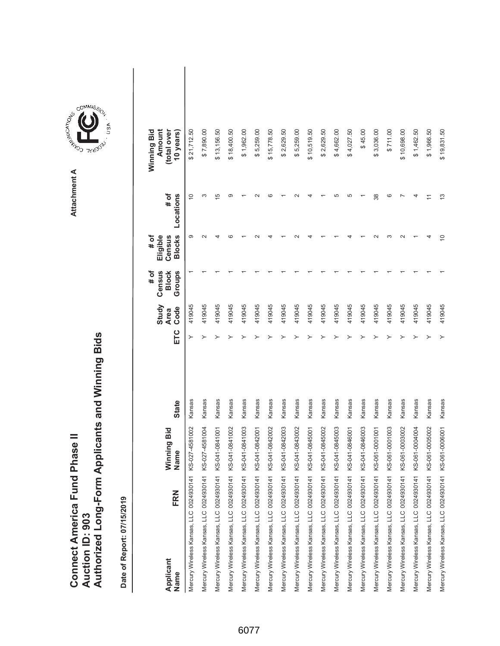|                               |                 | Authorized Long-Form Applicants and Winning Bids |
|-------------------------------|-----------------|--------------------------------------------------|
|                               |                 |                                                  |
| Connect America Fund Phase II |                 |                                                  |
|                               | Auction ID: 903 |                                                  |



Attachment A **Attachment A**

ARISTICATION CONTROL

COMMIS<sub>SION</sub>

**TYUBO**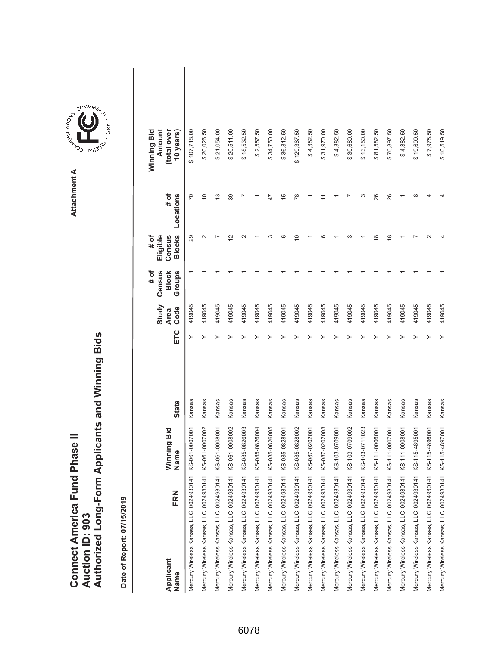|                               |                 | Authorized Long-Form Applicants and Winning Bids |
|-------------------------------|-----------------|--------------------------------------------------|
| Connect America Fund Phase II | Auction ID: 903 |                                                  |

| FRN<br>Applicant<br>Name                | Winning Bid<br>Name | <b>State</b> | ETC | Study<br>Code<br><b>Area</b> | # of<br>Census<br>Groups<br><b>Block</b> | <b>Blocks</b><br>Eligible<br># of<br>Census | # of<br>Locations | Winning Bid<br>Amount<br>(total over<br>10 years) |  |
|-----------------------------------------|---------------------|--------------|-----|------------------------------|------------------------------------------|---------------------------------------------|-------------------|---------------------------------------------------|--|
| Mercury Wireless Kansas, LLC 0024930141 | KS-061-0007001      | Kansas       |     | 419045                       |                                          | 29                                          | 20                | \$107,718.00                                      |  |
| Mercury Wireless Kansas, LLC 0024930141 | KS-061-0007002      | Kansas       |     | 419045                       |                                          | $\sim$                                      | $\overline{C}$    | \$20,026.50                                       |  |
| Mercury Wireless Kansas, LLC 0024930141 | KS-061-0008001      | Kansas       |     | 419045                       |                                          |                                             | $\frac{3}{2}$     | \$21,054.00                                       |  |
| Mercury Wireless Kansas, LLC 0024930141 | KS-061-0008002      | Kansas       |     | 419045                       |                                          | $\tilde{\phantom{a}}$                       | 39                | \$20,511.00                                       |  |
| Mercury Wireless Kansas, LLC 0024930141 | KS-085-0826003      | Kansas       |     | 419045                       |                                          |                                             |                   | \$18,532.50                                       |  |
| Mercury Wireless Kansas, LLC 0024930141 | KS-085-0826004      | Kansas       |     | 419045                       |                                          |                                             |                   | \$2,557.50                                        |  |
| Mercury Wireless Kansas, LLC 0024930141 | KS-085-0826005      | Kansas       |     | 419045                       |                                          |                                             | 47                | \$34,750.00                                       |  |
| Mercury Wireless Kansas, LLC 0024930141 | KS-085-0828001      | Kansas       |     | 419045                       |                                          | ဖ                                           | 15                | \$36,812.50                                       |  |
| Mercury Wireless Kansas, LLC 0024930141 | KS-085-0828002      | Kansas       |     | 419045                       |                                          | $\overline{C}$                              | $\overline{78}$   | \$129,367.50                                      |  |
| Mercury Wireless Kansas, LLC 0024930141 | KS-087-0202001      | Kansas       |     | 419045                       |                                          |                                             |                   | \$4,382.50                                        |  |
| Mercury Wireless Kansas, LLC 0024930141 | KS-087-0202003      | Kansas       |     | 419045                       |                                          | c                                           |                   | \$31,970.00                                       |  |
| Mercury Wireless Kansas, LLC 0024930141 | KS-103-0709001      | Kansas       |     | 419045                       |                                          |                                             |                   | \$4,382.50                                        |  |
| Mercury Wireless Kansas, LLC 0024930141 | KS-103-0709002      | Kansas       |     | 419045                       |                                          |                                             |                   | \$30,680.00                                       |  |
| Mercury Wireless Kansas, LLC 0024930141 | KS-103-0711023      | Kansas       |     | 419045                       |                                          |                                             | ω                 | \$13,150.00                                       |  |
| Mercury Wireless Kansas, LLC 0024930141 | KS-111-0006001      | Kansas       |     | 419045                       |                                          | ≌                                           | 26                | \$81,582.50                                       |  |
| Mercury Wireless Kansas, LLC 0024930141 | KS-111-0007001      | Kansas       |     | 419045                       |                                          | $\frac{8}{1}$                               | 26                | \$70,897.50                                       |  |
| Mercury Wireless Kansas, LLC 0024930141 | KS-111-0008001      | Kansas       |     | 419045                       |                                          |                                             |                   | \$4,382.50                                        |  |
| Mercury Wireless Kansas, LLC 0024930141 | KS-115-4895001      | Kansas       |     | 419045                       |                                          |                                             | $\infty$          | \$19,699.50                                       |  |
| Mercury Wireless Kansas, LLC 0024930141 | KS-115-4896001      | Kansas       |     | 419045                       |                                          |                                             |                   | \$7,978.50                                        |  |
| Mercury Wireless Kansas, LLC 0024930141 | KS-115-4897001      | Kansas       |     | 419045                       |                                          |                                             |                   | \$10,519.50                                       |  |

**COMMISSION** Attachment A **Attachment A**

GOMMIS<sub>SION</sub>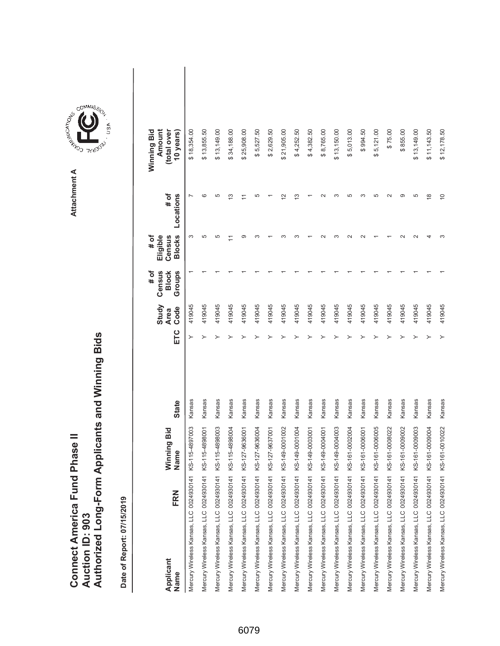|                               |                 | Authorized Long-Form Applicants and Winning Bids |
|-------------------------------|-----------------|--------------------------------------------------|
| Connect America Fund Phase II | Auction ID: 903 |                                                  |

| FRN<br>Applicant<br>Name                | Winning Bid<br>Name | <b>State</b> | ETC | Study<br>Code<br><b>Area</b> | Census<br>Groups<br><b>Block</b><br># of | <b>Blocks</b><br># of<br>Eligible<br>Census | # of<br>Locations | Winning Bid<br>Amount<br>(total over<br>10 years) |  |
|-----------------------------------------|---------------------|--------------|-----|------------------------------|------------------------------------------|---------------------------------------------|-------------------|---------------------------------------------------|--|
| Mercury Wireless Kansas, LLC 0024930141 | KS-115-4897003      | Kansas       | ≻   | 419045                       |                                          | S                                           |                   | \$18,354.00                                       |  |
| Mercury Wireless Kansas, LLC 0024930141 | KS-115-4898001      | Kansas       | ≻   | 419045                       |                                          | ပ                                           | ဖ                 | \$13,855.50                                       |  |
| Mercury Wireless Kansas, LLC 0024930141 | KS-115-4898003      | Kansas       |     | 419045                       |                                          | Ю                                           | 5                 | \$13,149.00                                       |  |
| Mercury Wireless Kansas, LLC 0024930141 | KS-115-4898004      | Kansas       |     | 419045                       |                                          |                                             | $\frac{3}{2}$     | \$34,188.00                                       |  |
| Mercury Wireless Kansas, LLC 0024930141 | KS-127-9636001      | Kansas       |     | 419045                       |                                          | ග                                           |                   | \$25,908.00                                       |  |
| Mercury Wireless Kansas, LLC 0024930141 | KS-127-9636004      | Kansas       |     | 419045                       |                                          |                                             | 5                 | \$5,527.50                                        |  |
| Mercury Wireless Kansas, LLC 0024930141 | KS-127-9637001      | Kansas       |     | 419045                       |                                          |                                             |                   | \$2,629.50                                        |  |
| Mercury Wireless Kansas, LLC 0024930141 | KS-149-0001002      | Kansas       |     | 419045                       |                                          |                                             | $\tilde{c}$       | \$21,905.00                                       |  |
| Mercury Wireless Kansas, LLC 0024930141 | KS-149-0001004      | Kansas       |     | 419045                       |                                          |                                             | $\frac{3}{2}$     | \$4,252.50                                        |  |
| Mercury Wireless Kansas, LLC 0024930141 | KS-149-0003001      | Kansas       |     | 419045                       |                                          |                                             |                   | \$4,382.50                                        |  |
| Mercury Wireless Kansas, LLC 0024930141 | KS-149-0004001      | Kansas       |     | 419045                       |                                          |                                             |                   | \$8,765.00                                        |  |
| Mercury Wireless Kansas, LLC 0024930141 | KS-149-0004003      | Kansas       |     | 419045                       |                                          |                                             | ო                 | \$13,150.00                                       |  |
| Mercury Wireless Kansas, LLC 0024930141 | KS-161-0002004      | Kansas       |     | 419045                       |                                          |                                             | 5                 | \$5,013.00                                        |  |
| Mercury Wireless Kansas, LLC 0024930141 | KS-161-0006001      | Kansas       |     | 419045                       |                                          |                                             | ო                 | \$994.50                                          |  |
| Mercury Wireless Kansas, LLC 0024930141 | KS-161-0006005      | Kansas       |     | 419045                       |                                          |                                             | 5                 | 5,121.00<br>↔                                     |  |
| Mercury Wireless Kansas, LLC 0024930141 | KS-161-0008022      | Kansas       |     | 419045                       |                                          |                                             | $\mathbf{\Omega}$ | \$75.00                                           |  |
| Mercury Wireless Kansas, LLC 0024930141 | KS-161-0009002      | Kansas       |     | 419045                       |                                          |                                             | တ                 | \$855.00                                          |  |
| Mercury Wireless Kansas, LLC 0024930141 | KS-161-0009003      | Kansas       |     | 419045                       |                                          |                                             | 5                 | \$13,149.00                                       |  |
| Mercury Wireless Kansas, LLC 0024930141 | KS-161-0009004      | Kansas       |     | 419045                       |                                          |                                             | $\frac{8}{1}$     | \$11,143.50                                       |  |
| Mercury Wireless Kansas, LLC 0024930141 | KS-161-0010022      | Kansas       | ≻   | 419045                       |                                          |                                             | $\frac{1}{2}$     | \$12,178.50                                       |  |

**COMMISSION** Attachment A **Attachment A**

COMMIS<sub>SION</sub>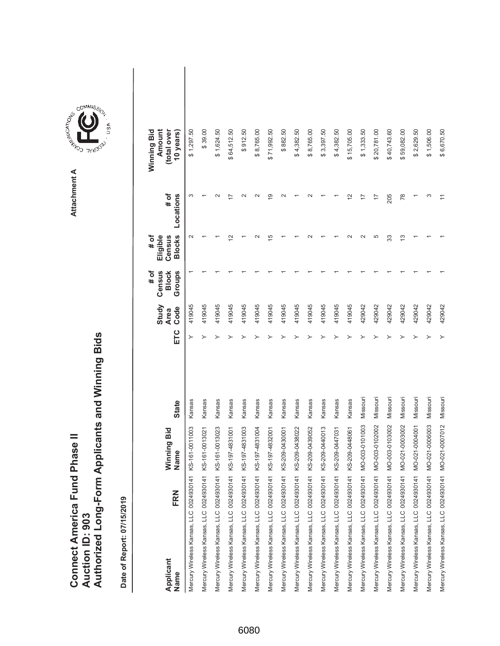|                                      |                        | Authorized Long-Form Applicants and Winning Bids |
|--------------------------------------|------------------------|--------------------------------------------------|
|                                      |                        |                                                  |
|                                      |                        |                                                  |
| <b>Connect America Fund Phase II</b> |                        |                                                  |
|                                      |                        |                                                  |
|                                      | <b>Auction ID: 903</b> |                                                  |
|                                      |                        |                                                  |

**COMMISSION** Attachment A **Attachment A**

COMMIS<sub>SION</sub>

USA

| FRN<br>Applicant<br>Name                               | Winning Bid<br>Name | <b>State</b> | ETC | Study<br>Code<br><b>Area</b> | Census<br># of<br>Groups<br><b>Block</b> | <b>Blocks</b><br># of<br>Eligible<br>Census | # of<br>Locations  | Amount<br>Winning Bid<br>(total over<br>10 years) |  |
|--------------------------------------------------------|---------------------|--------------|-----|------------------------------|------------------------------------------|---------------------------------------------|--------------------|---------------------------------------------------|--|
| Mercury Wireless Kansas, LLC 0024930141 KS-161-0011003 |                     | Kansas       |     | 419045                       |                                          |                                             | S                  | \$1,297.50                                        |  |
| Mercury Wireless Kansas, LLC 0024930141 KS-161-0013021 |                     | Kansas       |     | 419045                       |                                          |                                             |                    | \$39.00                                           |  |
| Mercury Wireless Kansas, LLC 0024930141 KS-161-0013023 |                     | Kansas       |     | 419045                       |                                          |                                             | $\scriptstyle\sim$ | \$1,624.50                                        |  |
| Mercury Wireless Kansas, LLC 0024930141 KS-197-4831001 |                     | Kansas       |     | 419045                       |                                          |                                             |                    | \$64,512.50                                       |  |
| Mercury Wireless Kansas, LLC 0024930141 KS-197-4831003 |                     | Kansas       |     | 419045                       |                                          |                                             |                    | \$912.50                                          |  |
| Mercury Wireless Kansas, LLC 0024930141 KS-197-4831004 |                     | Kansas       |     | 419045                       |                                          |                                             |                    | \$8,765.00                                        |  |
| Mercury Wireless Kansas, LLC 0024930141 KS-197-4832001 |                     | Kansas       |     | 419045                       |                                          | 15                                          | $\circ$            | \$71,992.50                                       |  |
| Mercury Wireless Kansas, LLC 0024930141 KS-209-0430001 |                     | Kansas       |     | 419045                       |                                          |                                             | $\scriptstyle\sim$ | \$882.50                                          |  |
| Mercury Wireless Kansas, LLC 0024930141 KS-209-0438022 |                     | Kansas       |     | 419045                       |                                          |                                             |                    | \$4,382.50                                        |  |
| Mercury Wireless Kansas, LLC 0024930141 KS-209-0439052 |                     | Kansas       |     | 419045                       |                                          |                                             |                    | \$8,765.00                                        |  |
| Mercury Wireless Kansas, LLC 0024930141 KS-209-0440013 |                     | Kansas       |     | 419045                       |                                          |                                             |                    | \$3,397.50                                        |  |
| Mercury Wireless Kansas, LLC 0024930141 KS-209-0447031 |                     | Kansas       |     | 419045                       |                                          |                                             |                    | \$4,382.50                                        |  |
| Mercury Wireless Kansas, LLC 0024930141 KS-209-0448061 |                     | Kansas       |     | 419045                       |                                          |                                             | $\frac{2}{3}$      | \$15,705.00                                       |  |
| Mercury Wireless Kansas, LLC 0024930141 MO-003-0101003 |                     | Missouri     |     | 429042                       |                                          |                                             |                    | \$1,333.50                                        |  |
| Mercury Wireless Kansas, LLC 0024930141 MO-003-0102002 |                     | Missouri     |     | 429042                       |                                          | 5                                           |                    | \$20,781.00                                       |  |
| Mercury Wireless Kansas, LLC 0024930141 MO-003-0103002 |                     | Missouri     |     | 429042                       |                                          | 33                                          | 205                | \$40,743.60                                       |  |
| Mercury Wireless Kansas, LLC 0024930141 MO-021-0003002 |                     | Missouri     |     | 429042                       |                                          | 13                                          | 78                 | \$59,082.00                                       |  |
| Mercury Wireless Kansas, LLC 0024930141 MO-021-0004001 |                     | Missouri     |     | 429042                       |                                          |                                             |                    | \$2,629.50                                        |  |
| Mercury Wireless Kansas, LLC 0024930141 MO-021-0006003 |                     | Missouri     |     | 429042                       |                                          |                                             | ᠬ                  | \$1,506.00                                        |  |
| Mercury Wireless Kansas, LLC 0024930141 MO-021-0007012 |                     | Missouri     |     | 429042                       |                                          |                                             |                    | \$6,670.50                                        |  |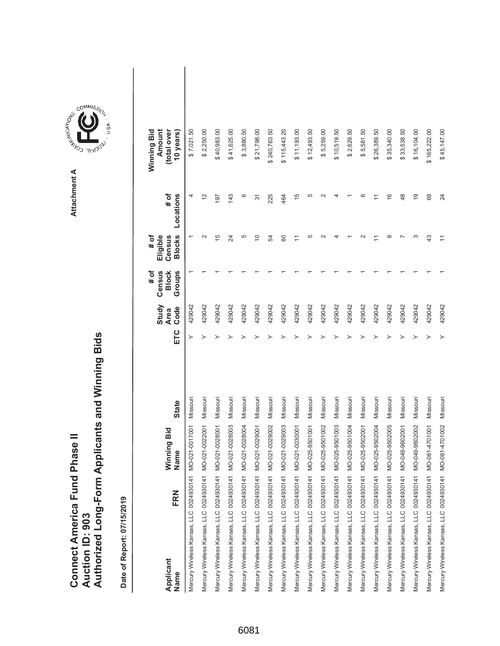|                 | Connect America Fund Phase II |  | Authorized Long-Form Applicants and Winning Bids |
|-----------------|-------------------------------|--|--------------------------------------------------|
|                 |                               |  |                                                  |
| Auction ID: 903 |                               |  |                                                  |

| FRN<br>Applicant<br>Name                | Winning Bid<br>Name | <b>State</b> | ETC | Study<br>Code<br><b>Area</b> | # of<br>Census<br>Groups<br><b>Block</b> | <b>Blocks</b><br>Eligible<br># of<br>Census | # of<br>Locations | Winning Bid<br>Amount<br>(total over<br>10 years) |  |
|-----------------------------------------|---------------------|--------------|-----|------------------------------|------------------------------------------|---------------------------------------------|-------------------|---------------------------------------------------|--|
| Mercury Wireless Kansas, LLC 0024930141 | MO-021-0017001      | Missouri     |     | 429042                       |                                          |                                             | 4                 | \$7,021.50                                        |  |
| Mercury Wireless Kansas, LLC 0024930141 | MO-021-0022001      | Missouri     | ≻   | 429042                       |                                          | $\mathbf{\Omega}$                           | $\overline{2}$    | \$2,250.00                                        |  |
| Mercury Wireless Kansas, LLC 0024930141 | MO-021-0028001      | Missouri     |     | 429042                       |                                          | 15                                          | 197               | \$40,983.00                                       |  |
| Mercury Wireless Kansas, LLC 0024930141 | MO-021-0028003      | Missouri     |     | 429042                       |                                          | $\overline{\mathcal{Z}}$                    | 143               | \$41,625.00                                       |  |
| Mercury Wireless Kansas, LLC 0024930141 | MO-021-0028004      | Missouri     |     | 429042                       |                                          | 5                                           | ဖ                 | \$3,880.50                                        |  |
| Mercury Wireless Kansas, LLC 0024930141 | MO-021-0029001      | Missouri     |     | 429042                       |                                          | $\overline{C}$                              | 31                | \$21,798.00                                       |  |
| Mercury Wireless Kansas, LLC 0024930141 | MO-021-0029002      | Missouri     |     | 429042                       |                                          | R,                                          | 225               | \$240,763.50                                      |  |
| Mercury Wireless Kansas, LLC 0024930141 | MO-021-0029003      | Missouri     |     | 429042                       |                                          | 80                                          | 464               | \$115,443.20                                      |  |
| Mercury Wireless Kansas, LLC 0024930141 | MO-021-0030001      | Missouri     |     | 429042                       |                                          |                                             | $\frac{5}{1}$     | \$11,193.00                                       |  |
| Mercury Wireless Kansas, LLC 0024930141 | MO-025-9501001      | Missouri     |     | 429042                       |                                          | 5                                           | 5                 | \$12,493.50                                       |  |
| Mercury Wireless Kansas, LLC 0024930141 | MO-025-9501002      | Missouri     |     | 429042                       |                                          |                                             |                   | \$5,259.00                                        |  |
| Mercury Wireless Kansas, LLC 0024930141 | MO-025-9501003      | Missouri     |     | 429042                       |                                          |                                             |                   | \$10,519.50                                       |  |
| Mercury Wireless Kansas, LLC 0024930141 | MO-025-9501004      | Missouri     |     | 429042                       |                                          |                                             |                   | \$2,629.50                                        |  |
| Mercury Wireless Kansas, LLC 0024930141 | MO-025-9502001      | Missouri     |     | 429042                       |                                          |                                             | c                 | \$5,581.50                                        |  |
| Mercury Wireless Kansas, LLC 0024930141 | MO-025-9502004      | Missouri     |     | 429042                       |                                          |                                             |                   | \$26,389.50                                       |  |
| Mercury Wireless Kansas, LLC 0024930141 | MO-025-9502005      | Missouri     |     | 429042                       |                                          | $\infty$                                    | $\frac{6}{5}$     | \$35,340.00                                       |  |
| Mercury Wireless Kansas, LLC 0024930141 | MO-049-9602001      | Missouri     |     | 429042                       |                                          |                                             | 48                | \$33,538.50                                       |  |
| Mercury Wireless Kansas, LLC 0024930141 | MO-049-9602002      | Missouri     |     | 429042                       |                                          | S                                           | $\overline{9}$    | \$16,104.00                                       |  |
| Mercury Wireless Kansas, LLC 0024930141 | MO-061-4701001      | Missouri     |     | 429042                       |                                          | 43                                          | 69                | \$165,222.00                                      |  |
| Mercury Wireless Kansas, LLC 0024930141 | MO-061-4701002      | Missouri     | ≻   | 429042                       |                                          |                                             | 24                | \$45,147.00                                       |  |



COMMIS<sub>SION</sub>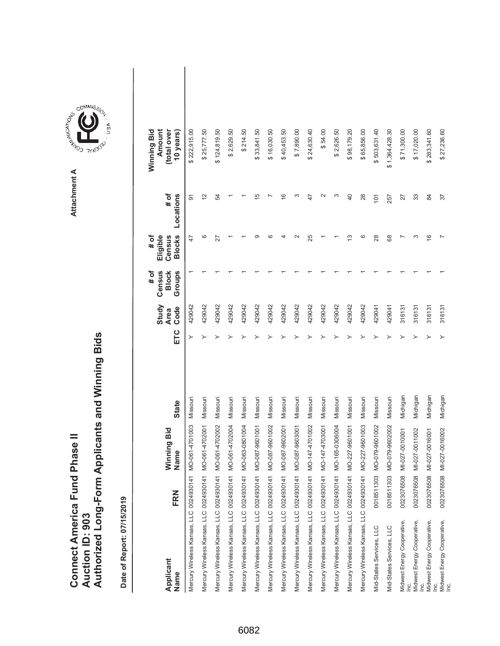|                               |                 | Authorized Long-Form Applicants and Winning Bids |
|-------------------------------|-----------------|--------------------------------------------------|
| Connect America Fund Phase II | Auction ID: 903 |                                                  |

| Applicant<br>Name                                                   | FRN        | Winning Bid<br>Name | <b>State</b> | ETC | Study<br>Code<br><b>Area</b> | Census<br>Groups<br># of<br><b>Block</b> | <b>Blocks</b><br>Eligible<br>Census<br># of | # of<br>Locations | Amount<br>Winning Bid<br>(total over<br>10 years) |  |
|---------------------------------------------------------------------|------------|---------------------|--------------|-----|------------------------------|------------------------------------------|---------------------------------------------|-------------------|---------------------------------------------------|--|
| Mercury Wireless Kansas, LLC 0024930141                             |            | MO-061-4701003      | Missouri     |     | 429042                       |                                          | 47                                          | 5                 | \$222,915.00                                      |  |
| Mercury Wireless Kansas, LLC 0024930141                             |            | MO-061-4702001      | Missouri     |     | 429042                       |                                          | ဖ                                           | $\tilde{c}$       | \$25,777.50                                       |  |
| Mercury Wireless Kansas, LLC 0024930141                             |            | MO-061-4702002      | Missouri     |     | 429042                       |                                          | 27                                          | 54                | \$124,819.50                                      |  |
| Mercury Wireless Kansas, LLC 0024930141                             |            | MO-061-4702004      | Missouri     |     | 429042                       |                                          |                                             |                   | \$2,629.50                                        |  |
| Mercury Wireless Kansas, LLC 0024930141                             |            | MO-063-0801004      | Missouri     |     | 429042                       |                                          |                                             |                   | \$214.50                                          |  |
| Mercury Wireless Kansas, LLC 0024930141                             |            | MO-087-9601001      | Missouri     |     | 429042                       |                                          | ග                                           | Ю                 | \$33,841.50                                       |  |
| Mercury Wireless Kansas, LLC 0024930141                             |            | MO-087-9601002      | Missouri     |     | 429042                       |                                          | ဖ                                           |                   | \$16,030.50                                       |  |
| Mercury Wireless Kansas, LLC 0024930141                             |            | MO-087-9602001      | Missouri     |     | 429042                       |                                          |                                             | $\frac{6}{1}$     | \$40,453.50                                       |  |
| Mercury Wireless Kansas, LLC 0024930141                             |            | MO-087-9603001      | Missouri     |     | 429042                       |                                          | $\scriptstyle\sim$                          | ς                 | \$7,890.00                                        |  |
| Mercury Wireless Kansas, LLC 0024930141                             |            | MO-147-4701002      | Missouri     |     | 429042                       |                                          | 25                                          | 47                | \$24,630.40                                       |  |
| Mercury Wireless Kansas, LLC 0024930141                             |            | MO-147-4703001      | Missouri     |     | 429042                       |                                          |                                             | $\mathbf{\sim}$   | \$54.00                                           |  |
| Mercury Wireless Kansas, LLC 0024930141                             |            | MO-165-0306004      | Missouri     |     | 429042                       |                                          |                                             | ς                 | \$2,626.50                                        |  |
| Mercury Wireless Kansas, LLC 0024930141                             |            | MO-227-9601001      | Missouri     |     | 429042                       |                                          | <u>ო</u>                                    | 40                | \$98,179.20                                       |  |
| Mercury Wireless Kansas, LLC 0024930141                             |            | MO-227-9601003      | Missouri     |     | 429042                       |                                          | ဖ                                           | 28                | \$65,856.00                                       |  |
| Mid-States Services, LLC                                            | 0018511303 | MO-079-9601002      | Missouri     |     | 429041                       |                                          | 28                                          | 101               | \$503,631.40                                      |  |
| Mid-States Services, LLC                                            | 0018511303 | MO-079-9602002      | Missouri     |     | 429041                       |                                          | 89                                          | 257               | \$1,364,428.30                                    |  |
| Midwest Energy Cooperative,                                         | 0023076508 | MI-027-0010001      | Michigan     |     | 316131                       |                                          |                                             | 27                | \$71,300.00                                       |  |
| Midwest Energy Cooperative,<br>$\underline{\underline{\mathrm{e}}}$ | 0023076508 | MI-027-0011002      | Michigan     |     | 316131                       |                                          | S                                           | 33                | \$17,020.00                                       |  |
| Midwest Energy Cooperative,                                         | 0023076508 | MI-027-0016001      | Michigan     |     | 316131                       |                                          | $\frac{6}{5}$                               | $\overline{8}$    | \$283,341.60                                      |  |
| Midwest Energy Cooperative,<br>Inc.                                 | 0023076508 | MI-027-0016002      | Michigan     |     | 316131                       |                                          |                                             | 57                | \$27,236.60                                       |  |

**COMMISSION** Attachment A **Attachment A**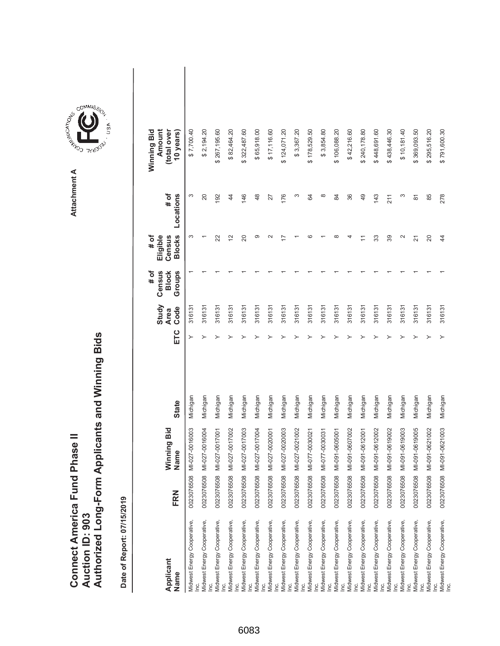|                               |                 | Authorized Long-Form Applicants and Winning Bids |
|-------------------------------|-----------------|--------------------------------------------------|
| Connect America Fund Phase II | Auction ID: 903 |                                                  |

| Applicant<br>Name                                                               | FRN        | Winning Bid<br>Name | <b>State</b> | ETC | Study<br>Code<br><b>Area</b> | Census<br>Groups<br># of<br><b>Block</b> | <b>Blocks</b><br>Eligible<br># of<br>Census | # of<br>Locations | Winning Bid<br>Amount<br>(total over<br>10 years) |
|---------------------------------------------------------------------------------|------------|---------------------|--------------|-----|------------------------------|------------------------------------------|---------------------------------------------|-------------------|---------------------------------------------------|
| Midwest Energy Cooperative,                                                     | 0023076508 | MI-027-0016003      | Michigan     |     | 316131                       |                                          | S                                           | S                 | \$7,700.40                                        |
| Midwest Energy Cooperative,                                                     | 0023076508 | MI-027-0016004      | Michigan     |     | 316131                       |                                          |                                             | 20                | \$2,194.20                                        |
| Midwest Energy Cooperative,                                                     | 0023076508 | MI-027-0017001      | Michigan     |     | 316131                       |                                          | 22                                          | 192               | \$267,195.60                                      |
| Midwest Energy Cooperative,<br><u>le</u>                                        | 0023076508 | MI-027-0017002      | Michigan     |     | 316131                       |                                          | 12                                          | 44                | \$82,464.20                                       |
| Midwest Energy Cooperative,<br>lnc.                                             | 0023076508 | MI-027-0017003      | Michigan     |     | 316131                       |                                          | $\Omega$                                    | 146               | \$322,487.60                                      |
| Midwest Energy Cooperative,<br>lnc.                                             | 0023076508 | MI-027-0017004      | Michigan     |     | 316131                       |                                          | ග                                           | 48                | \$65,918.00                                       |
| Midwest Energy Cooperative,<br>$\overline{\mathsf{I}}$                          | 0023076508 | MI-027-0020001      | Michigan     |     | 316131                       |                                          |                                             | 27                | \$17,116.60                                       |
| Midwest Energy Cooperative,<br>$\underline{\underline{\underline{\mathrm{c}}}}$ | 0023076508 | MI-027-0020003      | Michigan     |     | 316131                       |                                          |                                             | 176               | \$124,071.20                                      |
| Midwest Energy Cooperative,                                                     | 0023076508 | MI-027-0021002      | Michigan     |     | 316131                       |                                          |                                             | S                 | \$3,367.20                                        |
| Midwest Energy Cooperative,<br>lnc.                                             | 0023076508 | MI-077-0030021      | Michigan     |     | 316131                       |                                          |                                             | 84                | \$178,529.50                                      |
| Midwest Energy Cooperative,<br>Inc.                                             | 0023076508 | MI-077-0030031      | Michigan     |     | 316131                       |                                          |                                             | ∞                 | \$3,854.80                                        |
| Midwest Energy Cooperative,<br>$\underline{\underline{\underline{\mathrm{c}}}}$ | 0023076508 | MI-091-0605001      | Michigan     |     | 316131                       |                                          |                                             | 84                | \$106,088.20                                      |
| Midwest Energy Cooperative,<br>ιğ                                               | 0023076508 | MI-091-0607002      | Michigan     |     | 316131                       |                                          |                                             | 36                | \$42,216.60                                       |
| Midwest Energy Cooperative,<br>$\underline{\underline{\underline{\mathrm{c}}}}$ | 0023076508 | MI-091-0612001      | Michigan     |     | 316131                       |                                          |                                             | 49                | \$240,178.80                                      |
| Midwest Energy Cooperative,<br>lnc.                                             | 0023076508 | MI-091-0612002      | Michigan     |     | 316131                       |                                          | 33                                          | 143               | \$448,691.60                                      |
| Midwest Energy Cooperative,<br>lnc.                                             | 0023076508 | MI-091-0619002      | Michigan     |     | 316131                       |                                          | 89                                          | 211               | \$438,446.30                                      |
| Midwest Energy Cooperative,<br>le.                                              | 0023076508 | MI-091-0619003      | Michigan     |     | 316131                       |                                          | $\sim$                                      | S                 | \$10,181.40                                       |
| Midwest Energy Cooperative,<br>$\vec{E}$                                        | 0023076508 | MI-091-0619005      | Michigan     |     | 316131                       |                                          | $\overline{N}$                              | 87                | \$369,093.50                                      |
| Midwest Energy Cooperative,                                                     | 0023076508 | MI-091-0621002      | Michigan     |     | 316131                       |                                          | $\Omega$                                    | 85                | \$295,516.20                                      |
| Midwest Energy Cooperative,<br>Inc.                                             | 0023076508 | MI-091-0621003      | Michigan     |     | 316131                       |                                          | 4                                           | 278               | \$791,600.30                                      |

**COMMISSION** Attachment A **Attachment A**

GOMMIS<sub>SION</sub>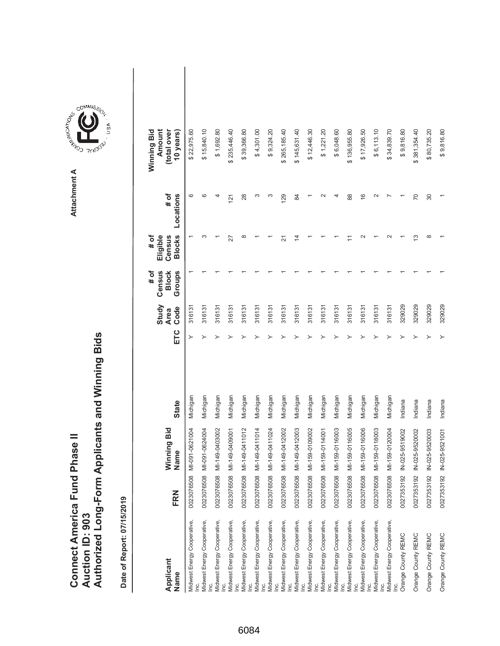|                                      |                        | Authorized Long-Form Applicants and Winning Bids |
|--------------------------------------|------------------------|--------------------------------------------------|
|                                      |                        |                                                  |
|                                      |                        |                                                  |
| <b>Connect America Fund Phase II</b> |                        |                                                  |
|                                      |                        |                                                  |
|                                      | <b>Auction ID: 903</b> |                                                  |
|                                      |                        |                                                  |

| Applicant<br>Name                            | FRN                   | Winning Bid<br>Name       | <b>State</b> | ETC | Study<br>Code<br><b>Area</b> | Census<br># of<br><b>Block</b><br>Groups | <b>Blocks</b><br>Eligible<br>Census<br># of | # of<br>Locations | Amount<br>(total over<br>Winning Bid<br>10 years) |  |
|----------------------------------------------|-----------------------|---------------------------|--------------|-----|------------------------------|------------------------------------------|---------------------------------------------|-------------------|---------------------------------------------------|--|
| Midwest Energy Cooperative,                  | $\infty$<br>002307650 | MI-091-0621004            | Michigan     |     | 316131                       |                                          |                                             | ဖ                 | \$22,975.60                                       |  |
| Midwest Energy Cooperative,                  | 0023076508            | MI-091-0624004            | Michigan     |     | 316131                       |                                          | ∞                                           | ဖ                 | \$15,840.10                                       |  |
| Midwest Energy Cooperative,                  | 0023076508            | MI-149-0403002            | Michigan     |     | 316131                       |                                          |                                             |                   | \$1,692.80                                        |  |
| Midwest Energy Cooperative,<br><u>le</u>     | 0023076508            | MI-149-0409001            | Michigan     |     | 316131                       |                                          | 27                                          | 121               | \$235,446.40                                      |  |
| Midwest Energy Cooperative,                  | 0023076508            | MI-149-0411012            | Michigan     |     | 316131                       |                                          | ∞                                           | 28                | \$39,366.80                                       |  |
| Inc.<br>Midwest Energy Cooperative,<br>Lei   | 0023076508            | MI-149-0411014            | Michigan     |     | 316131                       |                                          |                                             |                   | \$4,301.00                                        |  |
| Midwest Energy Cooperative,<br>$\mathbf{E}$  | 0023076508            | MI-149-0411024            | Michigan     |     | 316131                       |                                          |                                             |                   | \$9,324.20                                        |  |
| Midwest Energy Cooperative,                  | 0023076508            | MI-149-0412002            | Michigan     |     | 316131                       |                                          | 21                                          | 129               | \$265,185.40                                      |  |
| Midwest Energy Cooperative,<br>Lei           | 0023076508            | MI-149-0412003            | Michigan     |     | 316131                       |                                          | 4                                           | 84                | \$145,631.40                                      |  |
| Midwest Energy Cooperative,<br>$\frac{c}{2}$ | 0023076508            | MI-159-0109002            | Michigan     |     | 316131                       |                                          |                                             |                   | \$12,446.30                                       |  |
| Midwest Energy Cooperative,<br><u>le</u>     | 0023076508            | MI-159-0114001            | Michigan     |     | 316131                       |                                          |                                             |                   | \$1,221.20                                        |  |
| Midwest Energy Cooperative,<br>le.           | 0023076508            | MI-159-0116003            | Michigan     |     | 316131                       |                                          |                                             |                   | \$6,048.60                                        |  |
| Midwest Energy Cooperative,<br>le.           | 0023076508            | MI-159-0116005            | Michigan     |     | 316131                       |                                          |                                             | 88                | \$136,955.80                                      |  |
| Midwest Energy Cooperative,<br>Lei           | $\infty$<br>002307650 | MI-159-0116006            | Michigan     |     | 316131                       |                                          |                                             | $\frac{6}{5}$     | \$17,926.50                                       |  |
| Midwest Energy Cooperative,                  | 0023076508            | MI-159-0118003            | Michigan     |     | 316131                       |                                          |                                             |                   | \$6,113.10                                        |  |
| Midwest Energy Cooperative,                  | 0023076508            | MI-159-0120004            | Michigan     |     | 316131                       |                                          |                                             |                   | \$34,839.70                                       |  |
| Inc.<br>Orange County REMC                   | 0027353192            | IN-025-9519002            | Indiana      |     | 329029                       |                                          |                                             |                   | \$9,816.80                                        |  |
| Orange County REMC                           | 0027353192            | IN-025-9520002            | Indiana      |     | 329029                       |                                          | ო                                           | 20                | \$381,354.40                                      |  |
| Orange County REMC                           | 0027353192            | IN-025-9520003            | Indiana      |     | 329029                       |                                          | $\infty$                                    | $\overline{30}$   | \$80,735.20                                       |  |
| Orange County REMC                           |                       | 0027353192 IN-025-9521001 | Indiana      |     | 329029                       |                                          |                                             |                   | \$9,816.80                                        |  |

**COMMISSION** Attachment A **Attachment A**

GOMMIS<sub>SION</sub>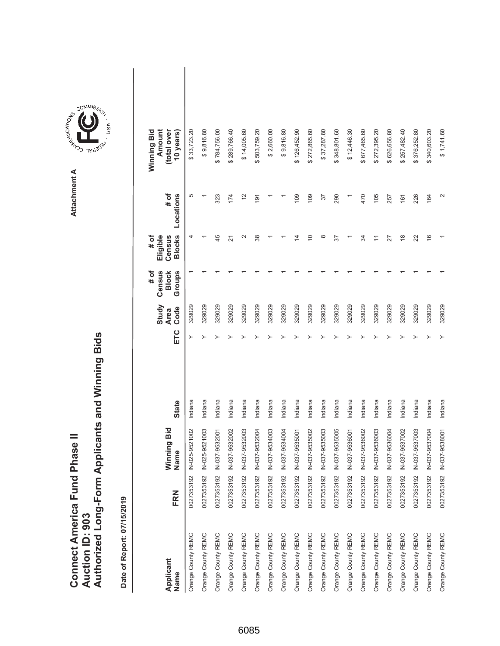| <b>Connect America Fund Phase II</b> |                 | Authorized Long-Form Applicants and Winning Bids |
|--------------------------------------|-----------------|--------------------------------------------------|
|                                      | Auction ID: 903 |                                                  |

Attachment A **Attachment A**

COMMIS<sub>SION</sub>

USA

| Applicant<br>Name  | FRN | Winning Bid<br>Name       | <b>State</b> | ETC | Study<br>Code<br><b>Area</b> | $\sharp$ of<br>Census<br>Groups<br><b>Block</b> | <b>Blocks</b><br>$#$ of<br>Census<br>Eligible | # of<br>Locations | Winning Bid<br>(total over<br>Amount<br>10 years) |  |
|--------------------|-----|---------------------------|--------------|-----|------------------------------|-------------------------------------------------|-----------------------------------------------|-------------------|---------------------------------------------------|--|
| Orange County REMC |     | 0027353192 IN-025-9521002 | Indiana      | ≻   | 329029                       |                                                 | 4                                             | 5                 | \$33,723.20                                       |  |
| Orange County REMC |     | 0027353192 IN-025-9521003 | Indiana      |     | 329029                       |                                                 |                                               |                   | \$9,816.80                                        |  |
| Orange County REMC |     | 0027353192 IN-037-9532001 | Indiana      |     | 329029                       |                                                 | 45                                            | 323               | \$784,756.00                                      |  |
| Orange County REMC |     | 0027353192 IN-037-9532002 | Indiana      |     | 329029                       |                                                 | $\overline{2}$                                | 174               | \$289,766.40                                      |  |
| Orange County REMC |     | 0027353192 IN-037-9532003 | Indiana      |     | 329029                       |                                                 | $\mathbf{\Omega}$                             | $\frac{2}{3}$     | \$14,005.60                                       |  |
| Orange County REMC |     | 0027353192 IN-037-9532004 | Indiana      |     | 329029                       |                                                 | 38                                            | 191               | \$503,759.20                                      |  |
| Orange County REMC |     | 0027353192 IN-037-9534003 | Indiana      |     | 329029                       |                                                 |                                               |                   | \$2,660.00                                        |  |
| Orange County REMC |     | 0027353192 IN-037-9534004 | Indiana      |     | 329029                       |                                                 |                                               |                   | \$9,816.80                                        |  |
| Orange County REMC |     | 0027353192 IN-037-9535001 | Indiana      |     | 329029                       |                                                 | ⋣                                             | 109               | \$126,452.90                                      |  |
| Orange County REMC |     | 0027353192 IN-037-9535002 | Indiana      |     | 329029                       |                                                 | ă                                             | 109               | \$272,865.60                                      |  |
| Orange County REMC |     | 0027353192 IN-037-9535003 | Indiana      |     | 329029                       |                                                 | $\infty$                                      | 37                | \$37,287.80                                       |  |
| Orange County REMC |     | 0027353192 IN-037-9535005 | Indiana      |     | 329029                       |                                                 | 57                                            | 290               | \$348,801.60                                      |  |
| Orange County REMC |     | 0027353192 IN-037-9536001 | Indiana      |     | 329029                       |                                                 |                                               |                   | \$12,446.30                                       |  |
| Orange County REMC |     | 0027353192 IN-037-9536002 | Indiana      |     | 329029                       |                                                 | र्द्र                                         | 470               | \$677,465.60                                      |  |
| Orange County REMC |     | 0027353192 IN-037-9536003 | Indiana      |     | 329029                       |                                                 | Ξ                                             | 105               | 272,395.20<br>မာ                                  |  |
| Orange County REMC |     | 0027353192 IN-037-9536004 | Indiana      |     | 329029                       |                                                 | 27                                            | 257               | 626,656.80                                        |  |
| Orange County REMC |     | 0027353192 IN-037-9537002 | Indiana      |     | 329029                       |                                                 | $\frac{8}{1}$                                 | 161               | \$257,482.40                                      |  |
| Orange County REMC |     | 0027353192 IN-037-9537003 | Indiana      |     | 329029                       |                                                 | 22                                            | 226               | 376,252.80<br>ക                                   |  |
| Orange County REMC |     | 0027353192 IN-037-9537004 | Indiana      |     | 329029                       |                                                 | $\frac{6}{5}$                                 | 164               | \$340,603.20                                      |  |
| Orange County REMC |     | 0027353192 IN-037-9538001 | Indiana      |     | 329029                       |                                                 |                                               | 2                 | \$1,741.60                                        |  |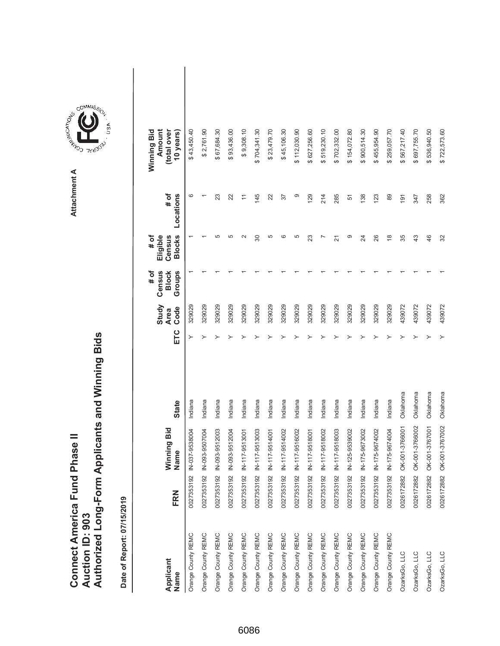|                                      |                        | Authorized Long-Form Applicants and Winning Bids |
|--------------------------------------|------------------------|--------------------------------------------------|
|                                      |                        |                                                  |
|                                      |                        |                                                  |
| <b>Connect America Fund Phase II</b> |                        |                                                  |
|                                      |                        |                                                  |
|                                      | <b>Auction ID: 903</b> |                                                  |
|                                      |                        |                                                  |

**AREA COMMISSION** Attachment A **Attachment A**

GOMMIS<sub>SION</sub>

USA

| Applicant<br>Name  | FRN           | Winning Bid<br>Name       | <b>State</b> | ETC | Study<br>Code<br><b>Area</b> | Census<br>Groups<br># of<br><b>Block</b> | <b>Blocks</b><br># of<br>Eligible<br>Census | # of<br>Locations | Amount<br>Winning Bid<br>(total over<br>10 years) |  |
|--------------------|---------------|---------------------------|--------------|-----|------------------------------|------------------------------------------|---------------------------------------------|-------------------|---------------------------------------------------|--|
| Orange County REMC | 0027353192    | N-037-9538004             | Indiana      |     | 329029                       |                                          |                                             | ဖ                 | \$43,450.40                                       |  |
| Orange County REMC |               | 0027353192 IN-093-9507004 | Indiana      |     | 329029                       |                                          |                                             |                   | \$2,761.90                                        |  |
| Orange County REMC |               | 0027353192 IN-093-9512003 | Indiana      |     | 329029                       |                                          | 5                                           | 23                | \$67,684.30                                       |  |
| Orange County REMC | 0027353192    | N-093-9512004             | Indiana      |     | 329029                       |                                          | 5                                           | 22                | \$93,436.00                                       |  |
| Orange County REMC | 0027353192    | IN-117-9513001            | Indiana      |     | 329029                       |                                          | $\sim$                                      | Ξ                 | \$9,308.10                                        |  |
| Orange County REMC |               | 0027353192 IN-117-9513003 | Indiana      |     | 329029                       |                                          | 80                                          | 145               | \$704,341.30                                      |  |
| Orange County REMC | 0027353192    | N-117-9514001             | Indiana      |     | 329029                       |                                          | 5                                           | 22                | \$23,479.70                                       |  |
| Orange County REMC |               | 0027353192 IN-117-9514002 | Indiana      |     | 329029                       |                                          | ဖ                                           | 57                | \$45,106.30                                       |  |
| Orange County REMC |               | 0027353192 IN-117-9516002 | Indiana      |     | 329029                       |                                          | 5                                           | ග                 | \$112,030.90                                      |  |
| Orange County REMC | 0027353192 ll | N-117-9518001             | Indiana      |     | 329029                       |                                          | 23                                          | 129               | \$627,256.60                                      |  |
| Orange County REMC |               | 0027353192 IN-117-9518002 | Indiana      |     | 329029                       |                                          |                                             | 214               | \$519,230.10                                      |  |
| Orange County REMC |               | 0027353192 IN-117-9518003 | Indiana      |     | 329029                       |                                          | 21                                          | 285               | \$702,332.00                                      |  |
| Orange County REMC | 0027353192    | N-125-9539002             | Indiana      |     | 329029                       |                                          | တ                                           | 51                | \$154,072.80                                      |  |
| Orange County REMC |               | 0027353192 IN-175-9673002 | Indiana      |     | 329029                       |                                          | 24                                          | 138               | \$900,514.30                                      |  |
| Orange County REMC |               | 0027353192 IN-175-9674002 | Indiana      |     | 329029                       |                                          | 26                                          | 123               | \$455,954.90                                      |  |
| Orange County REMC |               | 0027353192 IN-175-9674004 | Indiana      |     | 329029                       |                                          | $\frac{8}{1}$                               | 89                | \$259,057.70                                      |  |
| OzarksGo, LLC      | 0026172882    | OK-001-3766001            | Oklahoma     |     | 439072                       |                                          | 35                                          | 191               | \$567,217.40                                      |  |
| OzarksGo, LLC      | 0026172882    | OK-001-3766002            | Oklahoma     |     | 439072                       |                                          | $\frac{3}{4}$                               | 347               | \$697,755.70                                      |  |
| OzarksGo, LLC      | 0026172882    | OK-001-3767001            | Oklahoma     |     | 439072                       |                                          | 46                                          | 258               | \$536,940.50                                      |  |
| OzarksGo, LLC      | 0026172882    | OK-001-3767002            | Oklahoma     |     | 439072                       |                                          | 32                                          | 362               | \$722,573.60                                      |  |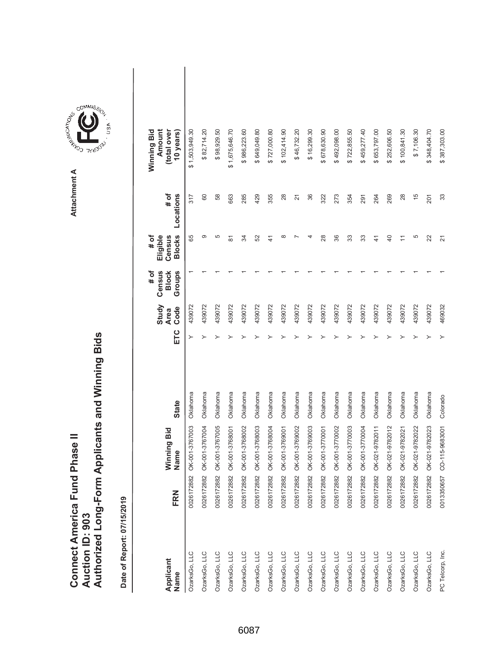|                               |                 | Authorized Long-Form Applicants and Winning Bids |
|-------------------------------|-----------------|--------------------------------------------------|
| Connect America Fund Phase II | Auction ID: 903 |                                                  |

**COMMISSION** Attachment A **Attachment A**

COMMIS<sub>SION</sub>

USA

| Applicant<br>Name | FRN        | Winning Bid<br>Name | <b>State</b> | ETC | Study<br>Code<br><b>Area</b> | Census<br># of<br><b>Block</b><br>Groups | <b>Blocks</b><br>Eligible<br>Census<br># of | # of<br>Locations | Winning Bid<br>Amount<br>(total over<br>10 years) |  |
|-------------------|------------|---------------------|--------------|-----|------------------------------|------------------------------------------|---------------------------------------------|-------------------|---------------------------------------------------|--|
| OzarksGo, LLC     | 0026172882 | OK-001-3767003      | Oklahoma     |     | 439072                       |                                          | 89                                          | 317               | \$1,503,949.30                                    |  |
| OzarksGo, LLC     | 0026172882 | OK-001-3767004      | Oklahoma     |     | 439072                       |                                          | တ                                           | 60                | \$82,714.20                                       |  |
| OzarksGo, LLC     | 0026172882 | OK-001-3767005      | Oklahoma     |     | 439072                       |                                          | 5                                           | 58                | \$98,929.50                                       |  |
| OzarksGo, LLC     | 0026172882 | OK-001-3768001      | Oklahoma     |     | 439072                       |                                          | 5                                           | 663               | \$1,675,646.70                                    |  |
| OzarksGo, LLC     | 0026172882 | OK-001-3768002      | Oklahoma     |     | 439072                       |                                          | ಸ                                           | 285               | \$986,223.60                                      |  |
| OzarksGo, LLC     | 0026172882 | OK-001-3768003      | Oklahoma     |     | 439072                       |                                          | 52                                          | 429               | \$649,049.80                                      |  |
| OzarksGo, LLC     | 0026172882 | OK-001-3768004      | Oklahoma     |     | 439072                       |                                          | $\frac{4}{3}$                               | 355               | \$727,000.80                                      |  |
| OzarksGo, LLC     | 0026172882 | OK-001-3769001      | Oklahoma     |     | 439072                       |                                          | $\infty$                                    | 28                | \$102,414.90                                      |  |
| OzarksGo, LLC     | 0026172882 | OK-001-3769002      | Oklahoma     |     | 439072                       |                                          |                                             | $\overline{2}$    | \$46,732.20                                       |  |
| OzarksGo, LLC     | 0026172882 | OK-001-3769003      | Oklahoma     |     | 439072                       |                                          |                                             | 36                | \$16,299.30                                       |  |
| OzarksGo, LLC     | 0026172882 | OK-001-3770001      | Oklahoma     |     | 439072                       |                                          | 28                                          | 322               | \$678,630.90                                      |  |
| OzarksGo, LLC     | 0026172882 | OK-001-3770002      | Oklahoma     |     | 439072                       |                                          | 36                                          | 273               | \$492,098.00                                      |  |
| OzarksGo, LLC     | 0026172882 | OK-001-3770003      | Oklahoma     |     | 439072                       |                                          | 33                                          | 354               | \$722,855.50                                      |  |
| OzarksGo, LLC     | 0026172882 | OK-001-3770004      | Oklahoma     |     | 439072                       |                                          | 33                                          | 291               | \$459,277.40                                      |  |
| OzarksGo, LLC     | 0026172882 | OK-021-9782011      | Oklahoma     |     | 439072                       |                                          | $\frac{4}{3}$                               | 264               | \$653,797.00                                      |  |
| OzarksGo, LLC     | 0026172882 | OK-021-9782012      | Oklahoma     |     | 439072                       |                                          | $\overline{40}$                             | 269               | \$252,606.50                                      |  |
| OzarksGo, LLC     | 0026172882 | OK-021-9782021      | Oklahoma     |     | 439072                       |                                          |                                             | 28                | \$100,841.30                                      |  |
| OzarksGo, LLC     | 0026172882 | OK-021-9782022      | Oklahoma     |     | 439072                       |                                          | 5                                           | $\frac{5}{3}$     | \$7,106.30                                        |  |
| OzarksGo, LLC     | 0026172882 | OK-021-9782023      | Oklahoma     |     | 439072                       |                                          | 22                                          | 201               | \$348,404.70                                      |  |
| PC Telcorp, Inc.  | 0013350657 | CO-115-9683001      | Colorado     |     | 469032                       |                                          | $\overline{2}$                              | 33                | \$387,303.00                                      |  |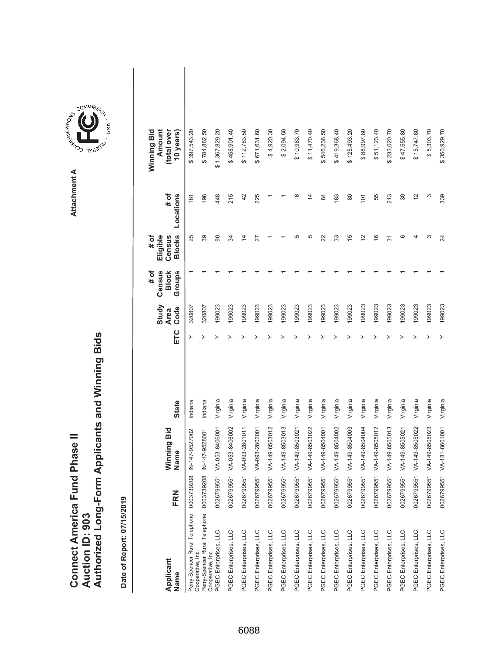|                               |                 | Authorized Long-Form Applicants and Winning Bids |
|-------------------------------|-----------------|--------------------------------------------------|
| Connect America Fund Phase II |                 |                                                  |
|                               | Auction ID: 903 |                                                  |

| Applicant<br>Name                                             | FRN        | Winning Bid<br>Name       | <b>State</b> | ETC | Study<br>Code<br><b>Area</b> | # of<br>Census<br>Groups<br><b>Block</b> | <b>Blocks</b><br># of<br>Eligible<br>Census | # of<br>Locations | Winning Bid<br>Amount<br>(total over<br>10 years) |  |
|---------------------------------------------------------------|------------|---------------------------|--------------|-----|------------------------------|------------------------------------------|---------------------------------------------|-------------------|---------------------------------------------------|--|
| Perry-Spencer Rural Telephone 00037392<br>Cooperative, Inc.   | $^{08}$    | IN-147-9527002            | Indiana      |     | 320807                       |                                          | 25                                          | 161               | \$397,543.20                                      |  |
| Perry-Spencer Rural Telephone 0003739208<br>Cooperative, Inc. |            | IN-147-9528001            | Indiana      |     | 320807                       |                                          | 39                                          | 198               | \$784,882.50                                      |  |
| PGEC Enterprises, LLC                                         | 0026799551 | VA-053-8406001            | Virginia     |     | 199023                       |                                          | 8                                           | 448               | \$1,367,829.20                                    |  |
| PGEC Enterprises, LLC                                         | 0026799551 | VA-053-8406002            | Virginia     |     | 199023                       |                                          | र्द्र                                       | 215               | \$458,901.40                                      |  |
| PGEC Enterprises, LLC                                         | 0026799551 | VA-093-2801011            | Virginia     |     | 199023                       |                                          | $\overline{4}$                              | 42                | \$112,783.50                                      |  |
| PGEC Enterprises, LLC                                         | 0026799551 | VA-093-2802001            | Virginia     |     | 199023                       |                                          | 27                                          | 225               | \$671,631.60                                      |  |
| PGEC Enterprises, LLC                                         | 0026799551 | VA-149-8503012            | Virginia     |     | 199023                       |                                          |                                             |                   | \$4,920.30                                        |  |
| PGEC Enterprises, LLC                                         | 0026799551 | VA-149-8503013            | Virginia     |     | 199023                       |                                          |                                             |                   | \$2,094.50                                        |  |
| PGEC Enterprises, LLC                                         | 0026799551 | VA-149-8503021            | Virginia     |     | 199023                       |                                          | 5                                           | ဖ                 | \$10,983.70                                       |  |
| PGEC Enterprises, LLC                                         | 0026799551 | VA-149-8503022            | Virginia     |     | 199023                       |                                          | 5                                           | $\overline{4}$    | \$11,470.40                                       |  |
| PGEC Enterprises, LLC                                         | 0026799551 | VA-149-8504001            | Virginia     |     | 199023                       |                                          | 22                                          | 84                | \$546,238.50                                      |  |
| PGEC Enterprises, LLC                                         | 0026799551 | VA-149-8504002            | Virginia     |     | 199023                       |                                          | 33                                          | 183               | \$419,368.40                                      |  |
| PGEC Enterprises, LLC                                         | 0026799551 | VA-149-8504003            | Virginia     |     | 199023                       |                                          | 15                                          | 80                | \$125,493.20                                      |  |
| PGEC Enterprises, LLC                                         | 0026799551 | VA-149-8504004            | Virginia     |     | 199023                       |                                          | $\overline{2}$                              | 101               | \$88,997.80                                       |  |
| PGEC Enterprises, LLC                                         | 0026799551 | VA-149-8505012            | Virginia     |     | 199023                       |                                          | $\frac{6}{5}$                               | 55                | \$51,123.40                                       |  |
| PGEC Enterprises, LLC                                         | 0026799551 | VA-149-8505013            | Virginia     |     | 199023                       |                                          | $\overline{5}$                              | 213               | \$233,020.70                                      |  |
| PGEC Enterprises, LLC                                         | 0026799551 | VA-149-8505021            | Virginia     |     | 199023                       |                                          | ဖ                                           | 30                | \$47,555.80                                       |  |
| PGEC Enterprises, LLC                                         | 0026799551 | VA-149-8505022            | Virginia     |     | 199023                       |                                          | 4                                           | $\tilde{c}$       | \$15,747.80                                       |  |
| PGEC Enterprises, LLC                                         |            | 0026799551 VA-149-8505023 | Virginia     |     | 199023                       |                                          | ო                                           | ω                 | \$5,303.70                                        |  |
| PGEC Enterprises, LLC                                         |            | 0026799551 VA-181-8601001 | Virginia     |     | 199023                       |                                          | 24                                          | 339               | \$350,929.70                                      |  |

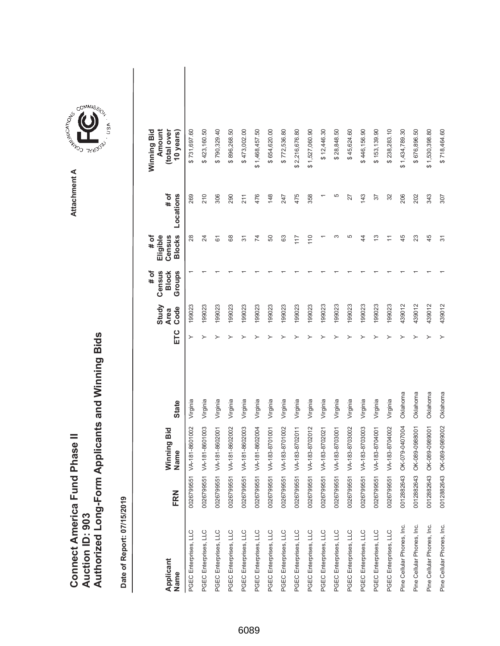|                               |                 | Authorized Long-Form Applicants and Winning Bids |
|-------------------------------|-----------------|--------------------------------------------------|
| Connect America Fund Phase II |                 |                                                  |
|                               |                 |                                                  |
|                               |                 |                                                  |
|                               | Auction ID: 903 |                                                  |
|                               |                 |                                                  |

**COMMISSION** Attachment A **Attachment A**

COMMIS<sub>SION</sub>

USA

| Applicant<br>Name          | FRN        | Winning Bid<br>Name       | <b>State</b> | ETC | Study<br>Code<br><b>Area</b> | Census<br>Groups<br># of<br><b>Block</b> | <b>Blocks</b><br># of<br>Eligible<br>Census | # of<br>Locations | Amount<br>Winning Bid<br>(total over<br>10 years) |  |
|----------------------------|------------|---------------------------|--------------|-----|------------------------------|------------------------------------------|---------------------------------------------|-------------------|---------------------------------------------------|--|
| PGEC Enterprises, LLC      | 0026799551 | /A-181-8601002            | Virginia     |     | 199023                       |                                          | 28                                          | 269               | \$731,697.60                                      |  |
| PGEC Enterprises, LLC      | 0026799551 | VA-181-8601003            | Virginia     |     | 199023                       |                                          | 24                                          | 210               | \$423,160.50                                      |  |
| PGEC Enterprises, LLC      | 0026799551 | VA-181-8602001            | Virginia     |     | 199023                       |                                          | 61                                          | 306               | \$790,329.40                                      |  |
| PGEC Enterprises, LLC      | 0026799551 | VA-181-8602002            | Virginia     |     | 199023                       |                                          | 89                                          | 290               | \$896,268.50                                      |  |
| PGEC Enterprises, LLC      |            | 0026799551 VA-181-8602003 | Virginia     |     | 199023                       |                                          | 5                                           | 211               | \$473,002.00                                      |  |
| PGEC Enterprises, LLC      | 0026799551 | VA-181-8602004            | Virginia     |     | 199023                       |                                          | 74                                          | 476               | \$1,468,457.50                                    |  |
| PGEC Enterprises, LLC      | 0026799551 | VA-183-8701001            | Virginia     |     | 199023                       |                                          | 50                                          | 148               | \$654,620.00                                      |  |
| PGEC Enterprises, LLC      | 0026799551 | VA-183-8701002            | Virginia     |     | 199023                       |                                          | 83                                          | 247               | \$772,536.80                                      |  |
| PGEC Enterprises, LLC      | 0026799551 | VA-183-8702011            | Virginia     |     | 199023                       |                                          | 117                                         | 475               | \$2,216,676.80                                    |  |
| PGEC Enterprises, LLC      | 0026799551 | VA-183-8702012            | Virginia     |     | 199023                       |                                          | 110                                         | 358               | \$1,527,060.90                                    |  |
| PGEC Enterprises, LLC      |            | 0026799551 VA-183-8702021 | Virginia     |     | 199023                       |                                          |                                             |                   | \$12,446.30                                       |  |
| PGEC Enterprises, LLC      | 0026799551 | VA-183-8703001            | Virginia     |     | 199023                       |                                          | S                                           | 5                 | \$28,848.50                                       |  |
| PGEC Enterprises, LLC      |            | 0026799551 VA-183-8703002 | Virginia     |     | 199023                       |                                          | 5                                           | 27                | \$45,624.60                                       |  |
| PGEC Enterprises, LLC      |            | 0026799551 VA-183-8703003 | Virginia     |     | 199023                       |                                          | 4                                           | 143               | \$446,156.90                                      |  |
| PGEC Enterprises, LLC      | 0026799551 | VA-183-8704001            | Virginia     |     | 199023                       |                                          | ဗု                                          | 57                | \$153,139.90                                      |  |
| PGEC Enterprises, LLC      |            | 0026799551 VA-183-8704002 | Virginia     |     | 199023                       |                                          |                                             | 32                | \$238,283.10                                      |  |
| Pine Cellular Phones, Inc. | 0012882643 | OK-079-0407004            | Oklahoma     |     | 439012                       |                                          | 45                                          | 206               | \$1,434,789.30                                    |  |
| Pine Cellular Phones, Inc. | 0012882643 | DK-089-0988001            | Oklahoma     |     | 439012                       |                                          | 23                                          | 202               | \$676,896.50                                      |  |
| Pine Cellular Phones, Inc. | 0012882643 | OK-089-0989001            | Oklahoma     |     | 439012                       |                                          | 45                                          | 343               | \$1,530,398.80                                    |  |
| Pine Cellular Phones, Inc. | 0012882643 | OK-089-0989002            | Oklahoma     |     | 439012                       |                                          | 57                                          | 307               | \$718,464.60                                      |  |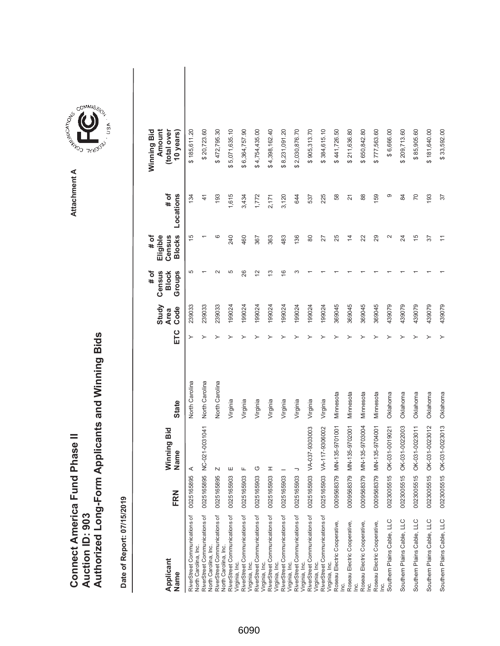| Connect America Fund Phase II |                 | Authorized Long-Form Applicants and Winning Bids |
|-------------------------------|-----------------|--------------------------------------------------|
|                               | Auction ID: 903 |                                                  |



GOMMIS<sub>SION</sub>

USA

| Applicant<br>Name                                            | FRN        | Winning Bid<br>Name | <b>State</b>   | ETC | Study<br>Code<br><b>Area</b> | # of<br>Groups<br>Census<br><b>Block</b> | <b>Blocks</b><br># of<br>Eligible<br>Census | # of<br>Locations | Winning Bid<br>(total over<br>Amount<br>10 years) |
|--------------------------------------------------------------|------------|---------------------|----------------|-----|------------------------------|------------------------------------------|---------------------------------------------|-------------------|---------------------------------------------------|
| RiverStreet Communications of<br>North Carolina, Inc.        | 0025165895 | ⋖                   | North Carolina | ≻   | 239033                       | 5                                        | 15                                          | 134               | \$185,611.20                                      |
| RiverStreet Communications of<br><b>Vorth Carolina, Inc.</b> | 0025165895 | NC-021-0031041      | North Carolina |     | 239033                       |                                          |                                             | $\frac{4}{1}$     | \$20,723.60                                       |
| RiverStreet Communications of<br>North Carolina, Inc.        | 0025165895 |                     | North Carolina |     | 239033                       |                                          | ဖ                                           | 193               | \$472,795.30                                      |
| RiverStreet Communications of<br>Virginia, Inc.              | 0025165903 | ш                   | Virginia       |     | 199024                       | 5                                        | 240                                         | 1,615             | 5,071,635.10<br>ക                                 |
| RiverStreet Communications of<br>Virginia, Inc.              | 0025165903 |                     | Virginia       |     | 199024                       | 26                                       | 460                                         | 3,434             | \$6,364,757.90                                    |
| RiverStreet Communications of<br>Virginia, Inc.              | 0025165903 | O                   | Virginia       |     | 199024                       | $\overline{2}$                           | 367                                         | 1,772             | \$4,754,435.00                                    |
| RiverStreet Communications of<br>Virginia, Inc.              | 0025165903 | I                   | Virginia       |     | 199024                       | ო                                        | 363                                         | 2,171             | \$4,398,162.40                                    |
| RiverStreet Communications of<br>Virginia, Inc.              | 0025165903 |                     | Virginia       |     | 199024                       | ဖ                                        | 483                                         | 3,120             | \$8,231,091.20                                    |
| RiverStreet Communications of<br>Virginia, Inc.              | 0025165903 |                     | Virginia       |     | 199024                       |                                          | 136                                         | 644               | \$2,030,876.70                                    |
| RiverStreet Communications of<br>Virginia, Inc.              | 0025165903 | VA-037-9303003      | Virginia       |     | 199024                       |                                          | 80                                          | 537               | \$905,313.70                                      |
| RiverStreet Communications of<br>Virginia, Inc.              | 0025165903 | VA-117-9306002      | Virginia       |     | 199024                       |                                          | 27                                          | 225               | \$384,615.10                                      |
| Roseau Electric Cooperative,<br>ιğ                           | 0009568379 | MN-135-9701001      | Minnesota      |     | 369045                       |                                          | 25                                          | 58                | \$441,726.50                                      |
| Roseau Electric Cooperative,<br>$\vec{E}$                    | 0009568379 | MN-135-9702001      | Minnesota      |     | 369045                       |                                          | $\overline{4}$                              | $\overline{2}$    | \$211,636.80                                      |
| Roseau Electric Cooperative,<br><u>in</u>                    | 0009568379 | MN-135-9703004      | Minnesota      |     | 369045                       |                                          | 22                                          | 88                | \$650,842.80                                      |
| Roseau Electric Cooperative,                                 | 0009568379 | MN-135-9704001      | Minnesota      |     | 369045                       |                                          | 29                                          | 159               | \$777,563.60                                      |
| Southern Plains Cable, LLC                                   | 0023005515 | OK-031-0019021      | Oklahoma       |     | 439079                       |                                          | $\mathbf{\sim}$                             | Φ                 | \$6,666.00                                        |
| Southern Plains Cable, LLC                                   | 0023005515 | OK-031-0022003      | Oklahoma       |     | 439079                       |                                          | 24                                          | 84                | \$209,713.60                                      |
| Southern Plains Cable, LLC                                   | 0023005515 | OK-031-0023011      | Oklahoma       |     | 439079                       |                                          | $\frac{5}{2}$                               | 70                | \$85,905.60                                       |
| Southern Plains Cable, LLC                                   | 0023005515 | OK-031-0023012      | Oklahoma       |     | 439079                       |                                          | 57                                          | 193               | \$181,640.00                                      |
| Southern Plains Cable, LLC                                   | 0023005515 | OK-031-0023013      | Oklahoma       |     | 439079                       |                                          |                                             | 37                | \$33,592.00                                       |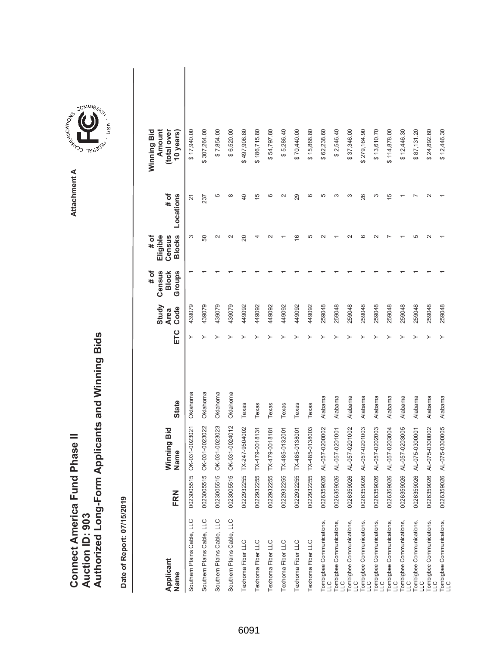|                               |                 | Authorized Long-Form Applicants and Winning Bids |
|-------------------------------|-----------------|--------------------------------------------------|
| Connect America Fund Phase II |                 |                                                  |
|                               | Auction ID: 903 |                                                  |



COMMIS<sub>SION</sub>

USA

| Applicant<br>Name                | FRN        | Winning Bid<br>Name       | State    | ETC | Study<br>Code<br><b>Area</b> | # of<br>Groups<br>Census<br><b>Block</b> | <b>Blocks</b><br># of<br>Eligible<br>Census | # of<br>Locations  | Winning Bid<br>Amount<br>(total over<br>10 years) |  |
|----------------------------------|------------|---------------------------|----------|-----|------------------------------|------------------------------------------|---------------------------------------------|--------------------|---------------------------------------------------|--|
| Southern Plains Cable, LLC       | 0023005515 | OK-031-0023021            | Oklahoma | ≻   | 439079                       |                                          | S                                           | 21                 | \$17,940.00                                       |  |
| Southern Plains Cable, LLC       |            | 0023005515 OK-031-0023022 | Oklahoma |     | 439079                       |                                          | 50                                          | 237                | \$307,264.00                                      |  |
| Southern Plains Cable, LLC       | 0023005515 | OK-031-0023023            | Oklahoma |     | 439079                       |                                          | $\scriptstyle\sim$                          | 5                  | \$7,854.00                                        |  |
| Southern Plains Cable, LLC       |            | 0023005515 OK-031-0024012 | Oklahoma |     | 439079                       |                                          | $\sim$                                      | $\infty$           | \$6,520.00                                        |  |
| Texhoma Fiber LLC                |            | 0022932255 TX-247-9504002 | Texas    |     | 449092                       |                                          | 20                                          | 40                 | \$497,908.80                                      |  |
| Texhoma Fiber LLC                |            | 0022932255 TX-479-0018131 | Texas    |     | 449092                       |                                          |                                             | $\frac{5}{3}$      | \$186,715.80                                      |  |
| Texhoma Fiber LLC                |            | 0022932255 TX-479-0018181 | Texas    |     | 449092                       |                                          |                                             | ဖ                  | \$54,797.80                                       |  |
| Texhoma Fiber LLC                |            | 0022932255 TX-485-0132001 | Texas    |     | 449092                       |                                          |                                             | $\scriptstyle\sim$ | \$5,286.40                                        |  |
| Texhoma Fiber LLC                |            | 0022932255 TX-485-0138001 | Texas    |     | 449092                       |                                          | $\overline{6}$                              | 29                 | \$70,440.00                                       |  |
| Texhoma Fiber LLC                |            | 0022932255 TX-485-0138003 | Texas    |     | 449092                       |                                          | 5                                           | ဖ                  | \$15,868.80                                       |  |
| Tombigbee Communications,        |            | 0026359026 AL-057-0200002 | Alabama  |     | 259048                       |                                          |                                             | 5                  | \$62,238.60                                       |  |
| Tombigbee Communications,<br>LLC |            | 0026359026 AL-057-0201001 | Alabama  |     | 259048                       |                                          |                                             | S                  | \$2,546.40                                        |  |
| Tombigbee Communications,<br>LLC |            | 0026359026 AL-057-0201002 | Alabama  |     | 259048                       |                                          |                                             | ∞                  | \$37,346.00                                       |  |
| Tombigbee Communications,<br>LLC |            | 0026359026 AL-057-0201003 | Alabama  |     | 259048                       |                                          | co                                          | 26                 | \$279,164.90                                      |  |
| Tombigbee Communications,<br>LLC |            | 0026359026 AL-057-0202003 | Alabama  |     | 259048                       |                                          |                                             | S                  | \$13,610.70                                       |  |
| Tombigbee Communications,<br>LLC |            | 0026359026 AL-057-0203004 | Alabama  |     | 259048                       |                                          |                                             | Ю                  | \$114,878.00                                      |  |
| Tombigbee Communications,<br>LLC |            | 0026359026 AL-057-0203005 | Alabama  |     | 259048                       |                                          |                                             |                    | \$12,446.30                                       |  |
| Tombigbee Communications,<br>LLC |            | 0026359026 AL-075-0300001 | Alabama  |     | 259048                       |                                          | ഥ                                           |                    | \$87,131.20                                       |  |
| Tombigbee Communications,<br>LLC |            | 0026359026 AL-075-0300002 | Alabama  |     | 259048                       |                                          |                                             |                    | \$24,892.60                                       |  |
| Tombigbee Communications,<br>LLC |            | 0026359026 AL-075-0300005 | Alabama  |     | 259048                       |                                          |                                             |                    | \$12,446.30                                       |  |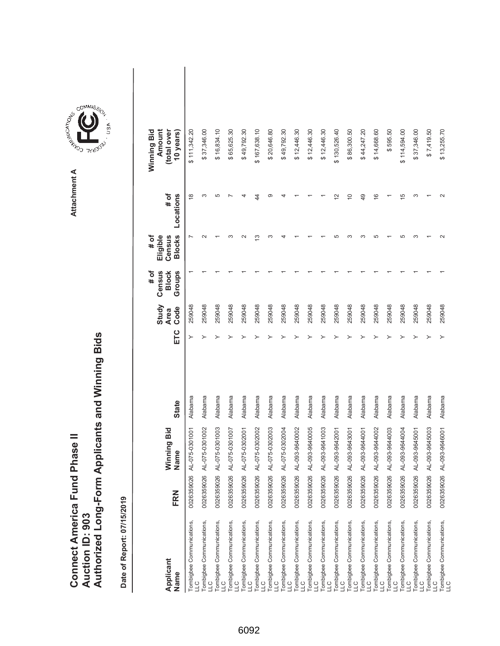|                               |                 | Authorized Long-Form Applicants and Winning Bids |
|-------------------------------|-----------------|--------------------------------------------------|
| Connect America Fund Phase II | Auction ID: 903 |                                                  |

| Applicant<br>Name                          | FRN        | Winning Bid<br>Name | <b>State</b> | ETC | Study<br>Code<br><b>Area</b> | # of<br>Groups<br>Census<br><b>Block</b> | <b>Blocks</b><br>Eligible<br># of<br>Census | # of<br>Locations | Winning Bid<br>Amount<br>(total over<br>10 years) |  |
|--------------------------------------------|------------|---------------------|--------------|-----|------------------------------|------------------------------------------|---------------------------------------------|-------------------|---------------------------------------------------|--|
| Tombigbee Communications,<br>LLC           | 0026359026 | AL-075-0301001      | Alabama      |     | 259048                       |                                          |                                             | ∞                 | \$111,342.20                                      |  |
| Tombigbee Communications,<br>LLC           | 0026359026 | AL-075-0301002      | Alabama      |     | 259048                       |                                          | $\sim$                                      | ω                 | \$37,346.00                                       |  |
| Tombigbee Communications,<br>LLC           | 0026359026 | AL-075-0301003      | Alabama      |     | 259048                       |                                          |                                             | 5                 | \$16,834.10                                       |  |
| Tombigbee Communications,<br>LLC           | 0026359026 | AL-075-0301007      | Alabama      |     | 259048                       |                                          | ო                                           |                   | \$65,625.30                                       |  |
| Tombigbee Communications,<br>LLC           | 0026359026 | AL-075-0302001      | Alabama      |     | 259048                       |                                          | $\sim$                                      |                   | \$49,792.30                                       |  |
| Tombigbee Communications,<br>LLC           | 0026359026 | AL-075-0302002      | Alabama      |     | 259048                       |                                          | S                                           | 44                | \$167,638.10                                      |  |
| Tombigbee Communications,<br>LLC           | 0026359026 | AL-075-0302003      | Alabama      |     | 259048                       |                                          | ო                                           | တ                 | \$20,646.80                                       |  |
| Tombigbee Communications,<br>LLC           | 0026359026 | AL-075-0302004      | Alabama      |     | 259048                       |                                          |                                             |                   | \$49,792.30                                       |  |
| Tombigbee Communications,<br>LLC           | 0026359026 | AL-093-9640002      | Alabama      |     | 259048                       |                                          |                                             |                   | \$12,446.30                                       |  |
| Tombigbee Communications,<br>LLC           | 0026359026 | AL-093-9640005      | Alabama      |     | 259048                       |                                          |                                             |                   | \$12,446.30                                       |  |
| Tombigbee Communications,<br>LLC           | 0026359026 | AL-093-9641003      | Alabama      |     | 259048                       |                                          |                                             |                   | \$12,446.30                                       |  |
| Tombigbee Communications,<br>LLC           | 0026359026 | AL-093-9642001      | Alabama      |     | 259048                       |                                          | Ю                                           | $\mathbf{\sim}$   | \$130,526.40                                      |  |
| Tombigbee Communications,<br>LLC           | 0026359026 | AL-093-9643001      | Alabama      |     | 259048                       |                                          | ო                                           | $\overline{C}$    | \$86,300.50                                       |  |
| Tombigbee Communications,<br>$\frac{1}{2}$ | 0026359026 | AL-093-9644001      | Alabama      |     | 259048                       |                                          | ო                                           | 49                | \$44,247.20                                       |  |
| Tombigbee Communications,<br>LLC           | 0026359026 | AL-093-9644002      | Alabama      |     | 259048                       |                                          | Ю                                           | $\frac{6}{5}$     | \$14,668.60                                       |  |
| Tombigbee Communications,<br>LLC           | 0026359026 | AL-093-9644003      | Alabama      |     | 259048                       |                                          |                                             |                   | \$595.50                                          |  |
| Tombigbee Communications,<br>LLC           | 0026359026 | AL-093-9644004      | Alabama      |     | 259048                       |                                          | LO                                          | 5                 | \$114,594.00                                      |  |
| Tombigbee Communications,<br>LLC           | 0026359026 | AL-093-9645001      | Alabama      |     | 259048                       |                                          | co                                          | S                 | \$37,346.00                                       |  |
| Tombigbee Communications,<br>LLC           | 0026359026 | AL-093-9645003      | Alabama      |     | 259048                       |                                          |                                             |                   | \$7,419.50                                        |  |
| Tombigbee Communications,<br>LLC           | 0026359026 | AL-093-9646001      | Alabama      |     | 259048                       |                                          | $\sim$                                      |                   | \$13,255.70                                       |  |

**COMMISSION** Attachment A **Attachment A**